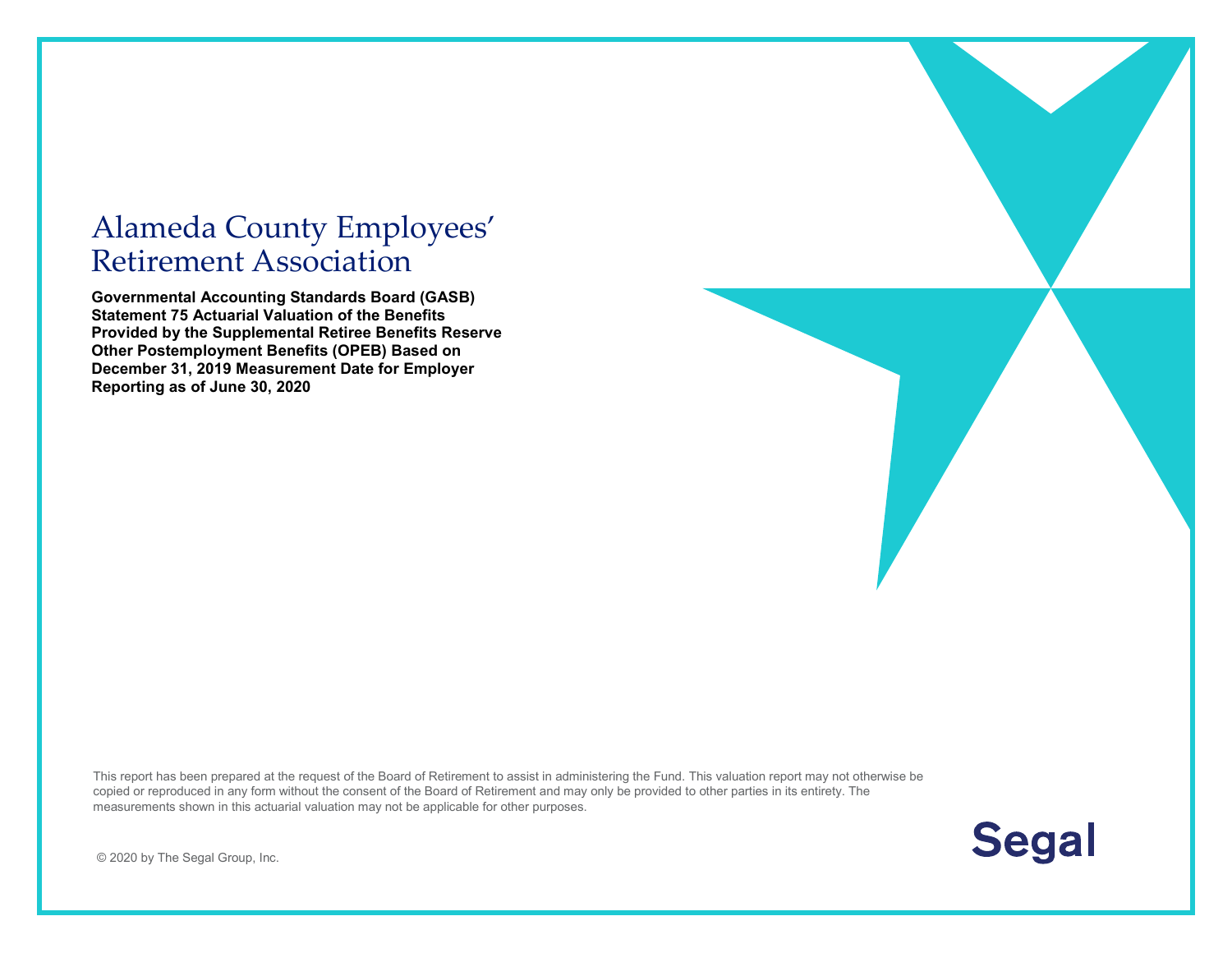# Alameda County Employees' Retirement Association

**Governmental Accounting Standards Board (GASB) Statement 75 Actuarial Valuation of the Benefits Provided by the Supplemental Retiree Benefits Reserve Other Postemployment Benefits (OPEB) Based on December 31, 2019 Measurement Date for Employer Reporting as of June 30, 2020**

This report has been prepared at the request of the Board of Retirement to assist in administering the Fund. This valuation report may not otherwise be copied or reproduced in any form without the consent of the Board of Retirement and may only be provided to other parties in its entirety. The measurements shown in this actuarial valuation may not be applicable for other purposes.



© 2020 by The Segal Group, Inc.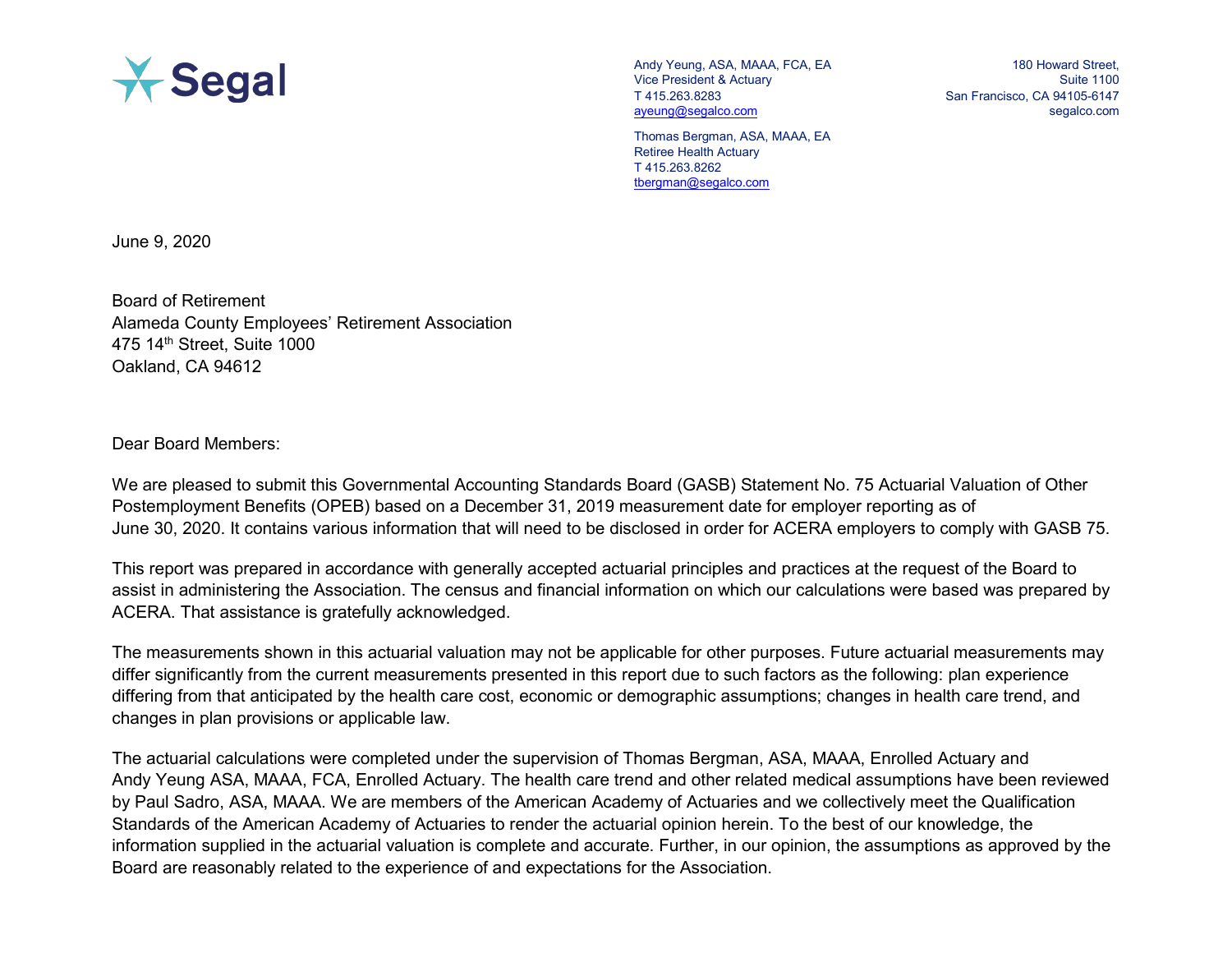

Andy Yeung, ASA, MAAA, FCA, EA Vice President & Actuary T 415.263.8283 [ayeung@segalco.com](mailto:ayeung@segalco.com)

180 Howard Street, Suite 1100 San Francisco, CA 94105-6147 segalco.com

Thomas Bergman, ASA, MAAA, EA Retiree Health Actuary T 415.263.8262 [tbergman@segalco.com](mailto:tbergman@segalco.com)

June 9, 2020

Board of Retirement Alameda County Employees' Retirement Association 475 14th Street, Suite 1000 Oakland, CA 94612

Dear Board Members:

We are pleased to submit this Governmental Accounting Standards Board (GASB) Statement No. 75 Actuarial Valuation of Other Postemployment Benefits (OPEB) based on a December 31, 2019 measurement date for employer reporting as of June 30, 2020. It contains various information that will need to be disclosed in order for ACERA employers to comply with GASB 75.

This report was prepared in accordance with generally accepted actuarial principles and practices at the request of the Board to assist in administering the Association. The census and financial information on which our calculations were based was prepared by ACERA. That assistance is gratefully acknowledged.

The measurements shown in this actuarial valuation may not be applicable for other purposes. Future actuarial measurements may differ significantly from the current measurements presented in this report due to such factors as the following: plan experience differing from that anticipated by the health care cost, economic or demographic assumptions; changes in health care trend, and changes in plan provisions or applicable law.

The actuarial calculations were completed under the supervision of Thomas Bergman, ASA, MAAA, Enrolled Actuary and Andy Yeung ASA, MAAA, FCA, Enrolled Actuary. The health care trend and other related medical assumptions have been reviewed by Paul Sadro, ASA, MAAA. We are members of the American Academy of Actuaries and we collectively meet the Qualification Standards of the American Academy of Actuaries to render the actuarial opinion herein. To the best of our knowledge, the information supplied in the actuarial valuation is complete and accurate. Further, in our opinion, the assumptions as approved by the Board are reasonably related to the experience of and expectations for the Association.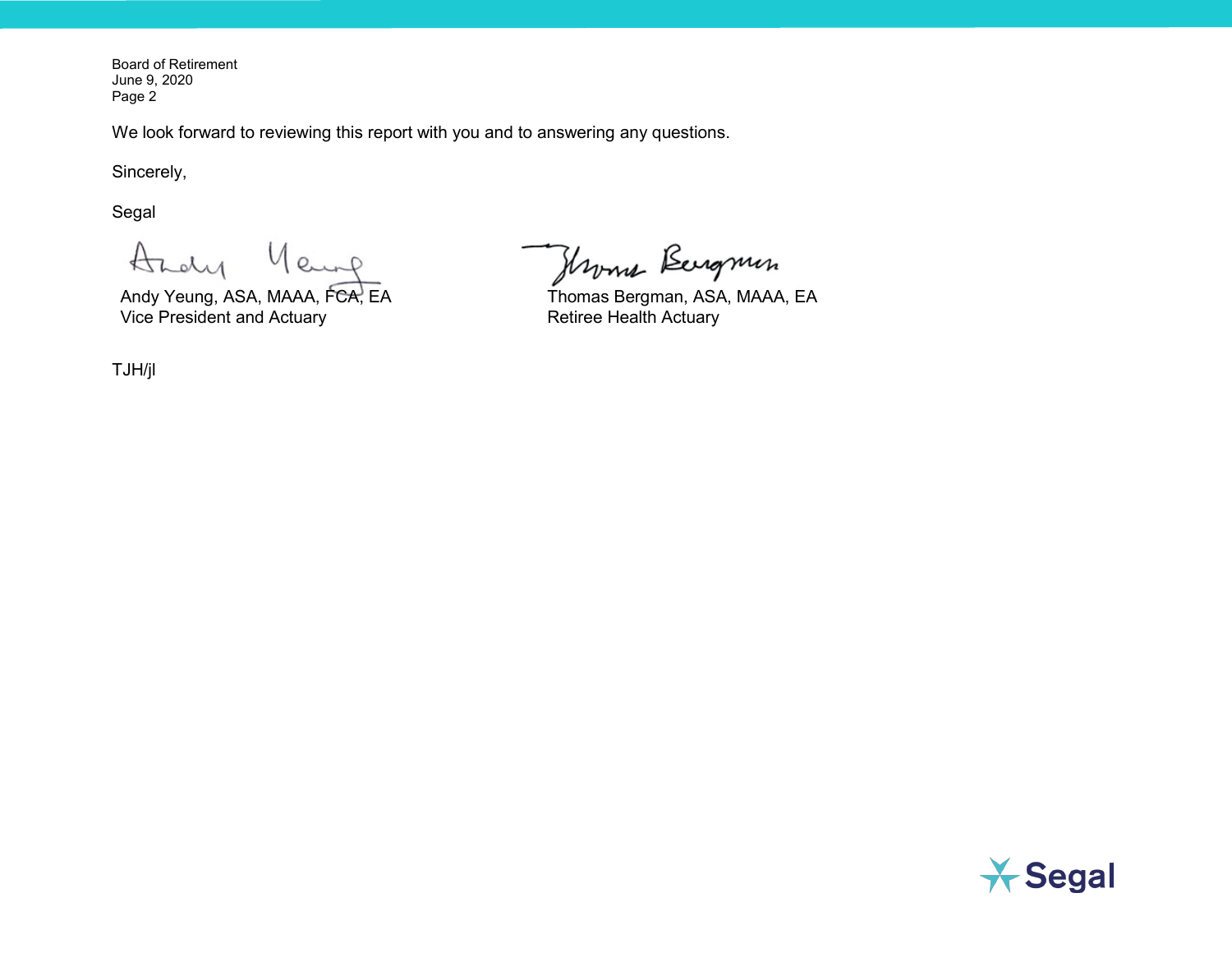Board of Retirement June 9, 2020 Page 2

We look forward to reviewing this report with you and to answering any questions.

Sincerely,

Segal

Andy  $Q_{n+1}$ 

Andy Yeung, ASA, MAAA, FCA, EA Vice President and Actuary

TJH/jl

Hroma Bergmin

Thomas Bergman, ASA, MAAA, EA Retiree Health Actuary

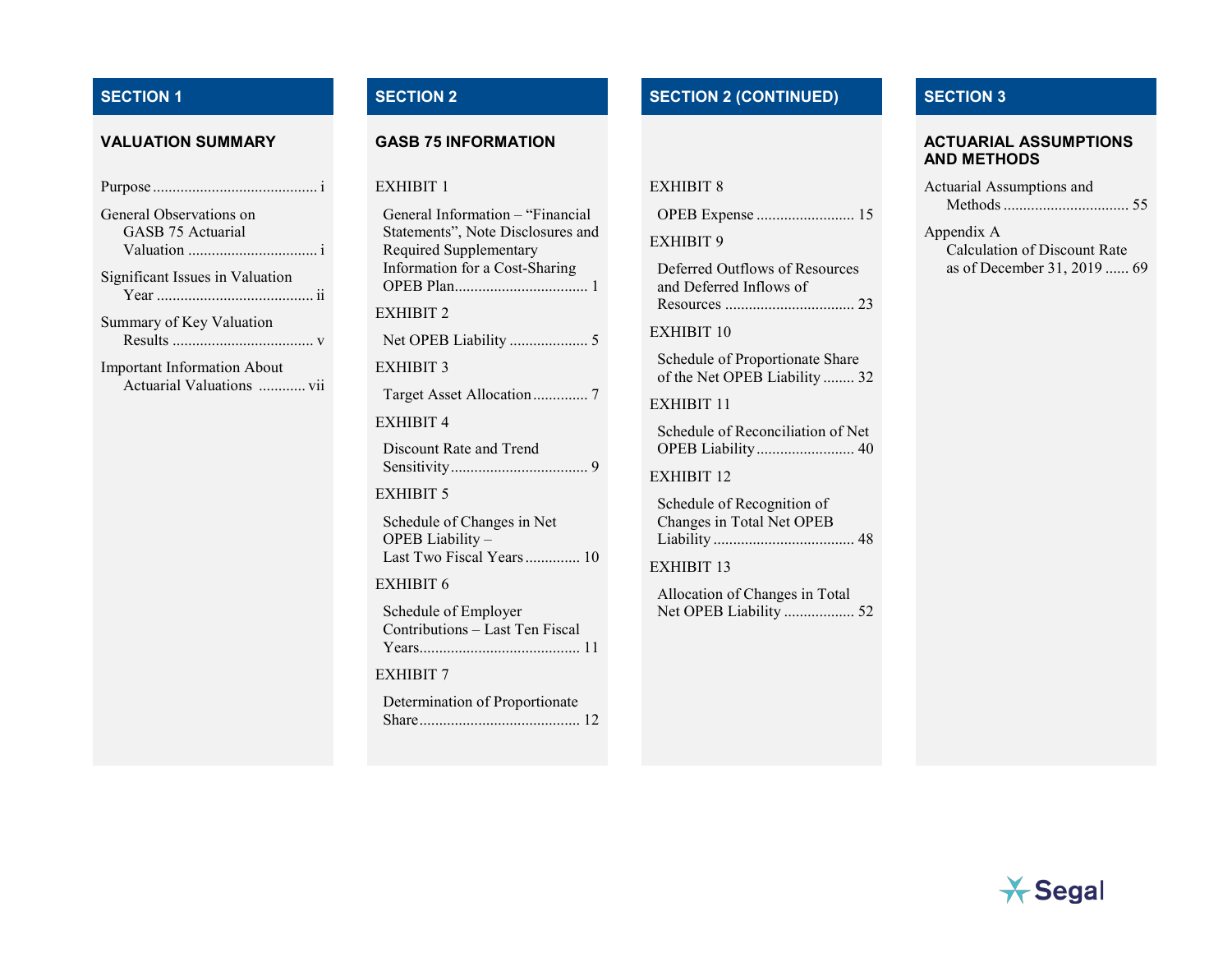| General Observations on |  |
|-------------------------|--|
| GASB 75 Actuarial       |  |

Valuation ................................. [i](#page-4-1)

Significant Issues in Valuation Year ........................................ [ii](#page-5-0)

Summary of Key Valuation Results .................................... [v](#page-8-0)

Important Information About Actuarial Valuations ............ [vii](#page-10-0)

#### EXHIBIT 1

| General Information - "Financial<br>Statements", Note Disclosures and<br>Required Supplementary<br>Information for a Cost-Sharing |
|-----------------------------------------------------------------------------------------------------------------------------------|
| EXHIBIT 2                                                                                                                         |
|                                                                                                                                   |
| EXHIBIT 3                                                                                                                         |
|                                                                                                                                   |
| <b>EXHIBIT 4</b>                                                                                                                  |
| Discount Rate and Trend                                                                                                           |
| EXHIBIT 5                                                                                                                         |
| Schedule of Changes in Net<br>OPEB Liability-<br>Last Two Fiscal Years 10                                                         |
| EXHIBIT 6                                                                                                                         |
| Schedule of Employer<br>Contributions - Last Ten Fiscal                                                                           |
| <b>EXHIBIT 7</b>                                                                                                                  |
| Determination of Proportionate                                                                                                    |

# **SECTION 1 SECTION 2 SECTION 2 (CONTINUED) SECTION 3**

## EXHIBIT 8

|--|--|--|

EXHIBIT 9

| Deferred Outflows of Resources |
|--------------------------------|
| and Deferred Inflows of        |
|                                |

EXHIBIT 10

Schedule of Proportionate Share of the Net OPEB Liability ........ 32

EXHIBIT 11

Schedule of Reconciliation of Net OPEB Liability......................... [40](#page-51-0)

EXHIBIT 12

Schedule of Recognition of Changes in Total Net OPEB Liability .................................... [48](#page-59-0)

EXHIBIT 13

Allocation of Changes in Total Net OPEB Liability .................. [52](#page-63-0)

#### **VALUATION SUMMARY GASB 75 INFORMATION ACTUARIAL ASSUMPTIONS AND METHODS**

| Actuarial Assumptions and |  |
|---------------------------|--|
|                           |  |

Appendix A Calculation of Discount Rate

as of December 31, 2019 ...... [69](#page-80-0)

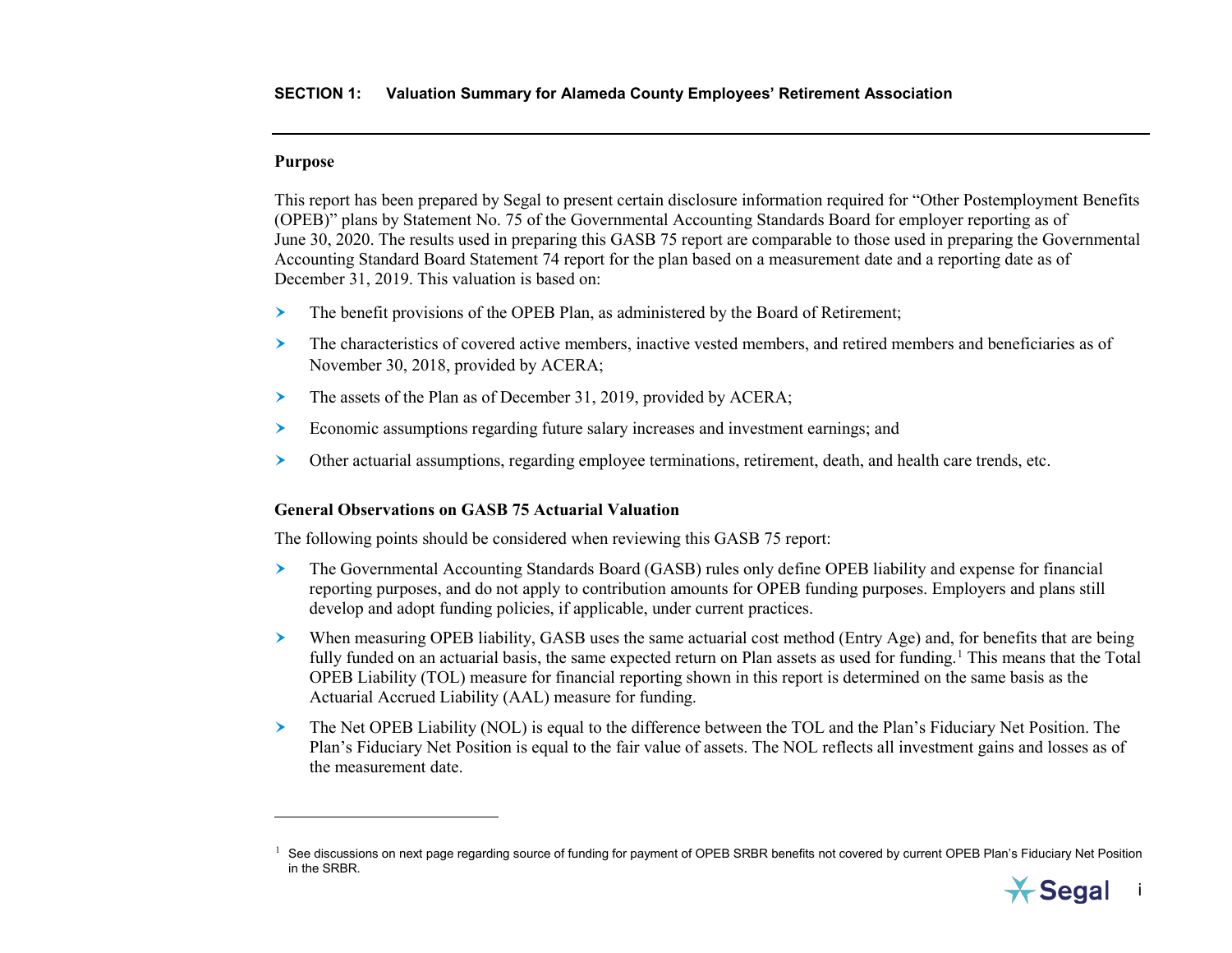### <span id="page-4-2"></span><span id="page-4-0"></span>**Purpose**

 $\overline{a}$ 

This report has been prepared by Segal to present certain disclosure information required for "Other Postemployment Benefits (OPEB)" plans by Statement No. 75 of the Governmental Accounting Standards Board for employer reporting as of June 30, 2020. The results used in preparing this GASB 75 report are comparable to those used in preparing the Governmental Accounting Standard Board Statement 74 report for the plan based on a measurement date and a reporting date as of December 31, 2019. This valuation is based on:

- $\geq$  The benefit provisions of the OPEB Plan, as administered by the Board of Retirement;
- The characteristics of covered active members, inactive vested members, and retired members and beneficiaries as of November 30, 2018, provided by ACERA;
- The assets of the Plan as of December 31, 2019, provided by ACERA;
- Economic assumptions regarding future salary increases and investment earnings; and
- Other actuarial assumptions, regarding employee terminations, retirement, death, and health care trends, etc.

## <span id="page-4-1"></span>**General Observations on GASB 75 Actuarial Valuation**

The following points should be considered when reviewing this GASB 75 report:

- The Governmental Accounting Standards Board (GASB) rules only define OPEB liability and expense for financial reporting purposes, and do not apply to contribution amounts for OPEB funding purposes. Employers and plans still develop and adopt funding policies, if applicable, under current practices.
- When measuring OPEB liability, GASB uses the same actuarial cost method (Entry Age) and, for benefits that are being fully funded on an actuarial basis, the same expected return on Plan assets as used for funding.<sup>[1](#page-4-2)</sup> This means that the Total OPEB Liability (TOL) measure for financial reporting shown in this report is determined on the same basis as the Actuarial Accrued Liability (AAL) measure for funding.
- The Net OPEB Liability (NOL) is equal to the difference between the TOL and the Plan's Fiduciary Net Position. The Plan's Fiduciary Net Position is equal to the fair value of assets. The NOL reflects all investment gains and losses as of the measurement date.

 $1$  See discussions on next page regarding source of funding for payment of OPEB SRBR benefits not covered by current OPEB Plan's Fiduciary Net Position in the SRBR.

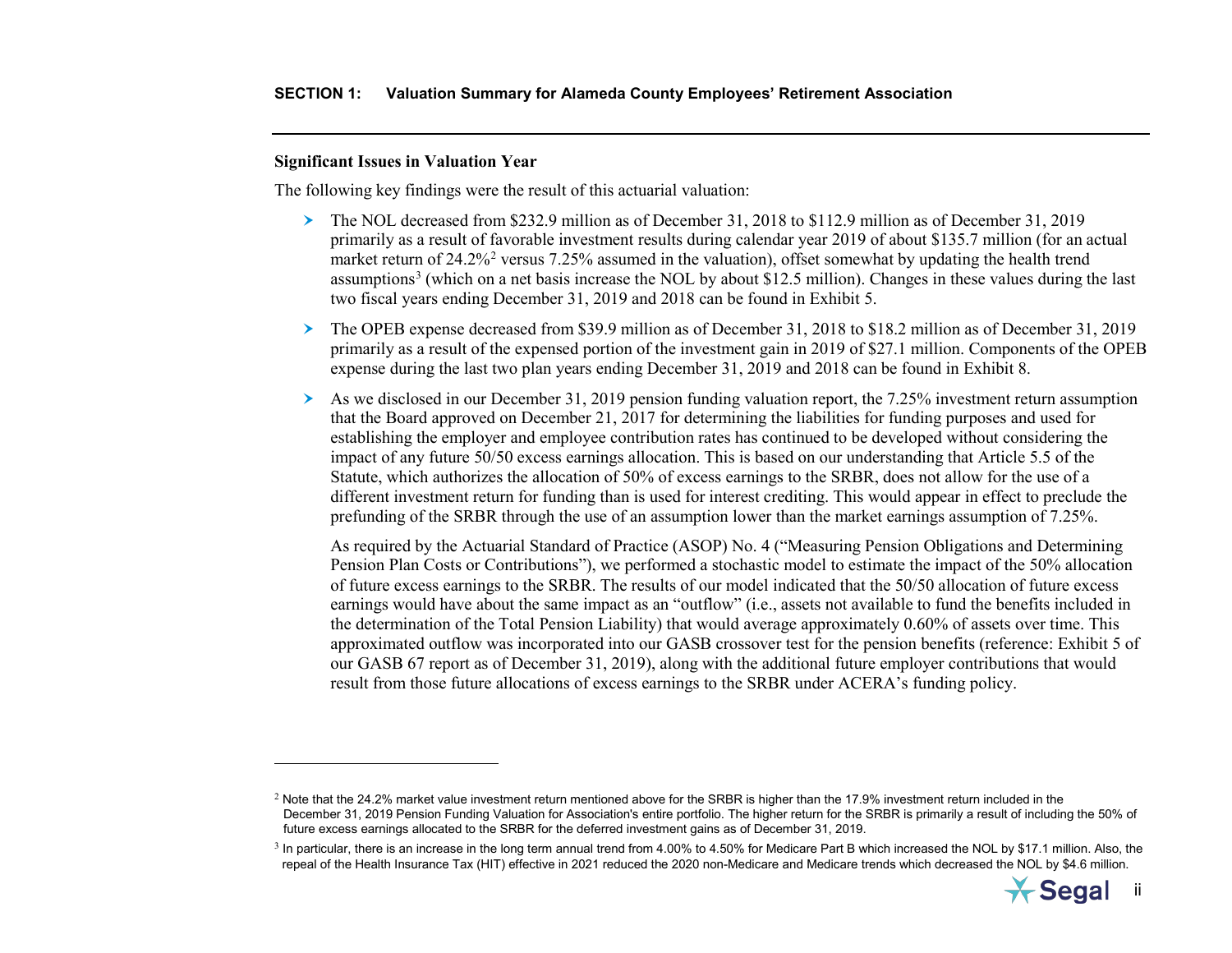### <span id="page-5-2"></span><span id="page-5-1"></span><span id="page-5-0"></span>**Significant Issues in Valuation Year**

 $\overline{a}$ 

The following key findings were the result of this actuarial valuation:

- The NOL decreased from \$232.9 million as of December 31, 2018 to \$112.9 million as of December 31, 2019 primarily as a result of favorable investment results during calendar year 2019 of about \$135.7 million (for an actual market return of [2](#page-5-1)4.2%<sup>2</sup> versus 7.25% assumed in the valuation), offset somewhat by updating the health trend assumptions<sup>[3](#page-5-2)</sup> (which on a net basis increase the NOL by about \$12.5 million). Changes in these values during the last two fiscal years ending December 31, 2019 and 2018 can be found in Exhibit 5.
- The OPEB expense decreased from \$39.9 million as of December 31, 2018 to \$18.2 million as of December 31, 2019 primarily as a result of the expensed portion of the investment gain in 2019 of \$27.1 million. Components of the OPEB expense during the last two plan years ending December 31, 2019 and 2018 can be found in Exhibit 8.
- $\geq$  As we disclosed in our December 31, 2019 pension funding valuation report, the 7.25% investment return assumption that the Board approved on December 21, 2017 for determining the liabilities for funding purposes and used for establishing the employer and employee contribution rates has continued to be developed without considering the impact of any future 50/50 excess earnings allocation. This is based on our understanding that Article 5.5 of the Statute, which authorizes the allocation of 50% of excess earnings to the SRBR, does not allow for the use of a different investment return for funding than is used for interest crediting. This would appear in effect to preclude the prefunding of the SRBR through the use of an assumption lower than the market earnings assumption of 7.25%.

As required by the Actuarial Standard of Practice (ASOP) No. 4 ("Measuring Pension Obligations and Determining Pension Plan Costs or Contributions"), we performed a stochastic model to estimate the impact of the 50% allocation of future excess earnings to the SRBR. The results of our model indicated that the 50/50 allocation of future excess earnings would have about the same impact as an "outflow" (i.e., assets not available to fund the benefits included in the determination of the Total Pension Liability) that would average approximately 0.60% of assets over time. This approximated outflow was incorporated into our GASB crossover test for the pension benefits (reference: Exhibit 5 of our GASB 67 report as of December 31, 2019), along with the additional future employer contributions that would result from those future allocations of excess earnings to the SRBR under ACERA's funding policy.

 $3$  In particular, there is an increase in the long term annual trend from 4.00% to 4.50% for Medicare Part B which increased the NOL by \$17.1 million. Also, the repeal of the Health Insurance Tax (HIT) effective in 2021 reduced the 2020 non-Medicare and Medicare trends which decreased the NOL by \$4.6 million.



 $2$  Note that the 24.2% market value investment return mentioned above for the SRBR is higher than the 17.9% investment return included in the December 31, 2019 Pension Funding Valuation for Association's entire portfolio. The higher return for the SRBR is primarily a result of including the 50% of future excess earnings allocated to the SRBR for the deferred investment gains as of December 31, 2019.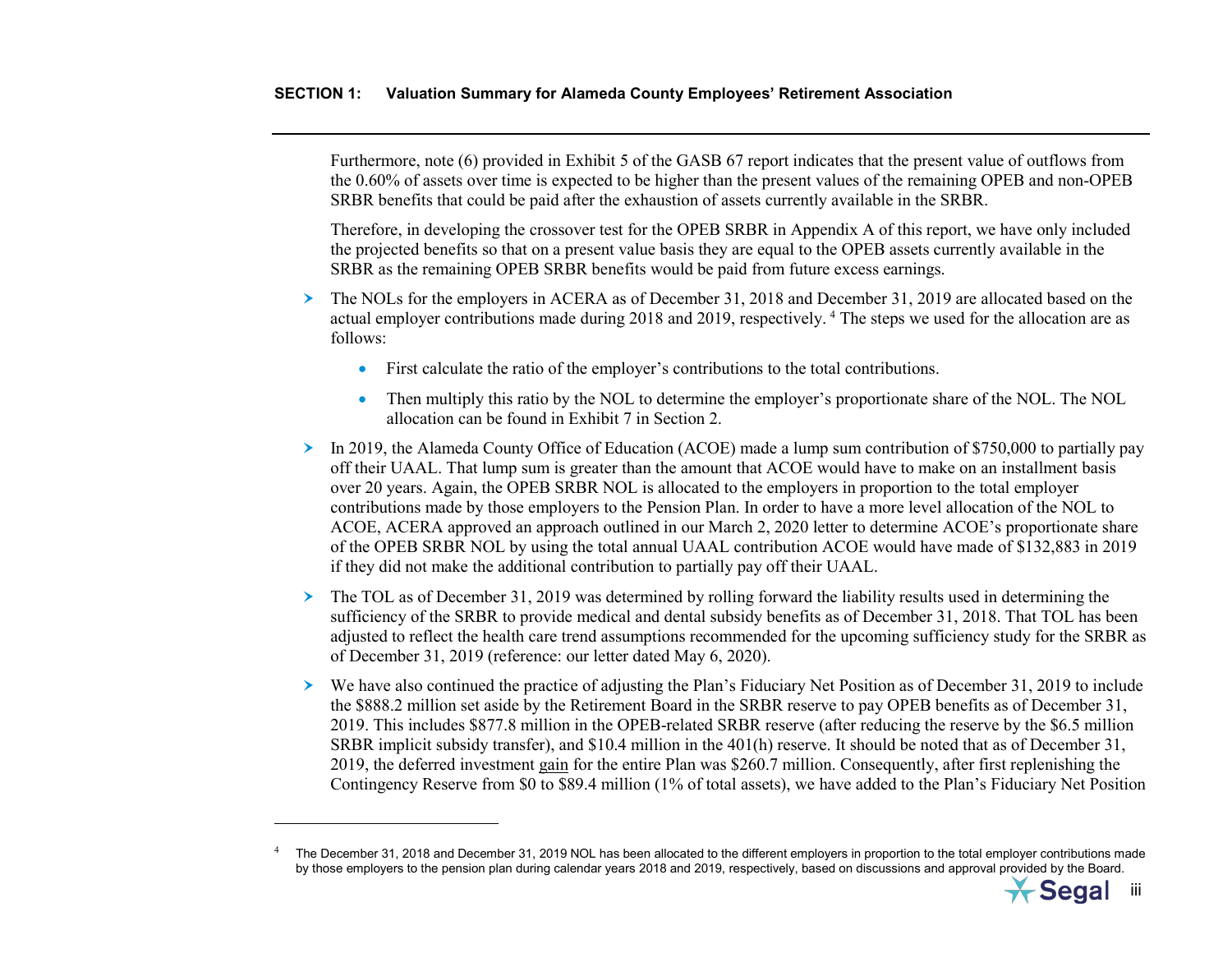<span id="page-6-0"></span>Furthermore, note (6) provided in Exhibit 5 of the GASB 67 report indicates that the present value of outflows from the 0.60% of assets over time is expected to be higher than the present values of the remaining OPEB and non-OPEB SRBR benefits that could be paid after the exhaustion of assets currently available in the SRBR.

Therefore, in developing the crossover test for the OPEB SRBR in Appendix A of this report, we have only included the projected benefits so that on a present value basis they are equal to the OPEB assets currently available in the SRBR as the remaining OPEB SRBR benefits would be paid from future excess earnings.

- The NOLs for the employers in ACERA as of December 31, 2018 and December 31, 2019 are allocated based on the actual employer contributions made during 2018 and 2019, respectively. [4](#page-6-0) The steps we used for the allocation are as follows:
	- First calculate the ratio of the employer's contributions to the total contributions.
	- Then multiply this ratio by the NOL to determine the employer's proportionate share of the NOL. The NOL allocation can be found in Exhibit 7 in Section 2.
- $\geq$  In 2019, the Alameda County Office of Education (ACOE) made a lump sum contribution of \$750,000 to partially pay off their UAAL. That lump sum is greater than the amount that ACOE would have to make on an installment basis over 20 years. Again, the OPEB SRBR NOL is allocated to the employers in proportion to the total employer contributions made by those employers to the Pension Plan. In order to have a more level allocation of the NOL to ACOE, ACERA approved an approach outlined in our March 2, 2020 letter to determine ACOE's proportionate share of the OPEB SRBR NOL by using the total annual UAAL contribution ACOE would have made of \$132,883 in 2019 if they did not make the additional contribution to partially pay off their UAAL.
- $\geq$  The TOL as of December 31, 2019 was determined by rolling forward the liability results used in determining the sufficiency of the SRBR to provide medical and dental subsidy benefits as of December 31, 2018. That TOL has been adjusted to reflect the health care trend assumptions recommended for the upcoming sufficiency study for the SRBR as of December 31, 2019 (reference: our letter dated May 6, 2020).
- We have also continued the practice of adjusting the Plan's Fiduciary Net Position as of December 31, 2019 to include the \$888.2 million set aside by the Retirement Board in the SRBR reserve to pay OPEB benefits as of December 31, 2019. This includes \$877.8 million in the OPEB-related SRBR reserve (after reducing the reserve by the \$6.5 million SRBR implicit subsidy transfer), and \$10.4 million in the 401(h) reserve. It should be noted that as of December 31, 2019, the deferred investment gain for the entire Plan was \$260.7 million. Consequently, after first replenishing the Contingency Reserve from \$0 to \$89.4 million (1% of total assets), we have added to the Plan's Fiduciary Net Position

 $\overline{a}$ 



<sup>4</sup> The December 31, 2018 and December 31, 2019 NOL has been allocated to the different employers in proportion to the total employer contributions made by those employers to the pension plan during calendar years 2018 and 2019, respectively, based on discussions and approval provided by the Board.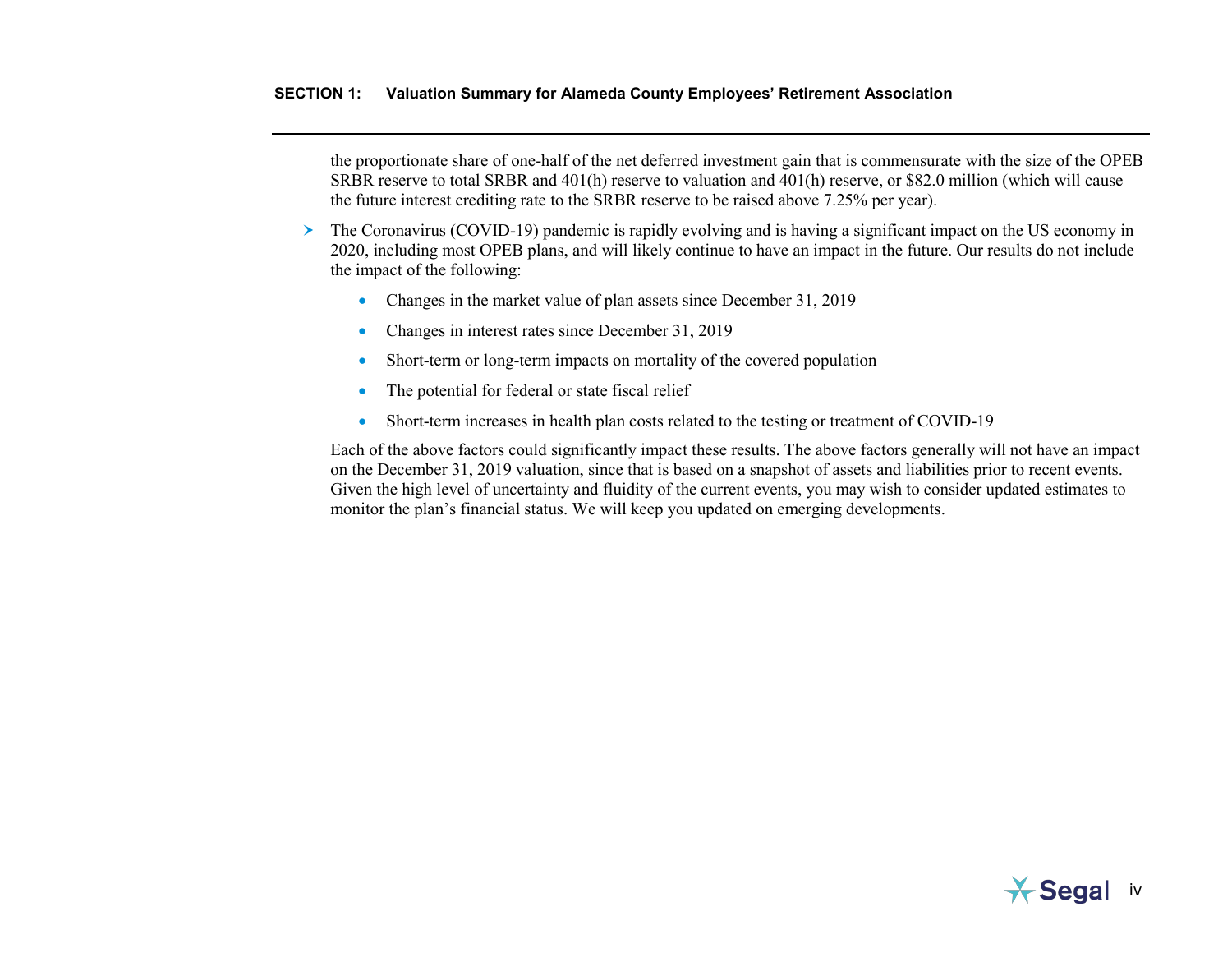the proportionate share of one-half of the net deferred investment gain that is commensurate with the size of the OPEB SRBR reserve to total SRBR and 401(h) reserve to valuation and 401(h) reserve, or \$82.0 million (which will cause the future interest crediting rate to the SRBR reserve to be raised above 7.25% per year).

- The Coronavirus (COVID-19) pandemic is rapidly evolving and is having a significant impact on the US economy in 2020, including most OPEB plans, and will likely continue to have an impact in the future. Our results do not include the impact of the following:
	- Changes in the market value of plan assets since December 31, 2019
	- Changes in interest rates since December 31, 2019
	- Short-term or long-term impacts on mortality of the covered population
	- The potential for federal or state fiscal relief
	- Short-term increases in health plan costs related to the testing or treatment of COVID-19

Each of the above factors could significantly impact these results. The above factors generally will not have an impact on the December 31, 2019 valuation, since that is based on a snapshot of assets and liabilities prior to recent events. Given the high level of uncertainty and fluidity of the current events, you may wish to consider updated estimates to monitor the plan's financial status. We will keep you updated on emerging developments.

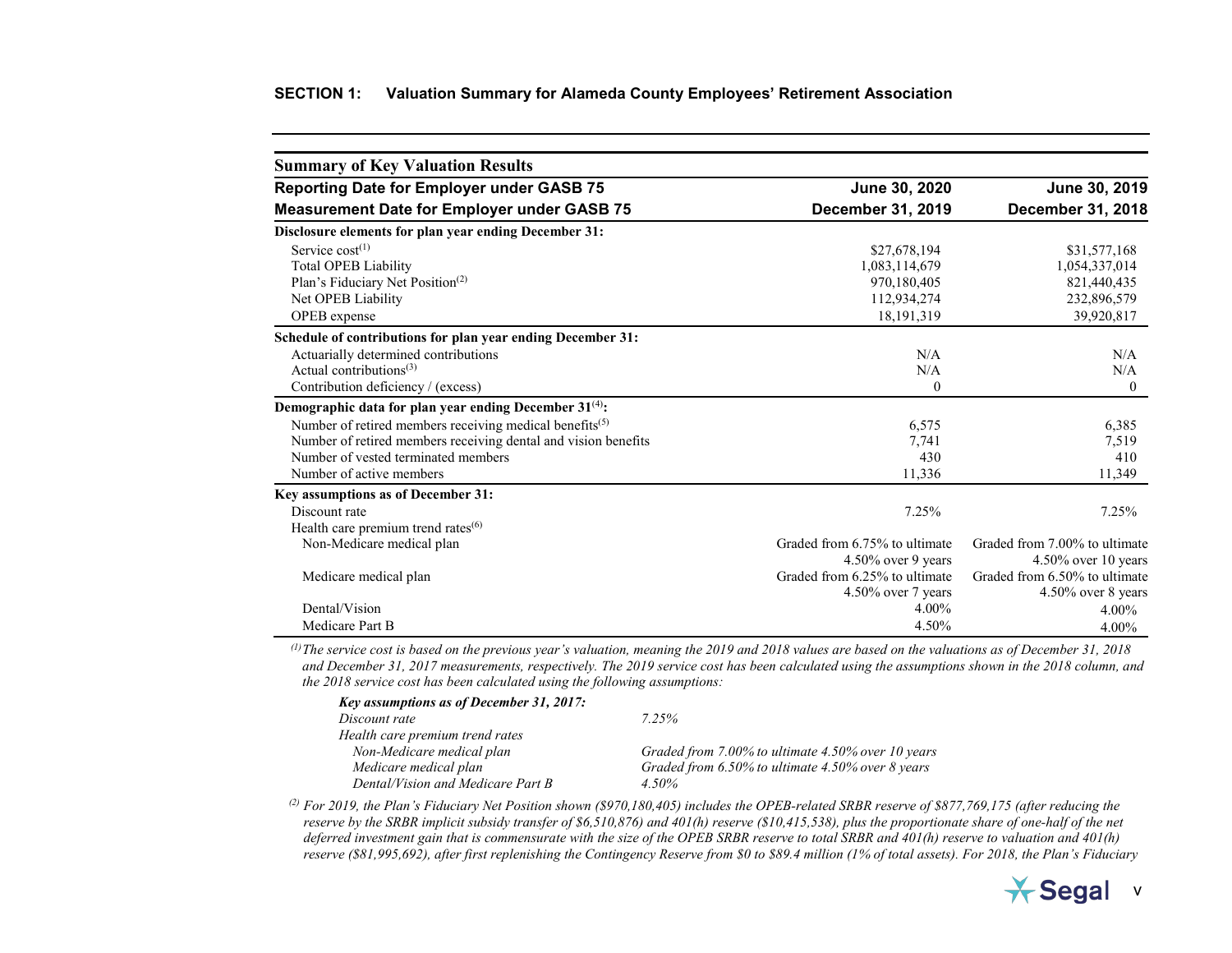### **SECTION 1: Valuation Summary for Alameda County Employees' Retirement Association**

<span id="page-8-0"></span>

| <b>Summary of Key Valuation Results</b>                             |                               |                               |
|---------------------------------------------------------------------|-------------------------------|-------------------------------|
| <b>Reporting Date for Employer under GASB 75</b>                    | June 30, 2020                 | June 30, 2019                 |
| <b>Measurement Date for Employer under GASB 75</b>                  | <b>December 31, 2019</b>      | December 31, 2018             |
| Disclosure elements for plan year ending December 31:               |                               |                               |
| Service $cost^{(1)}$                                                | \$27,678,194                  | \$31,577,168                  |
| <b>Total OPEB Liability</b>                                         | 1,083,114,679                 | 1,054,337,014                 |
| Plan's Fiduciary Net Position <sup>(2)</sup>                        | 970,180,405                   | 821,440,435                   |
| Net OPEB Liability                                                  | 112,934,274                   | 232,896,579                   |
| OPEB expense                                                        | 18, 191, 319                  | 39,920,817                    |
| Schedule of contributions for plan year ending December 31:         |                               |                               |
| Actuarially determined contributions                                | N/A                           | N/A                           |
| Actual contributions $(3)$                                          | N/A                           | N/A                           |
| Contribution deficiency / (excess)                                  | $\theta$                      | $\mathbf{0}$                  |
| Demographic data for plan year ending December 31 <sup>(4)</sup> :  |                               |                               |
| Number of retired members receiving medical benefits <sup>(5)</sup> | 6,575                         | 6,385                         |
| Number of retired members receiving dental and vision benefits      | 7,741                         | 7,519                         |
| Number of vested terminated members                                 | 430                           | 410                           |
| Number of active members                                            | 11,336                        | 11,349                        |
| Key assumptions as of December 31:                                  |                               |                               |
| Discount rate                                                       | 7.25%                         | 7.25%                         |
| Health care premium trend rates <sup>(6)</sup>                      |                               |                               |
| Non-Medicare medical plan                                           | Graded from 6.75% to ultimate | Graded from 7.00% to ultimate |
|                                                                     | 4.50% over 9 years            | 4.50% over 10 years           |
| Medicare medical plan                                               | Graded from 6.25% to ultimate | Graded from 6.50% to ultimate |
|                                                                     | 4.50% over 7 years            | 4.50% over 8 years            |
| Dental/Vision                                                       | 4.00%                         | $4.00\%$                      |
| Medicare Part B                                                     | 4.50%                         | $4.00\%$                      |

<sup>(1)</sup>The service cost is based on the previous year's valuation, meaning the 2019 and 2018 values are based on the valuations as of December 31, 2018 *and December 31, 2017 measurements, respectively. The 2019 service cost has been calculated using the assumptions shown in the 2018 column, and the 2018 service cost has been calculated using the following assumptions:*

| 7 25%                                               |
|-----------------------------------------------------|
|                                                     |
| Graded from 7.00% to ultimate 4.50% over 10 years   |
| Graded from $6.50\%$ to ultimate 4.50% over 8 years |
| 4.50%                                               |
|                                                     |

*(2) For 2019, the Plan's Fiduciary Net Position shown (\$970,180,405) includes the OPEB-related SRBR reserve of \$877,769,175 (after reducing the reserve by the SRBR implicit subsidy transfer of \$6,510,876) and 401(h) reserve (\$10,415,538), plus the proportionate share of one-half of the net deferred investment gain that is commensurate with the size of the OPEB SRBR reserve to total SRBR and 401(h) reserve to valuation and 401(h) reserve (\$81,995,692), after first replenishing the Contingency Reserve from \$0 to \$89.4 million (1% of total assets). For 2018, the Plan's Fiduciary* 

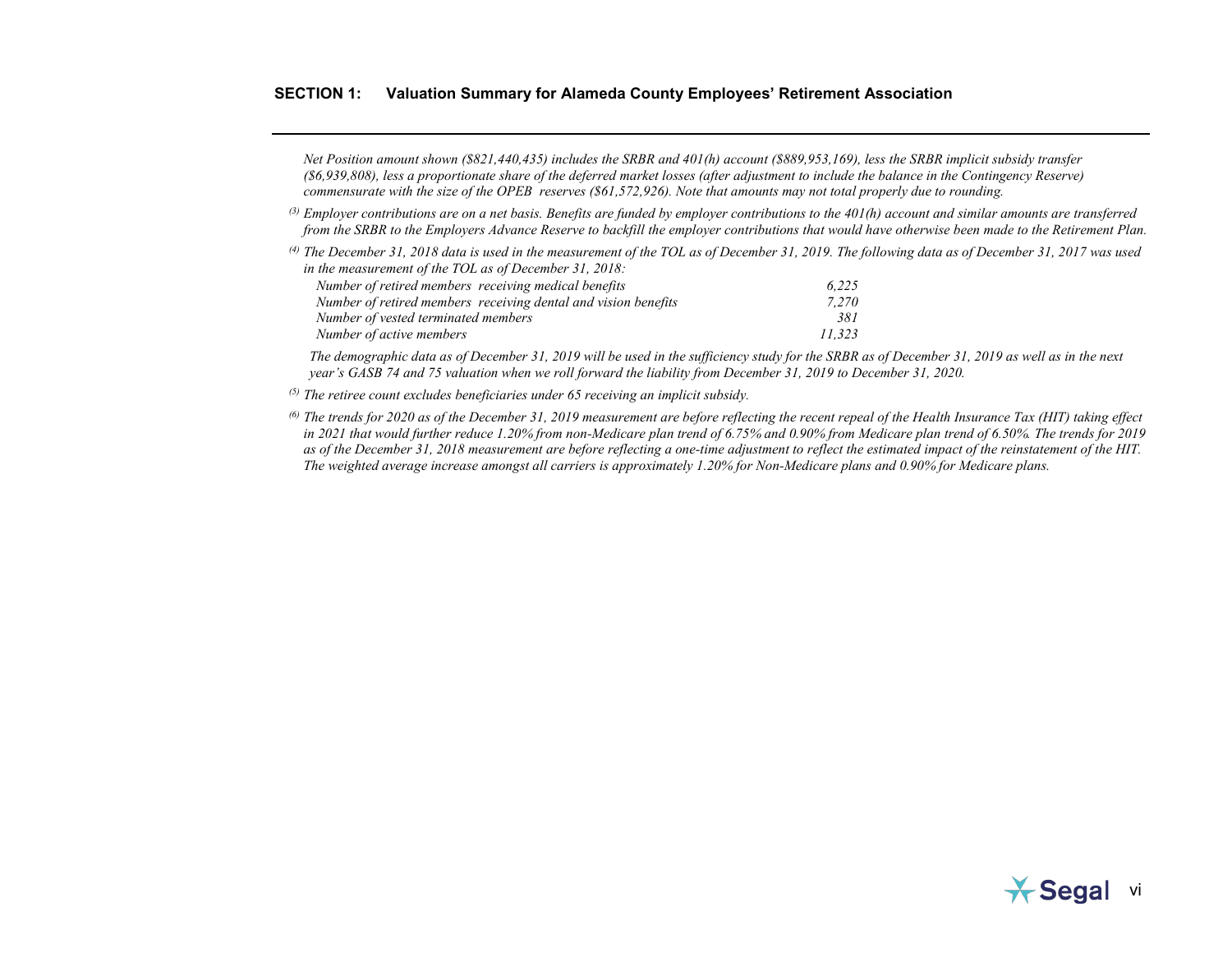### **SECTION 1: Valuation Summary for Alameda County Employees' Retirement Association**

*Net Position amount shown (\$821,440,435) includes the SRBR and 401(h) account (\$889,953,169), less the SRBR implicit subsidy transfer (\$6,939,808), less a proportionate share of the deferred market losses (after adjustment to include the balance in the Contingency Reserve) commensurate with the size of the OPEB reserves (\$61,572,926). Note that amounts may not total properly due to rounding.*

- *(3) Employer contributions are on a net basis. Benefits are funded by employer contributions to the 401(h) account and similar amounts are transferred from the SRBR to the Employers Advance Reserve to backfill the employer contributions that would have otherwise been made to the Retirement Plan.*
- *(4) The December 31, 2018 data is used in the measurement of the TOL as of December 31, 2019. The following data as of December 31, 2017 was used in the measurement of the TOL as of December 31, 2018:*

| Number of retired members receiving medical benefits           | 6.225  |
|----------------------------------------------------------------|--------|
| Number of retired members receiving dental and vision benefits | 7.270  |
| Number of vested terminated members                            | 381    |
| Number of active members                                       | 11.323 |

*The demographic data as of December 31, 2019 will be used in the sufficiency study for the SRBR as of December 31, 2019 as well as in the next year's GASB 74 and 75 valuation when we roll forward the liability from December 31, 2019 to December 31, 2020.*

- *(5) The retiree count excludes beneficiaries under 65 receiving an implicit subsidy.*
- *(6) The trends for 2020 as of the December 31, 2019 measurement are before reflecting the recent repeal of the Health Insurance Tax (HIT) taking effect in 2021 that would further reduce 1.20% from non-Medicare plan trend of 6.75% and 0.90% from Medicare plan trend of 6.50%. The trends for 2019 as of the December 31, 2018 measurement are before reflecting a one-time adjustment to reflect the estimated impact of the reinstatement of the HIT. The weighted average increase amongst all carriers is approximately 1.20% for Non-Medicare plans and 0.90% for Medicare plans.*

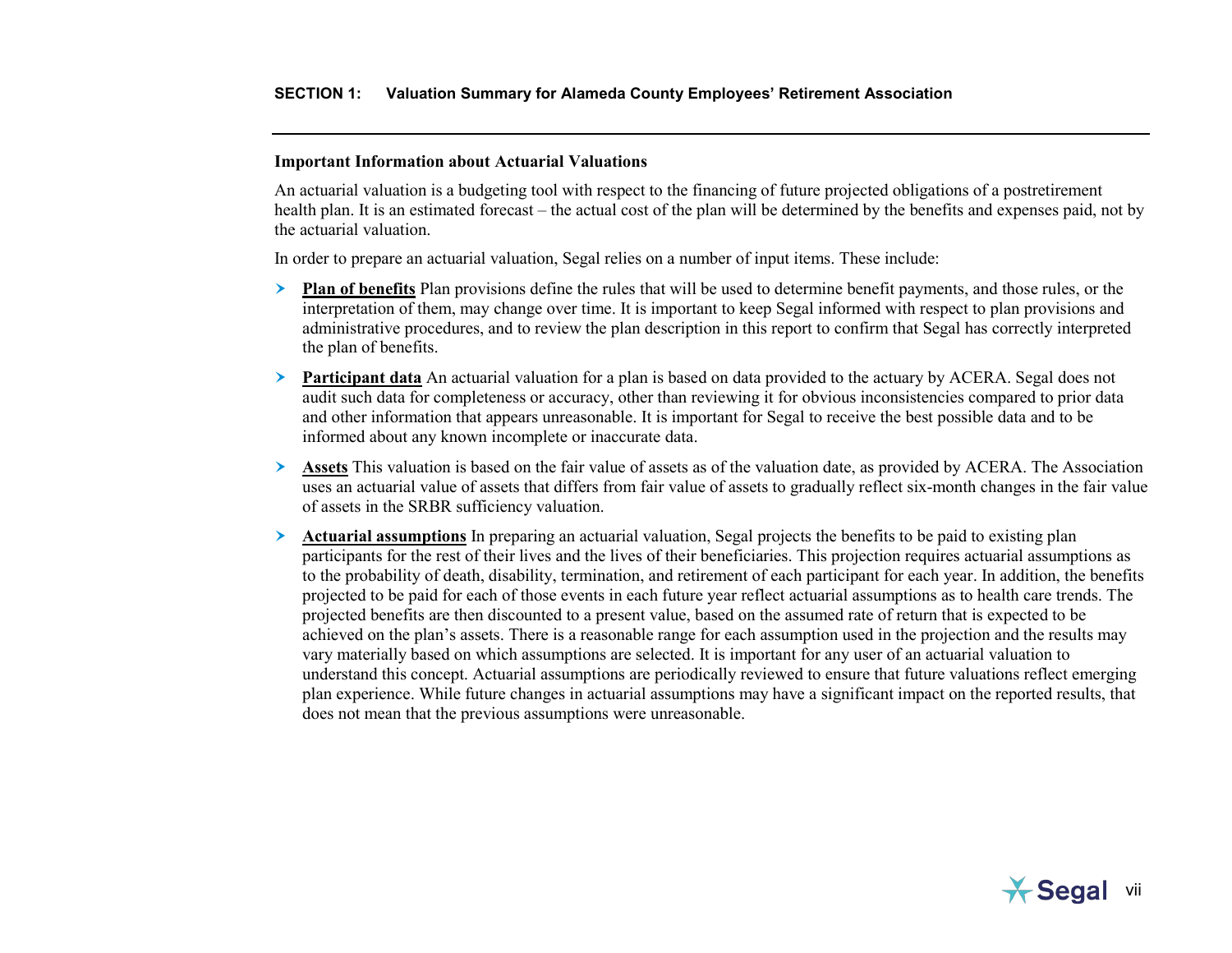#### <span id="page-10-0"></span>**Important Information about Actuarial Valuations**

An actuarial valuation is a budgeting tool with respect to the financing of future projected obligations of a postretirement health plan. It is an estimated forecast – the actual cost of the plan will be determined by the benefits and expenses paid, not by the actuarial valuation.

In order to prepare an actuarial valuation, Segal relies on a number of input items. These include:

- **Plan of benefits** Plan provisions define the rules that will be used to determine benefit payments, and those rules, or the interpretation of them, may change over time. It is important to keep Segal informed with respect to plan provisions and administrative procedures, and to review the plan description in this report to confirm that Segal has correctly interpreted the plan of benefits.
- **Participant data** An actuarial valuation for a plan is based on data provided to the actuary by ACERA. Segal does not audit such data for completeness or accuracy, other than reviewing it for obvious inconsistencies compared to prior data and other information that appears unreasonable. It is important for Segal to receive the best possible data and to be informed about any known incomplete or inaccurate data.
- **Assets** This valuation is based on the fair value of assets as of the valuation date, as provided by ACERA. The Association uses an actuarial value of assets that differs from fair value of assets to gradually reflect six-month changes in the fair value of assets in the SRBR sufficiency valuation.
- **Actuarial assumptions** In preparing an actuarial valuation, Segal projects the benefits to be paid to existing plan participants for the rest of their lives and the lives of their beneficiaries. This projection requires actuarial assumptions as to the probability of death, disability, termination, and retirement of each participant for each year. In addition, the benefits projected to be paid for each of those events in each future year reflect actuarial assumptions as to health care trends. The projected benefits are then discounted to a present value, based on the assumed rate of return that is expected to be achieved on the plan's assets. There is a reasonable range for each assumption used in the projection and the results may vary materially based on which assumptions are selected. It is important for any user of an actuarial valuation to understand this concept. Actuarial assumptions are periodically reviewed to ensure that future valuations reflect emerging plan experience. While future changes in actuarial assumptions may have a significant impact on the reported results, that does not mean that the previous assumptions were unreasonable.

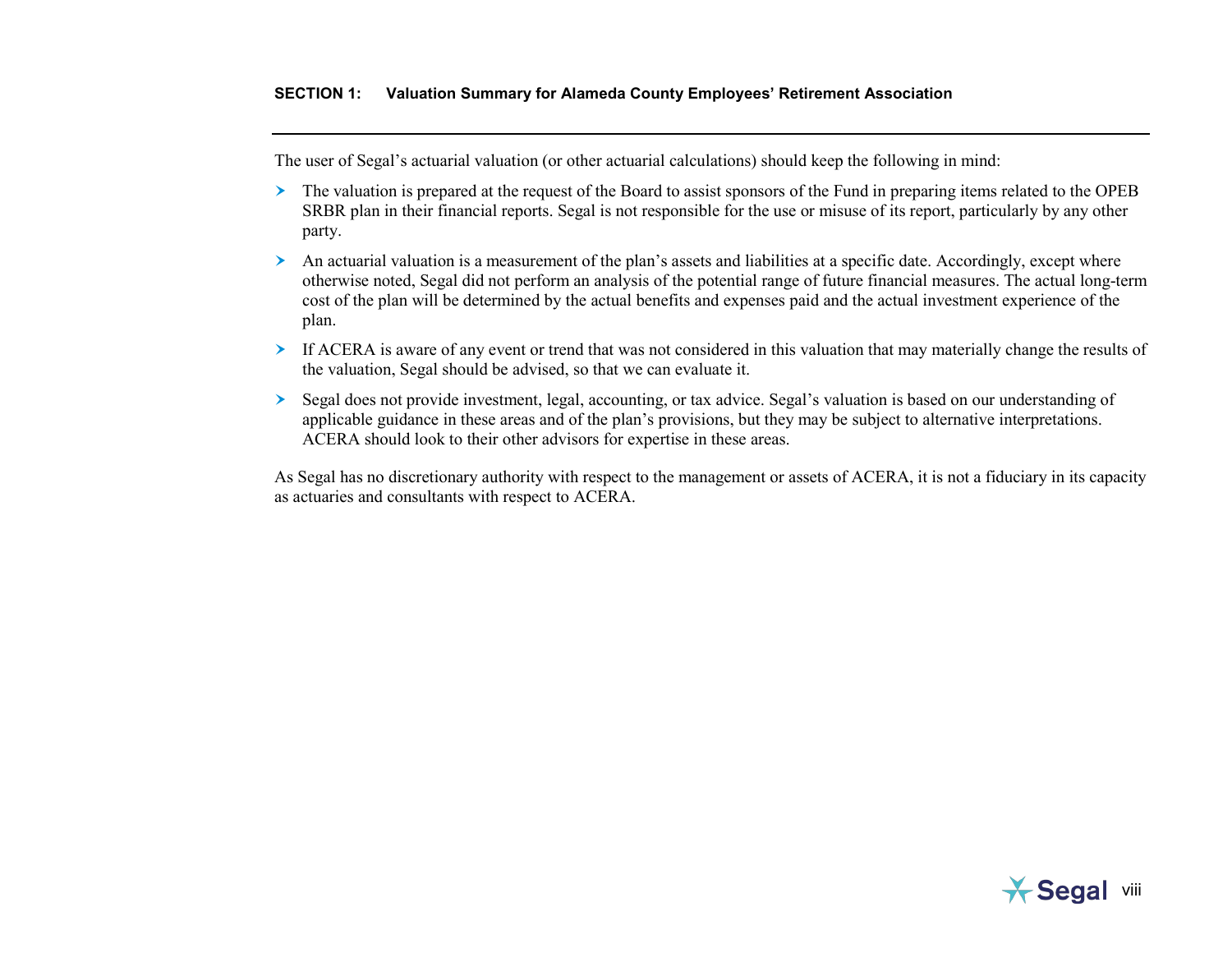The user of Segal's actuarial valuation (or other actuarial calculations) should keep the following in mind:

- The valuation is prepared at the request of the Board to assist sponsors of the Fund in preparing items related to the OPEB SRBR plan in their financial reports. Segal is not responsible for the use or misuse of its report, particularly by any other party.
- $\geq$  An actuarial valuation is a measurement of the plan's assets and liabilities at a specific date. Accordingly, except where otherwise noted, Segal did not perform an analysis of the potential range of future financial measures. The actual long-term cost of the plan will be determined by the actual benefits and expenses paid and the actual investment experience of the plan.
- If ACERA is aware of any event or trend that was not considered in this valuation that may materially change the results of the valuation, Segal should be advised, so that we can evaluate it.
- Segal does not provide investment, legal, accounting, or tax advice. Segal's valuation is based on our understanding of applicable guidance in these areas and of the plan's provisions, but they may be subject to alternative interpretations. ACERA should look to their other advisors for expertise in these areas.

As Segal has no discretionary authority with respect to the management or assets of ACERA, it is not a fiduciary in its capacity as actuaries and consultants with respect to ACERA.

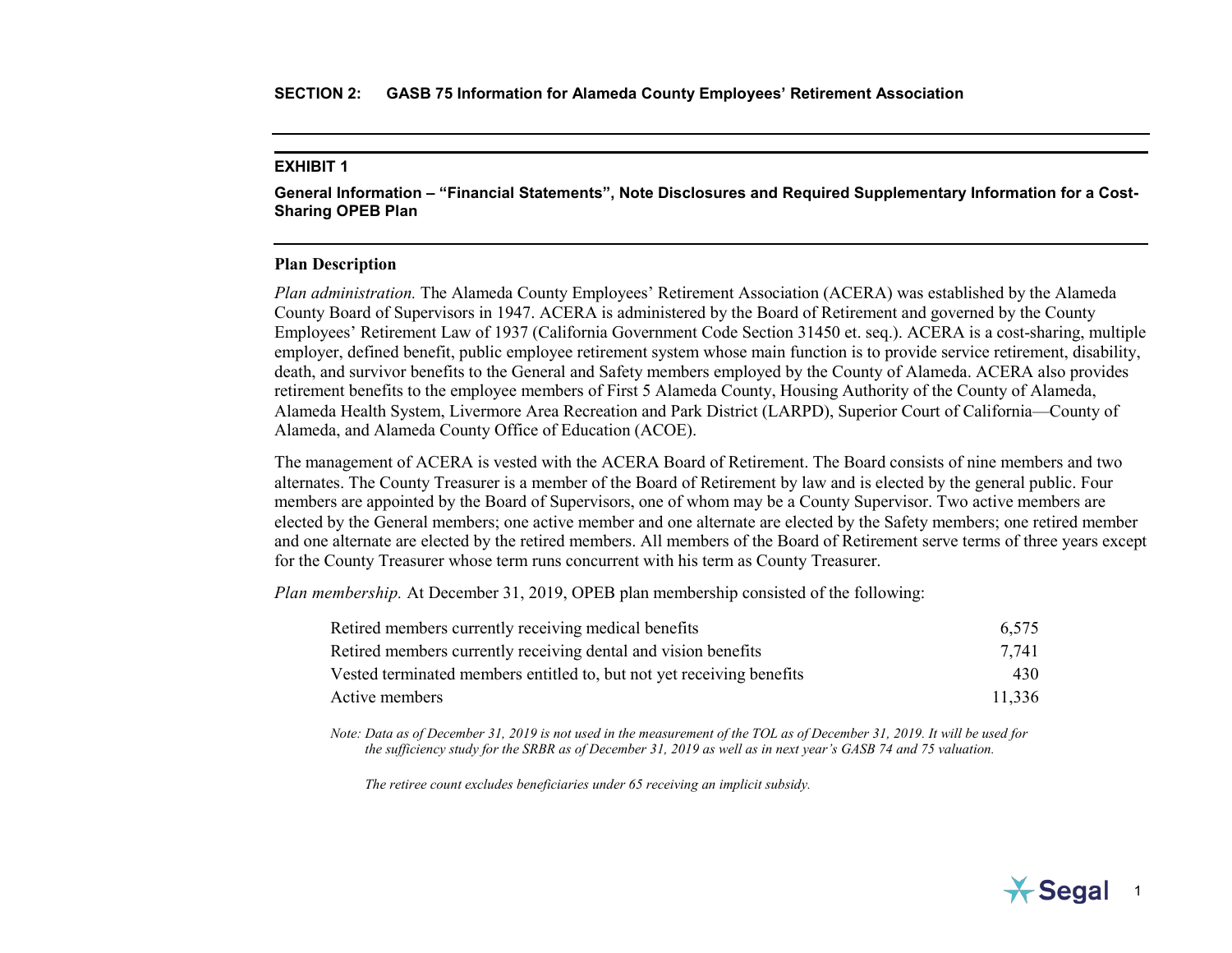<span id="page-12-0"></span>**General Information – "Financial Statements", Note Disclosures and Required Supplementary Information for a Cost-Sharing OPEB Plan**

### **Plan Description**

*Plan administration.* The Alameda County Employees' Retirement Association (ACERA) was established by the Alameda County Board of Supervisors in 1947. ACERA is administered by the Board of Retirement and governed by the County Employees' Retirement Law of 1937 (California Government Code Section 31450 et. seq.). ACERA is a cost-sharing, multiple employer, defined benefit, public employee retirement system whose main function is to provide service retirement, disability, death, and survivor benefits to the General and Safety members employed by the County of Alameda. ACERA also provides retirement benefits to the employee members of First 5 Alameda County, Housing Authority of the County of Alameda, Alameda Health System, Livermore Area Recreation and Park District (LARPD), Superior Court of California—County of Alameda, and Alameda County Office of Education (ACOE).

The management of ACERA is vested with the ACERA Board of Retirement. The Board consists of nine members and two alternates. The County Treasurer is a member of the Board of Retirement by law and is elected by the general public. Four members are appointed by the Board of Supervisors, one of whom may be a County Supervisor. Two active members are elected by the General members; one active member and one alternate are elected by the Safety members; one retired member and one alternate are elected by the retired members. All members of the Board of Retirement serve terms of three years except for the County Treasurer whose term runs concurrent with his term as County Treasurer.

*Plan membership.* At December 31, 2019, OPEB plan membership consisted of the following:

| Retired members currently receiving medical benefits                  | 6.575  |
|-----------------------------------------------------------------------|--------|
| Retired members currently receiving dental and vision benefits        | 7.741  |
| Vested terminated members entitled to, but not yet receiving benefits | 430    |
| Active members                                                        | 11.336 |

*Note: Data as of December 31, 2019 is not used in the measurement of the TOL as of December 31, 2019. It will be used for the sufficiency study for the SRBR as of December 31, 2019 as well as in next year's GASB 74 and 75 valuation.* 

*The retiree count excludes beneficiaries under 65 receiving an implicit subsidy.*

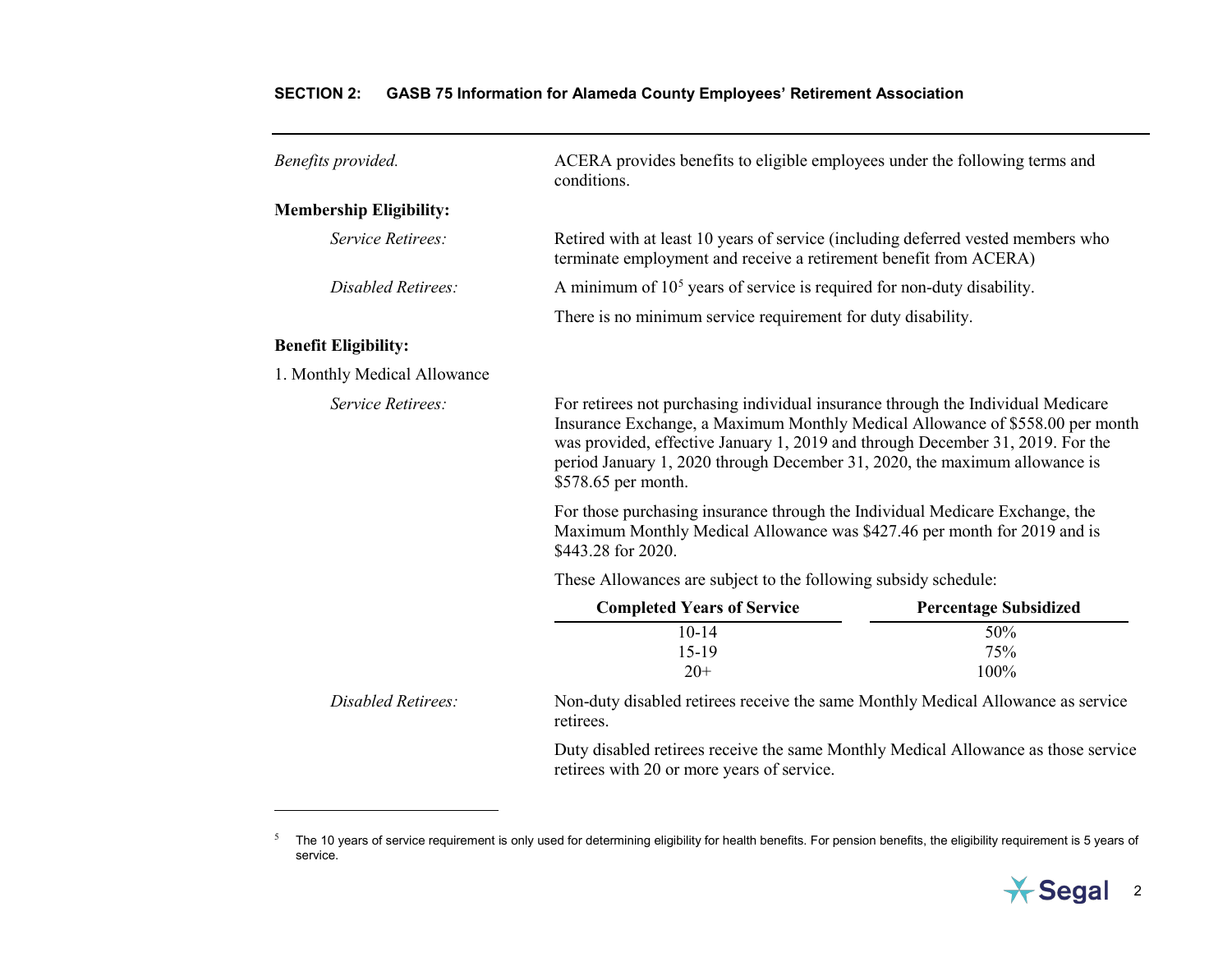<span id="page-13-0"></span>

| Benefits provided.             | ACERA provides benefits to eligible employees under the following terms and<br>conditions.                                                                                                                                                                                                                                                               |                              |
|--------------------------------|----------------------------------------------------------------------------------------------------------------------------------------------------------------------------------------------------------------------------------------------------------------------------------------------------------------------------------------------------------|------------------------------|
| <b>Membership Eligibility:</b> |                                                                                                                                                                                                                                                                                                                                                          |                              |
| Service Retirees:              | Retired with at least 10 years of service (including deferred vested members who<br>terminate employment and receive a retirement benefit from ACERA)                                                                                                                                                                                                    |                              |
| Disabled Retirees:             | A minimum of $105$ years of service is required for non-duty disability.                                                                                                                                                                                                                                                                                 |                              |
|                                | There is no minimum service requirement for duty disability.                                                                                                                                                                                                                                                                                             |                              |
| <b>Benefit Eligibility:</b>    |                                                                                                                                                                                                                                                                                                                                                          |                              |
| 1. Monthly Medical Allowance   |                                                                                                                                                                                                                                                                                                                                                          |                              |
| Service Retirees:              | For retirees not purchasing individual insurance through the Individual Medicare<br>Insurance Exchange, a Maximum Monthly Medical Allowance of \$558.00 per month<br>was provided, effective January 1, 2019 and through December 31, 2019. For the<br>period January 1, 2020 through December 31, 2020, the maximum allowance is<br>\$578.65 per month. |                              |
|                                | For those purchasing insurance through the Individual Medicare Exchange, the<br>Maximum Monthly Medical Allowance was \$427.46 per month for 2019 and is<br>\$443.28 for 2020.                                                                                                                                                                           |                              |
|                                | These Allowances are subject to the following subsidy schedule:                                                                                                                                                                                                                                                                                          |                              |
|                                | <b>Completed Years of Service</b>                                                                                                                                                                                                                                                                                                                        | <b>Percentage Subsidized</b> |
|                                | $10-14$<br>$15-19$<br>$20+$                                                                                                                                                                                                                                                                                                                              | 50%<br>75%<br>100%           |
| Disabled Retirees:             | Non-duty disabled retirees receive the same Monthly Medical Allowance as service<br>retirees.                                                                                                                                                                                                                                                            |                              |
|                                | Duty disabled retirees receive the same Monthly Medical Allowance as those service<br>retirees with 20 or more years of service.                                                                                                                                                                                                                         |                              |

 $\overline{a}$ 



<sup>&</sup>lt;sup>5</sup> The 10 years of service requirement is only used for determining eligibility for health benefits. For pension benefits, the eligibility requirement is 5 years of service.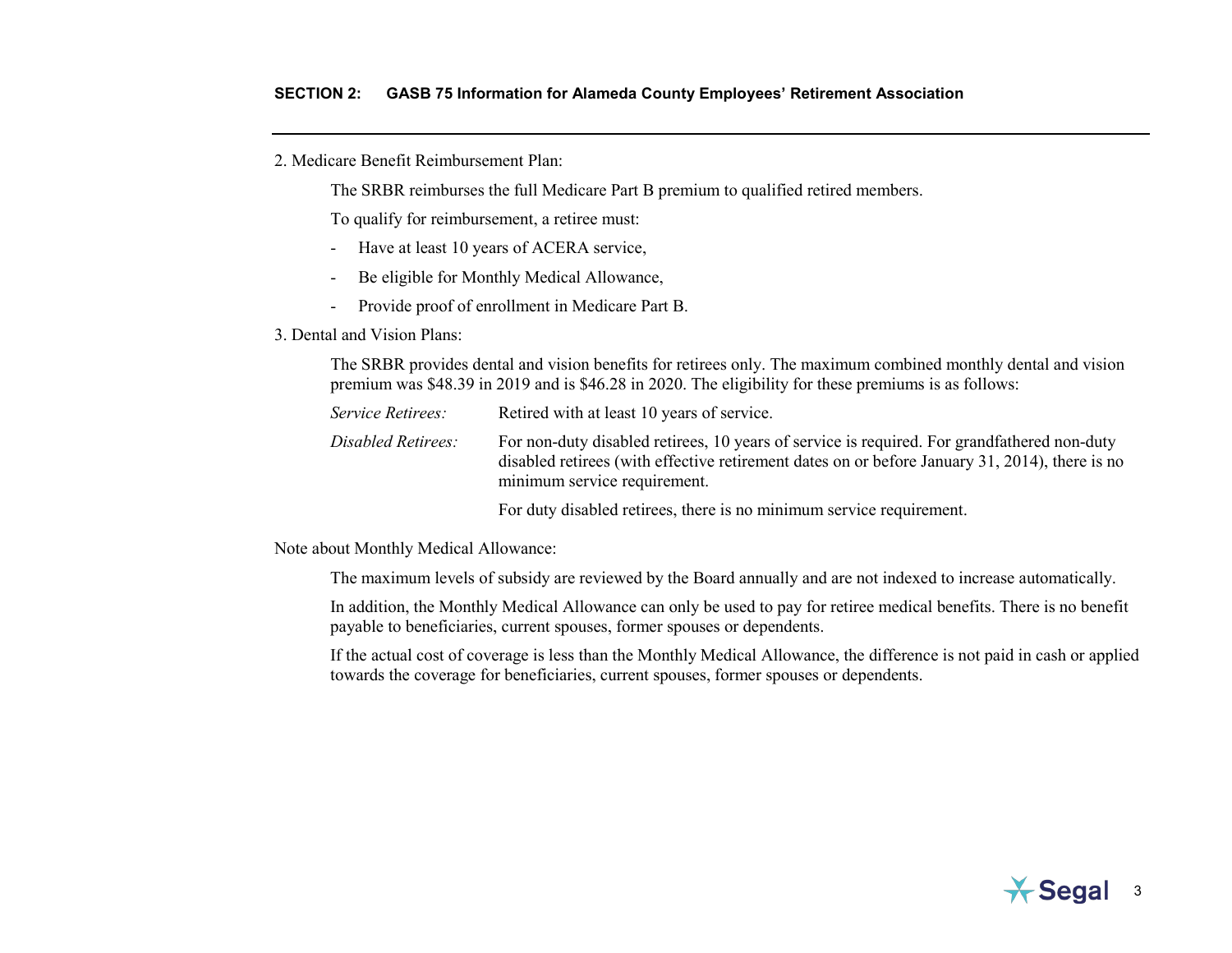The SRBR reimburses the full Medicare Part B premium to qualified retired members.

To qualify for reimbursement, a retiree must:

- Have at least 10 years of ACERA service,
- Be eligible for Monthly Medical Allowance,
- Provide proof of enrollment in Medicare Part B.
- 3. Dental and Vision Plans:

The SRBR provides dental and vision benefits for retirees only. The maximum combined monthly dental and vision premium was \$48.39 in 2019 and is \$46.28 in 2020. The eligibility for these premiums is as follows:

*Service Retirees:* Retired with at least 10 years of service. *Disabled Retirees:* For non-duty disabled retirees, 10 years of service is required. For grandfathered non-duty disabled retirees (with effective retirement dates on or before January 31, 2014), there is no minimum service requirement.

For duty disabled retirees, there is no minimum service requirement.

Note about Monthly Medical Allowance:

The maximum levels of subsidy are reviewed by the Board annually and are not indexed to increase automatically.

In addition, the Monthly Medical Allowance can only be used to pay for retiree medical benefits. There is no benefit payable to beneficiaries, current spouses, former spouses or dependents.

If the actual cost of coverage is less than the Monthly Medical Allowance, the difference is not paid in cash or applied towards the coverage for beneficiaries, current spouses, former spouses or dependents.



<sup>2.</sup> Medicare Benefit Reimbursement Plan: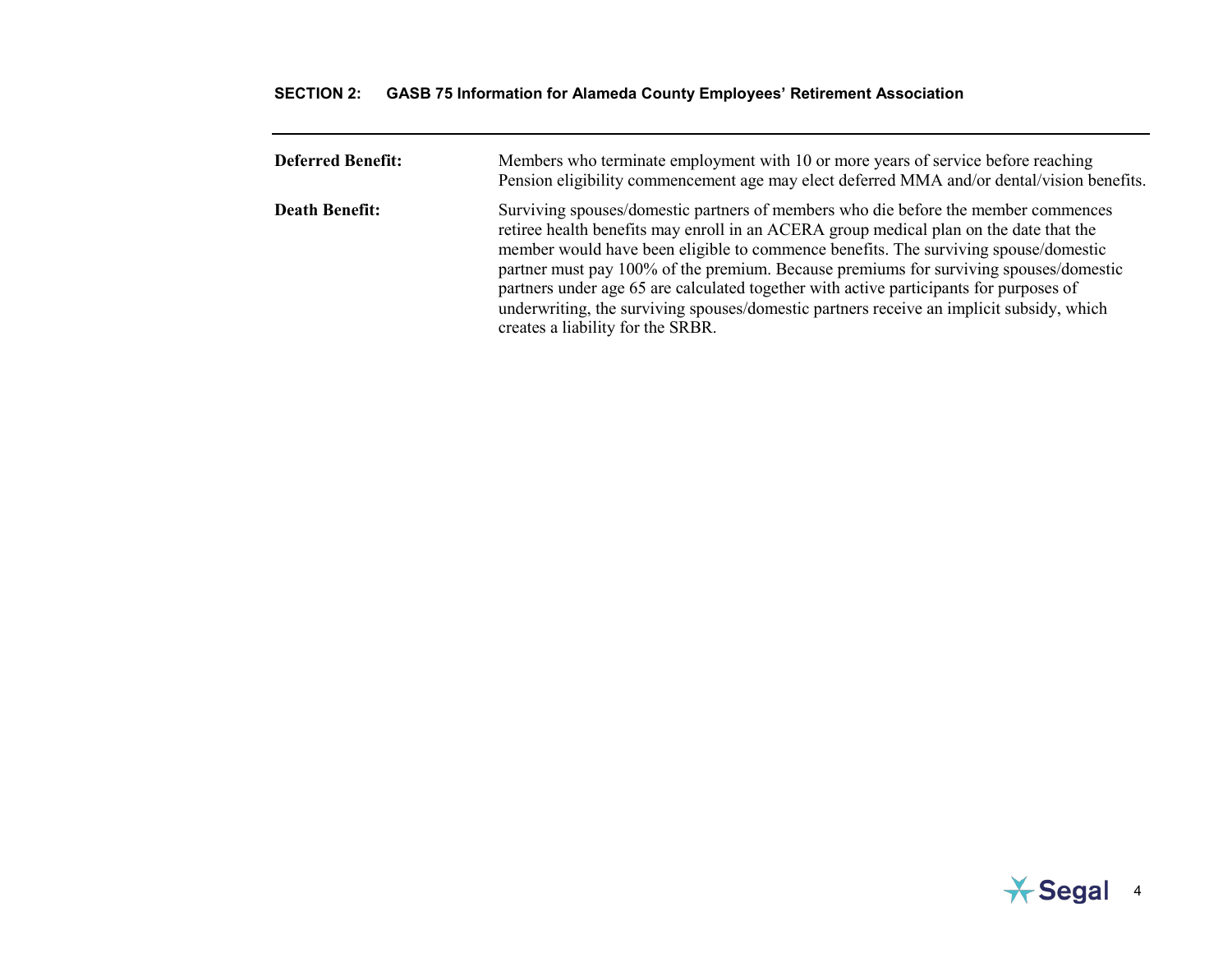| <b>Deferred Benefit:</b> | Members who terminate employment with 10 or more years of service before reaching<br>Pension eligibility commencement age may elect deferred MMA and/or dental/vision benefits.                                                                                                                                                                                                                                                                                                                                                                                                         |
|--------------------------|-----------------------------------------------------------------------------------------------------------------------------------------------------------------------------------------------------------------------------------------------------------------------------------------------------------------------------------------------------------------------------------------------------------------------------------------------------------------------------------------------------------------------------------------------------------------------------------------|
| <b>Death Benefit:</b>    | Surviving spouses/domestic partners of members who die before the member commences<br>retiree health benefits may enroll in an ACERA group medical plan on the date that the<br>member would have been eligible to commence benefits. The surviving spouse/domestic<br>partner must pay 100% of the premium. Because premiums for surviving spouses/domestic<br>partners under age 65 are calculated together with active participants for purposes of<br>underwriting, the surviving spouses/domestic partners receive an implicit subsidy, which<br>creates a liability for the SRBR. |

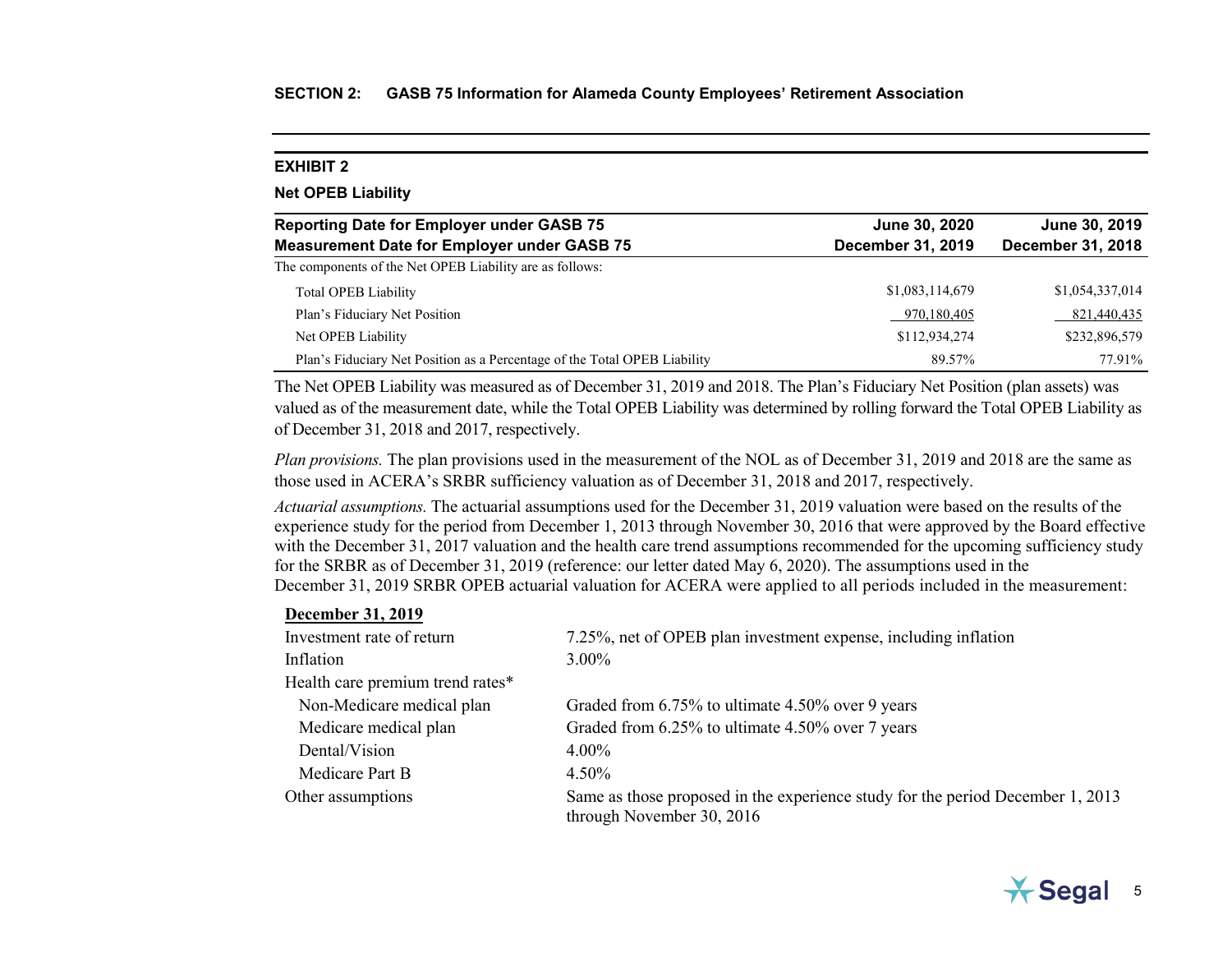<span id="page-16-0"></span>

| <b>EXHIBIT 2</b>                                                                                       |                                    |                                    |
|--------------------------------------------------------------------------------------------------------|------------------------------------|------------------------------------|
| <b>Net OPEB Liability</b>                                                                              |                                    |                                    |
| <b>Reporting Date for Employer under GASB 75</b><br><b>Measurement Date for Employer under GASB 75</b> | June 30, 2020<br>December 31, 2019 | June 30, 2019<br>December 31, 2018 |
| The components of the Net OPEB Liability are as follows:                                               |                                    |                                    |
| Total OPEB Liability                                                                                   | \$1,083,114,679                    | \$1,054,337,014                    |
| Plan's Fiduciary Net Position                                                                          | 970,180,405                        | 821,440,435                        |
| Net OPEB Liability                                                                                     | \$112,934,274                      | \$232,896,579                      |
| Plan's Fiduciary Net Position as a Percentage of the Total OPEB Liability                              | 89.57%                             | 77.91%                             |

The Net OPEB Liability was measured as of December 31, 2019 and 2018. The Plan's Fiduciary Net Position (plan assets) was valued as of the measurement date, while the Total OPEB Liability was determined by rolling forward the Total OPEB Liability as of December 31, 2018 and 2017, respectively.

*Plan provisions.* The plan provisions used in the measurement of the NOL as of December 31, 2019 and 2018 are the same as those used in ACERA's SRBR sufficiency valuation as of December 31, 2018 and 2017, respectively.

*Actuarial assumptions.* The actuarial assumptions used for the December 31, 2019 valuation were based on the results of the experience study for the period from December 1, 2013 through November 30, 2016 that were approved by the Board effective with the December 31, 2017 valuation and the health care trend assumptions recommended for the upcoming sufficiency study for the SRBR as of December 31, 2019 (reference: our letter dated May 6, 2020). The assumptions used in the December 31, 2019 SRBR OPEB actuarial valuation for ACERA were applied to all periods included in the measurement:

#### **December 31, 2019**

| Investment rate of return        | 7.25%, net of OPEB plan investment expense, including inflation                                             |
|----------------------------------|-------------------------------------------------------------------------------------------------------------|
| Inflation                        | $3.00\%$                                                                                                    |
| Health care premium trend rates* |                                                                                                             |
| Non-Medicare medical plan        | Graded from 6.75% to ultimate 4.50% over 9 years                                                            |
| Medicare medical plan            | Graded from 6.25% to ultimate 4.50% over 7 years                                                            |
| Dental/Vision                    | $4.00\%$                                                                                                    |
| Medicare Part B                  | $4.50\%$                                                                                                    |
| Other assumptions                | Same as those proposed in the experience study for the period December 1, 2013<br>through November 30, 2016 |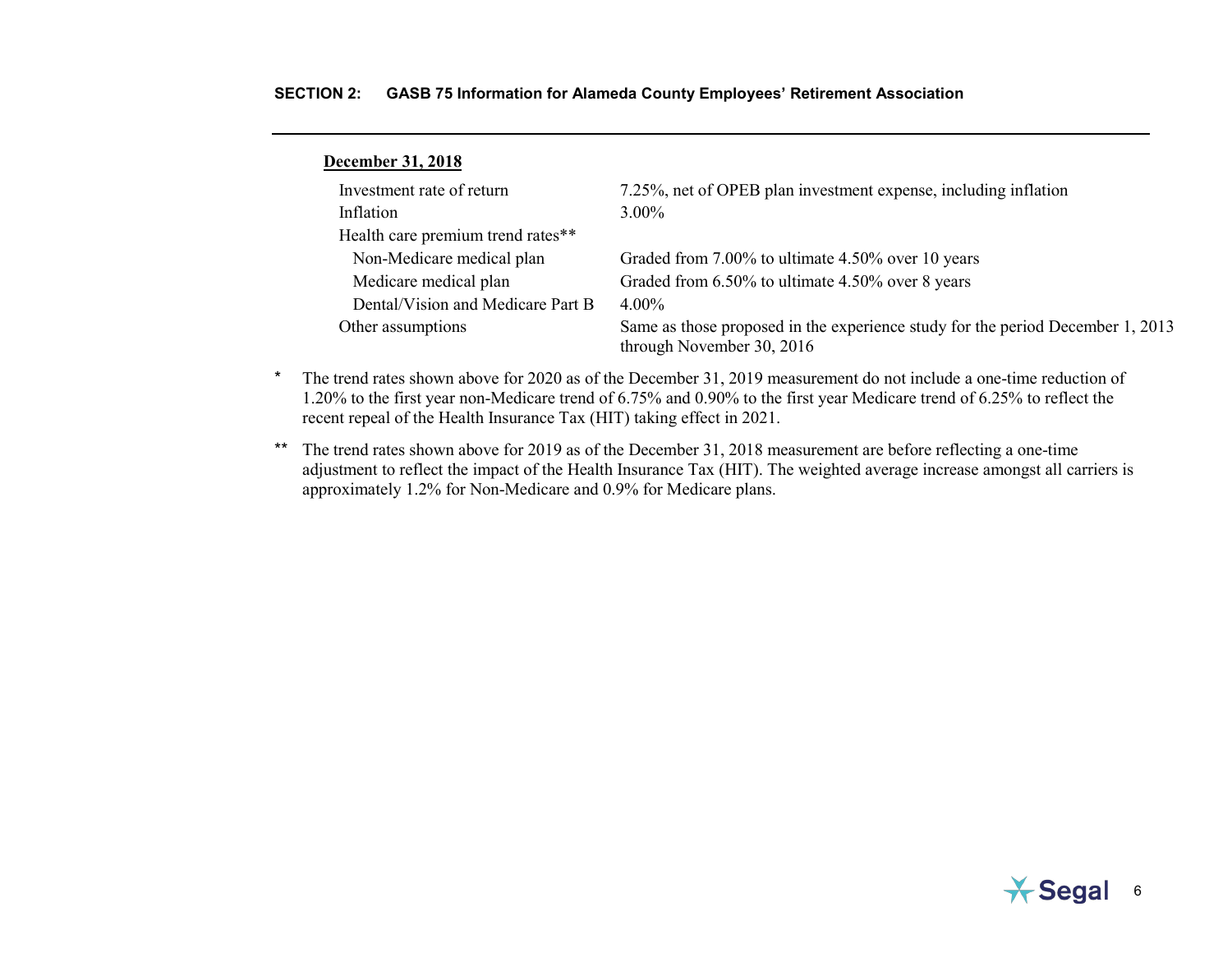| <b>December 31, 2018</b>          |                                                                                                             |
|-----------------------------------|-------------------------------------------------------------------------------------------------------------|
| Investment rate of return         | 7.25%, net of OPEB plan investment expense, including inflation                                             |
| Inflation                         | $3.00\%$                                                                                                    |
| Health care premium trend rates** |                                                                                                             |
| Non-Medicare medical plan         | Graded from 7.00% to ultimate 4.50% over 10 years                                                           |
| Medicare medical plan             | Graded from 6.50% to ultimate 4.50% over 8 years                                                            |
| Dental/Vision and Medicare Part B | $4.00\%$                                                                                                    |
| Other assumptions                 | Same as those proposed in the experience study for the period December 1, 2013<br>through November 30, 2016 |
|                                   |                                                                                                             |

- \* The trend rates shown above for 2020 as of the December 31, 2019 measurement do not include a one-time reduction of 1.20% to the first year non-Medicare trend of 6.75% and 0.90% to the first year Medicare trend of 6.25% to reflect the recent repeal of the Health Insurance Tax (HIT) taking effect in 2021.
- \*\* The trend rates shown above for 2019 as of the December 31, 2018 measurement are before reflecting a one-time adjustment to reflect the impact of the Health Insurance Tax (HIT). The weighted average increase amongst all carriers is approximately 1.2% for Non-Medicare and 0.9% for Medicare plans.

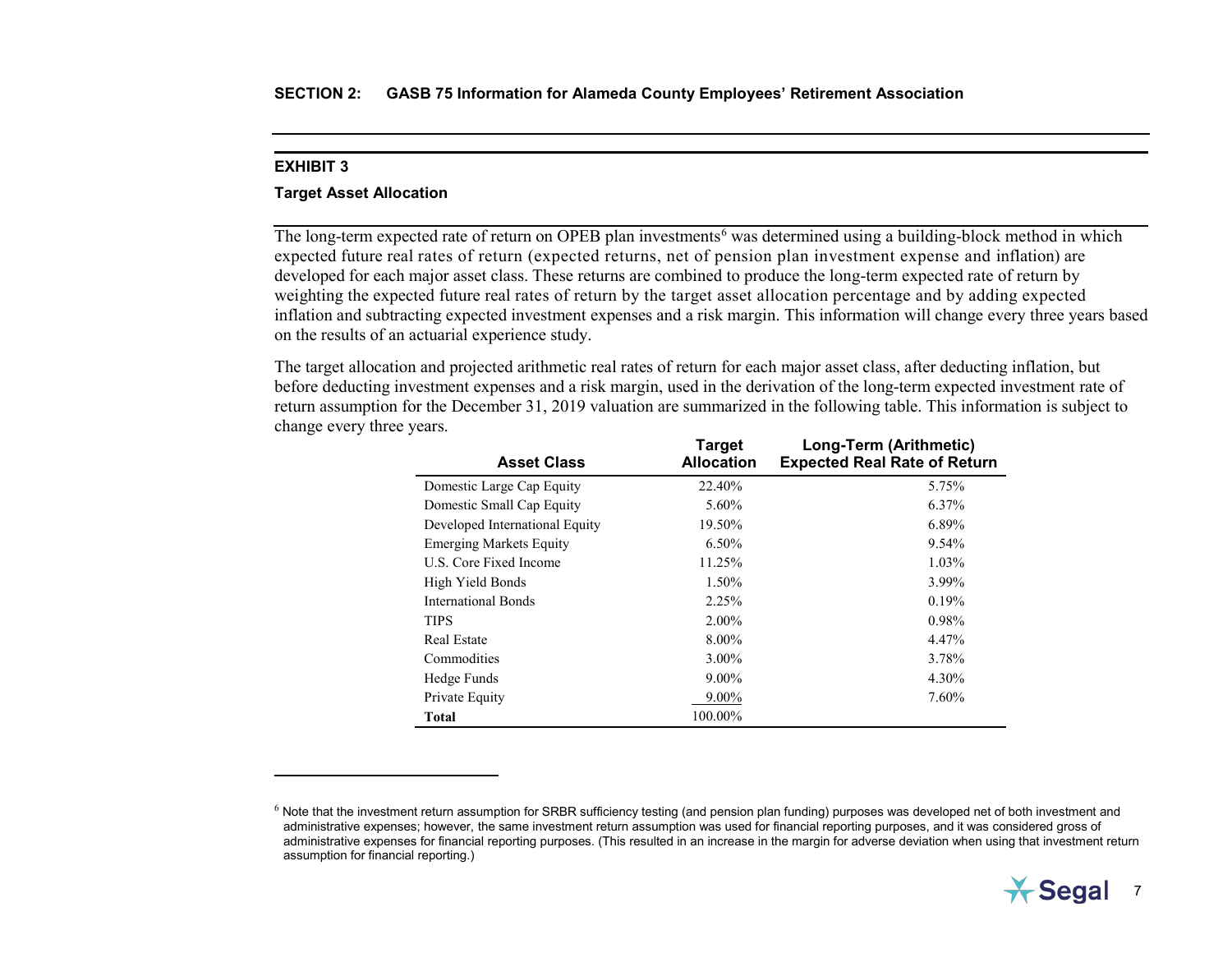$\overline{a}$ 

### <span id="page-18-1"></span><span id="page-18-0"></span>**Target Asset Allocation**

The long-term expected rate of return on OPEB plan investments<sup>[6](#page-18-1)</sup> was determined using a building-block method in which expected future real rates of return (expected returns, net of pension plan investment expense and inflation) are developed for each major asset class. These returns are combined to produce the long-term expected rate of return by weighting the expected future real rates of return by the target asset allocation percentage and by adding expected inflation and subtracting expected investment expenses and a risk margin. This information will change every three years based on the results of an actuarial experience study.

The target allocation and projected arithmetic real rates of return for each major asset class, after deducting inflation, but before deducting investment expenses and a risk margin, used in the derivation of the long-term expected investment rate of return assumption for the December 31, 2019 valuation are summarized in the following table. This information is subject to change every three years.

| <b>Asset Class</b>             | Target<br><b>Allocation</b> | Long-Term (Arithmetic)<br><b>Expected Real Rate of Return</b> |
|--------------------------------|-----------------------------|---------------------------------------------------------------|
| Domestic Large Cap Equity      | 22.40%                      | 5.75%                                                         |
| Domestic Small Cap Equity      | 5.60%                       | 6.37%                                                         |
| Developed International Equity | 19.50%                      | 6.89%                                                         |
| <b>Emerging Markets Equity</b> | 6.50%                       | $9.54\%$                                                      |
| U.S. Core Fixed Income         | 11.25%                      | 1.03%                                                         |
| High Yield Bonds               | 1.50%                       | 3.99%                                                         |
| International Bonds            | 2.25%                       | 0.19%                                                         |
| <b>TIPS</b>                    | $2.00\%$                    | $0.98\%$                                                      |
| <b>Real Estate</b>             | 8.00%                       | 4.47%                                                         |
| Commodities                    | 3.00%                       | 3.78%                                                         |
| Hedge Funds                    | $9.00\%$                    | 4.30%                                                         |
| Private Equity                 | 9.00%                       | 7.60%                                                         |
| Total                          | 100.00%                     |                                                               |

 $^6$  Note that the investment return assumption for SRBR sufficiency testing (and pension plan funding) purposes was developed net of both investment and administrative expenses; however, the same investment return assumption was used for financial reporting purposes, and it was considered gross of administrative expenses for financial reporting purposes. (This resulted in an increase in the margin for adverse deviation when using that investment return assumption for financial reporting.)

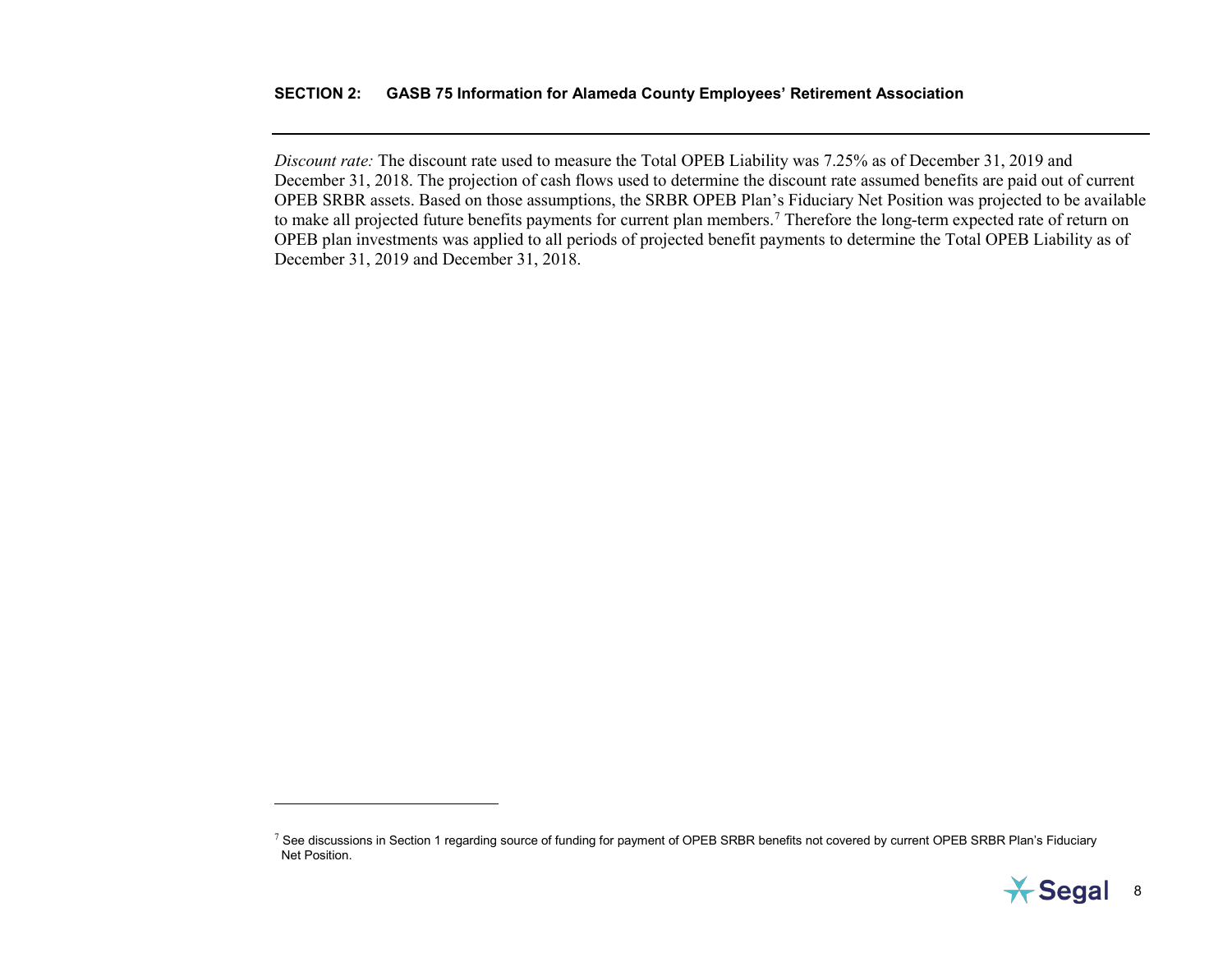<span id="page-19-0"></span>*Discount rate:* The discount rate used to measure the Total OPEB Liability was 7.25% as of December 31, 2019 and December 31, 2018. The projection of cash flows used to determine the discount rate assumed benefits are paid out of current OPEB SRBR assets. Based on those assumptions, the SRBR OPEB Plan's Fiduciary Net Position was projected to be available to make all projected future benefits payments for current plan members.<sup>[7](#page-19-0)</sup> Therefore the long-term expected rate of return on OPEB plan investments was applied to all periods of projected benefit payments to determine the Total OPEB Liability as of December 31, 2019 and December 31, 2018.

 $\overline{a}$ 



 $7$  See discussions in Section 1 regarding source of funding for payment of OPEB SRBR benefits not covered by current OPEB SRBR Plan's Fiduciary Net Position.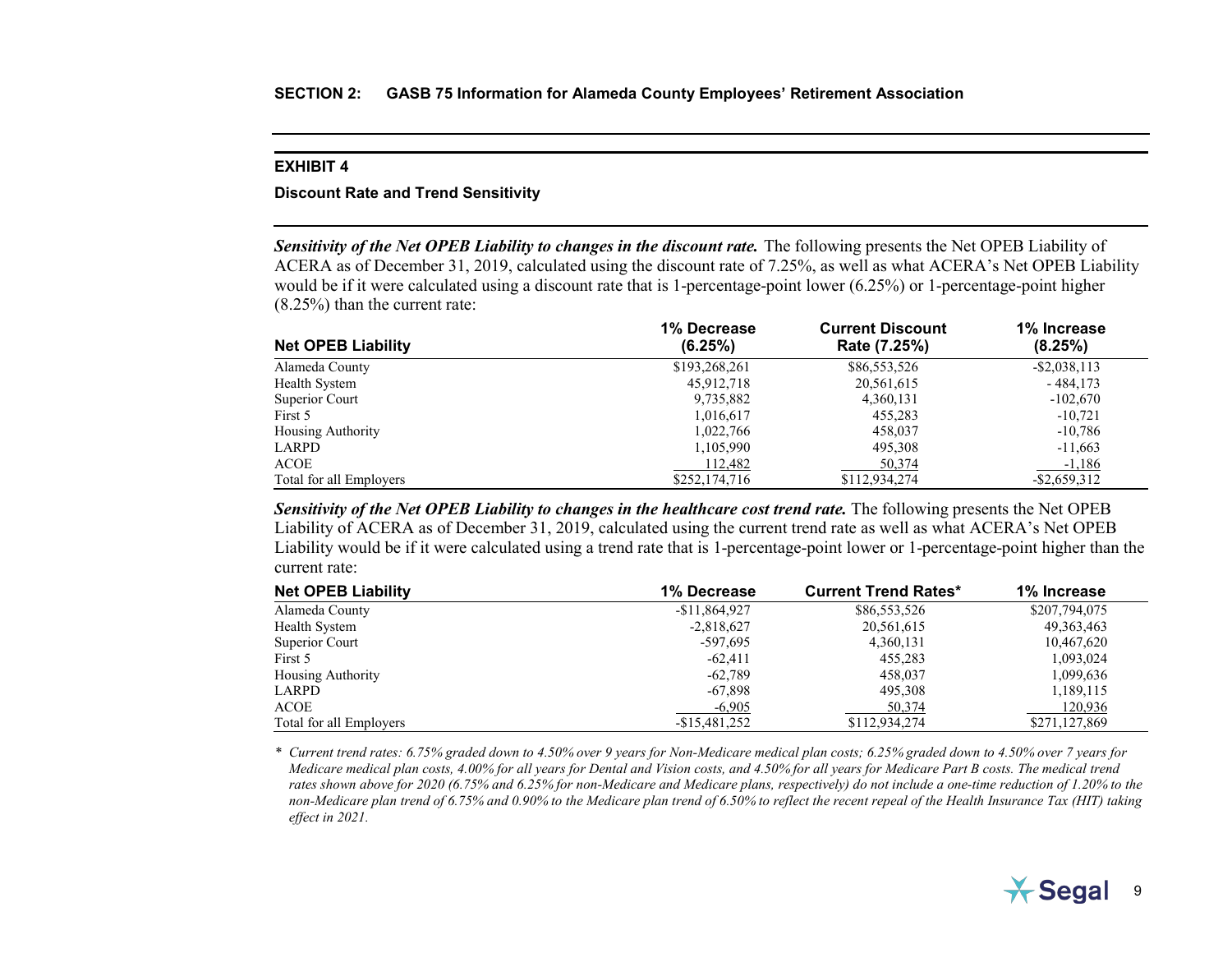#### <span id="page-20-0"></span>**Discount Rate and Trend Sensitivity**

*Sensitivity of the Net OPEB Liability to changes in the discount rate.* The following presents the Net OPEB Liability of ACERA as of December 31, 2019, calculated using the discount rate of 7.25%, as well as what ACERA's Net OPEB Liability would be if it were calculated using a discount rate that is 1-percentage-point lower (6.25%) or 1-percentage-point higher (8.25%) than the current rate:

|                           | 1% Decrease   | <b>Current Discount</b> | 1% Increase     |
|---------------------------|---------------|-------------------------|-----------------|
| <b>Net OPEB Liability</b> | (6.25%)       | Rate (7.25%)            | (8.25%)         |
| Alameda County            | \$193,268,261 | \$86,553,526            | $-$ \$2,038,113 |
| Health System             | 45,912,718    | 20,561,615              | $-484.173$      |
| Superior Court            | 9,735,882     | 4,360,131               | $-102,670$      |
| First 5                   | 1,016,617     | 455,283                 | $-10,721$       |
| <b>Housing Authority</b>  | 1.022.766     | 458,037                 | $-10,786$       |
| LARPD                     | 1,105,990     | 495,308                 | $-11,663$       |
| <b>ACOE</b>               | 112.482       | 50,374                  | $-1,186$        |
| Total for all Employers   | \$252,174,716 | \$112,934,274           | $-$ \$2,659,312 |

*Sensitivity of the Net OPEB Liability to changes in the healthcare cost trend rate.* The following presents the Net OPEB Liability of ACERA as of December 31, 2019, calculated using the current trend rate as well as what ACERA's Net OPEB Liability would be if it were calculated using a trend rate that is 1-percentage-point lower or 1-percentage-point higher than the current rate:

| <b>Net OPEB Liability</b> | 1% Decrease    | <b>Current Trend Rates*</b> | 1% Increase   |
|---------------------------|----------------|-----------------------------|---------------|
| Alameda County            | $-$11,864,927$ | \$86,553,526                | \$207,794,075 |
| Health System             | $-2,818,627$   | 20,561,615                  | 49, 363, 463  |
| Superior Court            | -597,695       | 4,360,131                   | 10,467,620    |
| First 5                   | $-62.411$      | 455,283                     | 1,093,024     |
| <b>Housing Authority</b>  | $-62,789$      | 458,037                     | 1,099,636     |
| LARPD                     | $-67.898$      | 495,308                     | 1,189,115     |
| ACOE                      | $-6,905$       | 50,374                      | 120,936       |
| Total for all Employers   | $-$15,481,252$ | \$112,934,274               | \$271,127,869 |

*\* Current trend rates: 6.75% graded down to 4.50% over 9 years for Non-Medicare medical plan costs; 6.25% graded down to 4.50% over 7 years for Medicare medical plan costs, 4.00% for all years for Dental and Vision costs, and 4.50% for all years for Medicare Part B costs. The medical trend rates shown above for 2020 (6.75% and 6.25% for non-Medicare and Medicare plans, respectively) do not include a one-time reduction of 1.20% to the non-Medicare plan trend of 6.75% and 0.90% to the Medicare plan trend of 6.50% to reflect the recent repeal of the Health Insurance Tax (HIT) taking effect in 2021.*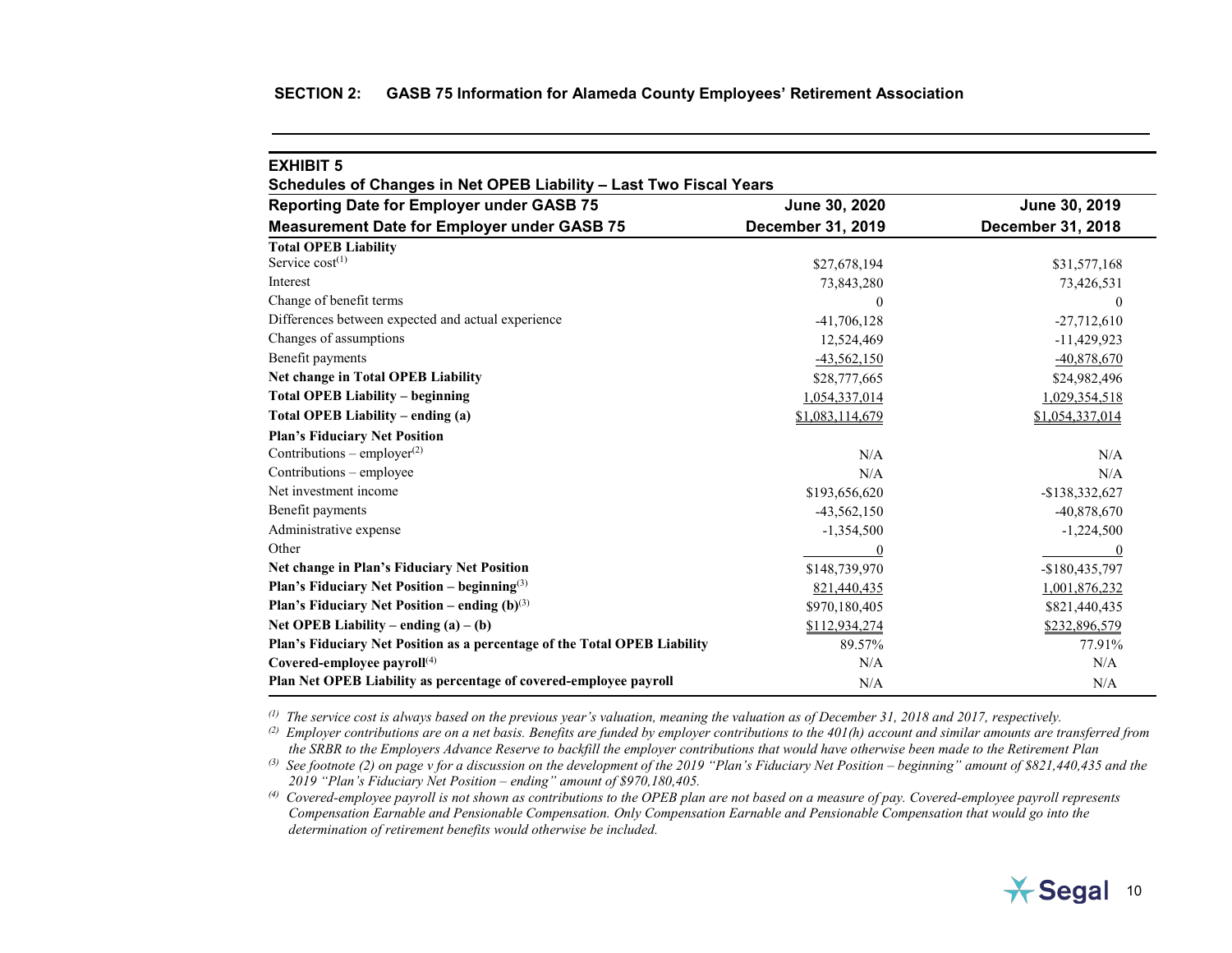<span id="page-21-0"></span>

| <b>EXHIBIT 5</b>                                                          |                   |                   |
|---------------------------------------------------------------------------|-------------------|-------------------|
| Schedules of Changes in Net OPEB Liability - Last Two Fiscal Years        |                   |                   |
| <b>Reporting Date for Employer under GASB 75</b>                          | June 30, 2020     | June 30, 2019     |
| <b>Measurement Date for Employer under GASB 75</b>                        | December 31, 2019 | December 31, 2018 |
| <b>Total OPEB Liability</b>                                               |                   |                   |
| Service $cost^{(1)}$                                                      | \$27,678,194      | \$31,577,168      |
| Interest                                                                  | 73,843,280        | 73,426,531        |
| Change of benefit terms                                                   | $\theta$          | $\theta$          |
| Differences between expected and actual experience                        | $-41,706,128$     | $-27,712,610$     |
| Changes of assumptions                                                    | 12,524,469        | $-11,429,923$     |
| Benefit payments                                                          | $-43,562,150$     | $-40,878,670$     |
| <b>Net change in Total OPEB Liability</b>                                 | \$28,777,665      | \$24,982,496      |
| <b>Total OPEB Liability – beginning</b>                                   | 1,054,337,014     | 1,029,354,518     |
| Total OPEB Liability – ending (a)                                         | \$1,083,114,679   | \$1,054,337,014   |
| <b>Plan's Fiduciary Net Position</b>                                      |                   |                   |
| Contributions – employer $^{(2)}$                                         | N/A               | N/A               |
| Contributions - employee                                                  | N/A               | N/A               |
| Net investment income                                                     | \$193,656,620     | -\$138,332,627    |
| Benefit payments                                                          | $-43,562,150$     | $-40,878,670$     |
| Administrative expense                                                    | $-1,354,500$      | $-1,224,500$      |
| Other                                                                     | $\theta$          | $\theta$          |
| Net change in Plan's Fiduciary Net Position                               | \$148,739,970     | $-$180,435,797$   |
| <b>Plan's Fiduciary Net Position – beginning</b> <sup>(3)</sup>           | 821,440,435       | 1,001,876,232     |
| <b>Plan's Fiduciary Net Position – ending (b)</b> <sup>(3)</sup>          | \$970,180,405     | \$821,440,435     |
| Net OPEB Liability – ending $(a) - (b)$                                   | \$112,934,274     | \$232,896,579     |
| Plan's Fiduciary Net Position as a percentage of the Total OPEB Liability | 89.57%            | 77.91%            |
| Covered-employee payroll <sup>(4)</sup>                                   | N/A               | N/A               |
| Plan Net OPEB Liability as percentage of covered-employee payroll         | N/A               | N/A               |

*(1) The service cost is always based on the previous year's valuation, meaning the valuation as of December 31, 2018 and 2017, respectively.*

*(2) Employer contributions are on a net basis. Benefits are funded by employer contributions to the 401(h) account and similar amounts are transferred from the SRBR to the Employers Advance Reserve to backfill the employer contributions that would have otherwise been made to the Retirement Plan*

<sup>(3)</sup> See footnote (2) on page v for a discussion on the development of the 2019 "Plan's Fiduciary Net Position – beginning" amount of \$821,440,435 and the *2019 "Plan's Fiduciary Net Position – ending" amount of \$970,180,405.*

*(4) Covered-employee payroll is not shown as contributions to the OPEB plan are not based on a measure of pay. Covered-employee payroll represents Compensation Earnable and Pensionable Compensation. Only Compensation Earnable and Pensionable Compensation that would go into the determination of retirement benefits would otherwise be included.*

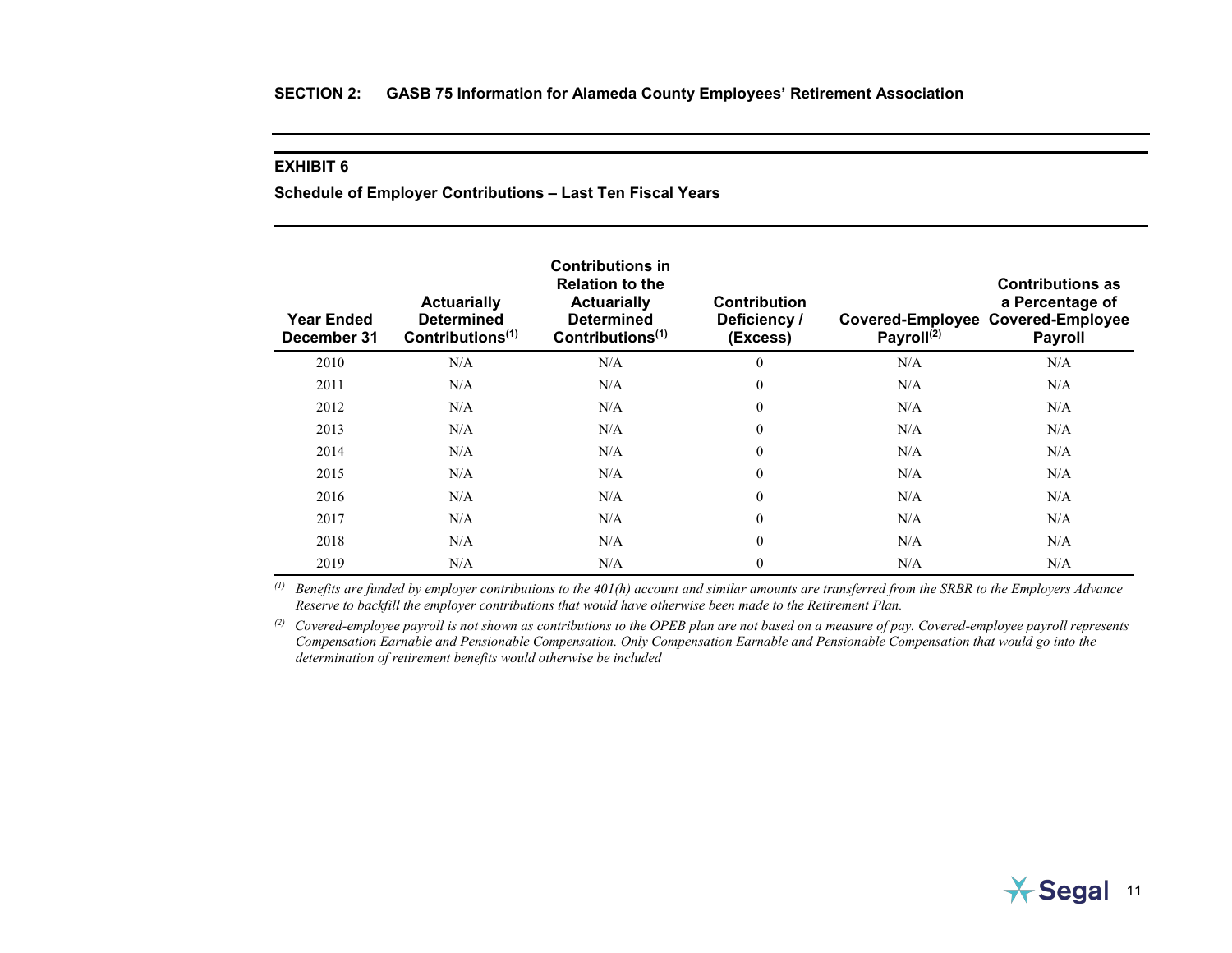<span id="page-22-0"></span>**Schedule of Employer Contributions – Last Ten Fiscal Years**

| <b>Year Ended</b><br>December 31 | <b>Actuarially</b><br><b>Determined</b><br>Contributions $(1)$ | <b>Contributions in</b><br><b>Relation to the</b><br><b>Actuarially</b><br><b>Determined</b><br>Contributions <sup>(1)</sup> | <b>Contribution</b><br>Deficiency /<br>(Excess) | Payroll <sup>(2)</sup> | <b>Contributions as</b><br>a Percentage of<br>Covered-Employee Covered-Employee<br><b>Payroll</b> |
|----------------------------------|----------------------------------------------------------------|------------------------------------------------------------------------------------------------------------------------------|-------------------------------------------------|------------------------|---------------------------------------------------------------------------------------------------|
| 2010                             | N/A                                                            | N/A                                                                                                                          | $\mathbf{0}$                                    | N/A                    | N/A                                                                                               |
| 2011                             | N/A                                                            | N/A                                                                                                                          | $\mathbf{0}$                                    | N/A                    | N/A                                                                                               |
| 2012                             | N/A                                                            | N/A                                                                                                                          | $\mathbf{0}$                                    | N/A                    | N/A                                                                                               |
| 2013                             | N/A                                                            | N/A                                                                                                                          | $\boldsymbol{0}$                                | N/A                    | N/A                                                                                               |
| 2014                             | N/A                                                            | N/A                                                                                                                          | $\mathbf{0}$                                    | N/A                    | N/A                                                                                               |
| 2015                             | N/A                                                            | N/A                                                                                                                          | $\mathbf{0}$                                    | N/A                    | N/A                                                                                               |
| 2016                             | N/A                                                            | N/A                                                                                                                          | $\theta$                                        | N/A                    | N/A                                                                                               |
| 2017                             | N/A                                                            | N/A                                                                                                                          | $\overline{0}$                                  | N/A                    | N/A                                                                                               |
| 2018                             | N/A                                                            | N/A                                                                                                                          | $\mathbf{0}$                                    | N/A                    | N/A                                                                                               |
| 2019                             | N/A                                                            | N/A                                                                                                                          | $\overline{0}$                                  | N/A                    | N/A                                                                                               |

*(1) Benefits are funded by employer contributions to the 401(h) account and similar amounts are transferred from the SRBR to the Employers Advance Reserve to backfill the employer contributions that would have otherwise been made to the Retirement Plan.*

*(2) Covered-employee payroll is not shown as contributions to the OPEB plan are not based on a measure of pay. Covered-employee payroll represents Compensation Earnable and Pensionable Compensation. Only Compensation Earnable and Pensionable Compensation that would go into the determination of retirement benefits would otherwise be included*

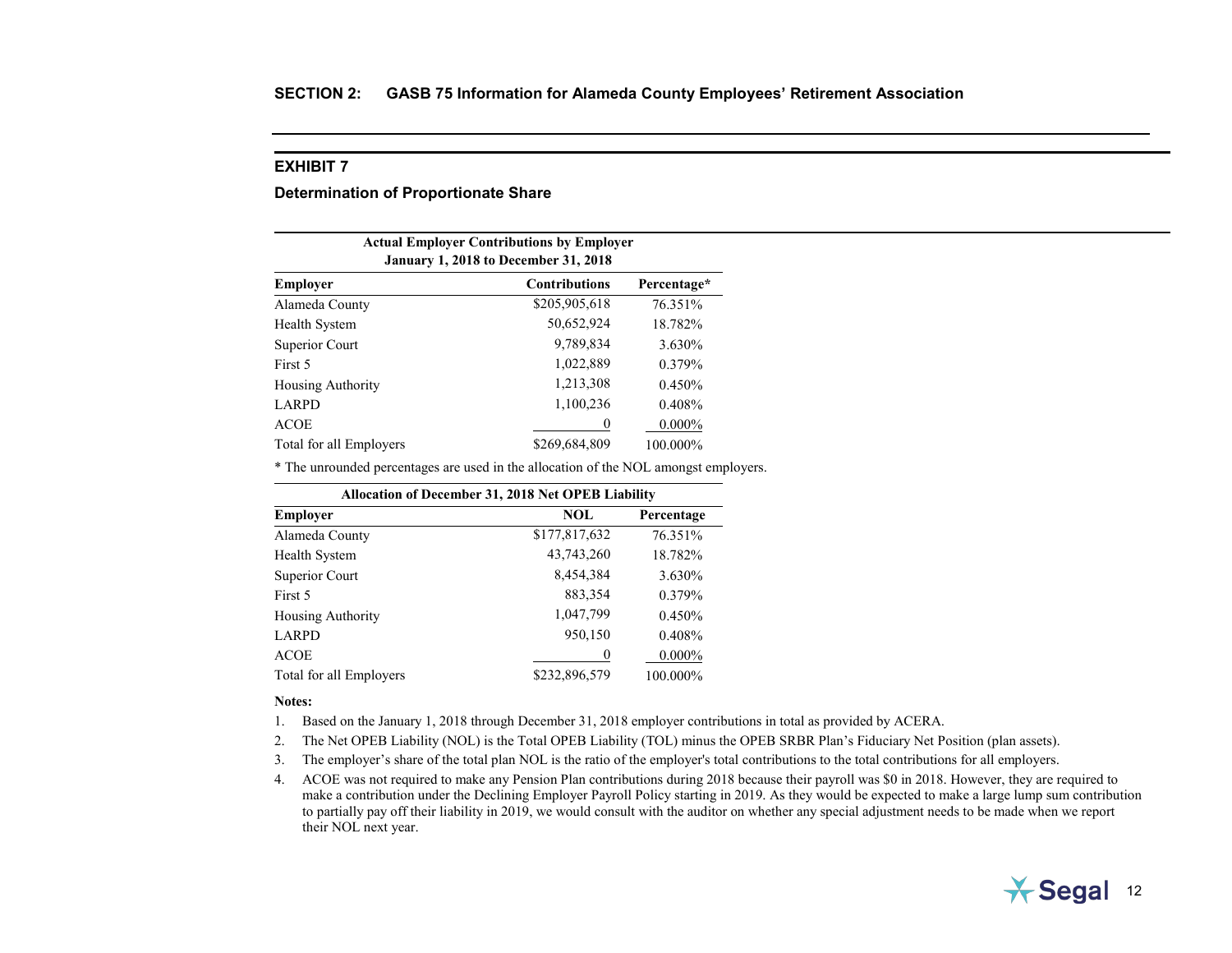#### <span id="page-23-0"></span>**Determination of Proportionate Share**

| <b>Actual Employer Contributions by Employer</b><br><b>January 1, 2018 to December 31, 2018</b> |                      |             |  |
|-------------------------------------------------------------------------------------------------|----------------------|-------------|--|
| <b>Employer</b>                                                                                 | <b>Contributions</b> | Percentage* |  |
| Alameda County                                                                                  | \$205,905,618        | 76.351%     |  |
| Health System                                                                                   | 50,652,924           | 18.782%     |  |
| Superior Court                                                                                  | 9,789,834            | 3.630%      |  |
| First 5                                                                                         | 1,022,889            | 0.379%      |  |
| <b>Housing Authority</b>                                                                        | 1,213,308            | 0.450%      |  |
| 1,100,236<br>LARPD<br>$0.408\%$                                                                 |                      |             |  |
| $0.000\%$<br><b>ACOE</b><br>0                                                                   |                      |             |  |
| Total for all Employers                                                                         | \$269,684,809        | 100.000%    |  |

\* The unrounded percentages are used in the allocation of the NOL amongst employers.

| <b>Allocation of December 31, 2018 Net OPEB Liability</b> |               |            |  |
|-----------------------------------------------------------|---------------|------------|--|
| <b>Employer</b>                                           | <b>NOL</b>    | Percentage |  |
| Alameda County                                            | \$177,817,632 | 76.351%    |  |
| Health System                                             | 43,743,260    | 18.782%    |  |
| Superior Court                                            | 8,454,384     | 3.630%     |  |
| First 5                                                   | 883,354       | 0.379%     |  |
| <b>Housing Authority</b>                                  | 1,047,799     | 0.450%     |  |
| LARPD                                                     | 950,150       | 0.408%     |  |
| <b>ACOE</b>                                               | $\bf{0}$      | $0.000\%$  |  |
| Total for all Employers                                   | \$232,896,579 | 100.000%   |  |

#### **Notes:**

- 1. Based on the January 1, 2018 through December 31, 2018 employer contributions in total as provided by ACERA.
- 2. The Net OPEB Liability (NOL) is the Total OPEB Liability (TOL) minus the OPEB SRBR Plan's Fiduciary Net Position (plan assets).
- 3. The employer's share of the total plan NOL is the ratio of the employer's total contributions to the total contributions for all employers.
- 4. ACOE was not required to make any Pension Plan contributions during 2018 because their payroll was \$0 in 2018. However, they are required to make a contribution under the Declining Employer Payroll Policy starting in 2019. As they would be expected to make a large lump sum contribution to partially pay off their liability in 2019, we would consult with the auditor on whether any special adjustment needs to be made when we report their NOL next year.

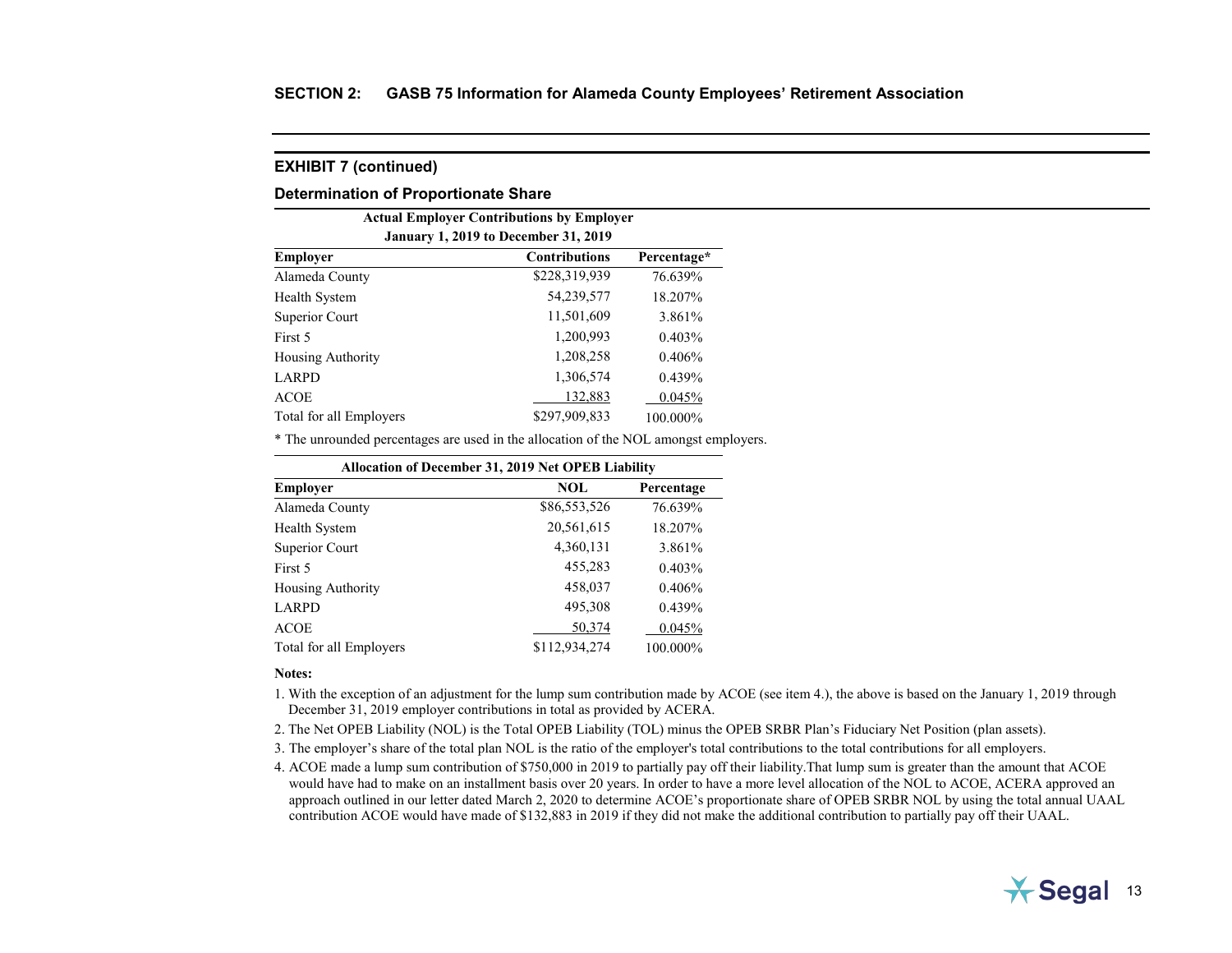#### **Determination of Proportionate Share**

| <b>Actual Employer Contributions by Employer</b><br><b>January 1, 2019 to December 31, 2019</b> |                      |             |  |
|-------------------------------------------------------------------------------------------------|----------------------|-------------|--|
| <b>Employer</b>                                                                                 | <b>Contributions</b> | Percentage* |  |
| Alameda County                                                                                  | \$228,319,939        | 76.639%     |  |
| Health System                                                                                   | 54,239,577           | 18.207%     |  |
| Superior Court                                                                                  | 11,501,609           | 3.861%      |  |
| First 5                                                                                         | 1,200,993            | 0.403%      |  |
| <b>Housing Authority</b>                                                                        | 1,208,258            | 0.406%      |  |
| 1,306,574<br>LARPD<br>0.439%                                                                    |                      |             |  |
| <b>ACOE</b>                                                                                     | 132,883              | 0.045%      |  |
| Total for all Employers                                                                         | \$297,909,833        | 100.000%    |  |

\* The unrounded percentages are used in the allocation of the NOL amongst employers.

| <b>Allocation of December 31, 2019 Net OPEB Liability</b> |               |            |  |
|-----------------------------------------------------------|---------------|------------|--|
| <b>Employer</b>                                           | <b>NOL</b>    | Percentage |  |
| Alameda County                                            | \$86,553,526  | 76.639%    |  |
| <b>Health System</b>                                      | 20,561,615    | 18.207%    |  |
| Superior Court                                            | 4,360,131     | 3.861%     |  |
| First 5                                                   | 455,283       | 0.403%     |  |
| <b>Housing Authority</b>                                  | 458,037       | 0.406%     |  |
| <b>LARPD</b>                                              | 495,308       | 0.439%     |  |
| <b>ACOE</b>                                               | 50,374        | 0.045%     |  |
| Total for all Employers                                   | \$112,934,274 | 100.000%   |  |

#### **Notes:**

1. With the exception of an adjustment for the lump sum contribution made by ACOE (see item 4.), the above is based on the January 1, 2019 through December 31, 2019 employer contributions in total as provided by ACERA.

- 2. The Net OPEB Liability (NOL) is the Total OPEB Liability (TOL) minus the OPEB SRBR Plan's Fiduciary Net Position (plan assets).
- 3. The employer's share of the total plan NOL is the ratio of the employer's total contributions to the total contributions for all employers.
- 4. ACOE made a lump sum contribution of \$750,000 in 2019 to partially pay off their liability.That lump sum is greater than the amount that ACOE would have had to make on an installment basis over 20 years. In order to have a more level allocation of the NOL to ACOE, ACERA approved an approach outlined in our letter dated March 2, 2020 to determine ACOE's proportionate share of OPEB SRBR NOL by using the total annual UAAL contribution ACOE would have made of \$132,883 in 2019 if they did not make the additional contribution to partially pay off their UAAL.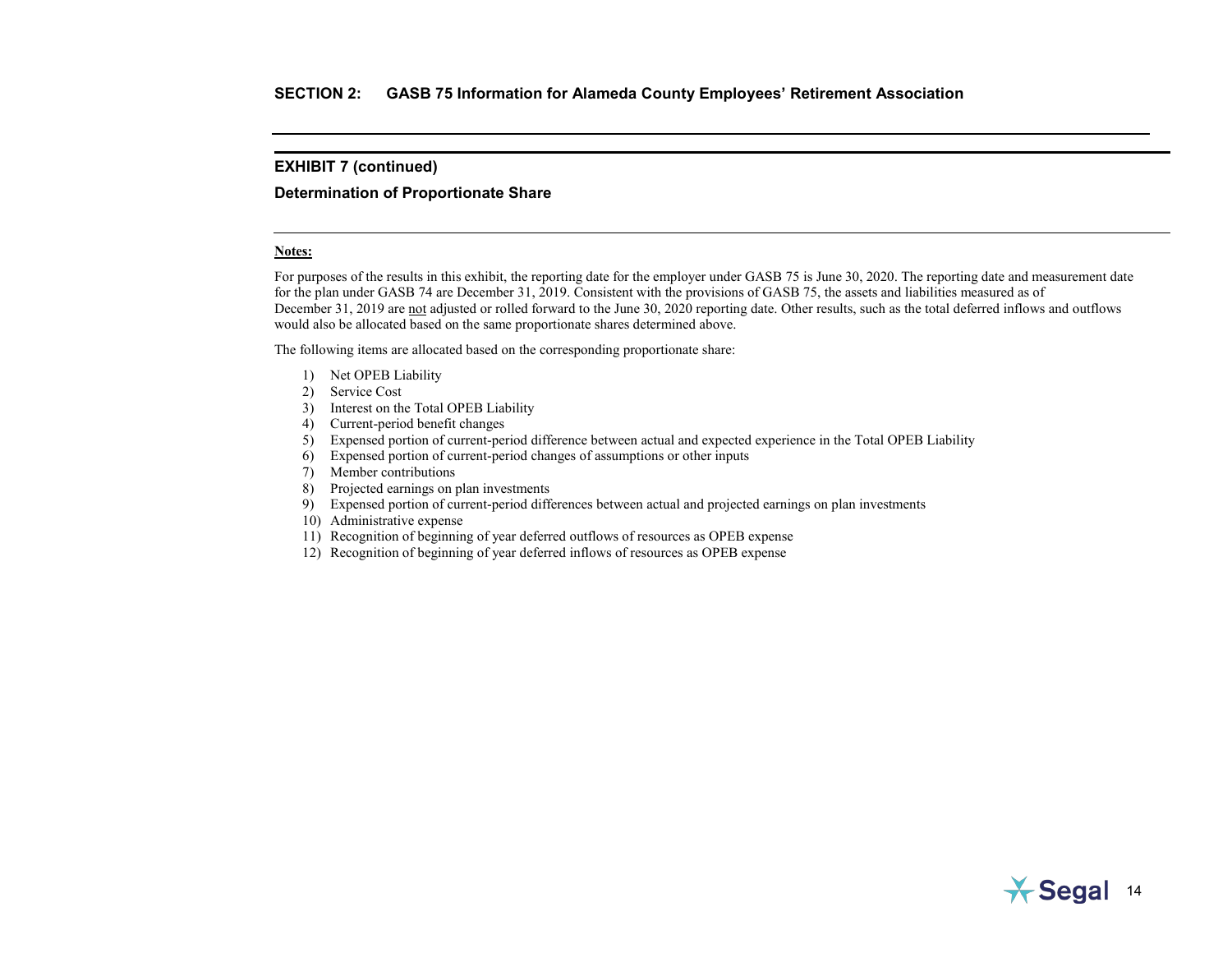#### **Determination of Proportionate Share**

#### **Notes:**

For purposes of the results in this exhibit, the reporting date for the employer under GASB 75 is June 30, 2020. The reporting date and measurement date for the plan under GASB 74 are December 31, 2019. Consistent with the provisions of GASB 75, the assets and liabilities measured as of December 31, 2019 are not adjusted or rolled forward to the June 30, 2020 reporting date. Other results, such as the total deferred inflows and outflows would also be allocated based on the same proportionate shares determined above.

The following items are allocated based on the corresponding proportionate share:

- 1) Net OPEB Liability
- 2) Service Cost
- 3) Interest on the Total OPEB Liability
- 4) Current-period benefit changes
- 5) Expensed portion of current-period difference between actual and expected experience in the Total OPEB Liability
- 6) Expensed portion of current-period changes of assumptions or other inputs
- 7) Member contributions
- 8) Projected earnings on plan investments
- 9) Expensed portion of current-period differences between actual and projected earnings on plan investments
- 10) Administrative expense
- 11) Recognition of beginning of year deferred outflows of resources as OPEB expense
- 12) Recognition of beginning of year deferred inflows of resources as OPEB expense

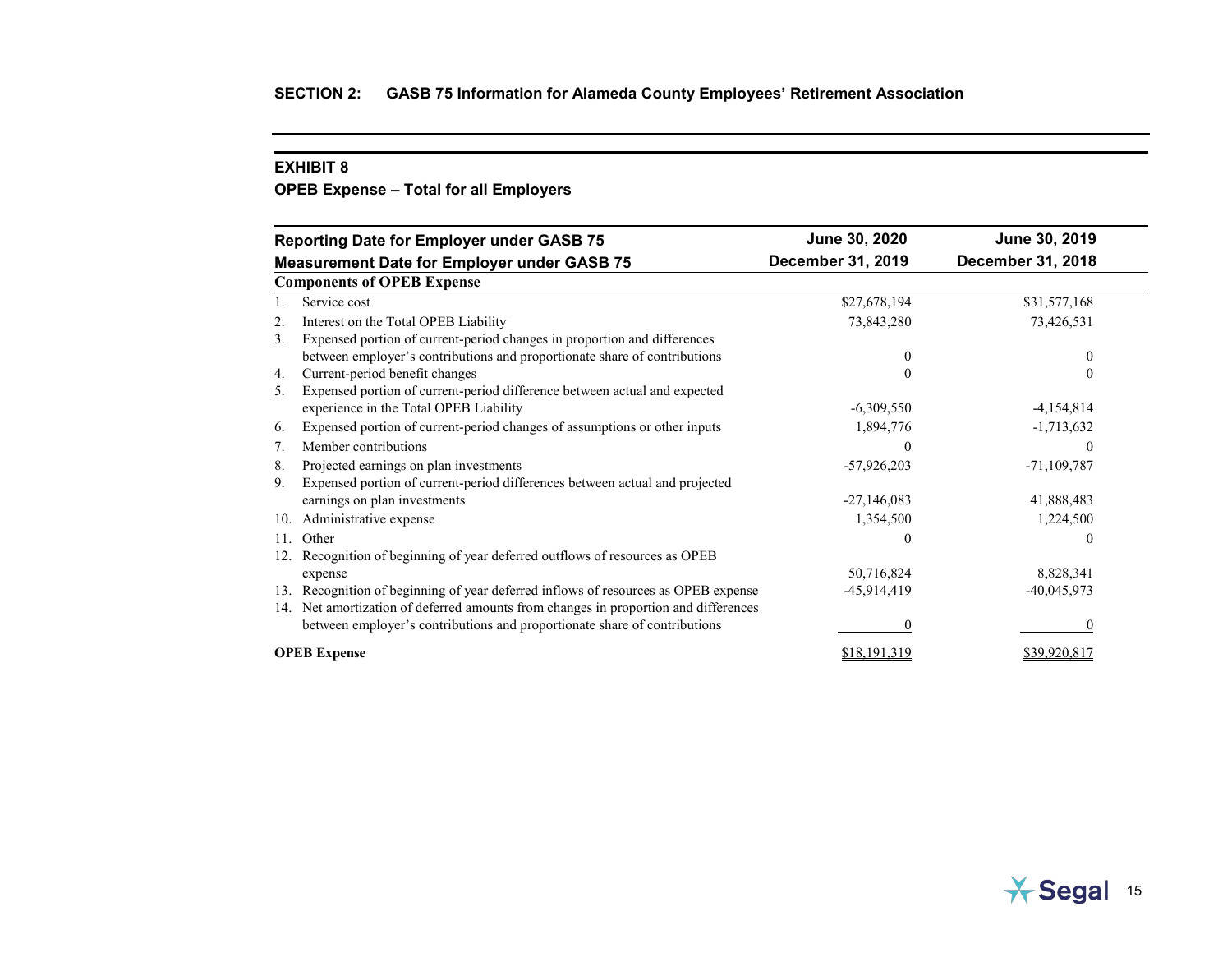## <span id="page-26-0"></span>**OPEB Expense – Total for all Employers**

|                                                    | <b>Reporting Date for Employer under GASB 75</b>                                    | June 30, 2020     | June 30, 2019     |
|----------------------------------------------------|-------------------------------------------------------------------------------------|-------------------|-------------------|
| <b>Measurement Date for Employer under GASB 75</b> |                                                                                     | December 31, 2019 | December 31, 2018 |
|                                                    | <b>Components of OPEB Expense</b>                                                   |                   |                   |
|                                                    | Service cost                                                                        | \$27,678,194      | \$31,577,168      |
| 2.                                                 | Interest on the Total OPEB Liability                                                | 73,843,280        | 73,426,531        |
| 3.                                                 | Expensed portion of current-period changes in proportion and differences            |                   |                   |
|                                                    | between employer's contributions and proportionate share of contributions           | $\mathbf{0}$      | 0                 |
| 4.                                                 | Current-period benefit changes                                                      | $\theta$          | 0                 |
| 5.                                                 | Expensed portion of current-period difference between actual and expected           |                   |                   |
|                                                    | experience in the Total OPEB Liability                                              | $-6,309,550$      | $-4,154,814$      |
| 6.                                                 | Expensed portion of current-period changes of assumptions or other inputs           | 1,894,776         | $-1,713,632$      |
| 7.                                                 | Member contributions                                                                | $\mathcal{L}$     | $\theta$          |
| 8.                                                 | Projected earnings on plan investments                                              | $-57,926,203$     | $-71,109,787$     |
| 9.                                                 | Expensed portion of current-period differences between actual and projected         |                   |                   |
|                                                    | earnings on plan investments                                                        | $-27,146,083$     | 41,888,483        |
| 10.                                                | Administrative expense                                                              | 1,354,500         | 1,224,500         |
| 11.                                                | Other                                                                               | 0                 | 0                 |
|                                                    | Recognition of beginning of year deferred outflows of resources as OPEB             |                   |                   |
|                                                    | expense                                                                             | 50,716,824        | 8,828,341         |
| 13.                                                | Recognition of beginning of year deferred inflows of resources as OPEB expense      | -45,914,419       | $-40,045,973$     |
|                                                    | 14. Net amortization of deferred amounts from changes in proportion and differences |                   |                   |
|                                                    | between employer's contributions and proportionate share of contributions           |                   |                   |
|                                                    | <b>OPEB</b> Expense                                                                 | \$18,191,319      | \$39,920,817      |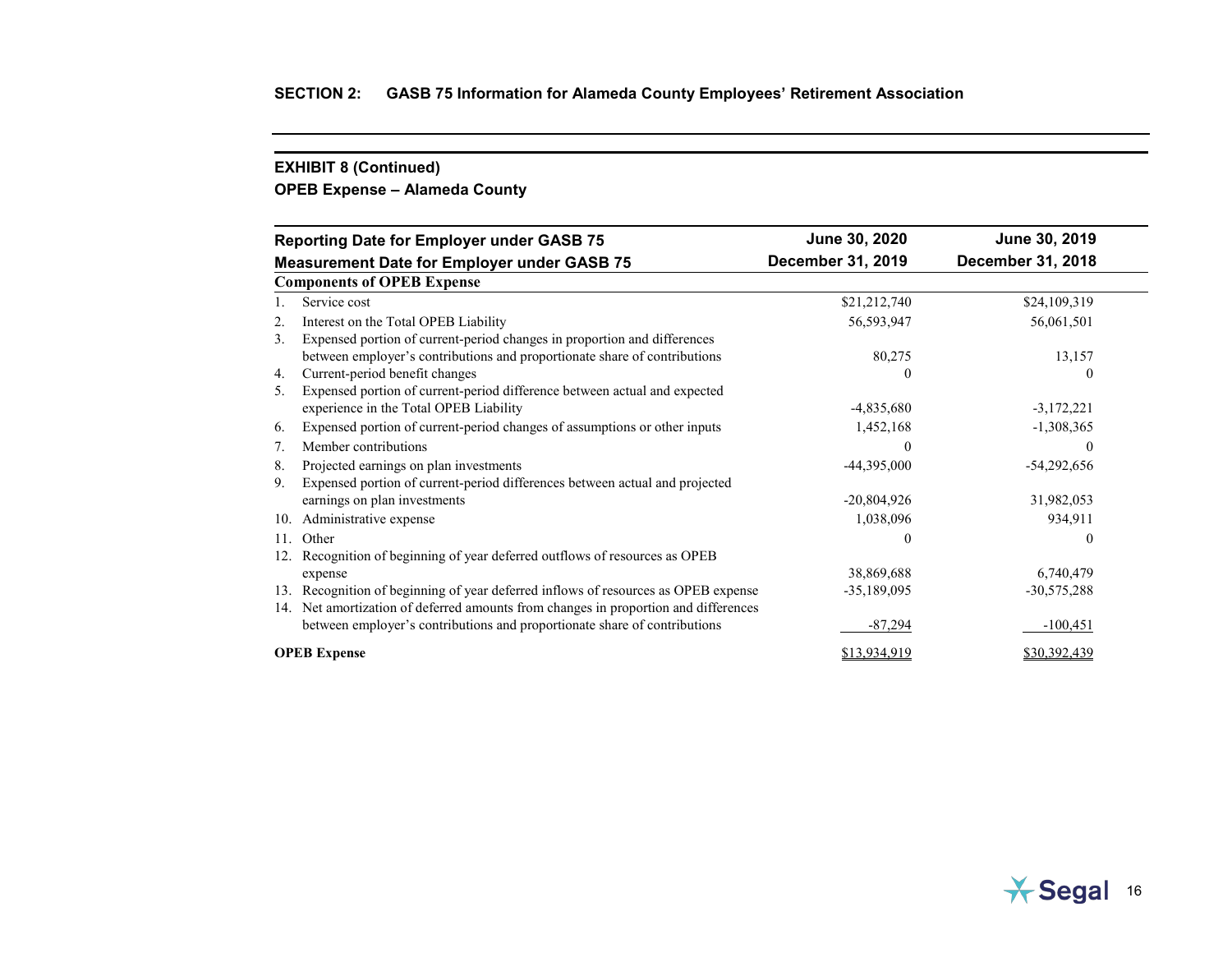# **OPEB Expense – Alameda County**

|                                                    | <b>Reporting Date for Employer under GASB 75</b>                                    | June 30, 2020     | June 30, 2019     |
|----------------------------------------------------|-------------------------------------------------------------------------------------|-------------------|-------------------|
| <b>Measurement Date for Employer under GASB 75</b> |                                                                                     | December 31, 2019 | December 31, 2018 |
|                                                    | <b>Components of OPEB Expense</b>                                                   |                   |                   |
|                                                    | Service cost                                                                        | \$21,212,740      | \$24,109,319      |
| 2.                                                 | Interest on the Total OPEB Liability                                                | 56,593,947        | 56,061,501        |
| 3.                                                 | Expensed portion of current-period changes in proportion and differences            |                   |                   |
|                                                    | between employer's contributions and proportionate share of contributions           | 80,275            | 13,157            |
| 4.                                                 | Current-period benefit changes                                                      |                   | $\theta$          |
| 5.                                                 | Expensed portion of current-period difference between actual and expected           |                   |                   |
|                                                    | experience in the Total OPEB Liability                                              | $-4,835,680$      | $-3,172,221$      |
| 6.                                                 | Expensed portion of current-period changes of assumptions or other inputs           | 1,452,168         | $-1,308,365$      |
| 7.                                                 | Member contributions                                                                | 0                 | $\theta$          |
| 8.                                                 | Projected earnings on plan investments                                              | $-44,395,000$     | $-54,292,656$     |
| 9.                                                 | Expensed portion of current-period differences between actual and projected         |                   |                   |
|                                                    | earnings on plan investments                                                        | $-20,804,926$     | 31,982,053        |
| 10.                                                | Administrative expense                                                              | 1,038,096         | 934,911           |
| 11.                                                | Other                                                                               | 0                 | $\theta$          |
| 12.                                                | Recognition of beginning of year deferred outflows of resources as OPEB             |                   |                   |
|                                                    | expense                                                                             | 38,869,688        | 6,740,479         |
| 13.                                                | Recognition of beginning of year deferred inflows of resources as OPEB expense      | $-35,189,095$     | $-30,575,288$     |
|                                                    | 14. Net amortization of deferred amounts from changes in proportion and differences |                   |                   |
|                                                    | between employer's contributions and proportionate share of contributions           | $-87,294$         | $-100,451$        |
|                                                    | <b>OPEB</b> Expense                                                                 | \$13,934,919      | \$30,392,439      |

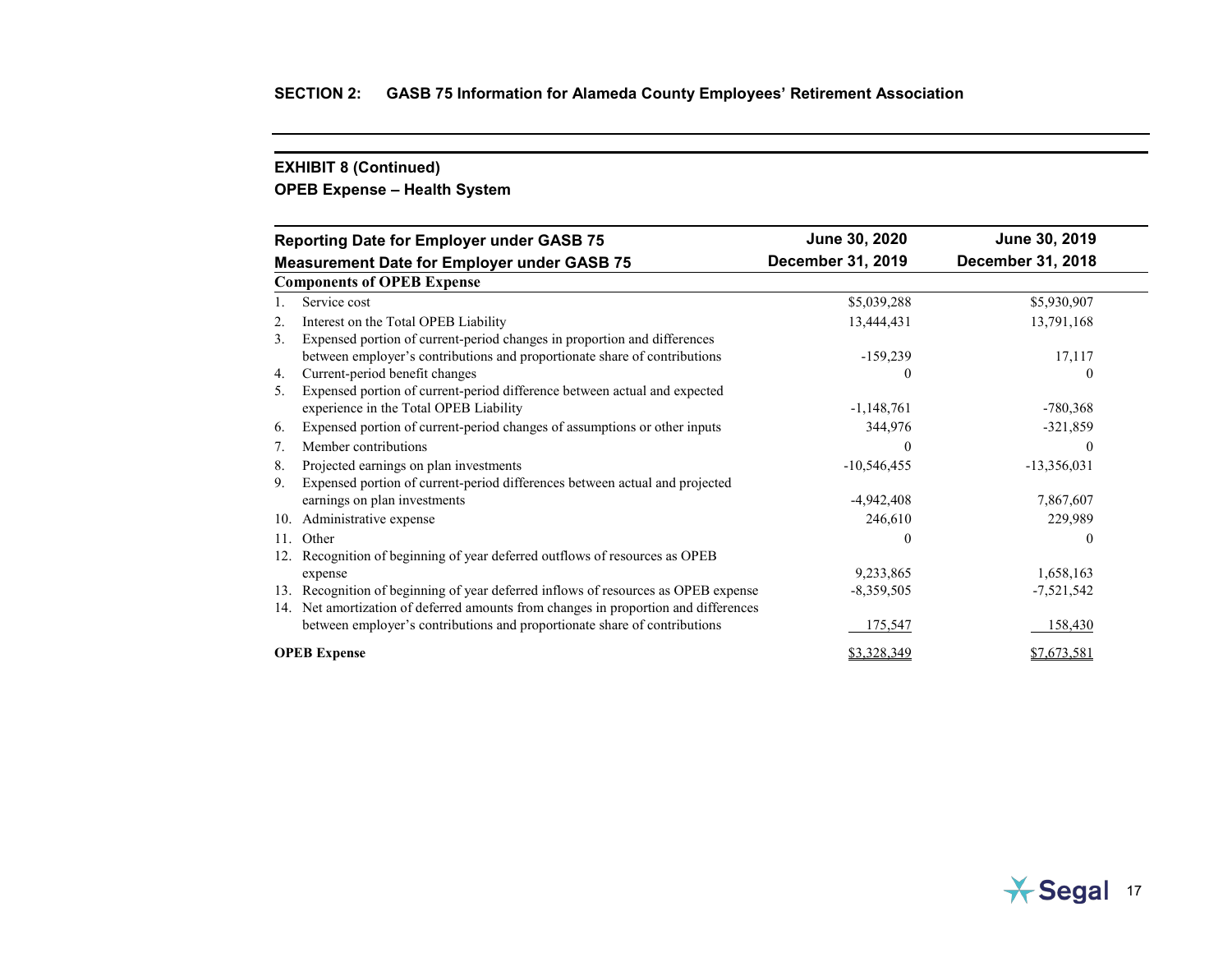# **OPEB Expense – Health System**

| <b>Reporting Date for Employer under GASB 75</b> |                                                                                 | June 30, 2020     | June 30, 2019            |
|--------------------------------------------------|---------------------------------------------------------------------------------|-------------------|--------------------------|
|                                                  | <b>Measurement Date for Employer under GASB 75</b>                              | December 31, 2019 | <b>December 31, 2018</b> |
|                                                  | <b>Components of OPEB Expense</b>                                               |                   |                          |
|                                                  | Service cost                                                                    | \$5,039,288       | \$5,930,907              |
| 2.                                               | Interest on the Total OPEB Liability                                            | 13,444,431        | 13,791,168               |
| 3.                                               | Expensed portion of current-period changes in proportion and differences        |                   |                          |
|                                                  | between employer's contributions and proportionate share of contributions       | $-159,239$        | 17,117                   |
| 4.                                               | Current-period benefit changes                                                  | 0                 |                          |
| 5.                                               | Expensed portion of current-period difference between actual and expected       |                   |                          |
|                                                  | experience in the Total OPEB Liability                                          | $-1,148,761$      | $-780,368$               |
| 6.                                               | Expensed portion of current-period changes of assumptions or other inputs       | 344,976           | $-321,859$               |
| 7.                                               | Member contributions                                                            | C                 | 0                        |
| 8.                                               | Projected earnings on plan investments                                          | $-10,546,455$     | $-13,356,031$            |
| 9.                                               | Expensed portion of current-period differences between actual and projected     |                   |                          |
|                                                  | earnings on plan investments                                                    | $-4,942,408$      | 7,867,607                |
| 10.                                              | Administrative expense                                                          | 246,610           | 229,989                  |
| 11.                                              | Other                                                                           | 0                 | 0                        |
| 12.                                              | Recognition of beginning of year deferred outflows of resources as OPEB         |                   |                          |
|                                                  | expense                                                                         | 9,233,865         | 1,658,163                |
| 13.                                              | Recognition of beginning of year deferred inflows of resources as OPEB expense  | $-8,359,505$      | $-7,521,542$             |
| 14.                                              | Net amortization of deferred amounts from changes in proportion and differences |                   |                          |
|                                                  | between employer's contributions and proportionate share of contributions       | 175,547           | 158,430                  |
|                                                  | <b>OPEB</b> Expense                                                             | \$3,328,349       | \$7,673,581              |

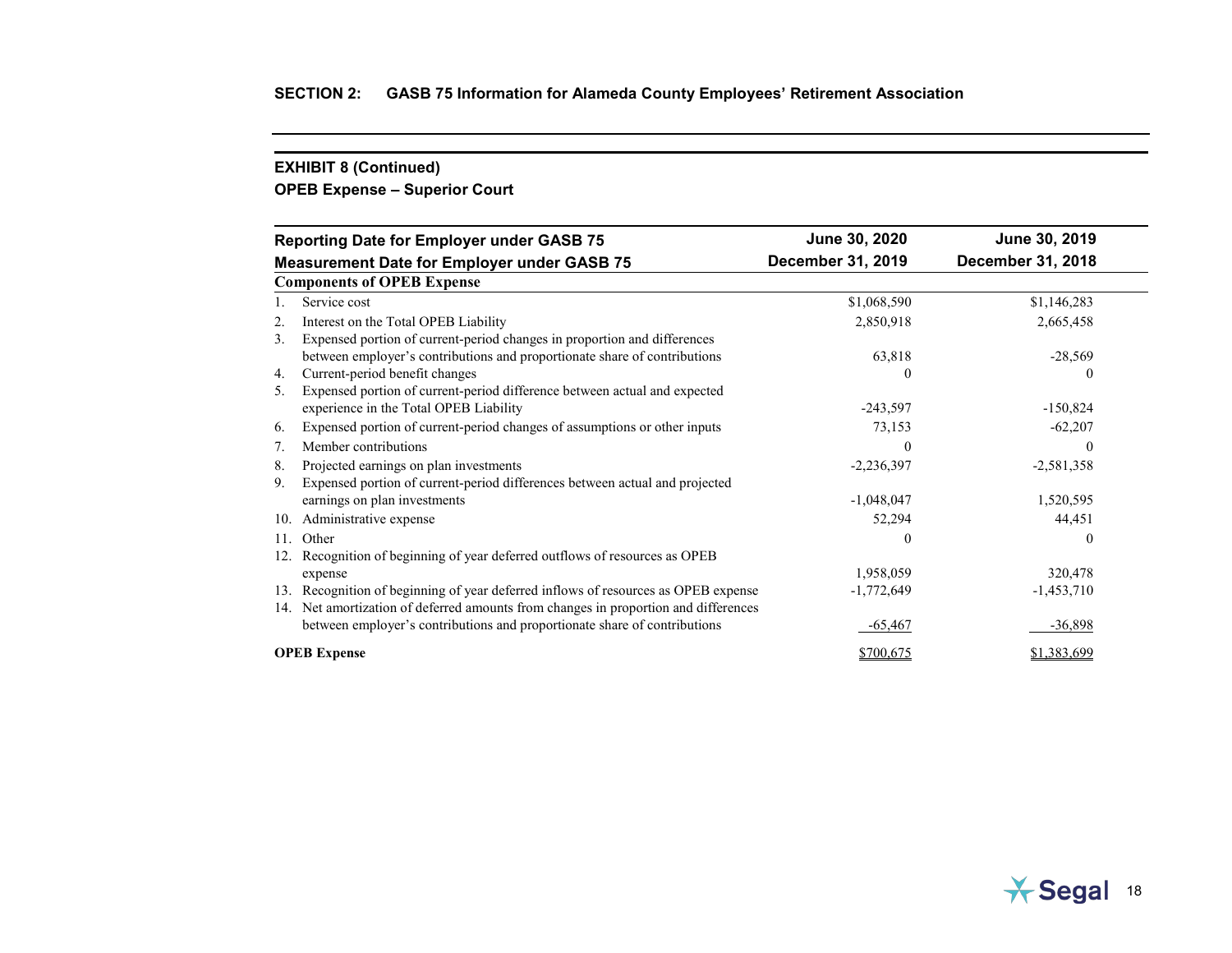# **OPEB Expense – Superior Court**

| <b>Reporting Date for Employer under GASB 75</b>   |                                                                                     | June 30, 2020     | June 30, 2019     |
|----------------------------------------------------|-------------------------------------------------------------------------------------|-------------------|-------------------|
| <b>Measurement Date for Employer under GASB 75</b> |                                                                                     | December 31, 2019 | December 31, 2018 |
|                                                    | <b>Components of OPEB Expense</b>                                                   |                   |                   |
|                                                    | Service cost                                                                        | \$1,068,590       | \$1,146,283       |
| 2.                                                 | Interest on the Total OPEB Liability                                                | 2,850,918         | 2,665,458         |
| 3.                                                 | Expensed portion of current-period changes in proportion and differences            |                   |                   |
|                                                    | between employer's contributions and proportionate share of contributions           | 63,818            | $-28,569$         |
| 4.                                                 | Current-period benefit changes                                                      |                   |                   |
| 5.                                                 | Expensed portion of current-period difference between actual and expected           |                   |                   |
|                                                    | experience in the Total OPEB Liability                                              | $-243,597$        | $-150,824$        |
| 6.                                                 | Expensed portion of current-period changes of assumptions or other inputs           | 73,153            | $-62,207$         |
| 7.                                                 | Member contributions                                                                |                   | 0                 |
| 8.                                                 | Projected earnings on plan investments                                              | $-2,236,397$      | $-2,581,358$      |
| 9.                                                 | Expensed portion of current-period differences between actual and projected         |                   |                   |
|                                                    | earnings on plan investments                                                        | $-1,048,047$      | 1,520,595         |
| 10.                                                | Administrative expense                                                              | 52,294            | 44,451            |
| 11.                                                | Other                                                                               | $\theta$          | 0                 |
| 12.                                                | Recognition of beginning of year deferred outflows of resources as OPEB             |                   |                   |
|                                                    | expense                                                                             | 1,958,059         | 320,478           |
| 13.                                                | Recognition of beginning of year deferred inflows of resources as OPEB expense      | $-1,772,649$      | $-1,453,710$      |
|                                                    | 14. Net amortization of deferred amounts from changes in proportion and differences |                   |                   |
|                                                    | between employer's contributions and proportionate share of contributions           | $-65,467$         | $-36,898$         |
|                                                    | <b>OPEB</b> Expense                                                                 | \$700,675         | \$1,383,699       |

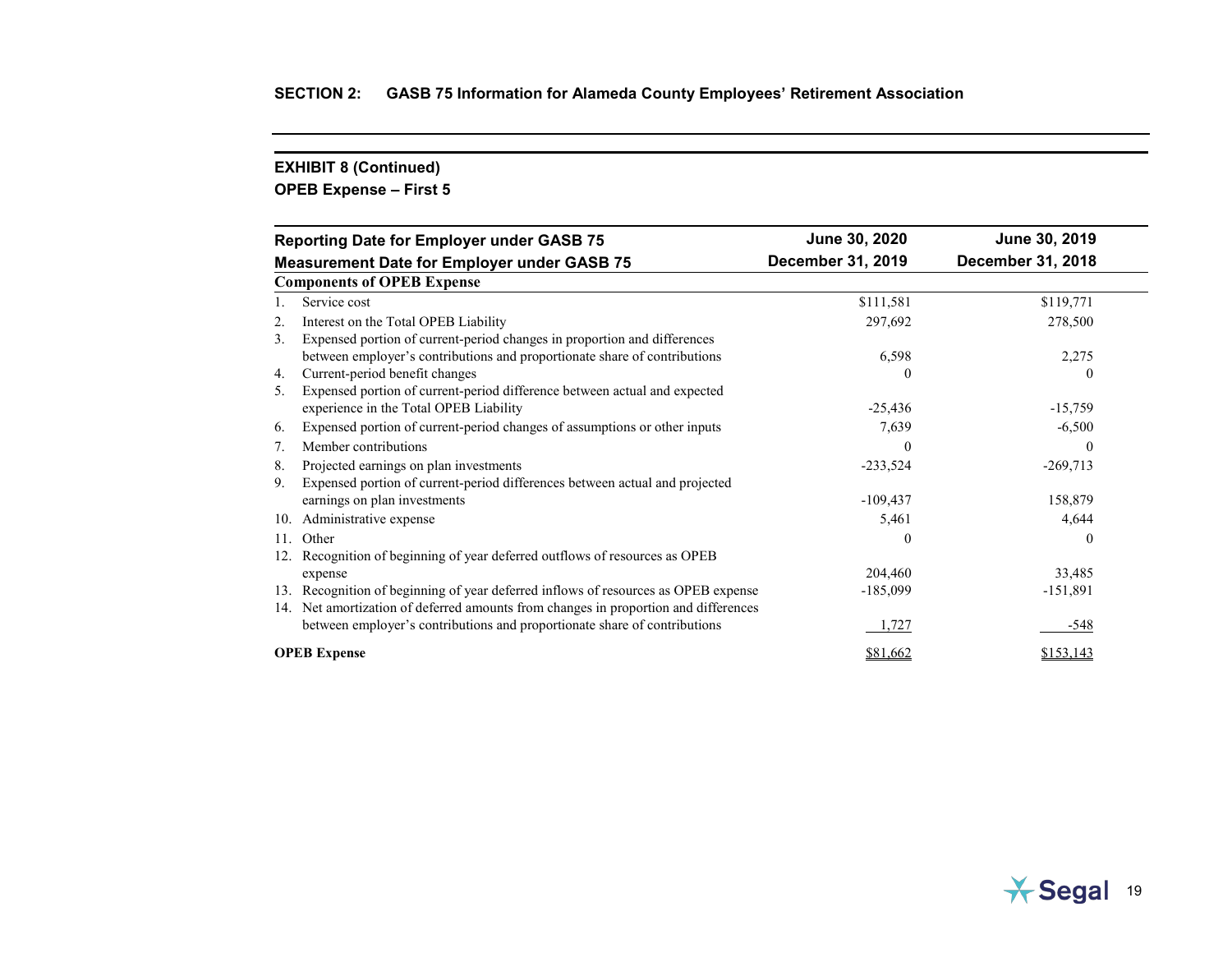# **OPEB Expense – First 5**

| <b>Reporting Date for Employer under GASB 75</b>                                      | June 30, 2020     | June 30, 2019     |
|---------------------------------------------------------------------------------------|-------------------|-------------------|
| <b>Measurement Date for Employer under GASB 75</b>                                    | December 31, 2019 | December 31, 2018 |
| <b>Components of OPEB Expense</b>                                                     |                   |                   |
| Service cost                                                                          | \$111,581         | \$119,771         |
| Interest on the Total OPEB Liability<br>2.                                            | 297,692           | 278,500           |
| Expensed portion of current-period changes in proportion and differences<br>3.        |                   |                   |
| between employer's contributions and proportionate share of contributions             | 6,598             | 2,275             |
| Current-period benefit changes<br>4.                                                  | 0                 | 0                 |
| Expensed portion of current-period difference between actual and expected<br>5.       |                   |                   |
| experience in the Total OPEB Liability                                                | $-25,436$         | $-15,759$         |
| Expensed portion of current-period changes of assumptions or other inputs<br>6.       | 7,639             | $-6,500$          |
| Member contributions<br>7.                                                            | $\Omega$          | $\theta$          |
| Projected earnings on plan investments<br>8.                                          | $-233,524$        | $-269,713$        |
| Expensed portion of current-period differences between actual and projected<br>9.     |                   |                   |
| earnings on plan investments                                                          | $-109,437$        | 158,879           |
| Administrative expense<br>10.                                                         | 5,461             | 4,644             |
| Other<br>11.                                                                          | $\theta$          | $\theta$          |
| Recognition of beginning of year deferred outflows of resources as OPEB               |                   |                   |
| expense                                                                               | 204,460           | 33,485            |
| Recognition of beginning of year deferred inflows of resources as OPEB expense<br>13. | $-185,099$        | $-151,891$        |
| 14. Net amortization of deferred amounts from changes in proportion and differences   |                   |                   |
| between employer's contributions and proportionate share of contributions             | 1,727             | -548              |
| <b>OPEB</b> Expense                                                                   | \$81,662          | \$153,143         |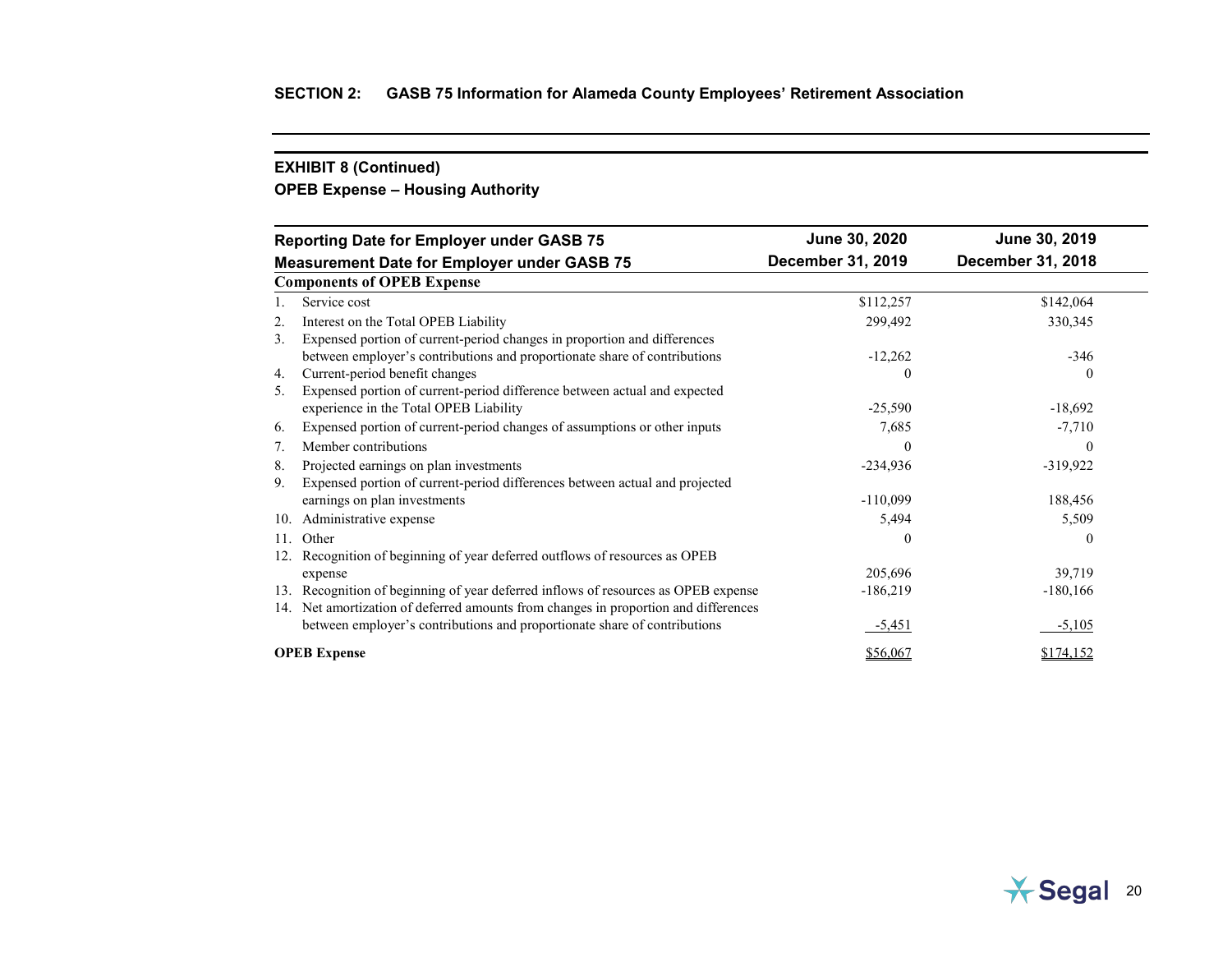# **OPEB Expense – Housing Authority**

|                                                    | <b>Reporting Date for Employer under GASB 75</b>                                    | June 30, 2020     | June 30, 2019     |
|----------------------------------------------------|-------------------------------------------------------------------------------------|-------------------|-------------------|
| <b>Measurement Date for Employer under GASB 75</b> |                                                                                     | December 31, 2019 | December 31, 2018 |
|                                                    | <b>Components of OPEB Expense</b>                                                   |                   |                   |
|                                                    | Service cost                                                                        | \$112,257         | \$142,064         |
| 2.                                                 | Interest on the Total OPEB Liability                                                | 299,492           | 330,345           |
| 3.                                                 | Expensed portion of current-period changes in proportion and differences            |                   |                   |
|                                                    | between employer's contributions and proportionate share of contributions           | $-12,262$         | $-346$            |
| 4.                                                 | Current-period benefit changes                                                      | 0                 | $\theta$          |
| 5.                                                 | Expensed portion of current-period difference between actual and expected           |                   |                   |
|                                                    | experience in the Total OPEB Liability                                              | $-25,590$         | $-18,692$         |
| 6.                                                 | Expensed portion of current-period changes of assumptions or other inputs           | 7,685             | $-7,710$          |
| 7.                                                 | Member contributions                                                                | 0                 | $\theta$          |
| 8.                                                 | Projected earnings on plan investments                                              | $-234,936$        | $-319,922$        |
| 9.                                                 | Expensed portion of current-period differences between actual and projected         |                   |                   |
|                                                    | earnings on plan investments                                                        | $-110,099$        | 188,456           |
| 10.                                                | Administrative expense                                                              | 5,494             | 5,509             |
| 11.                                                | Other                                                                               | $\theta$          | $\theta$          |
|                                                    | Recognition of beginning of year deferred outflows of resources as OPEB             |                   |                   |
|                                                    | expense                                                                             | 205,696           | 39,719            |
| 13.                                                | Recognition of beginning of year deferred inflows of resources as OPEB expense      | $-186,219$        | $-180,166$        |
|                                                    | 14. Net amortization of deferred amounts from changes in proportion and differences |                   |                   |
|                                                    | between employer's contributions and proportionate share of contributions           | $-5,451$          | $-5,105$          |
|                                                    | <b>OPEB</b> Expense                                                                 | \$56,067          | \$174,152         |

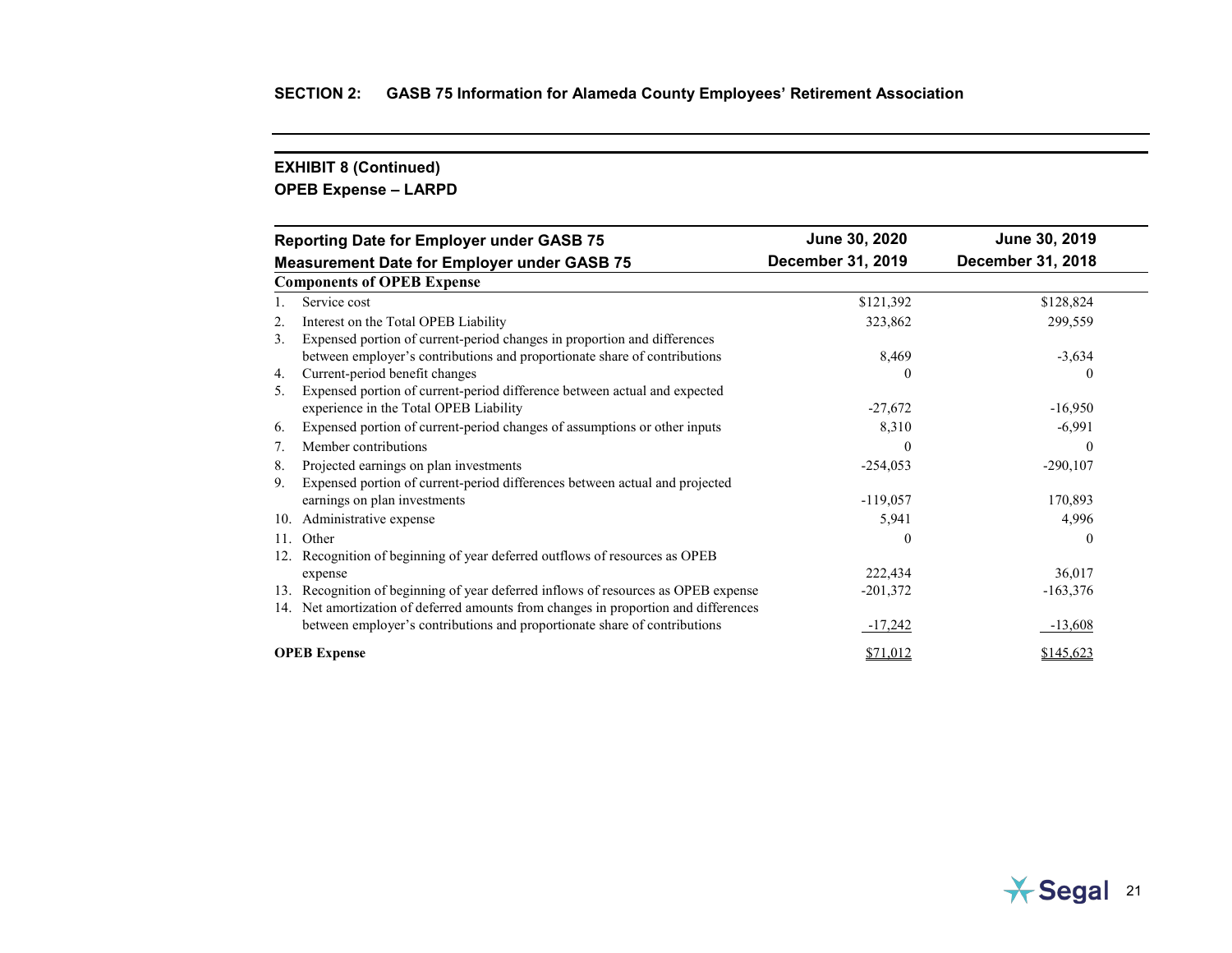# **OPEB Expense – LARPD**

| <b>Reporting Date for Employer under GASB 75</b> |                                                                                     | June 30, 2020     | June 30, 2019     |
|--------------------------------------------------|-------------------------------------------------------------------------------------|-------------------|-------------------|
|                                                  | <b>Measurement Date for Employer under GASB 75</b>                                  | December 31, 2019 | December 31, 2018 |
|                                                  | <b>Components of OPEB Expense</b>                                                   |                   |                   |
|                                                  | Service cost                                                                        | \$121,392         | \$128,824         |
| 2.                                               | Interest on the Total OPEB Liability                                                | 323,862           | 299,559           |
| 3.                                               | Expensed portion of current-period changes in proportion and differences            |                   |                   |
|                                                  | between employer's contributions and proportionate share of contributions           | 8,469             | $-3,634$          |
| 4.                                               | Current-period benefit changes                                                      | 0                 | 0                 |
| 5.                                               | Expensed portion of current-period difference between actual and expected           |                   |                   |
|                                                  | experience in the Total OPEB Liability                                              | $-27,672$         | $-16,950$         |
| 6.                                               | Expensed portion of current-period changes of assumptions or other inputs           | 8,310             | $-6,991$          |
| 7.                                               | Member contributions                                                                | 0                 | $\theta$          |
| 8.                                               | Projected earnings on plan investments                                              | $-254,053$        | $-290,107$        |
| 9.                                               | Expensed portion of current-period differences between actual and projected         |                   |                   |
|                                                  | earnings on plan investments                                                        | $-119,057$        | 170,893           |
| 10.                                              | Administrative expense                                                              | 5,941             | 4,996             |
| 11.                                              | Other                                                                               | $\Omega$          | $\theta$          |
|                                                  | Recognition of beginning of year deferred outflows of resources as OPEB             |                   |                   |
|                                                  | expense                                                                             | 222,434           | 36,017            |
| 13.                                              | Recognition of beginning of year deferred inflows of resources as OPEB expense      | $-201,372$        | $-163,376$        |
|                                                  | 14. Net amortization of deferred amounts from changes in proportion and differences |                   |                   |
|                                                  | between employer's contributions and proportionate share of contributions           | $-17,242$         | $-13,608$         |
|                                                  | <b>OPEB</b> Expense                                                                 | \$71,012          | \$145,623         |

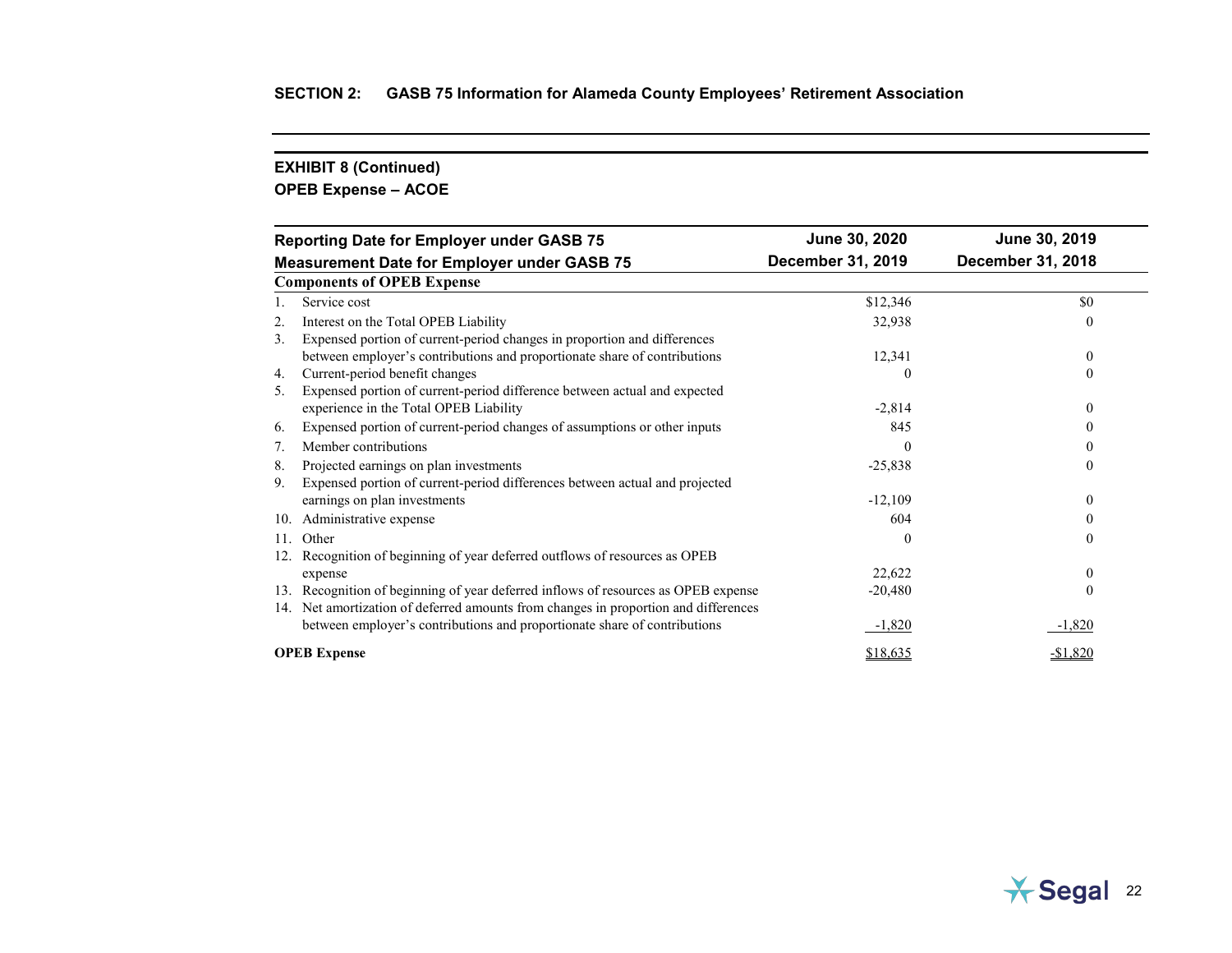# **OPEB Expense – ACOE**

| <b>Reporting Date for Employer under GASB 75</b>   |                                                                                     | June 30, 2020     | June 30, 2019     |
|----------------------------------------------------|-------------------------------------------------------------------------------------|-------------------|-------------------|
| <b>Measurement Date for Employer under GASB 75</b> |                                                                                     | December 31, 2019 | December 31, 2018 |
|                                                    | <b>Components of OPEB Expense</b>                                                   |                   |                   |
|                                                    | Service cost                                                                        | \$12,346          | \$0               |
| 2.                                                 | Interest on the Total OPEB Liability                                                | 32,938            | $\Omega$          |
| 3.                                                 | Expensed portion of current-period changes in proportion and differences            |                   |                   |
|                                                    | between employer's contributions and proportionate share of contributions           | 12,341            | $\mathbf{0}$      |
| 4.                                                 | Current-period benefit changes                                                      | $\theta$          | $\theta$          |
| 5.                                                 | Expensed portion of current-period difference between actual and expected           |                   |                   |
|                                                    | experience in the Total OPEB Liability                                              | $-2,814$          | $\theta$          |
| 6.                                                 | Expensed portion of current-period changes of assumptions or other inputs           | 845               |                   |
| 7.                                                 | Member contributions                                                                | $\Omega$          | 0                 |
| 8.                                                 | Projected earnings on plan investments                                              | $-25,838$         | $\Omega$          |
| 9.                                                 | Expensed portion of current-period differences between actual and projected         |                   |                   |
|                                                    | earnings on plan investments                                                        | $-12,109$         | $\theta$          |
| 10.                                                | Administrative expense                                                              | 604               |                   |
| 11.                                                | Other                                                                               | $\theta$          | $\theta$          |
| 12.                                                | Recognition of beginning of year deferred outflows of resources as OPEB             |                   |                   |
|                                                    | expense                                                                             | 22,622            | $\theta$          |
| 13.                                                | Recognition of beginning of year deferred inflows of resources as OPEB expense      | $-20,480$         | $\theta$          |
|                                                    | 14. Net amortization of deferred amounts from changes in proportion and differences |                   |                   |
|                                                    | between employer's contributions and proportionate share of contributions           | $-1,820$          | $-1,820$          |
|                                                    | <b>OPEB</b> Expense                                                                 | \$18,635          | $-$1,820$         |

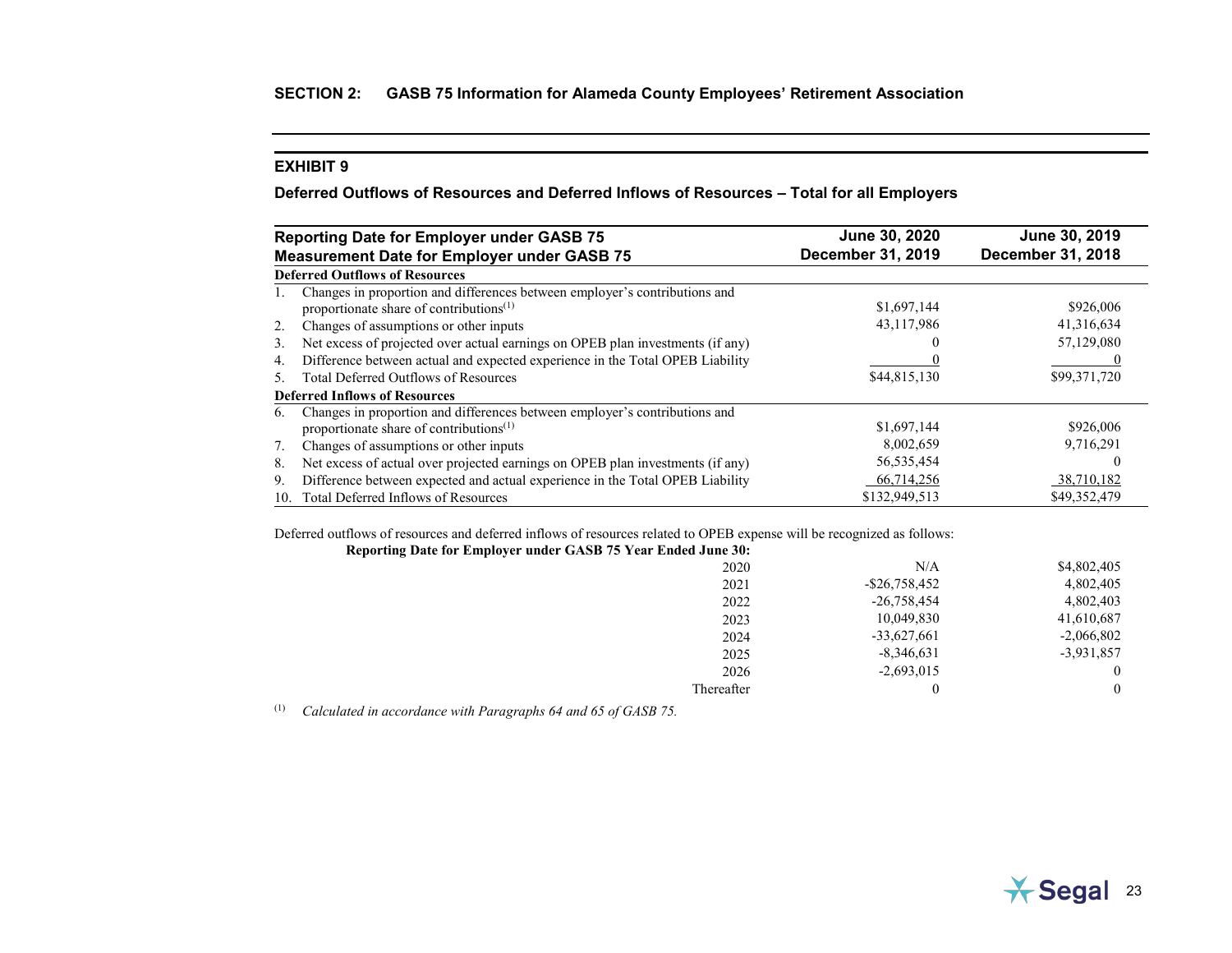## <span id="page-34-0"></span>**Deferred Outflows of Resources and Deferred Inflows of Resources – Total for all Employers**

| <b>Reporting Date for Employer under GASB 75</b> |                                                                                                                                   | June 30, 2020            | June 30, 2019            |
|--------------------------------------------------|-----------------------------------------------------------------------------------------------------------------------------------|--------------------------|--------------------------|
|                                                  | <b>Measurement Date for Employer under GASB 75</b>                                                                                | <b>December 31, 2019</b> | <b>December 31, 2018</b> |
|                                                  | <b>Deferred Outflows of Resources</b>                                                                                             |                          |                          |
|                                                  | Changes in proportion and differences between employer's contributions and<br>proportionate share of contributions <sup>(1)</sup> | \$1,697,144              | \$926,006                |
| 2.                                               | Changes of assumptions or other inputs                                                                                            | 43,117,986               | 41,316,634               |
| 3.                                               | Net excess of projected over actual earnings on OPEB plan investments (if any)                                                    |                          | 57,129,080               |
| 4.                                               | Difference between actual and expected experience in the Total OPEB Liability                                                     |                          |                          |
| .5                                               | <b>Total Deferred Outflows of Resources</b>                                                                                       | \$44,815,130             | \$99,371,720             |
|                                                  | <b>Deferred Inflows of Resources</b>                                                                                              |                          |                          |
| 6.                                               | Changes in proportion and differences between employer's contributions and<br>proportionate share of contributions <sup>(1)</sup> | \$1,697,144              | \$926,006                |
| 7.                                               | Changes of assumptions or other inputs                                                                                            | 8,002,659                | 9,716,291                |
| 8.                                               | Net excess of actual over projected earnings on OPEB plan investments (if any)                                                    | 56, 535, 454             |                          |
| 9.                                               | Difference between expected and actual experience in the Total OPEB Liability                                                     | 66,714,256               | 38,710,182               |
| 10.                                              | Total Deferred Inflows of Resources                                                                                               | \$132,949,513            | \$49,352,479             |

Deferred outflows of resources and deferred inflows of resources related to OPEB expense will be recognized as follows:

| Reporting Date for Employer under GASB 75 Year Ended June 30: |                  |              |
|---------------------------------------------------------------|------------------|--------------|
| 2020                                                          | N/A              | \$4,802,405  |
| 2021                                                          | $-$ \$26,758,452 | 4,802,405    |
| 2022                                                          | $-26,758,454$    | 4,802,403    |
| 2023                                                          | 10,049,830       | 41,610,687   |
| 2024                                                          | $-33,627,661$    | $-2,066,802$ |
| 2025                                                          | $-8,346,631$     | $-3,931,857$ |
| 2026                                                          | $-2,693,015$     |              |
| Thereafter                                                    |                  | $\theta$     |

(1) *Calculated in accordance with Paragraphs 64 and 65 of GASB 75.*

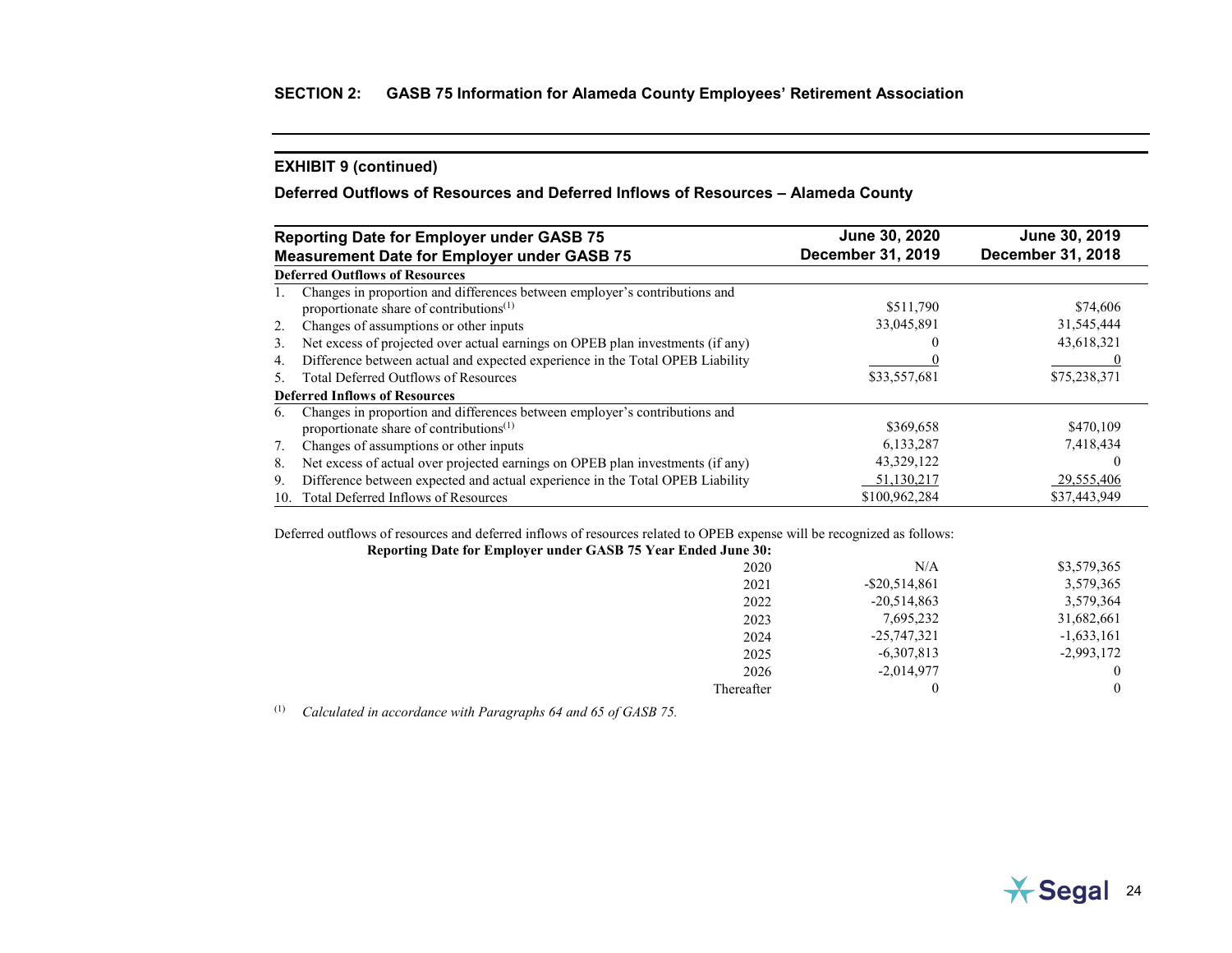## **Deferred Outflows of Resources and Deferred Inflows of Resources – Alameda County**

|     | <b>Reporting Date for Employer under GASB 75</b>                               | June 30, 2020            | June 30, 2019     |
|-----|--------------------------------------------------------------------------------|--------------------------|-------------------|
|     | <b>Measurement Date for Employer under GASB 75</b>                             | <b>December 31, 2019</b> | December 31, 2018 |
|     | <b>Deferred Outflows of Resources</b>                                          |                          |                   |
|     | Changes in proportion and differences between employer's contributions and     |                          |                   |
|     | proportionate share of contributions <sup>(1)</sup>                            | \$511,790                | \$74,606          |
| 2.  | Changes of assumptions or other inputs                                         | 33,045,891               | 31,545,444        |
| 3.  | Net excess of projected over actual earnings on OPEB plan investments (if any) |                          | 43,618,321        |
| 4.  | Difference between actual and expected experience in the Total OPEB Liability  |                          |                   |
| 5.  | <b>Total Deferred Outflows of Resources</b>                                    | \$33,557,681             | \$75,238,371      |
|     | <b>Deferred Inflows of Resources</b>                                           |                          |                   |
| 6.  | Changes in proportion and differences between employer's contributions and     |                          |                   |
|     | proportionate share of contributions <sup>(1)</sup>                            | \$369,658                | \$470,109         |
| 7.  | Changes of assumptions or other inputs                                         | 6,133,287                | 7,418,434         |
| 8.  | Net excess of actual over projected earnings on OPEB plan investments (if any) | 43,329,122               |                   |
| 9.  | Difference between expected and actual experience in the Total OPEB Liability  | 51,130,217               | 29,555,406        |
| 10. | Total Deferred Inflows of Resources                                            | \$100,962,284            | \$37,443,949      |

Deferred outflows of resources and deferred inflows of resources related to OPEB expense will be recognized as follows:

| Reporting Date for Employer under GASB 75 Year Ended June 30: |                  |              |
|---------------------------------------------------------------|------------------|--------------|
| 2020                                                          | N/A              | \$3,579,365  |
| 2021                                                          | $-$ \$20,514,861 | 3,579,365    |
| 2022                                                          | $-20,514,863$    | 3,579,364    |
| 2023                                                          | 7,695,232        | 31,682,661   |
| 2024                                                          | $-25,747,321$    | $-1,633,161$ |
| 2025                                                          | $-6,307,813$     | $-2,993,172$ |
| 2026                                                          | $-2,014,977$     |              |
| Thereafter                                                    | 0                |              |

(1) *Calculated in accordance with Paragraphs 64 and 65 of GASB 75.*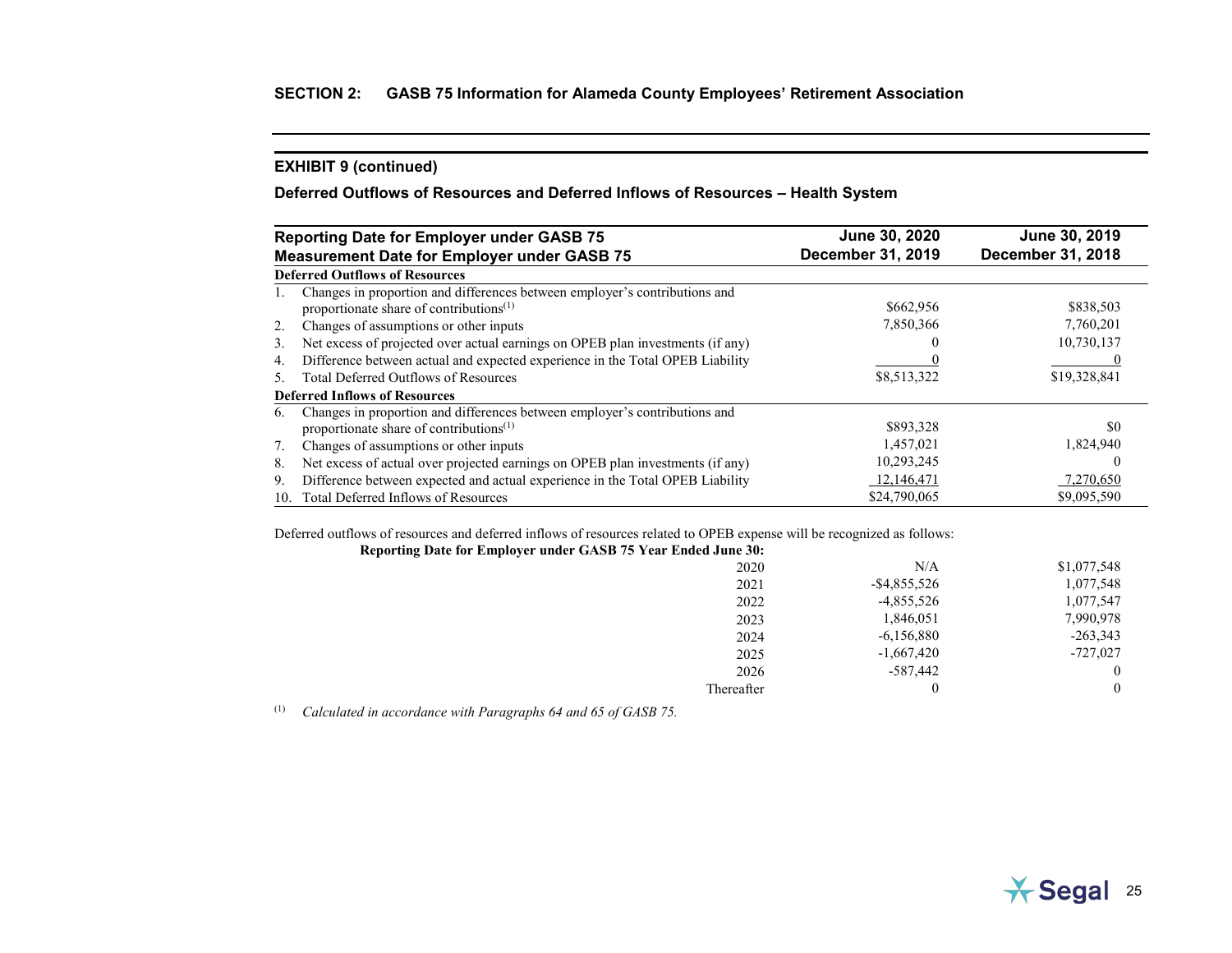# **Deferred Outflows of Resources and Deferred Inflows of Resources – Health System**

|     | <b>Reporting Date for Employer under GASB 75</b>                                                                                  | June 30, 2020            | June 30, 2019     |
|-----|-----------------------------------------------------------------------------------------------------------------------------------|--------------------------|-------------------|
|     | <b>Measurement Date for Employer under GASB 75</b>                                                                                | <b>December 31, 2019</b> | December 31, 2018 |
|     | <b>Deferred Outflows of Resources</b>                                                                                             |                          |                   |
|     | Changes in proportion and differences between employer's contributions and<br>proportionate share of contributions <sup>(1)</sup> | \$662,956                | \$838,503         |
| 2.  | Changes of assumptions or other inputs                                                                                            | 7,850,366                | 7,760,201         |
| 3.  | Net excess of projected over actual earnings on OPEB plan investments (if any)                                                    |                          | 10,730,137        |
| 4.  | Difference between actual and expected experience in the Total OPEB Liability                                                     |                          |                   |
| .5  | <b>Total Deferred Outflows of Resources</b>                                                                                       | \$8,513,322              | \$19,328,841      |
|     | <b>Deferred Inflows of Resources</b>                                                                                              |                          |                   |
| 6.  | Changes in proportion and differences between employer's contributions and<br>proportionate share of contributions <sup>(1)</sup> | \$893,328                | \$0               |
| 7.  | Changes of assumptions or other inputs                                                                                            | 1,457,021                | 1,824,940         |
| 8.  | Net excess of actual over projected earnings on OPEB plan investments (if any)                                                    | 10,293,245               | $\theta$          |
| 9.  | Difference between expected and actual experience in the Total OPEB Liability                                                     | 12,146,471               | 7,270,650         |
| 10. | Total Deferred Inflows of Resources                                                                                               | \$24,790,065             | \$9,095,590       |

Deferred outflows of resources and deferred inflows of resources related to OPEB expense will be recognized as follows:

| Reporting Date for Employer under GASB 75 Year Ended June 30: |                 |             |
|---------------------------------------------------------------|-----------------|-------------|
| 2020                                                          | N/A             | \$1,077,548 |
| 2021                                                          | $-$ \$4,855,526 | 1,077,548   |
| 2022                                                          | $-4,855,526$    | 1,077,547   |
| 2023                                                          | 1,846,051       | 7,990,978   |
| 2024                                                          | $-6,156,880$    | $-263,343$  |
| 2025                                                          | $-1,667,420$    | $-727,027$  |
| 2026                                                          | -587,442        |             |
| Thereafter                                                    |                 |             |

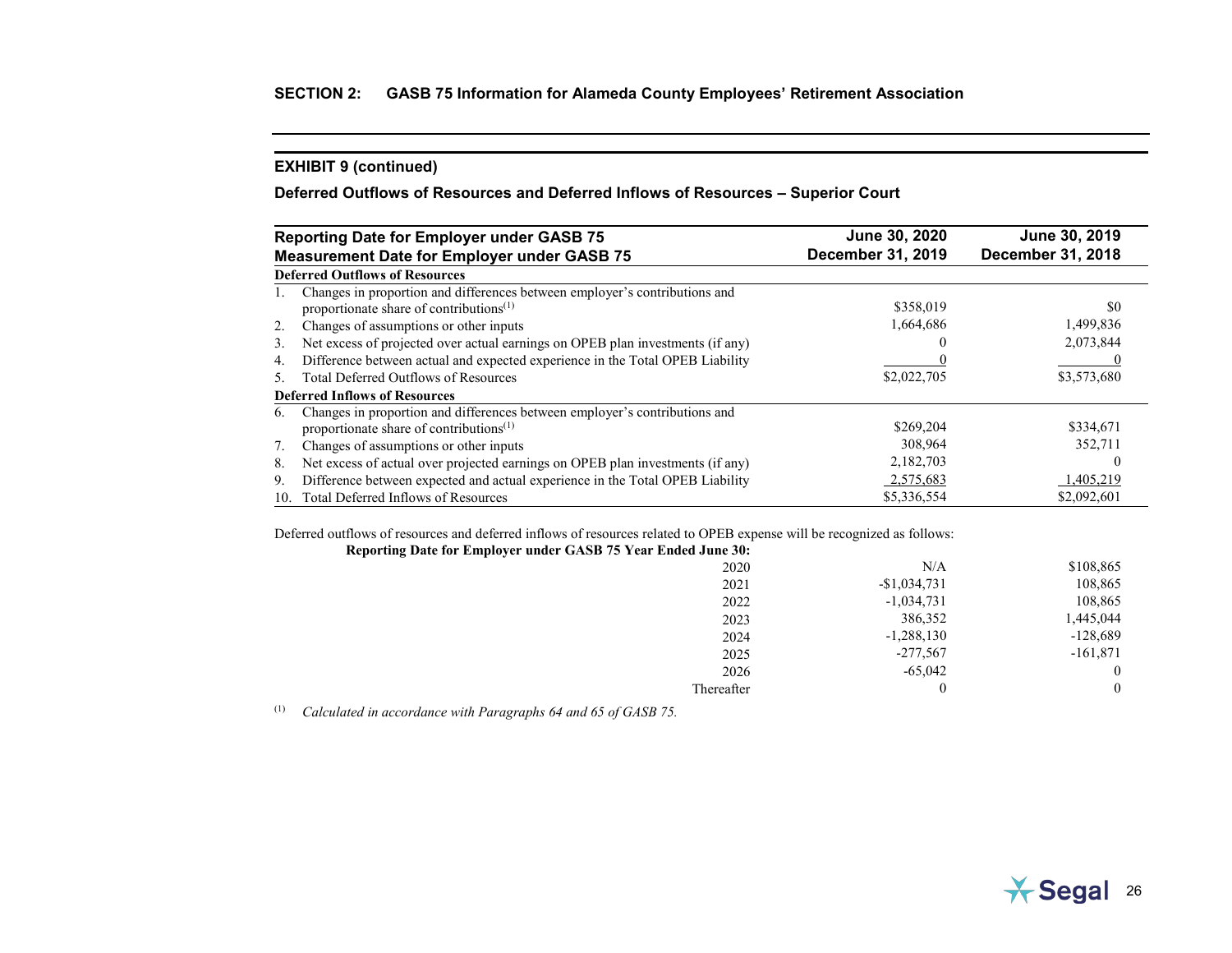# **Deferred Outflows of Resources and Deferred Inflows of Resources – Superior Court**

|     | <b>Reporting Date for Employer under GASB 75</b>                                                                                  | June 30, 2020     | June 30, 2019            |
|-----|-----------------------------------------------------------------------------------------------------------------------------------|-------------------|--------------------------|
|     | <b>Measurement Date for Employer under GASB 75</b>                                                                                | December 31, 2019 | <b>December 31, 2018</b> |
|     | <b>Deferred Outflows of Resources</b>                                                                                             |                   |                          |
|     | Changes in proportion and differences between employer's contributions and<br>proportionate share of contributions <sup>(1)</sup> | \$358,019         | \$0                      |
| 2.  | Changes of assumptions or other inputs                                                                                            | 1,664,686         | 1,499,836                |
| 3.  | Net excess of projected over actual earnings on OPEB plan investments (if any)                                                    |                   | 2,073,844                |
| 4.  | Difference between actual and expected experience in the Total OPEB Liability                                                     |                   |                          |
| 5.  | <b>Total Deferred Outflows of Resources</b>                                                                                       | \$2,022,705       | \$3,573,680              |
|     | <b>Deferred Inflows of Resources</b>                                                                                              |                   |                          |
| 6.  | Changes in proportion and differences between employer's contributions and<br>proportionate share of contributions <sup>(1)</sup> | \$269,204         | \$334,671                |
| 7.  | Changes of assumptions or other inputs                                                                                            | 308.964           | 352,711                  |
| 8.  | Net excess of actual over projected earnings on OPEB plan investments (if any)                                                    | 2,182,703         |                          |
| 9.  | Difference between expected and actual experience in the Total OPEB Liability                                                     | 2,575,683         | 1,405,219                |
| 10. | Total Deferred Inflows of Resources                                                                                               | \$5,336,554       | \$2,092,601              |

Deferred outflows of resources and deferred inflows of resources related to OPEB expense will be recognized as follows:

|               | Reporting Date for Employer under GASB 75 Year Ended June 30: |
|---------------|---------------------------------------------------------------|
| N/A           | 2020                                                          |
| $-$1,034,731$ | 2021                                                          |
| $-1,034,731$  | 2022                                                          |
| 386,352       | 2023                                                          |
| $-1,288,130$  | 2024                                                          |
| $-277,567$    | 2025                                                          |
| $-65,042$     | 2026                                                          |
|               | Thereafter                                                    |
|               |                                                               |

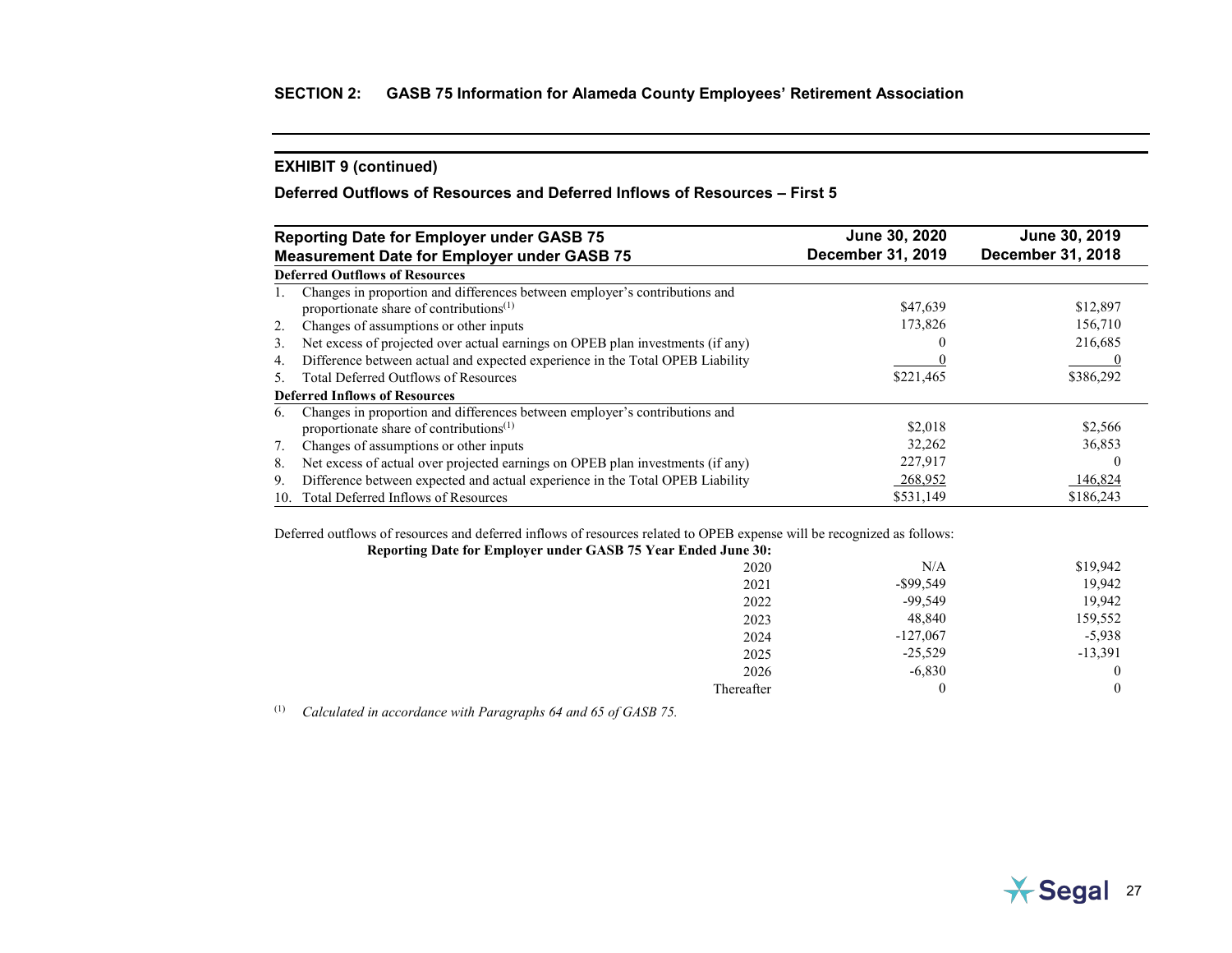# **Deferred Outflows of Resources and Deferred Inflows of Resources – First 5**

|     | <b>Reporting Date for Employer under GASB 75</b>                                                                                  | June 30, 2020            | June 30, 2019            |
|-----|-----------------------------------------------------------------------------------------------------------------------------------|--------------------------|--------------------------|
|     | <b>Measurement Date for Employer under GASB 75</b>                                                                                | <b>December 31, 2019</b> | <b>December 31, 2018</b> |
|     | <b>Deferred Outflows of Resources</b>                                                                                             |                          |                          |
| 1.  | Changes in proportion and differences between employer's contributions and<br>proportionate share of contributions <sup>(1)</sup> | \$47,639                 | \$12,897                 |
| 2.  | Changes of assumptions or other inputs                                                                                            | 173,826                  | 156,710                  |
| 3.  | Net excess of projected over actual earnings on OPEB plan investments (if any)                                                    |                          | 216,685                  |
| 4.  | Difference between actual and expected experience in the Total OPEB Liability                                                     |                          |                          |
| .5. | <b>Total Deferred Outflows of Resources</b>                                                                                       | \$221,465                | \$386,292                |
|     | <b>Deferred Inflows of Resources</b>                                                                                              |                          |                          |
| 6.  | Changes in proportion and differences between employer's contributions and<br>proportionate share of contributions <sup>(1)</sup> | \$2,018                  | \$2,566                  |
| 7.  | Changes of assumptions or other inputs                                                                                            | 32.262                   | 36,853                   |
| 8.  | Net excess of actual over projected earnings on OPEB plan investments (if any)                                                    | 227,917                  |                          |
| 9.  | Difference between expected and actual experience in the Total OPEB Liability                                                     | 268,952                  | 146,824                  |
| 10. | Total Deferred Inflows of Resources                                                                                               | \$531,149                | \$186,243                |

Deferred outflows of resources and deferred inflows of resources related to OPEB expense will be recognized as follows:

| Reporting Date for Employer under GASB 75 Year Ended June 30: |              |           |
|---------------------------------------------------------------|--------------|-----------|
| 2020                                                          | N/A          | \$19,942  |
| 2021                                                          | $-$ \$99,549 | 19,942    |
| 2022                                                          | $-99,549$    | 19,942    |
| 2023                                                          | 48,840       | 159,552   |
| 2024                                                          | $-127,067$   | $-5,938$  |
| 2025                                                          | $-25,529$    | $-13,391$ |
| 2026                                                          | $-6,830$     |           |
| Thereafter                                                    |              |           |

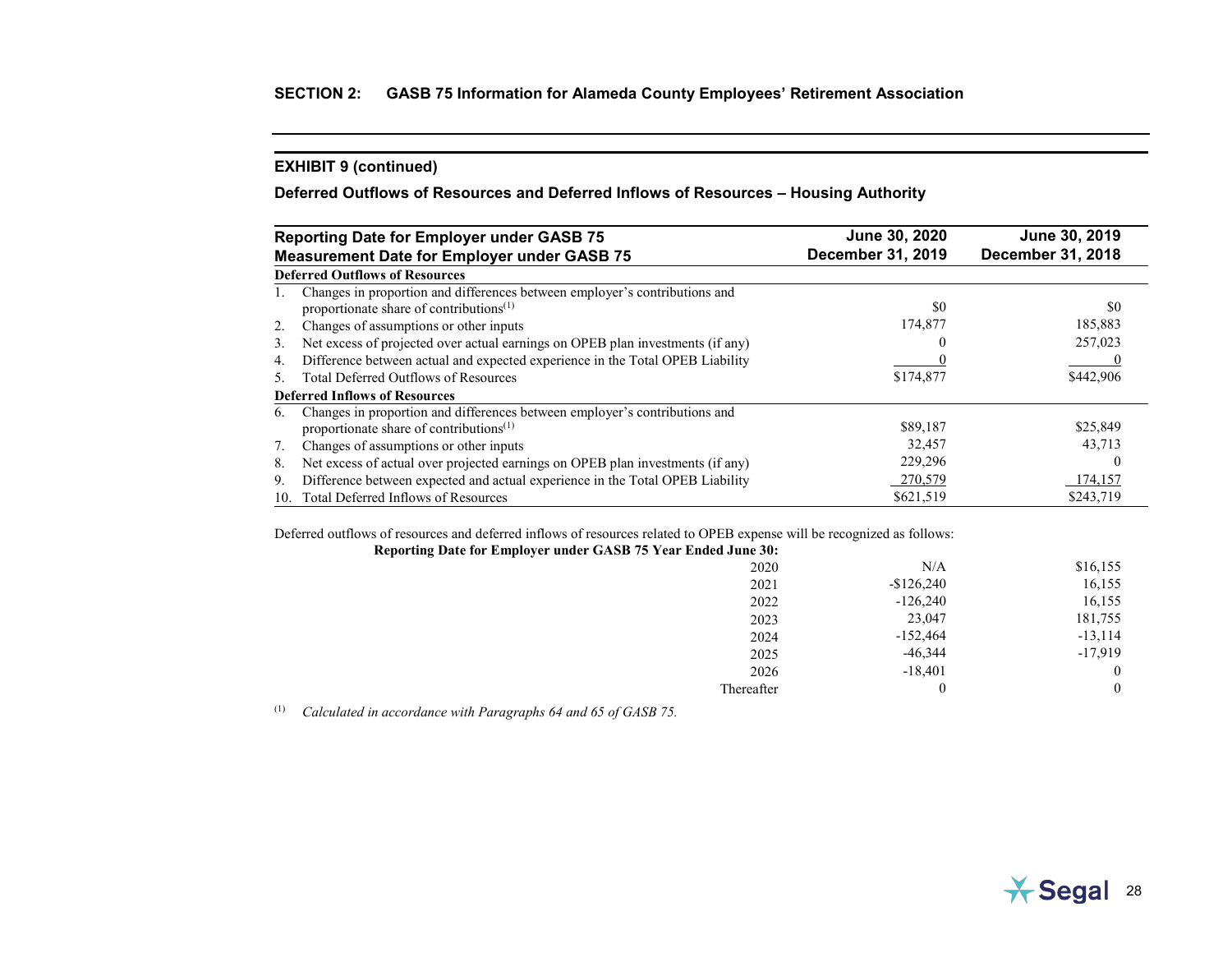# **Deferred Outflows of Resources and Deferred Inflows of Resources – Housing Authority**

|     | <b>Reporting Date for Employer under GASB 75</b>                                                                                  | June 30, 2020     | June 30, 2019            |
|-----|-----------------------------------------------------------------------------------------------------------------------------------|-------------------|--------------------------|
|     | <b>Measurement Date for Employer under GASB 75</b>                                                                                | December 31, 2019 | <b>December 31, 2018</b> |
|     | <b>Deferred Outflows of Resources</b>                                                                                             |                   |                          |
|     | Changes in proportion and differences between employer's contributions and<br>proportionate share of contributions <sup>(1)</sup> | \$0               | \$0                      |
| 2.  | Changes of assumptions or other inputs                                                                                            | 174,877           | 185,883                  |
| 3.  | Net excess of projected over actual earnings on OPEB plan investments (if any)                                                    |                   | 257,023                  |
| 4.  | Difference between actual and expected experience in the Total OPEB Liability                                                     |                   |                          |
| .5  | <b>Total Deferred Outflows of Resources</b>                                                                                       | \$174,877         | \$442,906                |
|     | <b>Deferred Inflows of Resources</b>                                                                                              |                   |                          |
| 6.  | Changes in proportion and differences between employer's contributions and<br>proportionate share of contributions <sup>(1)</sup> | \$89,187          | \$25,849                 |
| 7.  | Changes of assumptions or other inputs                                                                                            | 32.457            | 43,713                   |
| 8.  | Net excess of actual over projected earnings on OPEB plan investments (if any)                                                    | 229,296           |                          |
| 9.  | Difference between expected and actual experience in the Total OPEB Liability                                                     | 270,579           | 174,157                  |
| 10. | Total Deferred Inflows of Resources                                                                                               | \$621,519         | \$243,719                |

Deferred outflows of resources and deferred inflows of resources related to OPEB expense will be recognized as follows:

| Reporting Date for Employer under GASB 75 Year Ended June 30: |             |           |
|---------------------------------------------------------------|-------------|-----------|
| 2020                                                          | N/A         | \$16,155  |
| 2021                                                          | $-$126,240$ | 16,155    |
| 2022                                                          | $-126,240$  | 16,155    |
| 2023                                                          | 23,047      | 181,755   |
| 2024                                                          | $-152,464$  | $-13,114$ |
| 2025                                                          | $-46,344$   | $-17,919$ |
| 2026                                                          | $-18,401$   |           |
| Thereafter                                                    |             |           |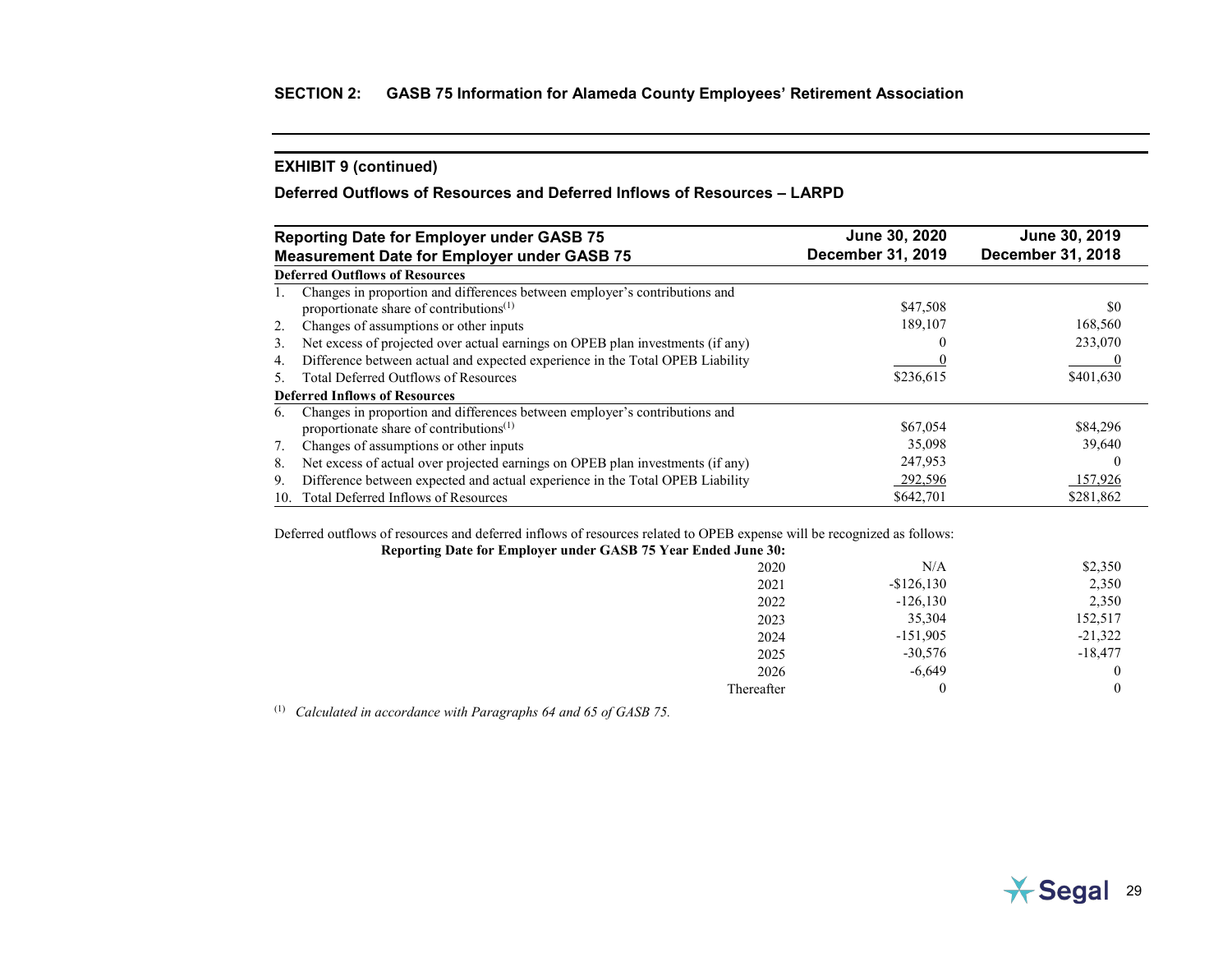# **Deferred Outflows of Resources and Deferred Inflows of Resources – LARPD**

|     | <b>Reporting Date for Employer under GASB 75</b>                               | June 30, 2020            | June 30, 2019            |
|-----|--------------------------------------------------------------------------------|--------------------------|--------------------------|
|     | <b>Measurement Date for Employer under GASB 75</b>                             | <b>December 31, 2019</b> | <b>December 31, 2018</b> |
|     | <b>Deferred Outflows of Resources</b>                                          |                          |                          |
| 1.  | Changes in proportion and differences between employer's contributions and     |                          |                          |
|     | proportionate share of contributions <sup>(1)</sup>                            | \$47,508                 | \$0                      |
| 2.  | Changes of assumptions or other inputs                                         | 189,107                  | 168,560                  |
| 3.  | Net excess of projected over actual earnings on OPEB plan investments (if any) |                          | 233,070                  |
| 4.  | Difference between actual and expected experience in the Total OPEB Liability  |                          |                          |
| 5.  | <b>Total Deferred Outflows of Resources</b>                                    | \$236,615                | \$401,630                |
|     | <b>Deferred Inflows of Resources</b>                                           |                          |                          |
| 6.  | Changes in proportion and differences between employer's contributions and     |                          |                          |
|     | proportionate share of contributions <sup>(1)</sup>                            | \$67,054                 | \$84,296                 |
| 7.  | Changes of assumptions or other inputs                                         | 35,098                   | 39,640                   |
| 8.  | Net excess of actual over projected earnings on OPEB plan investments (if any) | 247,953                  |                          |
| 9.  | Difference between expected and actual experience in the Total OPEB Liability  | 292,596                  | 157,926                  |
| 10. | Total Deferred Inflows of Resources                                            | \$642,701                | \$281,862                |

Deferred outflows of resources and deferred inflows of resources related to OPEB expense will be recognized as follows:

| N/A         | \$2,350   |
|-------------|-----------|
| $-$126,130$ | 2,350     |
| $-126,130$  | 2,350     |
| 35,304      | 152,517   |
| $-151,905$  | $-21,322$ |
| $-30,576$   | $-18,477$ |
| $-6,649$    |           |
|             |           |
|             |           |

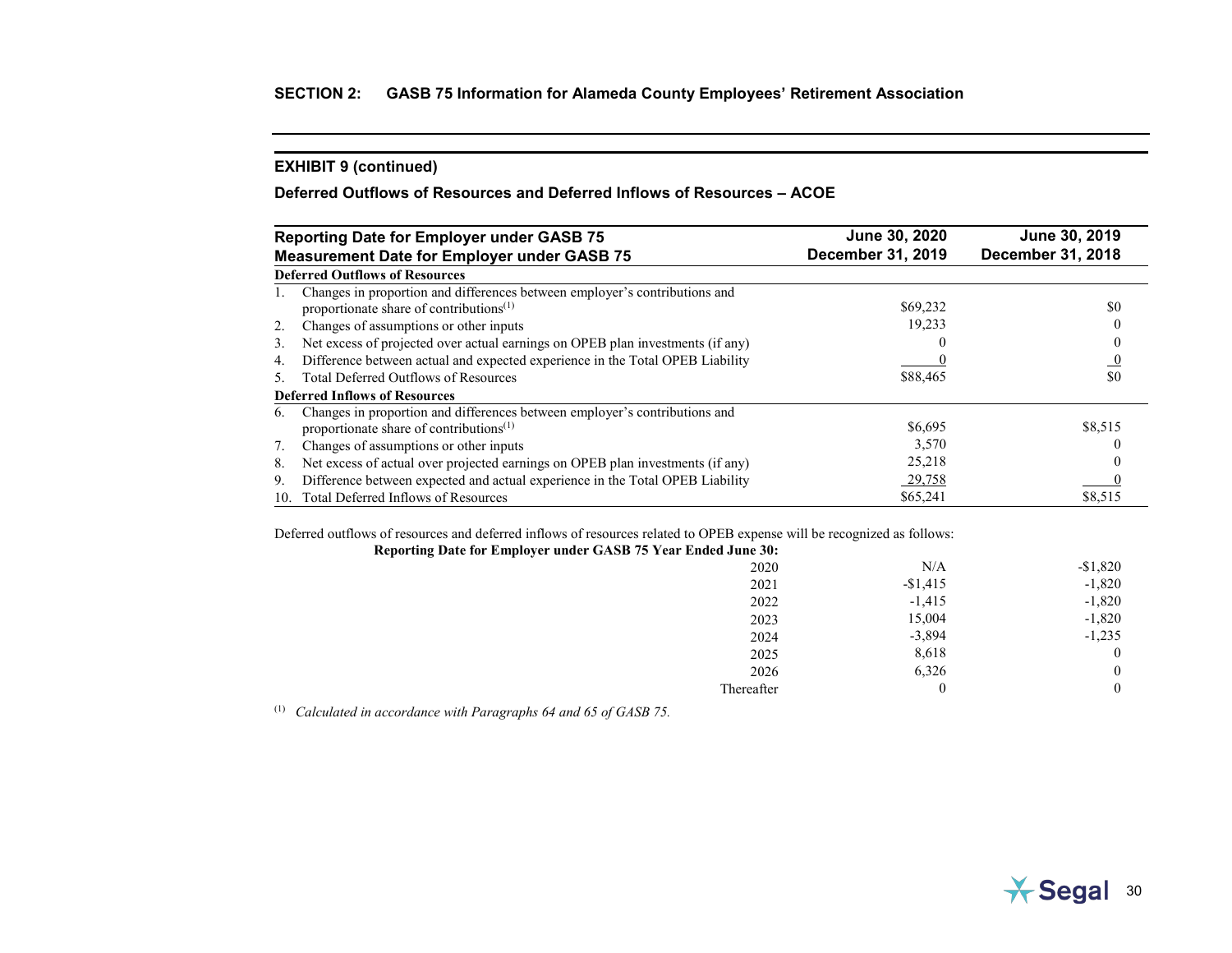# **Deferred Outflows of Resources and Deferred Inflows of Resources – ACOE**

|     | <b>Reporting Date for Employer under GASB 75</b>                                                                         | June 30, 2020     | June 30, 2019     |  |
|-----|--------------------------------------------------------------------------------------------------------------------------|-------------------|-------------------|--|
|     | <b>Measurement Date for Employer under GASB 75</b>                                                                       | December 31, 2019 | December 31, 2018 |  |
|     | <b>Deferred Outflows of Resources</b>                                                                                    |                   |                   |  |
| 1.  | Changes in proportion and differences between employer's contributions and<br>proportionate share of contributions $(1)$ | \$69,232          | \$0               |  |
| 2.  | Changes of assumptions or other inputs                                                                                   | 19.233            |                   |  |
| 3.  | Net excess of projected over actual earnings on OPEB plan investments (if any)                                           |                   |                   |  |
| 4.  | Difference between actual and expected experience in the Total OPEB Liability                                            |                   |                   |  |
| .5. | <b>Total Deferred Outflows of Resources</b>                                                                              | \$88,465          | \$0               |  |
|     | <b>Deferred Inflows of Resources</b>                                                                                     |                   |                   |  |
| 6.  | Changes in proportion and differences between employer's contributions and<br>proportionate share of contributions $(1)$ | \$6,695           | \$8,515           |  |
| 7.  | Changes of assumptions or other inputs                                                                                   | 3,570             |                   |  |
| 8.  | Net excess of actual over projected earnings on OPEB plan investments (if any)                                           | 25,218            |                   |  |
| 9.  | Difference between expected and actual experience in the Total OPEB Liability                                            | 29,758            |                   |  |
| 10. | Total Deferred Inflows of Resources                                                                                      | \$65,241          | \$8,515           |  |

Deferred outflows of resources and deferred inflows of resources related to OPEB expense will be recognized as follows:

| $-$1,820$        |
|------------------|
| $-1,820$         |
| $-1,820$         |
| $-1,820$         |
| $-1,235$         |
| $\theta$         |
| $\boldsymbol{0}$ |
| $\boldsymbol{0}$ |
|                  |

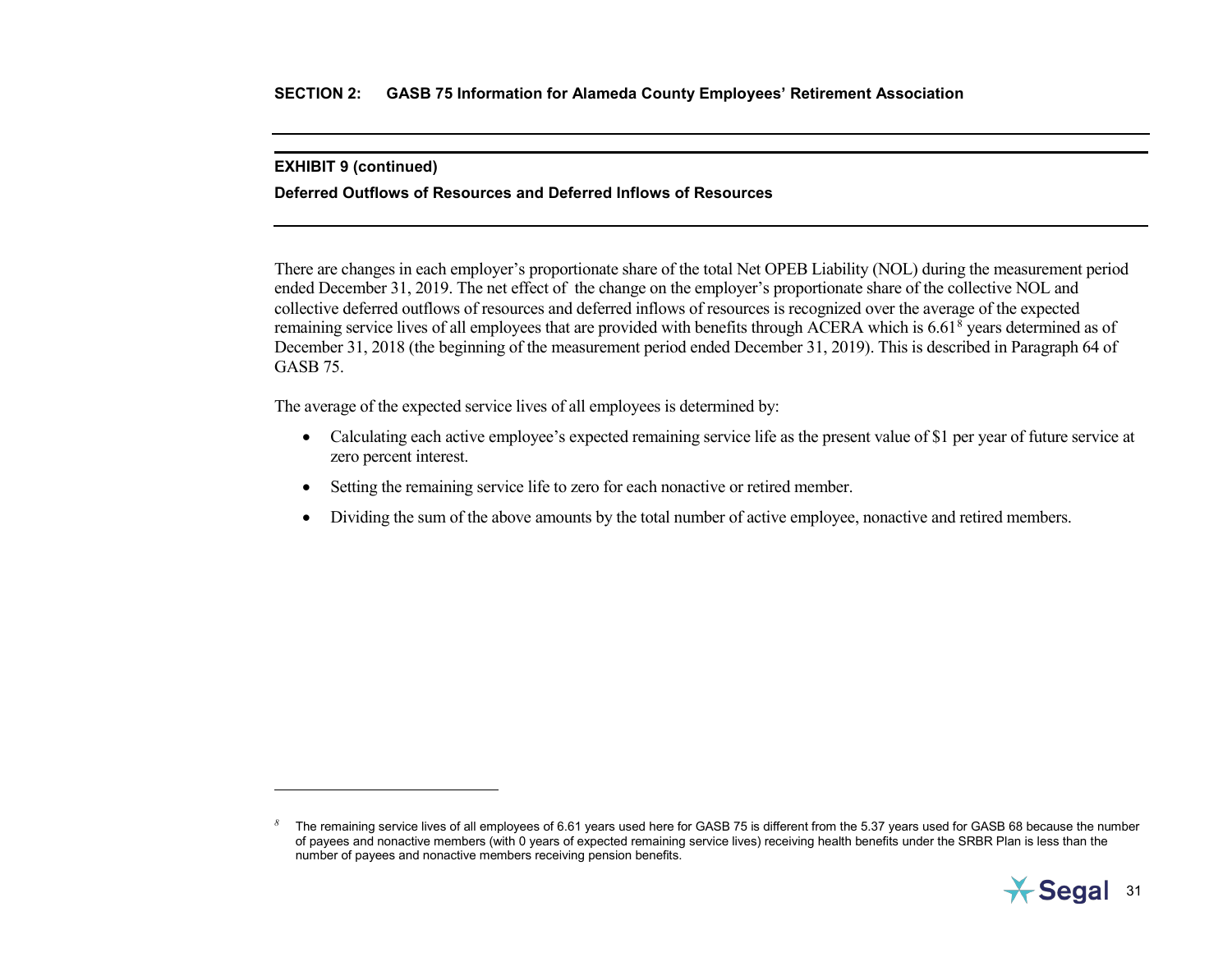$\overline{a}$ 

### <span id="page-42-0"></span>**Deferred Outflows of Resources and Deferred Inflows of Resources**

There are changes in each employer's proportionate share of the total Net OPEB Liability (NOL) during the measurement period ended December 31, 2019. The net effect of the change on the employer's proportionate share of the collective NOL and collective deferred outflows of resources and deferred inflows of resources is recognized over the average of the expected remaining service lives of all employees that are provided with benefits through ACERA which is 6.61<sup>[8](#page-42-0)</sup> years determined as of December 31, 2018 (the beginning of the measurement period ended December 31, 2019). This is described in Paragraph 64 of GASB 75.

The average of the expected service lives of all employees is determined by:

- Calculating each active employee's expected remaining service life as the present value of \$1 per year of future service at zero percent interest.
- Setting the remaining service life to zero for each nonactive or retired member.
- Dividing the sum of the above amounts by the total number of active employee, nonactive and retired members.

*<sup>8</sup>* The remaining service lives of all employees of 6.61 years used here for GASB 75 is different from the 5.37 years used for GASB 68 because the number of payees and nonactive members (with 0 years of expected remaining service lives) receiving health benefits under the SRBR Plan is less than the number of payees and nonactive members receiving pension benefits.

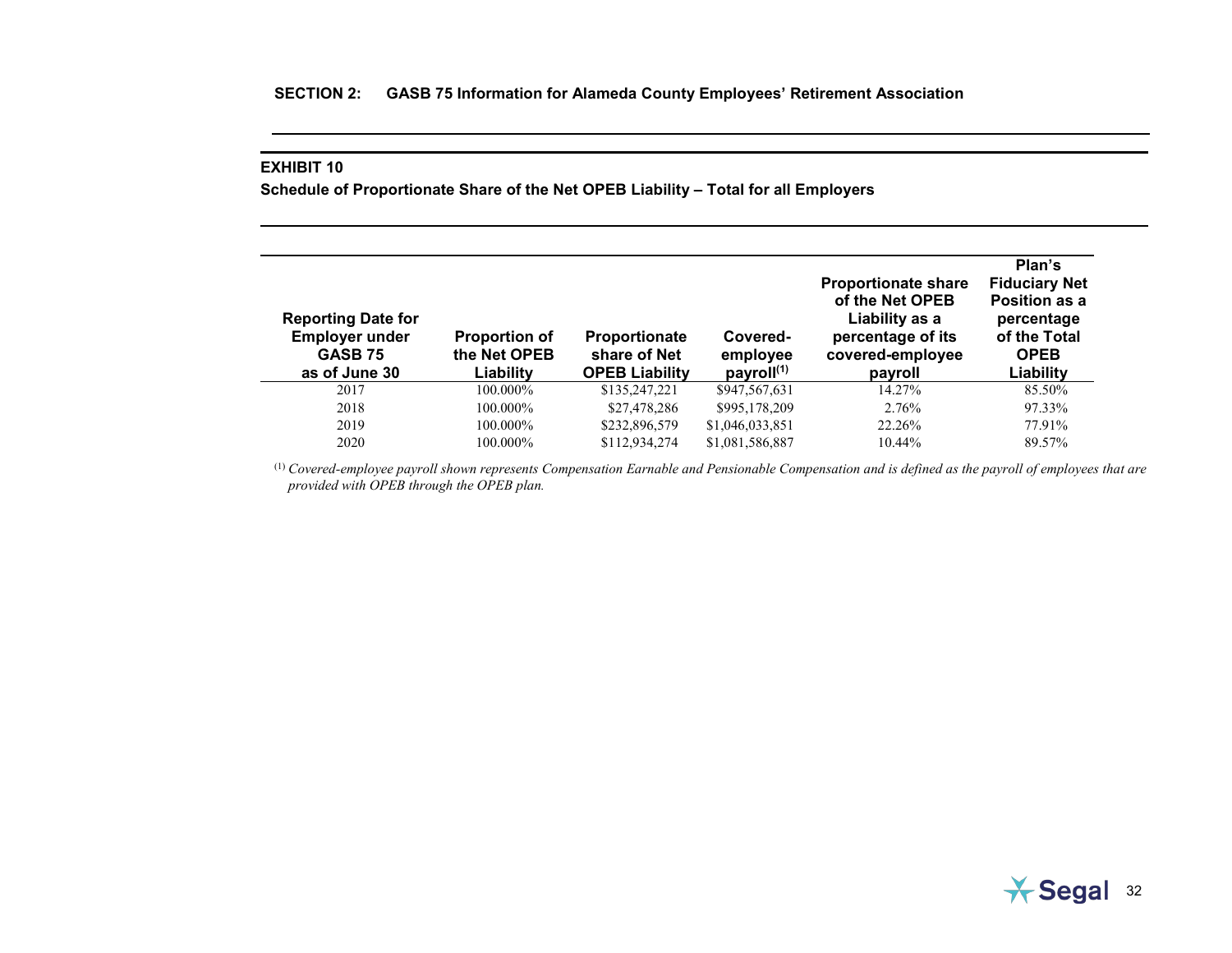### **EXHIBIT 10**

**Schedule of Proportionate Share of the Net OPEB Liability – Total for all Employers**

| <b>Reporting Date for</b><br><b>Employer under</b><br><b>GASB 75</b><br>as of June 30 | <b>Proportion of</b><br>the Net OPEB<br>Liability | <b>Proportionate</b><br>share of Net<br><b>OPEB Liability</b> | Covered-<br>employee<br>payroll $(1)$ | <b>Proportionate share</b><br>of the Net OPEB<br>Liability as a<br>percentage of its<br>covered-employee<br>payroll | Plan's<br><b>Fiduciary Net</b><br>Position as a<br>percentage<br>of the Total<br><b>OPEB</b><br>Liability |
|---------------------------------------------------------------------------------------|---------------------------------------------------|---------------------------------------------------------------|---------------------------------------|---------------------------------------------------------------------------------------------------------------------|-----------------------------------------------------------------------------------------------------------|
| 2017                                                                                  | 100.000%                                          | \$135,247,221                                                 | \$947,567,631                         | 14.27%                                                                                                              | 85.50%                                                                                                    |
| 2018                                                                                  | 100.000%                                          | \$27,478,286                                                  | \$995,178,209                         | 2.76%                                                                                                               | 97.33%                                                                                                    |
| 2019                                                                                  | $100.000\%$                                       | \$232,896,579                                                 | \$1,046,033,851                       | 22.26%                                                                                                              | 77.91%                                                                                                    |
| 2020                                                                                  | 100.000%                                          | \$112,934,274                                                 | \$1,081,586,887                       | 10.44%                                                                                                              | 89.57%                                                                                                    |

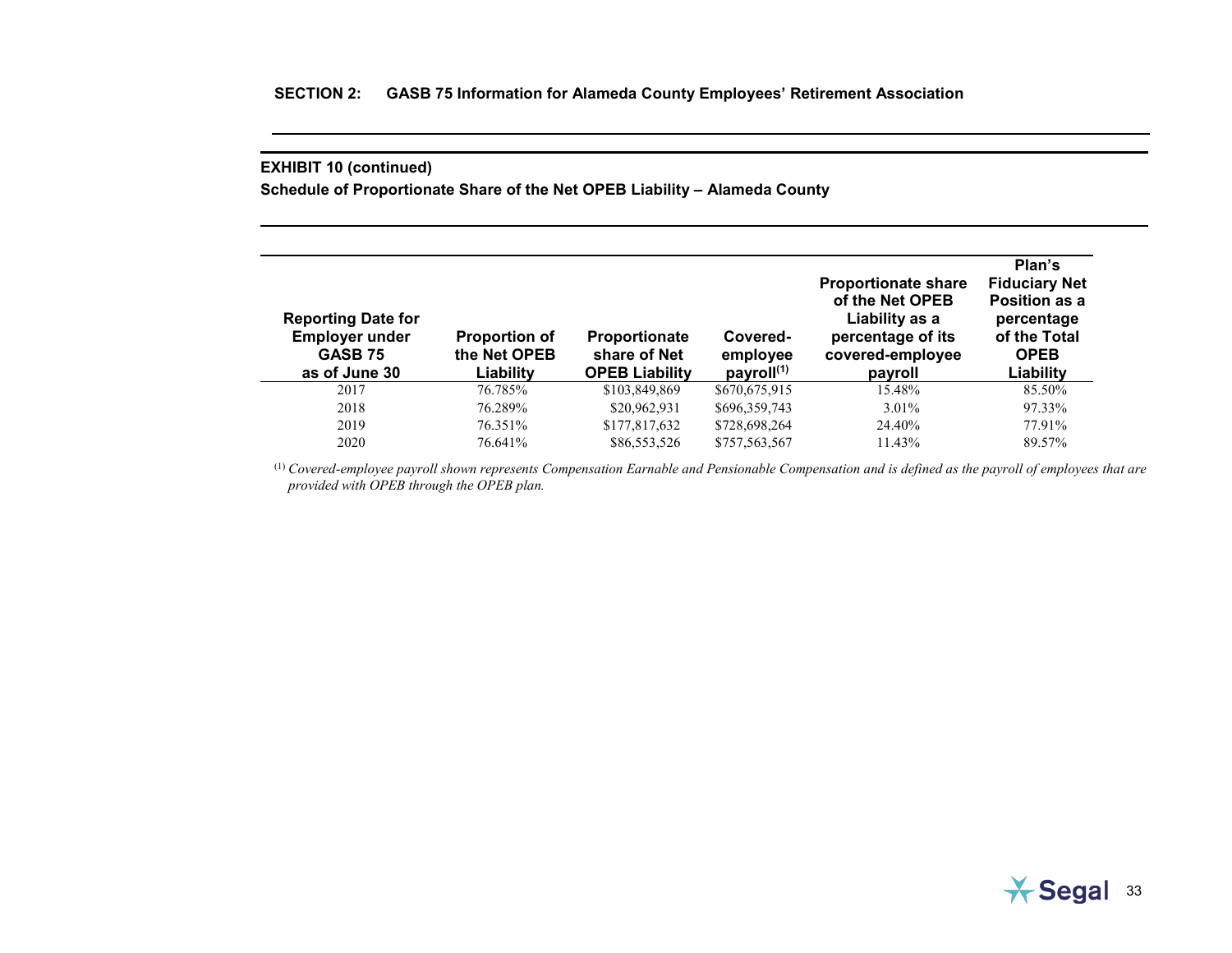**Schedule of Proportionate Share of the Net OPEB Liability – Alameda County**

| <b>Reporting Date for</b><br><b>Employer under</b><br><b>GASB 75</b><br>as of June 30 | <b>Proportion of</b><br>the Net OPEB<br>Liability | <b>Proportionate</b><br>share of Net<br><b>OPEB Liability</b> | Covered-<br>employee<br>payroll $(1)$ | <b>Proportionate share</b><br>of the Net OPEB<br>Liability as a<br>percentage of its<br>covered-employee<br>payroll | Plan's<br><b>Fiduciary Net</b><br>Position as a<br>percentage<br>of the Total<br><b>OPEB</b><br>Liability |
|---------------------------------------------------------------------------------------|---------------------------------------------------|---------------------------------------------------------------|---------------------------------------|---------------------------------------------------------------------------------------------------------------------|-----------------------------------------------------------------------------------------------------------|
| 2017                                                                                  | 76.785%                                           | \$103,849,869                                                 | \$670,675,915                         | 15.48%                                                                                                              | 85.50%                                                                                                    |
| 2018                                                                                  | 76.289%                                           | \$20,962,931                                                  | \$696,359,743                         | $3.01\%$                                                                                                            | 97.33%                                                                                                    |
| 2019                                                                                  | 76.351%                                           | \$177,817,632                                                 | \$728,698,264                         | 24.40%                                                                                                              | 77.91%                                                                                                    |
| 2020                                                                                  | 76.641%                                           | \$86,553,526                                                  | \$757,563,567                         | 11.43%                                                                                                              | 89.57%                                                                                                    |

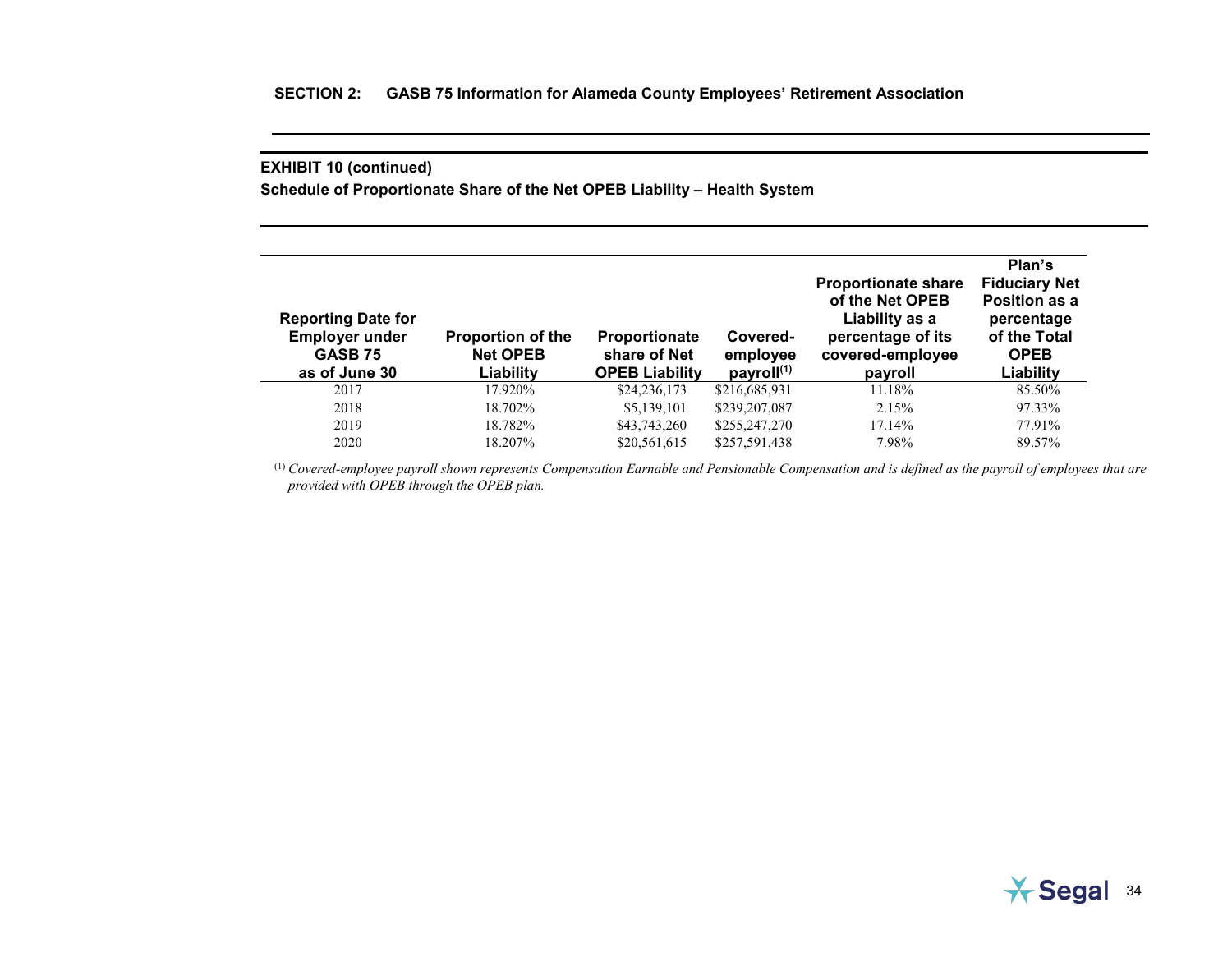**Schedule of Proportionate Share of the Net OPEB Liability – Health System**

| <b>Reporting Date for</b><br><b>Employer under</b><br><b>GASB 75</b><br>as of June 30 | <b>Proportion of the</b><br><b>Net OPEB</b><br>Liability | <b>Proportionate</b><br>share of Net<br><b>OPEB Liability</b> | Covered-<br>employee<br>payroll $(1)$ | <b>Proportionate share</b><br>of the Net OPEB<br>Liability as a<br>percentage of its<br>covered-employee<br>payroll | Plan's<br><b>Fiduciary Net</b><br>Position as a<br>percentage<br>of the Total<br><b>OPEB</b><br>Liability |
|---------------------------------------------------------------------------------------|----------------------------------------------------------|---------------------------------------------------------------|---------------------------------------|---------------------------------------------------------------------------------------------------------------------|-----------------------------------------------------------------------------------------------------------|
| 2017                                                                                  | 17.920%                                                  | \$24,236,173                                                  | \$216,685,931                         | 11.18%                                                                                                              | 85.50%                                                                                                    |
| 2018                                                                                  | 18.702%                                                  | \$5,139,101                                                   | \$239,207,087                         | 2.15%                                                                                                               | 97.33%                                                                                                    |
| 2019                                                                                  | 18.782%                                                  | \$43,743,260                                                  | \$255,247,270                         | 17.14%                                                                                                              | 77.91%                                                                                                    |
| 2020                                                                                  | 18.207%                                                  | \$20,561,615                                                  | \$257,591,438                         | 7.98%                                                                                                               | 89.57%                                                                                                    |

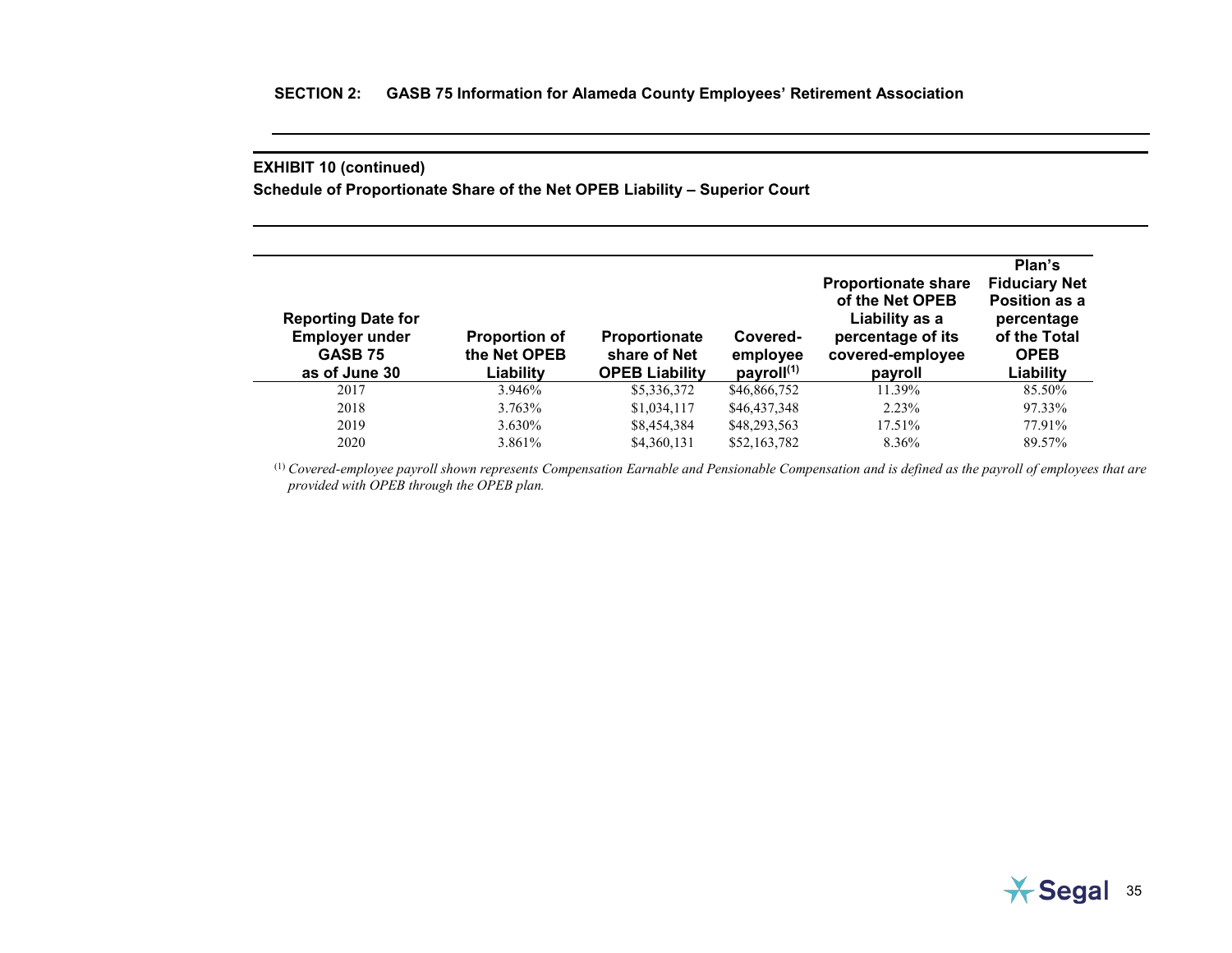**Schedule of Proportionate Share of the Net OPEB Liability – Superior Court**

| <b>Reporting Date for</b><br><b>Employer under</b><br>GASB <sub>75</sub><br>as of June 30 | <b>Proportion of</b><br>the Net OPEB<br>Liability | <b>Proportionate</b><br>share of Net<br><b>OPEB Liability</b> | Covered-<br>employee<br>payroll <sup>(1)</sup> | <b>Proportionate share</b><br>of the Net OPEB<br>Liability as a<br>percentage of its<br>covered-employee<br>payroll | Plan's<br><b>Fiduciary Net</b><br>Position as a<br>percentage<br>of the Total<br><b>OPEB</b><br>Liability |
|-------------------------------------------------------------------------------------------|---------------------------------------------------|---------------------------------------------------------------|------------------------------------------------|---------------------------------------------------------------------------------------------------------------------|-----------------------------------------------------------------------------------------------------------|
| 2017                                                                                      | 3.946%                                            | \$5,336,372                                                   | \$46,866,752                                   | 11.39%                                                                                                              | 85.50%                                                                                                    |
| 2018                                                                                      | 3.763%                                            | \$1,034,117                                                   | \$46,437,348                                   | $2.23\%$                                                                                                            | 97.33%                                                                                                    |
| 2019                                                                                      | 3.630%                                            | \$8,454,384                                                   | \$48,293,563                                   | 17.51%                                                                                                              | 77.91%                                                                                                    |
| 2020                                                                                      | 3.861\%                                           | \$4,360,131                                                   | \$52,163,782                                   | 8.36%                                                                                                               | 89.57%                                                                                                    |

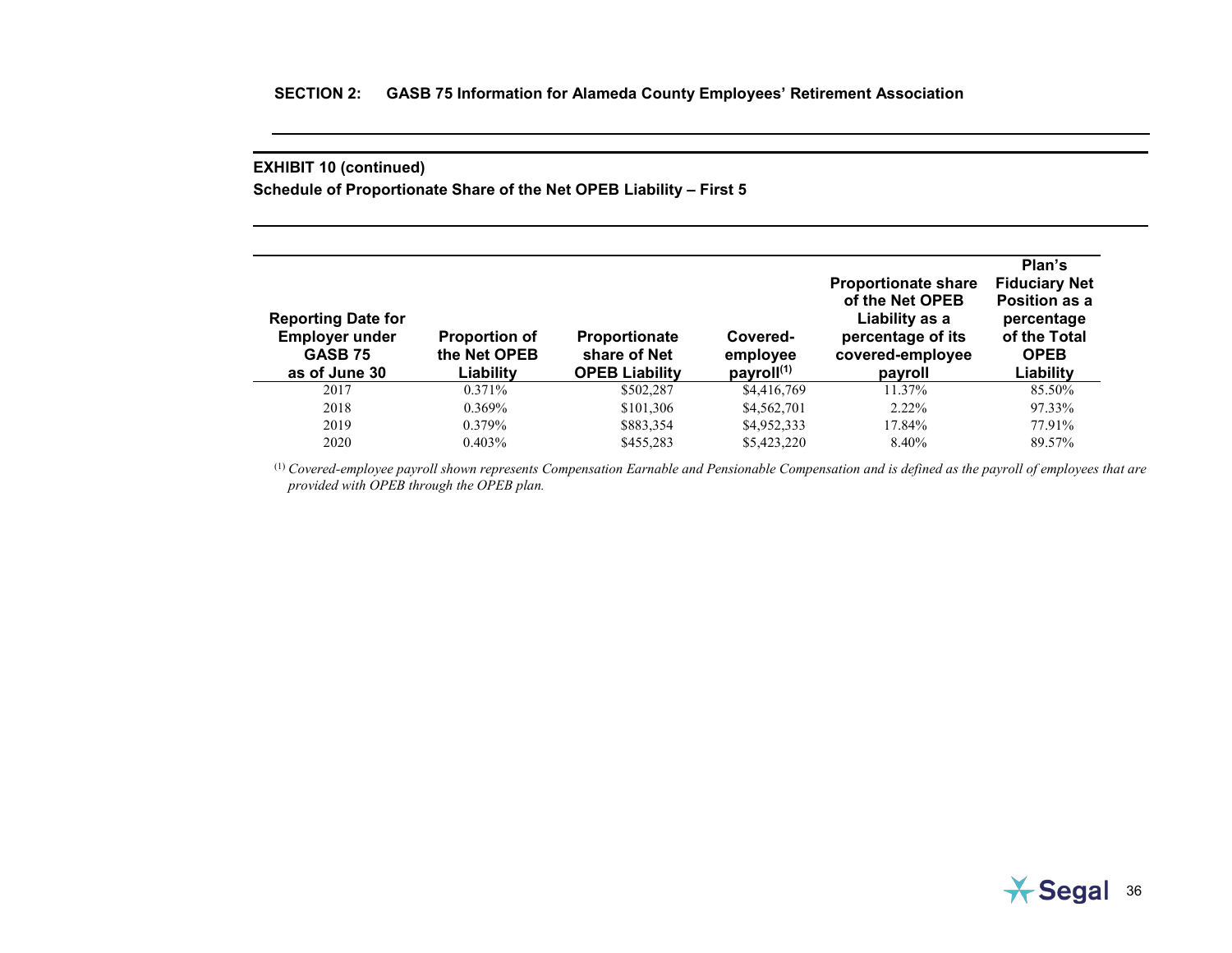**Schedule of Proportionate Share of the Net OPEB Liability – First 5**

| <b>Reporting Date for</b><br><b>Employer under</b><br>GASB 75<br>as of June 30 | <b>Proportion of</b><br>the Net OPEB<br>Liability | <b>Proportionate</b><br>share of Net<br><b>OPEB Liability</b> | Covered-<br>employee<br>payroll <sup>(1)</sup> | <b>Proportionate share</b><br>of the Net OPEB<br>Liability as a<br>percentage of its<br>covered-employee<br>payroll | Plan's<br><b>Fiduciary Net</b><br>Position as a<br>percentage<br>of the Total<br><b>OPEB</b><br>Liability |
|--------------------------------------------------------------------------------|---------------------------------------------------|---------------------------------------------------------------|------------------------------------------------|---------------------------------------------------------------------------------------------------------------------|-----------------------------------------------------------------------------------------------------------|
| 2017                                                                           | $0.371\%$                                         | \$502,287                                                     | \$4,416,769                                    | 11.37%                                                                                                              | 85.50%                                                                                                    |
| 2018                                                                           | 0.369%                                            | \$101,306                                                     | \$4,562,701                                    | $2.22\%$                                                                                                            | 97.33%                                                                                                    |
| 2019                                                                           | $0.379\%$                                         | \$883,354                                                     | \$4,952,333                                    | 17.84%                                                                                                              | 77.91%                                                                                                    |
| 2020                                                                           | $0.403\%$                                         | \$455,283                                                     | \$5,423,220                                    | 8.40%                                                                                                               | 89.57%                                                                                                    |

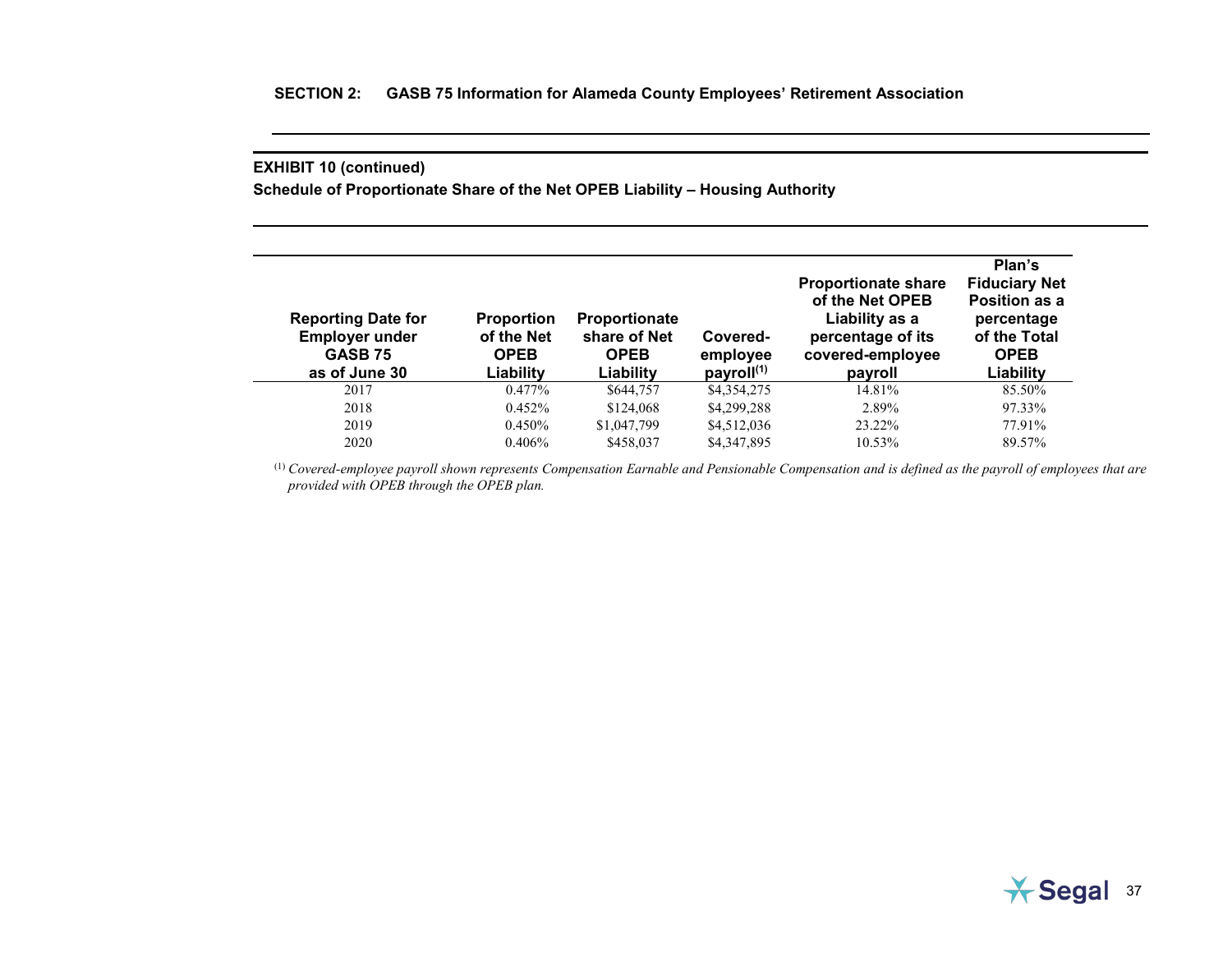**Schedule of Proportionate Share of the Net OPEB Liability – Housing Authority**

| <b>Reporting Date for</b><br><b>Employer under</b><br><b>GASB 75</b><br>as of June 30 | <b>Proportion</b><br>of the Net<br><b>OPEB</b><br>Liability | <b>Proportionate</b><br>share of Net<br><b>OPEB</b><br>Liability | Covered-<br>employee<br>payroll $(1)$ | <b>Proportionate share</b><br>of the Net OPEB<br>Liability as a<br>percentage of its<br>covered-employee<br>payroll | Plan's<br><b>Fiduciary Net</b><br>Position as a<br>percentage<br>of the Total<br><b>OPEB</b><br>Liability |
|---------------------------------------------------------------------------------------|-------------------------------------------------------------|------------------------------------------------------------------|---------------------------------------|---------------------------------------------------------------------------------------------------------------------|-----------------------------------------------------------------------------------------------------------|
| 2017                                                                                  | $0.477\%$                                                   | \$644,757                                                        | \$4,354,275                           | 14.81%                                                                                                              | 85.50%                                                                                                    |
| 2018                                                                                  | 0.452%                                                      | \$124,068                                                        | \$4,299,288                           | 2.89%                                                                                                               | 97.33%                                                                                                    |
| 2019                                                                                  | 0.450%                                                      | \$1,047,799                                                      | \$4,512,036                           | 23.22%                                                                                                              | 77.91%                                                                                                    |
| 2020                                                                                  | $0.406\%$                                                   | \$458,037                                                        | \$4,347,895                           | 10.53%                                                                                                              | 89.57%                                                                                                    |

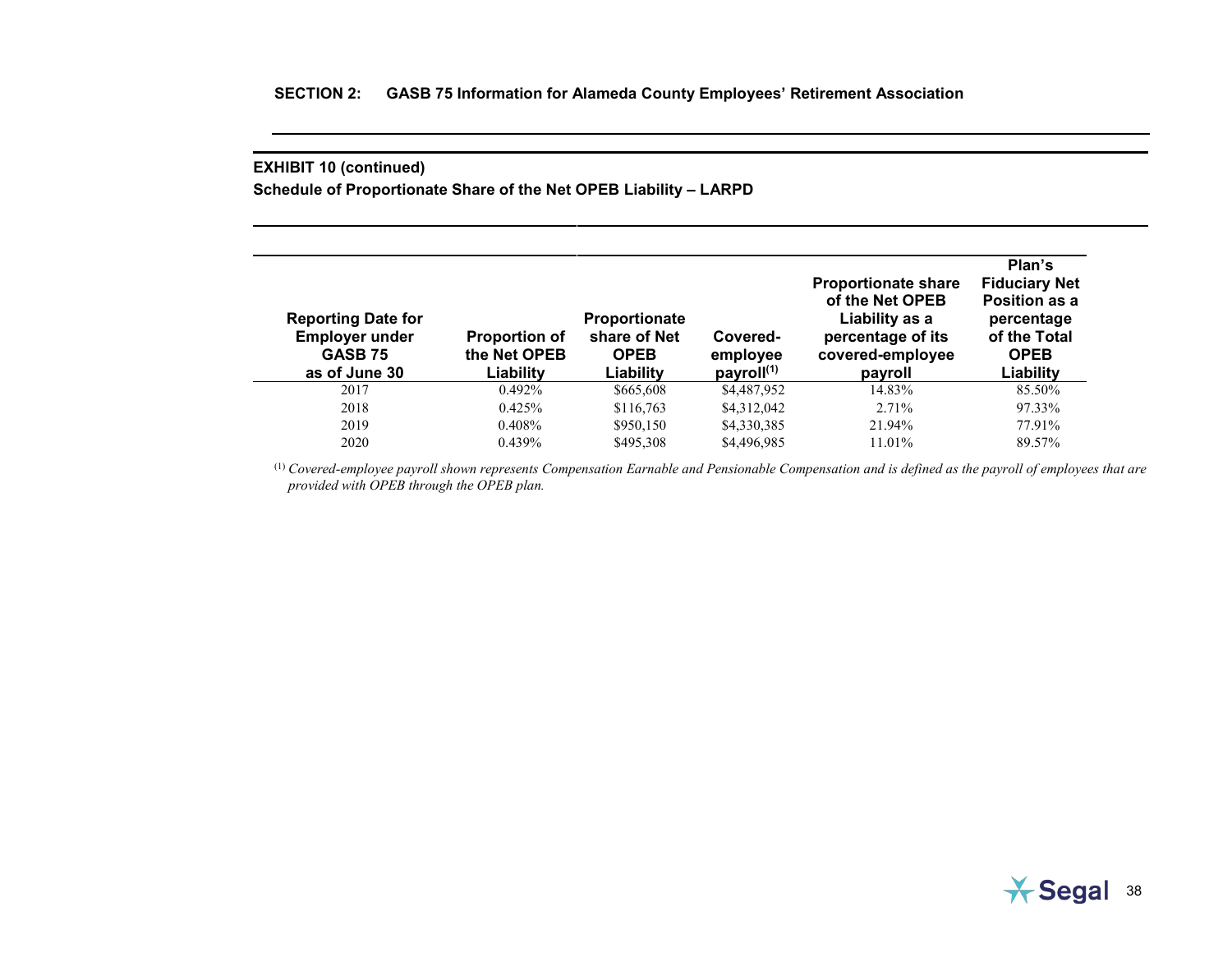**Schedule of Proportionate Share of the Net OPEB Liability – LARPD**

| <b>Reporting Date for</b><br><b>Employer under</b><br><b>GASB 75</b><br>as of June 30 | <b>Proportion of</b><br>the Net OPEB<br>Liability | Proportionate<br>share of Net<br><b>OPEB</b><br>Liability | Covered-<br>employee<br>payroll <sup>(1)</sup> | <b>Proportionate share</b><br>of the Net OPEB<br>Liability as a<br>percentage of its<br>covered-employee<br>payroll | Plan's<br><b>Fiduciary Net</b><br>Position as a<br>percentage<br>of the Total<br><b>OPEB</b><br>Liability |
|---------------------------------------------------------------------------------------|---------------------------------------------------|-----------------------------------------------------------|------------------------------------------------|---------------------------------------------------------------------------------------------------------------------|-----------------------------------------------------------------------------------------------------------|
| 2017                                                                                  | $0.492\%$                                         | \$665,608                                                 | \$4,487,952                                    | 14.83%                                                                                                              | 85.50%                                                                                                    |
| 2018                                                                                  | 0.425%                                            | \$116,763                                                 | \$4,312,042                                    | 2.71%                                                                                                               | 97.33%                                                                                                    |
| 2019                                                                                  | 0.408%                                            | \$950,150                                                 | \$4,330,385                                    | 21.94%                                                                                                              | 77.91%                                                                                                    |
| 2020                                                                                  | 0.439%                                            | \$495,308                                                 | \$4,496,985                                    | 11.01%                                                                                                              | 89.57%                                                                                                    |

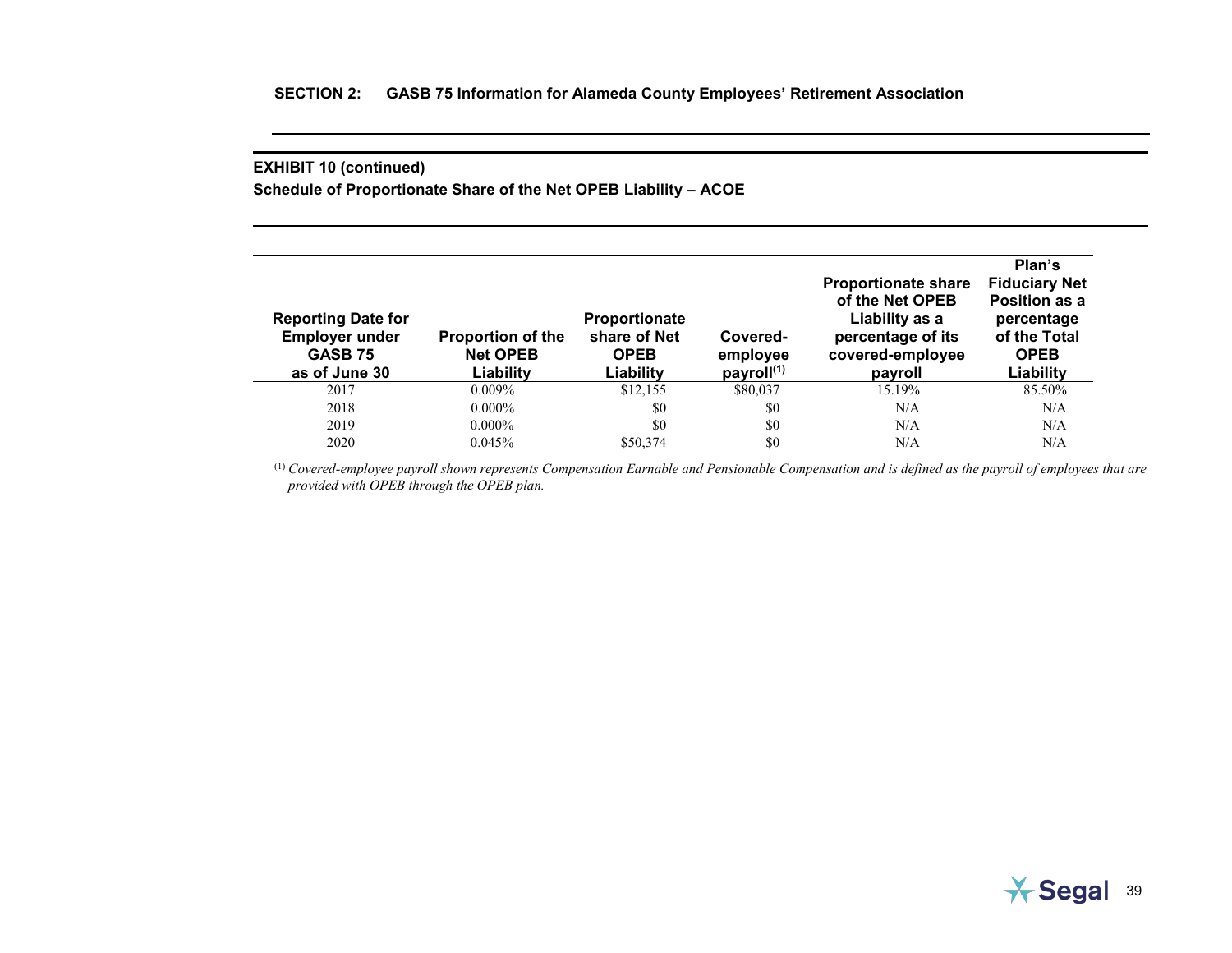**Schedule of Proportionate Share of the Net OPEB Liability – ACOE**

| <b>Reporting Date for</b><br><b>Employer under</b><br><b>GASB 75</b><br>as of June 30 | <b>Proportion of the</b><br><b>Net OPEB</b><br>Liability | Proportionate<br>share of Net<br><b>OPEB</b><br>Liability | Covered-<br>employee<br>payroll $(1)$ | <b>Proportionate share</b><br>of the Net OPEB<br>Liability as a<br>percentage of its<br>covered-employee<br>payroll | Plan's<br><b>Fiduciary Net</b><br>Position as a<br>percentage<br>of the Total<br><b>OPEB</b><br>Liability |
|---------------------------------------------------------------------------------------|----------------------------------------------------------|-----------------------------------------------------------|---------------------------------------|---------------------------------------------------------------------------------------------------------------------|-----------------------------------------------------------------------------------------------------------|
| 2017                                                                                  | $0.009\%$                                                | \$12,155                                                  | \$80,037                              | 15.19%                                                                                                              | 85.50%                                                                                                    |
| 2018                                                                                  | $0.000\%$                                                | \$0                                                       | \$0                                   | N/A                                                                                                                 | N/A                                                                                                       |
| 2019                                                                                  | $0.000\%$                                                | \$0                                                       | \$0                                   | N/A                                                                                                                 | N/A                                                                                                       |
| 2020                                                                                  | $0.045\%$                                                | \$50,374                                                  | \$0                                   | N/A                                                                                                                 | N/A                                                                                                       |

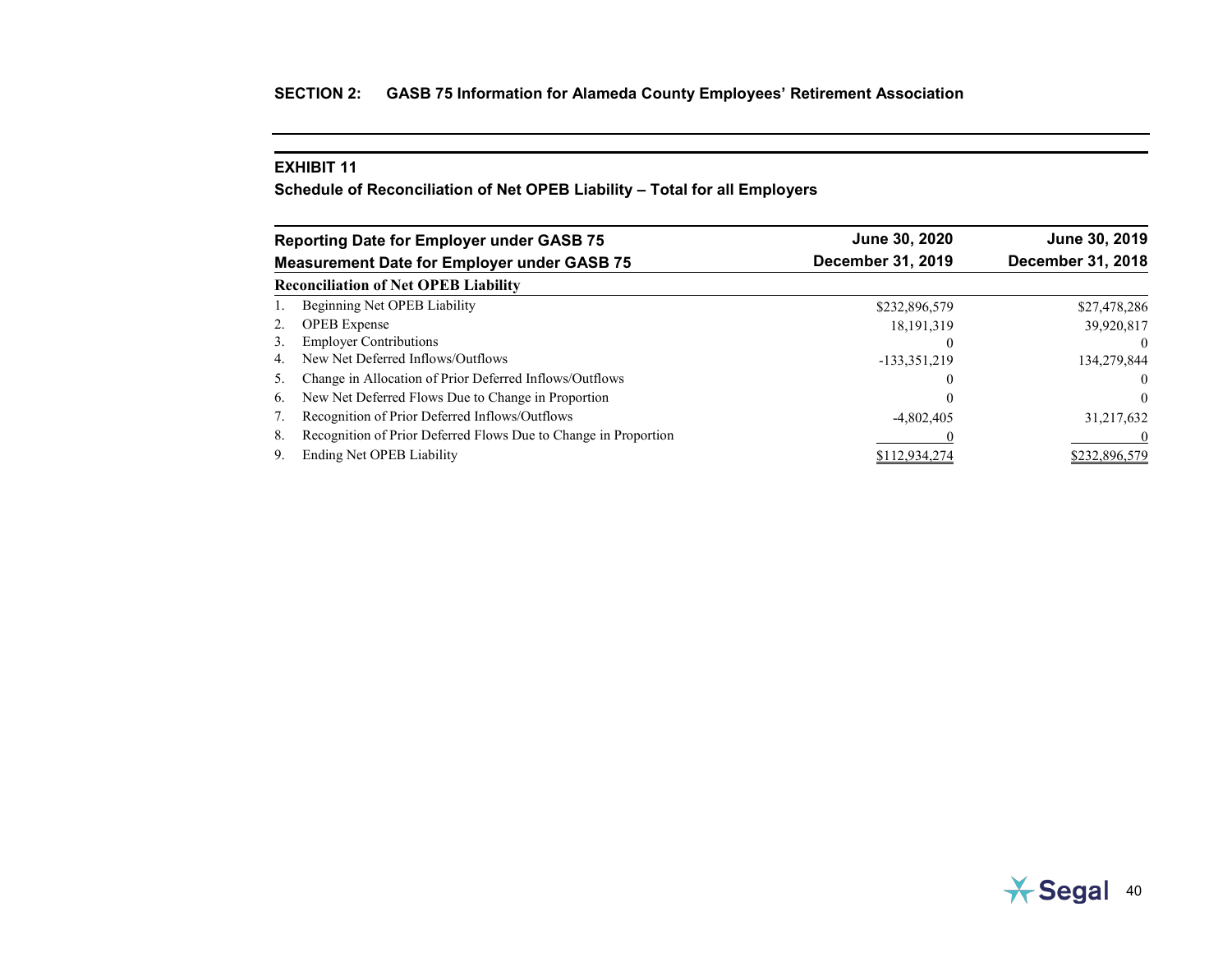# **EXHIBIT 11**

**Schedule of Reconciliation of Net OPEB Liability – Total for all Employers**

|    | <b>Reporting Date for Employer under GASB 75</b>                | June 30, 2020     | June 30, 2019     |
|----|-----------------------------------------------------------------|-------------------|-------------------|
|    | <b>Measurement Date for Employer under GASB 75</b>              | December 31, 2019 | December 31, 2018 |
|    | <b>Reconciliation of Net OPEB Liability</b>                     |                   |                   |
|    | Beginning Net OPEB Liability                                    | \$232,896,579     | \$27,478,286      |
| 2. | <b>OPEB</b> Expense                                             | 18, 191, 319      | 39,920,817        |
| 3. | <b>Employer Contributions</b>                                   | $\theta$          | $\Omega$          |
| 4. | New Net Deferred Inflows/Outflows                               | -133,351,219      | 134,279,844       |
| 5. | Change in Allocation of Prior Deferred Inflows/Outflows         | $\theta$          | $\overline{0}$    |
| 6. | New Net Deferred Flows Due to Change in Proportion              | $\theta$          | $\theta$          |
|    | Recognition of Prior Deferred Inflows/Outflows                  | $-4,802,405$      | 31,217,632        |
| 8. | Recognition of Prior Deferred Flows Due to Change in Proportion |                   | $\Omega$          |
| 9. | Ending Net OPEB Liability                                       | \$112,934,274     | \$232,896,579     |

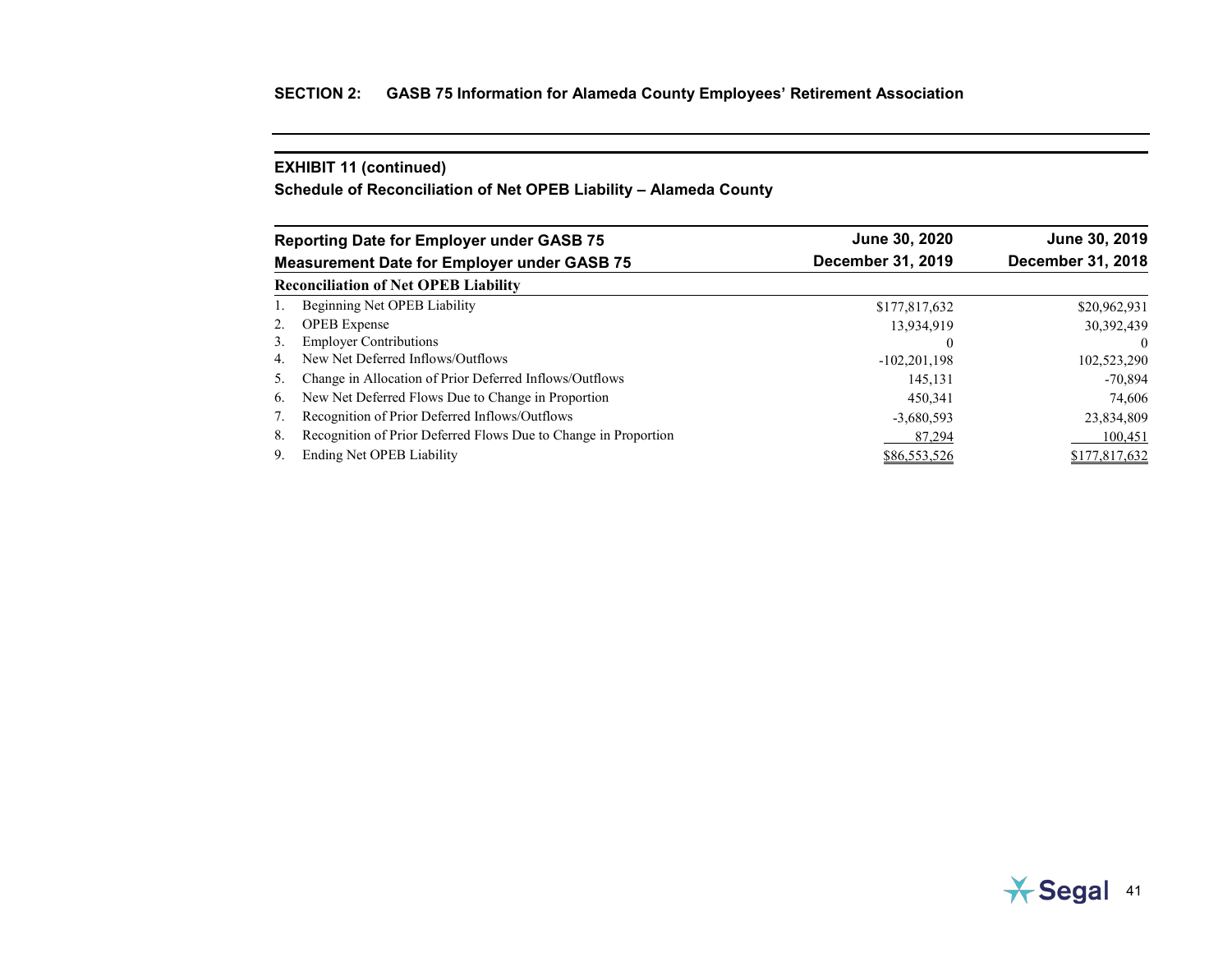**Schedule of Reconciliation of Net OPEB Liability – Alameda County**

|    | <b>Reporting Date for Employer under GASB 75</b>                | June 30, 2020     | June 30, 2019     |  |
|----|-----------------------------------------------------------------|-------------------|-------------------|--|
|    | <b>Measurement Date for Employer under GASB 75</b>              | December 31, 2019 | December 31, 2018 |  |
|    | <b>Reconciliation of Net OPEB Liability</b>                     |                   |                   |  |
|    | Beginning Net OPEB Liability                                    | \$177,817,632     | \$20,962,931      |  |
| 2. | <b>OPEB</b> Expense                                             | 13,934,919        | 30,392,439        |  |
| 3. | <b>Employer Contributions</b>                                   |                   | $\Omega$          |  |
| 4. | New Net Deferred Inflows/Outflows                               | $-102,201,198$    | 102,523,290       |  |
| 5. | Change in Allocation of Prior Deferred Inflows/Outflows         | 145,131           | $-70.894$         |  |
| 6. | New Net Deferred Flows Due to Change in Proportion              | 450.341           | 74,606            |  |
|    | Recognition of Prior Deferred Inflows/Outflows                  | $-3,680,593$      | 23,834,809        |  |
| 8. | Recognition of Prior Deferred Flows Due to Change in Proportion | 87,294            | 100,451           |  |
| 9. | Ending Net OPEB Liability                                       | \$86,553,526      | \$177,817,632     |  |

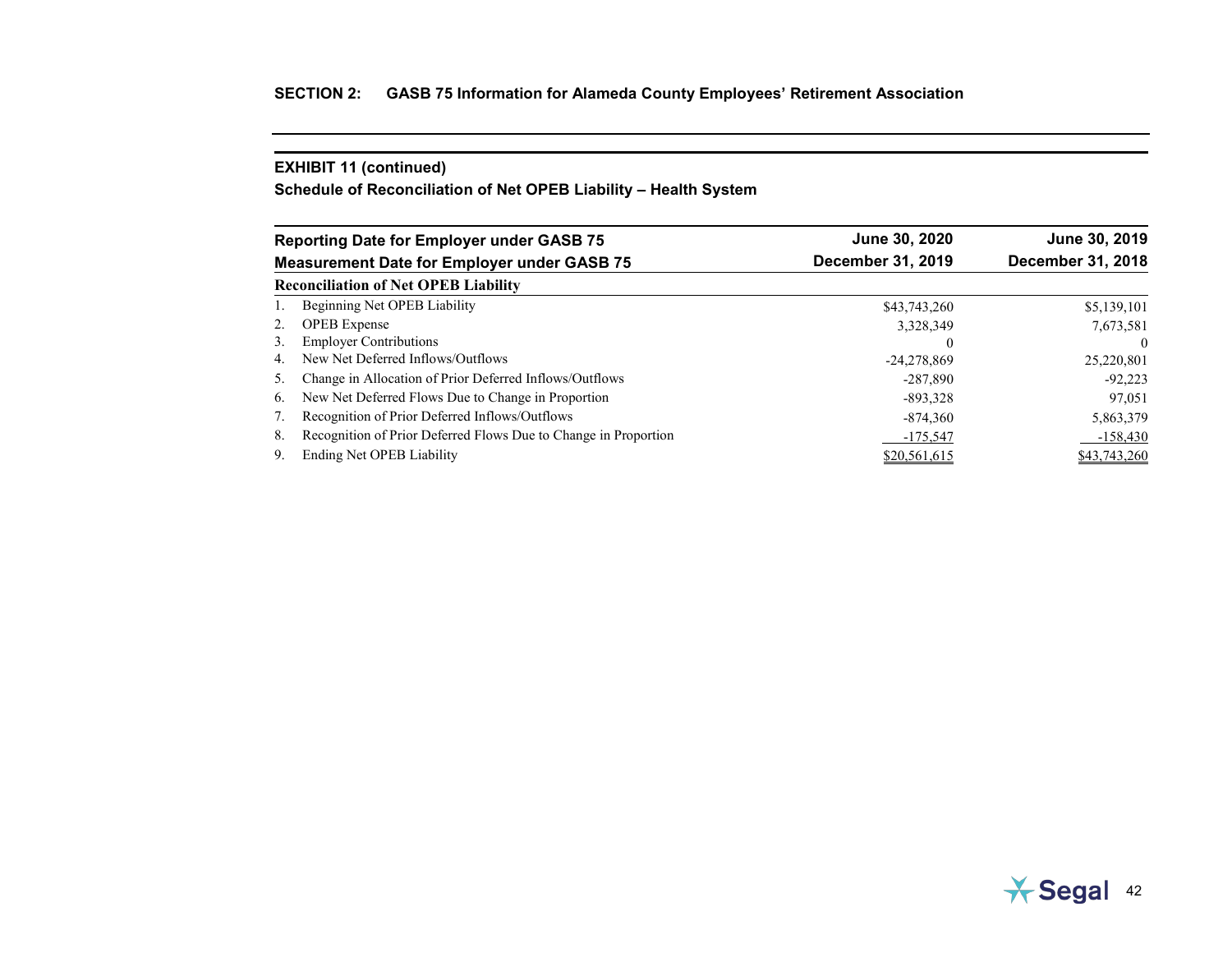**Schedule of Reconciliation of Net OPEB Liability – Health System**

|    | <b>Reporting Date for Employer under GASB 75</b>                | June 30, 2020     | June 30, 2019     |  |
|----|-----------------------------------------------------------------|-------------------|-------------------|--|
|    | <b>Measurement Date for Employer under GASB 75</b>              | December 31, 2019 | December 31, 2018 |  |
|    | <b>Reconciliation of Net OPEB Liability</b>                     |                   |                   |  |
|    | Beginning Net OPEB Liability                                    | \$43,743,260      | \$5,139,101       |  |
| 2. | <b>OPEB</b> Expense                                             | 3,328,349         | 7,673,581         |  |
| 3. | <b>Employer Contributions</b>                                   | $\theta$          |                   |  |
| 4. | New Net Deferred Inflows/Outflows                               | $-24,278,869$     | 25,220,801        |  |
| 5. | Change in Allocation of Prior Deferred Inflows/Outflows         | $-287.890$        | $-92.223$         |  |
| 6. | New Net Deferred Flows Due to Change in Proportion              | $-893,328$        | 97,051            |  |
|    | Recognition of Prior Deferred Inflows/Outflows                  | $-874,360$        | 5,863,379         |  |
| 8. | Recognition of Prior Deferred Flows Due to Change in Proportion | $-175,547$        | $-158,430$        |  |
| 9. | Ending Net OPEB Liability                                       | \$20,561,615      | \$43,743,260      |  |

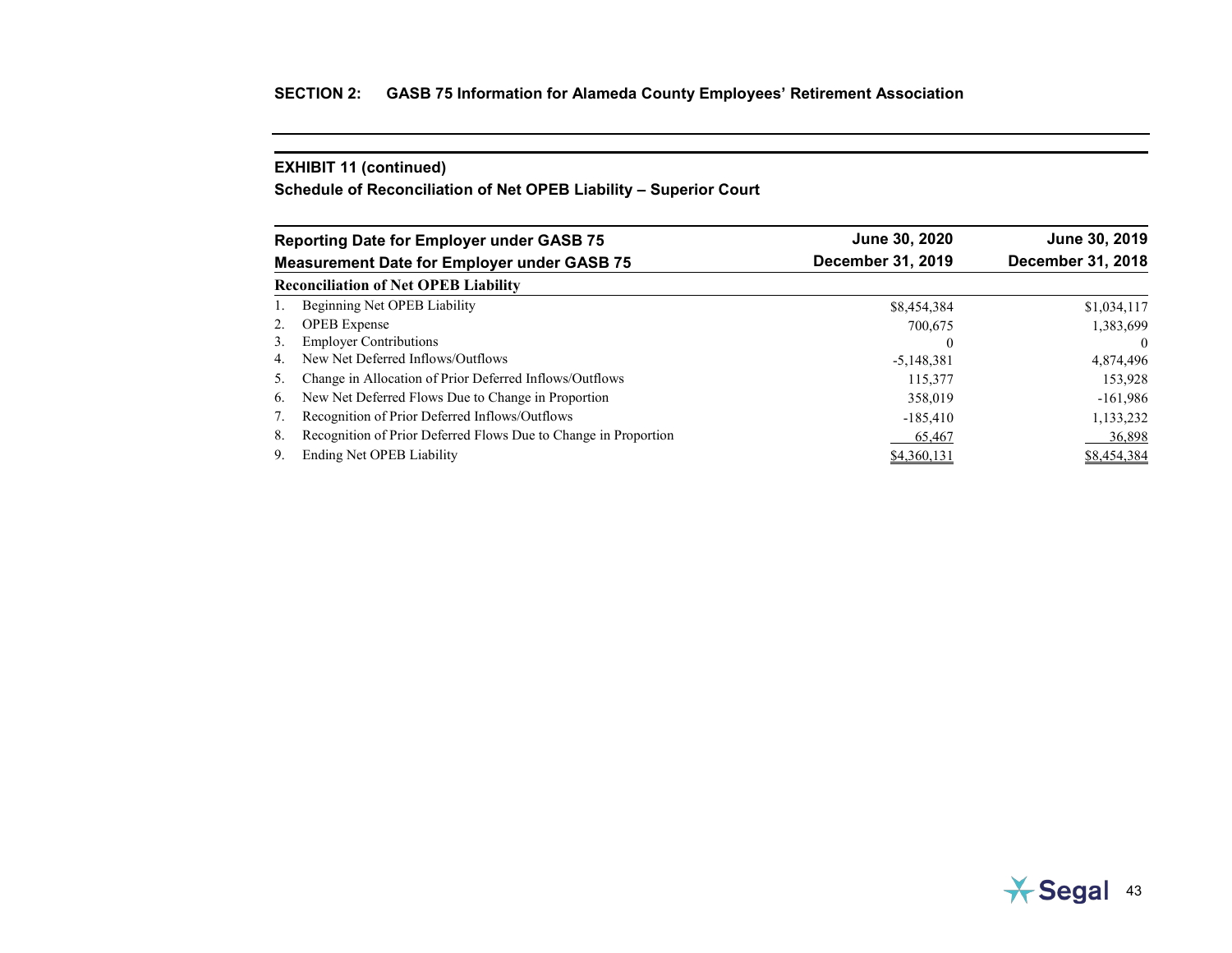**Schedule of Reconciliation of Net OPEB Liability – Superior Court**

|    | <b>Reporting Date for Employer under GASB 75</b>                | June 30, 2020     | June 30, 2019     |
|----|-----------------------------------------------------------------|-------------------|-------------------|
|    | <b>Measurement Date for Employer under GASB 75</b>              | December 31, 2019 | December 31, 2018 |
|    | <b>Reconciliation of Net OPEB Liability</b>                     |                   |                   |
|    | Beginning Net OPEB Liability                                    | \$8,454,384       | \$1,034,117       |
| 2. | <b>OPEB</b> Expense                                             | 700,675           | 1,383,699         |
| 3. | <b>Employer Contributions</b>                                   | $\theta$          | $\theta$          |
| 4. | New Net Deferred Inflows/Outflows                               | $-5,148,381$      | 4,874,496         |
| 5. | Change in Allocation of Prior Deferred Inflows/Outflows         | 115,377           | 153,928           |
| 6. | New Net Deferred Flows Due to Change in Proportion              | 358,019           | $-161,986$        |
|    | Recognition of Prior Deferred Inflows/Outflows                  | $-185,410$        | 1,133,232         |
| 8. | Recognition of Prior Deferred Flows Due to Change in Proportion | 65,467            | 36,898            |
| 9. | Ending Net OPEB Liability                                       | \$4,360,131       | \$8,454,384       |

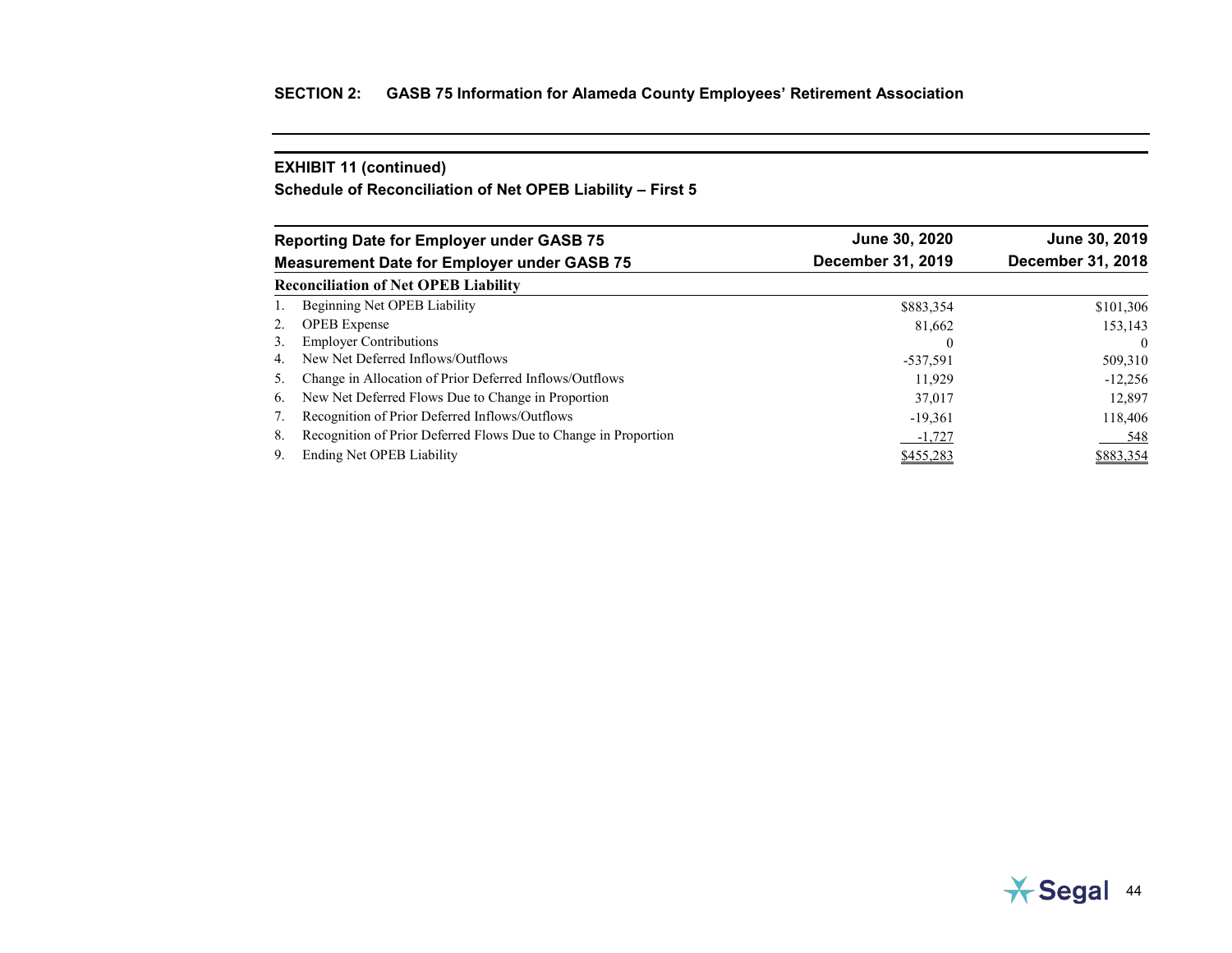**Schedule of Reconciliation of Net OPEB Liability – First 5**

|    | <b>Reporting Date for Employer under GASB 75</b>                | June 30, 2020            | June 30, 2019     |  |  |
|----|-----------------------------------------------------------------|--------------------------|-------------------|--|--|
|    | <b>Measurement Date for Employer under GASB 75</b>              | <b>December 31, 2019</b> | December 31, 2018 |  |  |
|    | <b>Reconciliation of Net OPEB Liability</b>                     |                          |                   |  |  |
|    | Beginning Net OPEB Liability                                    | \$883,354                | \$101,306         |  |  |
| 2. | <b>OPEB</b> Expense                                             | 81,662                   | 153,143           |  |  |
| 3. | <b>Employer Contributions</b>                                   | $\theta$                 | $\theta$          |  |  |
| 4. | New Net Deferred Inflows/Outflows                               | $-537,591$               | 509,310           |  |  |
| 5. | Change in Allocation of Prior Deferred Inflows/Outflows         | 11.929                   | $-12.256$         |  |  |
| 6. | New Net Deferred Flows Due to Change in Proportion              | 37,017                   | 12.897            |  |  |
|    | Recognition of Prior Deferred Inflows/Outflows                  | $-19,361$                | 118,406           |  |  |
| 8. | Recognition of Prior Deferred Flows Due to Change in Proportion | -1,727                   | 548               |  |  |
| 9. | Ending Net OPEB Liability                                       | \$455,283                | \$883,354         |  |  |

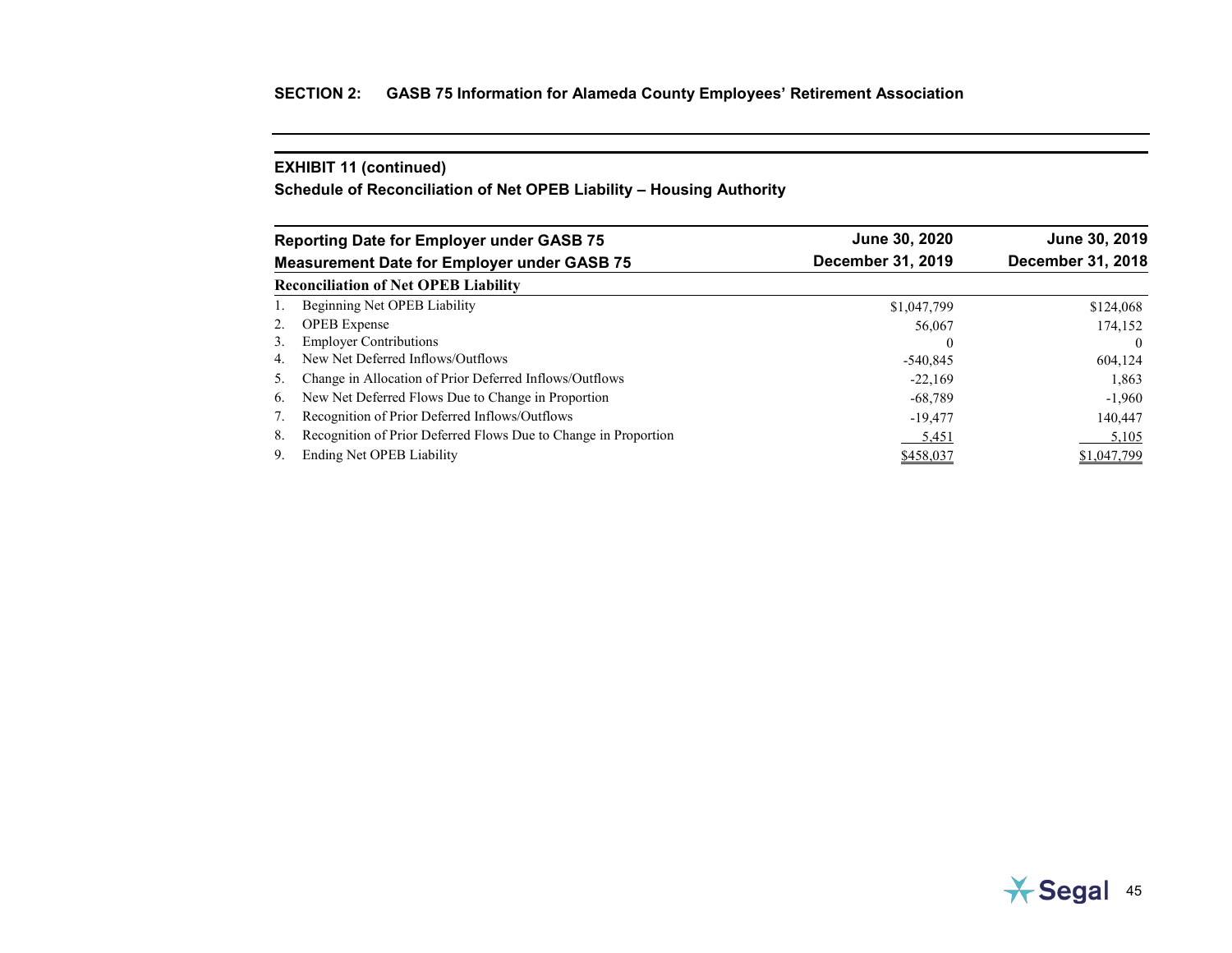**Schedule of Reconciliation of Net OPEB Liability – Housing Authority**

|    | <b>Reporting Date for Employer under GASB 75</b>                | June 30, 2020     | June 30, 2019            |  |  |
|----|-----------------------------------------------------------------|-------------------|--------------------------|--|--|
|    | <b>Measurement Date for Employer under GASB 75</b>              | December 31, 2019 | <b>December 31, 2018</b> |  |  |
|    | <b>Reconciliation of Net OPEB Liability</b>                     |                   |                          |  |  |
|    | Beginning Net OPEB Liability                                    | \$1,047,799       | \$124,068                |  |  |
| 2. | <b>OPEB</b> Expense                                             | 56,067            | 174,152                  |  |  |
| 3. | <b>Employer Contributions</b>                                   |                   | $\Omega$                 |  |  |
| 4. | New Net Deferred Inflows/Outflows                               | $-540.845$        | 604,124                  |  |  |
| 5. | Change in Allocation of Prior Deferred Inflows/Outflows         | $-22.169$         | 1,863                    |  |  |
| 6. | New Net Deferred Flows Due to Change in Proportion              | $-68,789$         | $-1,960$                 |  |  |
|    | Recognition of Prior Deferred Inflows/Outflows                  | $-19,477$         | 140,447                  |  |  |
| 8. | Recognition of Prior Deferred Flows Due to Change in Proportion | 5,451             | 5,105                    |  |  |
| 9. | Ending Net OPEB Liability                                       | \$458,037         | \$1,047,799              |  |  |

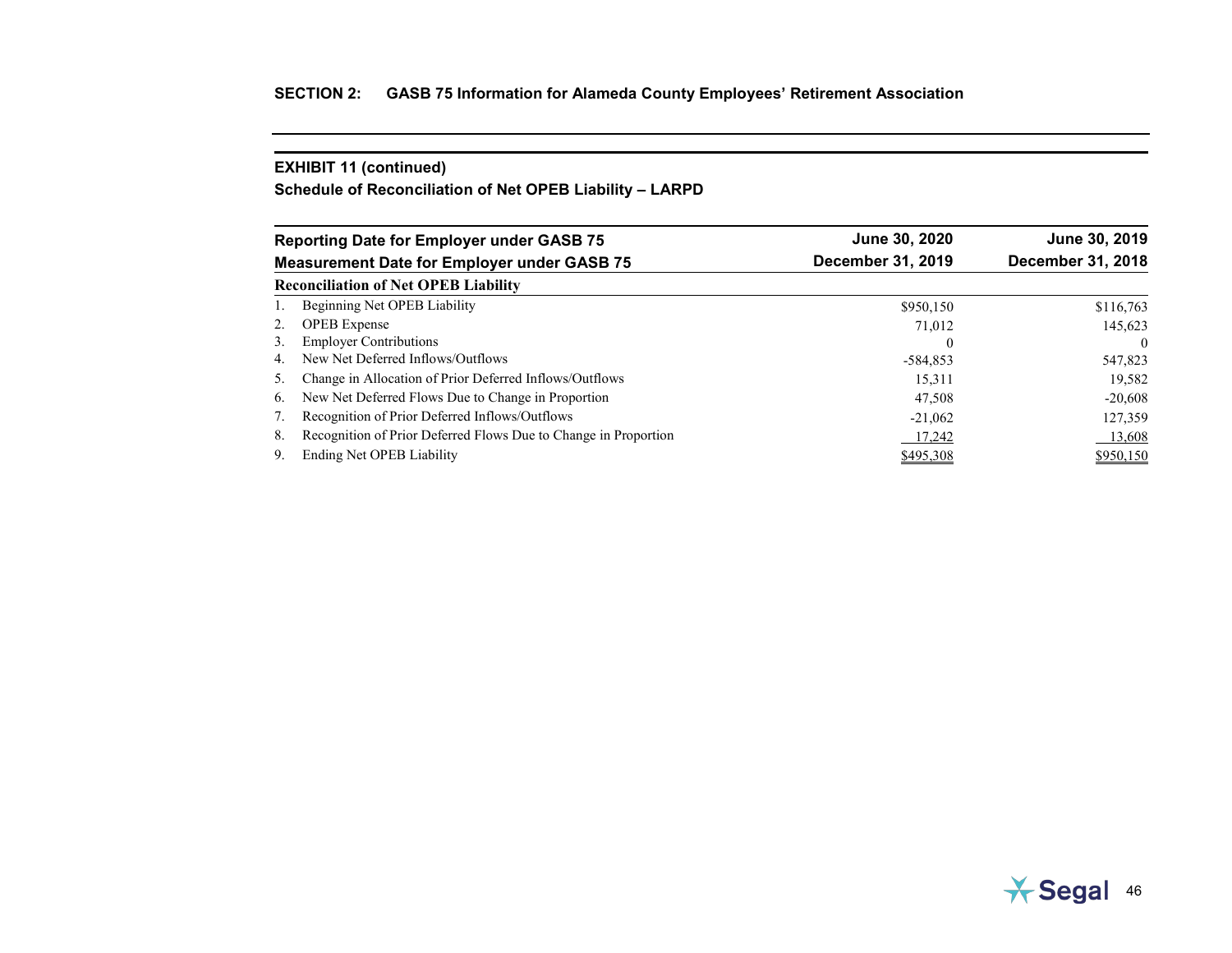**Schedule of Reconciliation of Net OPEB Liability – LARPD**

|    | <b>Reporting Date for Employer under GASB 75</b>                | June 30, 2020     | June 30, 2019     |
|----|-----------------------------------------------------------------|-------------------|-------------------|
|    | <b>Measurement Date for Employer under GASB 75</b>              | December 31, 2019 | December 31, 2018 |
|    | <b>Reconciliation of Net OPEB Liability</b>                     |                   |                   |
|    | Beginning Net OPEB Liability                                    | \$950,150         | \$116,763         |
| 2. | <b>OPEB</b> Expense                                             | 71,012            | 145,623           |
| 3. | <b>Employer Contributions</b>                                   | $\theta$          | $\theta$          |
| 4. | New Net Deferred Inflows/Outflows                               | $-584,853$        | 547,823           |
| 5. | Change in Allocation of Prior Deferred Inflows/Outflows         | 15,311            | 19,582            |
| 6. | New Net Deferred Flows Due to Change in Proportion              | 47,508            | $-20,608$         |
|    | Recognition of Prior Deferred Inflows/Outflows                  | $-21,062$         | 127,359           |
| 8. | Recognition of Prior Deferred Flows Due to Change in Proportion | 17.242            | 13,608            |
| 9. | Ending Net OPEB Liability                                       | \$495,308         | \$950,150         |

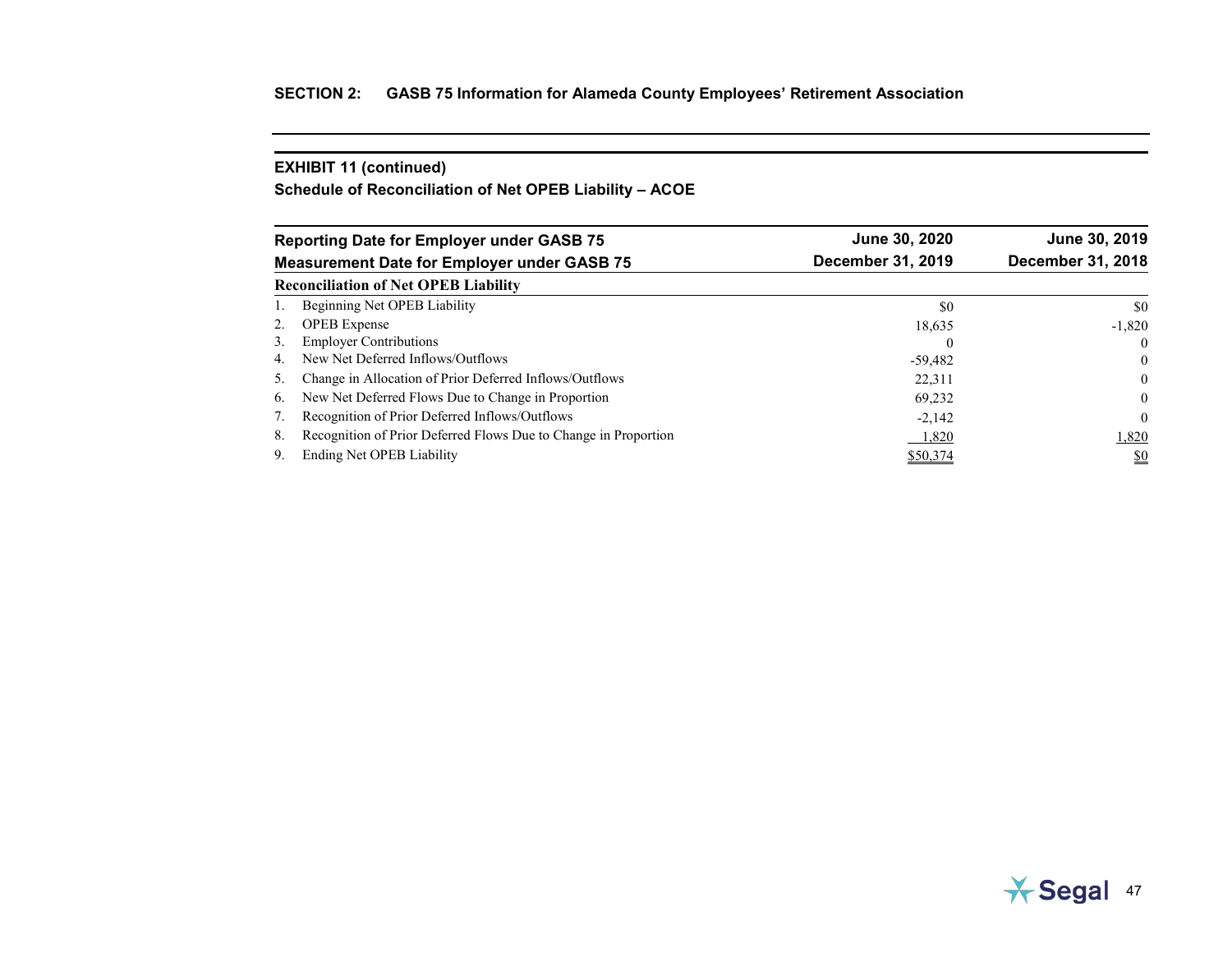**Schedule of Reconciliation of Net OPEB Liability – ACOE**

|    | <b>Reporting Date for Employer under GASB 75</b>                | June 30, 2020     | June 30, 2019                 |
|----|-----------------------------------------------------------------|-------------------|-------------------------------|
|    | <b>Measurement Date for Employer under GASB 75</b>              | December 31, 2019 | December 31, 2018             |
|    | <b>Reconciliation of Net OPEB Liability</b>                     |                   |                               |
|    | Beginning Net OPEB Liability                                    | \$0               | \$0                           |
| 2. | <b>OPEB</b> Expense                                             | 18,635            | $-1,820$                      |
| 3. | <b>Employer Contributions</b>                                   | $\theta$          | $\theta$                      |
| 4. | New Net Deferred Inflows/Outflows                               | $-59,482$         | $\theta$                      |
| 5. | Change in Allocation of Prior Deferred Inflows/Outflows         | 22,311            | $\theta$                      |
| 6. | New Net Deferred Flows Due to Change in Proportion              | 69,232            | $\theta$                      |
|    | Recognition of Prior Deferred Inflows/Outflows                  | $-2,142$          | $\theta$                      |
| 8. | Recognition of Prior Deferred Flows Due to Change in Proportion | 1,820             | 1,820                         |
| 9. | Ending Net OPEB Liability                                       | \$50,374          | $\underline{\underline{\$0}}$ |

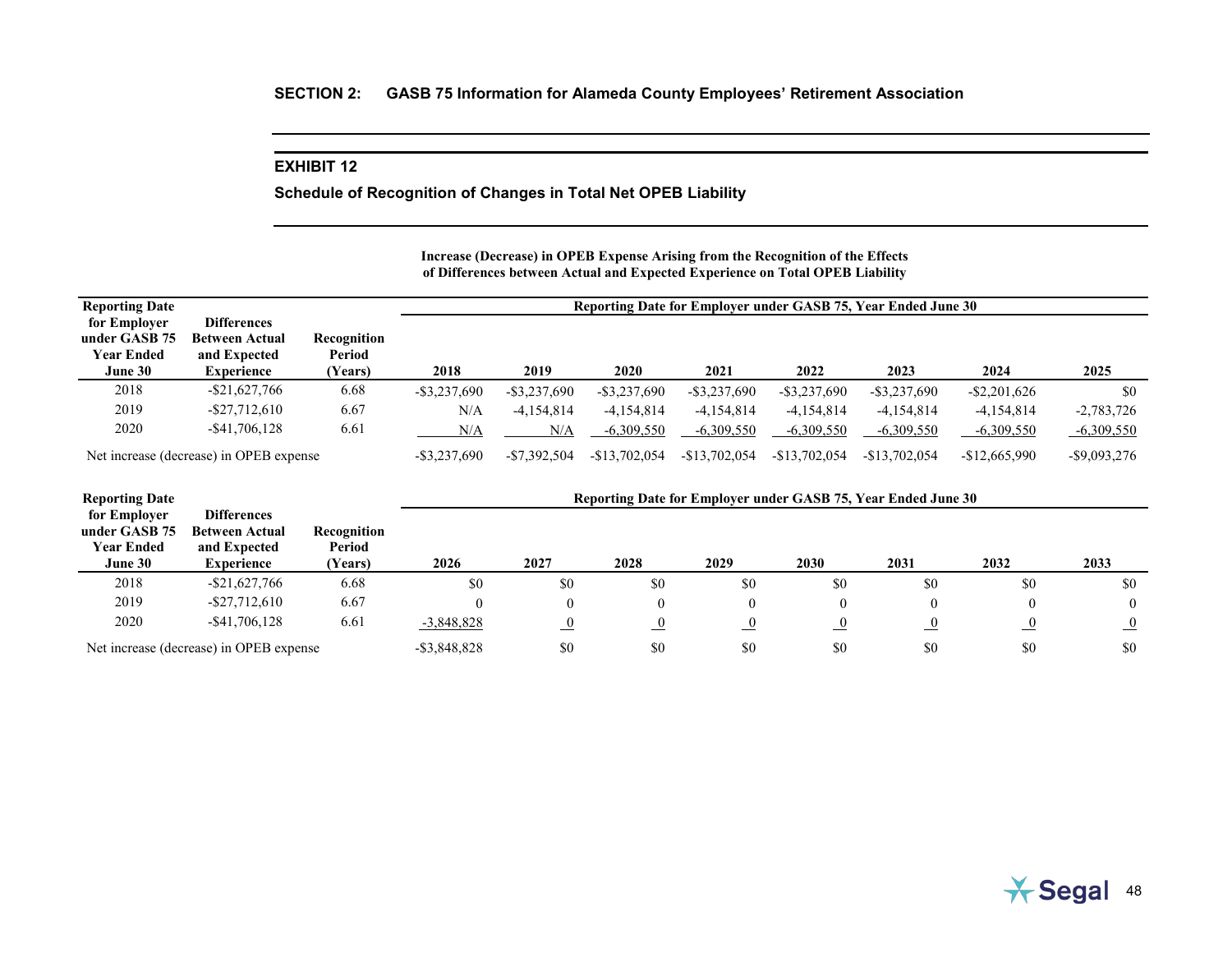### **EXHIBIT 12**

**Schedule of Recognition of Changes in Total Net OPEB Liability**

#### **Increase (Decrease) in OPEB Expense Arising from the Recognition of the Effects of Differences between Actual and Expected Experience on Total OPEB Liability**

| <b>Reporting Date</b>                                         |                                                                                  |                                  | Reporting Date for Employer under GASB 75, Year Ended June 30 |                 |                 |                 |                 |                 |                 |                 |  |  |
|---------------------------------------------------------------|----------------------------------------------------------------------------------|----------------------------------|---------------------------------------------------------------|-----------------|-----------------|-----------------|-----------------|-----------------|-----------------|-----------------|--|--|
| for Employer<br>under GASB 75<br><b>Year Ended</b><br>June 30 | <b>Differences</b><br><b>Between Actual</b><br>and Expected<br><b>Experience</b> | Recognition<br>Period<br>(Years) | 2018                                                          | 2019            | 2020            | 2021            | 2022            | 2023            | 2024            | 2025            |  |  |
| 2018                                                          | $-$ \$21,627,766                                                                 | 6.68                             | $-$ \$3,237,690                                               | $-$ \$3,237,690 | $-$ \$3,237,690 | $-$ \$3,237,690 | $-$ \$3,237,690 | $-$ \$3,237,690 | $-$ \$2,201,626 | \$0             |  |  |
| 2019                                                          | $-$ \$27,712,610                                                                 | 6.67                             | N/A                                                           | $-4.154.814$    | $-4.154.814$    | $-4,154,814$    | $-4,154,814$    | $-4.154.814$    | $-4,154,814$    | $-2,783,726$    |  |  |
| 2020                                                          | $-$ \$41,706,128                                                                 | 6.61                             | N/A                                                           | N/A             | $-6,309,550$    | $-6,309,550$    | $-6,309,550$    | $-6,309,550$    | $-6,309,550$    | $-6,309,550$    |  |  |
| Net increase (decrease) in OPEB expense                       |                                                                                  |                                  | $-$ \$3,237,690                                               | $-$7,392,504$   | $-$13,702,054$  | $-$13,702,054$  | $-$13,702,054$  | $-$13,702,054$  | $-$12,665,990$  | $-$ \$9,093,276 |  |  |

| <b>Reporting Date</b>                                         |                                                                                  |                                  | Reporting Date for Employer under GASB 75, Year Ended June 30 |                |          |      |      |      |           |                |  |
|---------------------------------------------------------------|----------------------------------------------------------------------------------|----------------------------------|---------------------------------------------------------------|----------------|----------|------|------|------|-----------|----------------|--|
| for Employer<br>under GASB 75<br><b>Year Ended</b><br>June 30 | <b>Differences</b><br><b>Between Actual</b><br>and Expected<br><b>Experience</b> | Recognition<br>Period<br>(Years) | 2026                                                          | 2027           | 2028     | 2029 | 2030 | 2031 | 2032      | 2033           |  |
| 2018                                                          | $-$ \$21,627,766                                                                 | 6.68                             | \$0                                                           | \$0            | \$0      | \$0  | \$0  | \$0  | \$0       | \$0            |  |
| 2019                                                          | $-$ \$27,712,610                                                                 | 6.67                             |                                                               | $\theta$       | $\left($ |      |      |      |           | $\theta$       |  |
| 2020                                                          | $-$ \$41,706,128                                                                 | 6.61                             | $-3,848,828$                                                  | $\overline{0}$ | $\Omega$ |      |      |      | <u>_0</u> | $\overline{0}$ |  |
| Net increase (decrease) in OPEB expense                       |                                                                                  |                                  | $-$ \$3,848,828                                               | \$0            | \$0      | \$0  | \$0  | \$0  | \$0       | \$0            |  |

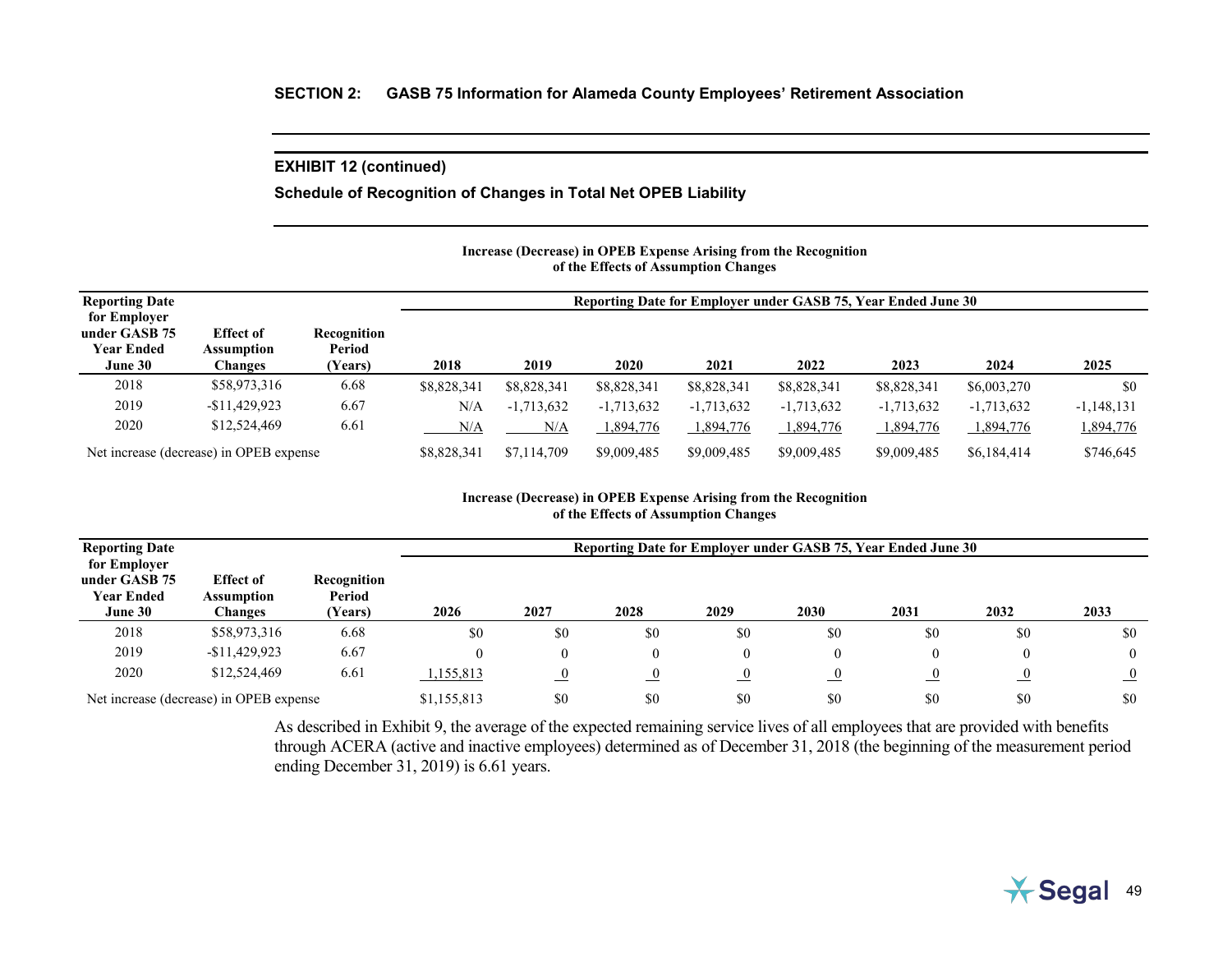# **Schedule of Recognition of Changes in Total Net OPEB Liability**

#### **Increase (Decrease) in OPEB Expense Arising from the Recognition of the Effects of Assumption Changes**

| <b>Reporting Date</b>                   |                                |                       |             | Reporting Date for Employer under GASB 75, Year Ended June 30 |              |              |              |              |              |              |  |  |  |
|-----------------------------------------|--------------------------------|-----------------------|-------------|---------------------------------------------------------------|--------------|--------------|--------------|--------------|--------------|--------------|--|--|--|
| for Employer                            |                                |                       |             |                                                               |              |              |              |              |              |              |  |  |  |
| under GASB 75<br><b>Year Ended</b>      | <b>Effect of</b><br>Assumption | Recognition<br>Period |             |                                                               |              |              |              |              |              |              |  |  |  |
| June 30                                 | Changes                        | (Years)               | 2018        | 2019                                                          | 2020         | 2021         | 2022         | 2023         | 2024         | 2025         |  |  |  |
| 2018                                    | \$58,973,316                   | 6.68                  | \$8,828,341 | \$8,828,341                                                   | \$8,828,341  | \$8,828,341  | \$8,828,341  | \$8,828,341  | \$6,003,270  | \$0          |  |  |  |
| 2019                                    | $-$11,429,923$                 | 6.67                  | N/A         | $-1,713,632$                                                  | $-1,713,632$ | $-1,713,632$ | $-1,713,632$ | $-1,713,632$ | $-1,713,632$ | $-1,148,131$ |  |  |  |
| 2020                                    | \$12,524,469                   | 6.61                  | N/A         | N/A                                                           | 1,894,776    | 1,894,776    | 1,894,776    | 1,894,776    | 1,894,776    | 1,894,776    |  |  |  |
| Net increase (decrease) in OPEB expense |                                |                       | \$8,828,341 | \$7,114,709                                                   | \$9,009,485  | \$9,009,485  | \$9,009,485  | \$9,009,485  | \$6,184,414  | \$746,645    |  |  |  |

#### **Increase (Decrease) in OPEB Expense Arising from the Recognition of the Effects of Assumption Changes**

| <b>Reporting Date</b>                                         |                                                  | Reporting Date for Employer under GASB 75, Year Ended June 30 |             |          |           |           |                |                |            |                |
|---------------------------------------------------------------|--------------------------------------------------|---------------------------------------------------------------|-------------|----------|-----------|-----------|----------------|----------------|------------|----------------|
| for Employer<br>under GASB 75<br><b>Year Ended</b><br>June 30 | <b>Effect of</b><br>Assumption<br><b>Changes</b> | Recognition<br>Period<br>(Years)                              | 2026        | 2027     | 2028      | 2029      | 2030           | 2031           | 2032       | 2033           |
| 2018                                                          | \$58,973,316                                     | 6.68                                                          | \$0         | \$0      | \$0       | \$0       | \$0            | \$0            | \$0        | \$0            |
| 2019                                                          | $-$11,429,923$                                   | 6.67                                                          |             | $\theta$ |           |           | $\theta$       | 0              | $\theta$   | $\theta$       |
| 2020                                                          | \$12,524,469                                     | 6.61                                                          | 1,155,813   |          | <u>_0</u> | <u>_0</u> | $\overline{0}$ | $\overline{0}$ | $\sqrt{0}$ | $\overline{0}$ |
| Net increase (decrease) in OPEB expense                       |                                                  |                                                               | \$1,155,813 | \$0      | \$0       | \$0       | \$0            | \$0            | \$0        | \$0            |

As described in Exhibit 9, the average of the expected remaining service lives of all employees that are provided with benefits through ACERA (active and inactive employees) determined as of December 31, 2018 (the beginning of the measurement period ending December 31, 2019) is 6.61 years.

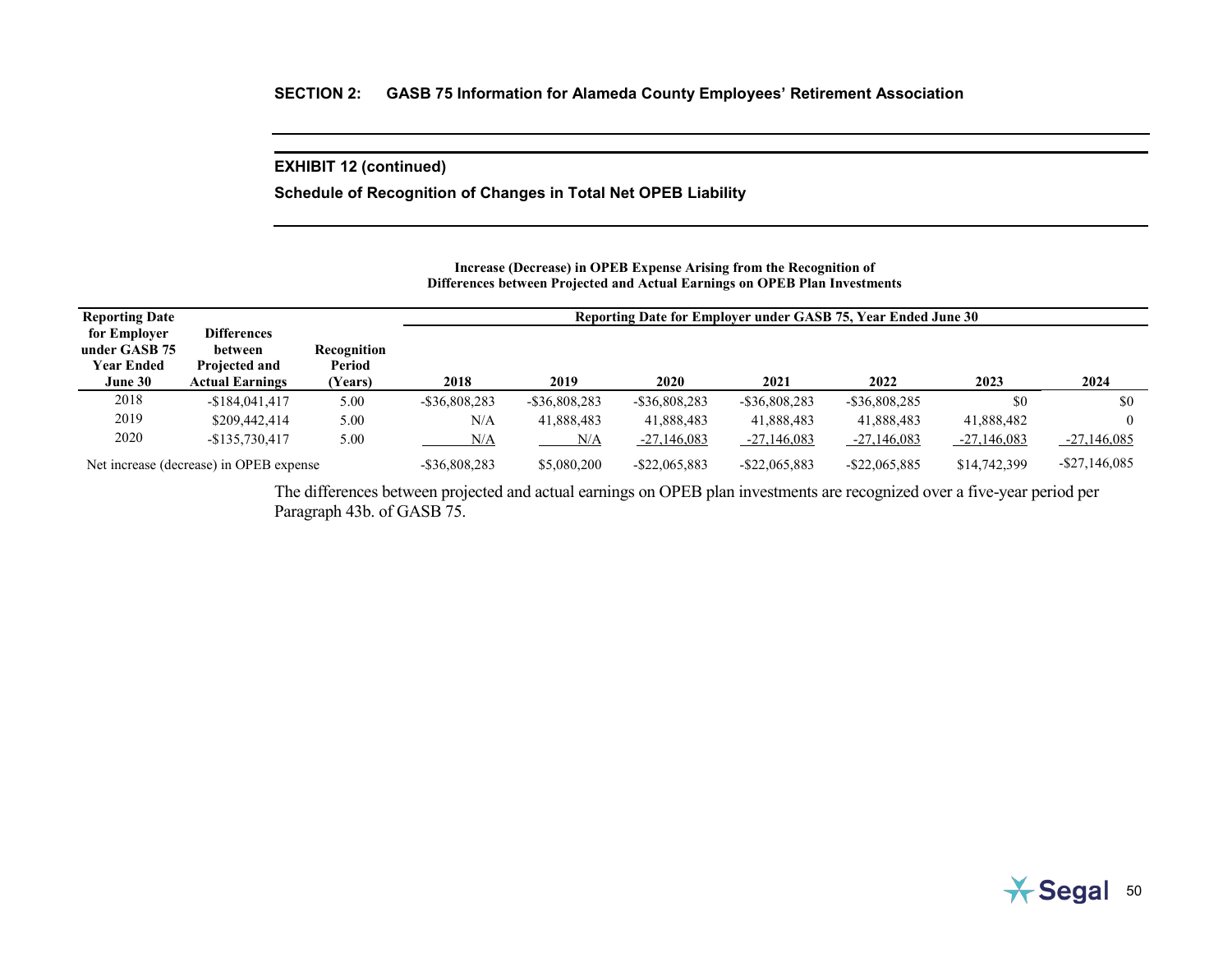**Schedule of Recognition of Changes in Total Net OPEB Liability**

#### **Increase (Decrease) in OPEB Expense Arising from the Recognition of Differences between Projected and Actual Earnings on OPEB Plan Investments**

| <b>Reporting Date</b>                                         |                                                                          |                                  |                  |                  |                  |                  | Reporting Date for Employer under GASB 75, Year Ended June 30 |               |                  |
|---------------------------------------------------------------|--------------------------------------------------------------------------|----------------------------------|------------------|------------------|------------------|------------------|---------------------------------------------------------------|---------------|------------------|
| for Employer<br>under GASB 75<br><b>Year Ended</b><br>June 30 | <b>Differences</b><br>between<br>Projected and<br><b>Actual Earnings</b> | Recognition<br>Period<br>(Years) | 2018             | 2019             | 2020             | 2021             | 2022                                                          | 2023          | 2024             |
| 2018                                                          | $-$184,041,417$                                                          | 5.00                             | $-$ \$36,808,283 | $-$ \$36,808,283 | $-$ \$36,808,283 | $-$ \$36,808,283 | $-$ \$36,808,285                                              | \$0           | \$0              |
| 2019                                                          | \$209,442,414                                                            | 5.00                             | N/A              | 41,888,483       | 41,888,483       | 41,888,483       | 41,888,483                                                    | 41,888,482    | $\theta$         |
| 2020                                                          | $-$135,730,417$                                                          | 5.00                             | N/A              | N/A              | $-27,146,083$    | $-27,146,083$    | $-27,146,083$                                                 | $-27,146,083$ | $-27,146,085$    |
| Net increase (decrease) in OPEB expense                       |                                                                          |                                  | $-$ \$36,808,283 | \$5,080,200      | $-$ \$22,065,883 | $-$ \$22,065,883 | $-$ \$22,065,885                                              | \$14,742,399  | $-$ \$27,146,085 |

The differences between projected and actual earnings on OPEB plan investments are recognized over a five-year period per Paragraph 43b. of GASB 75.

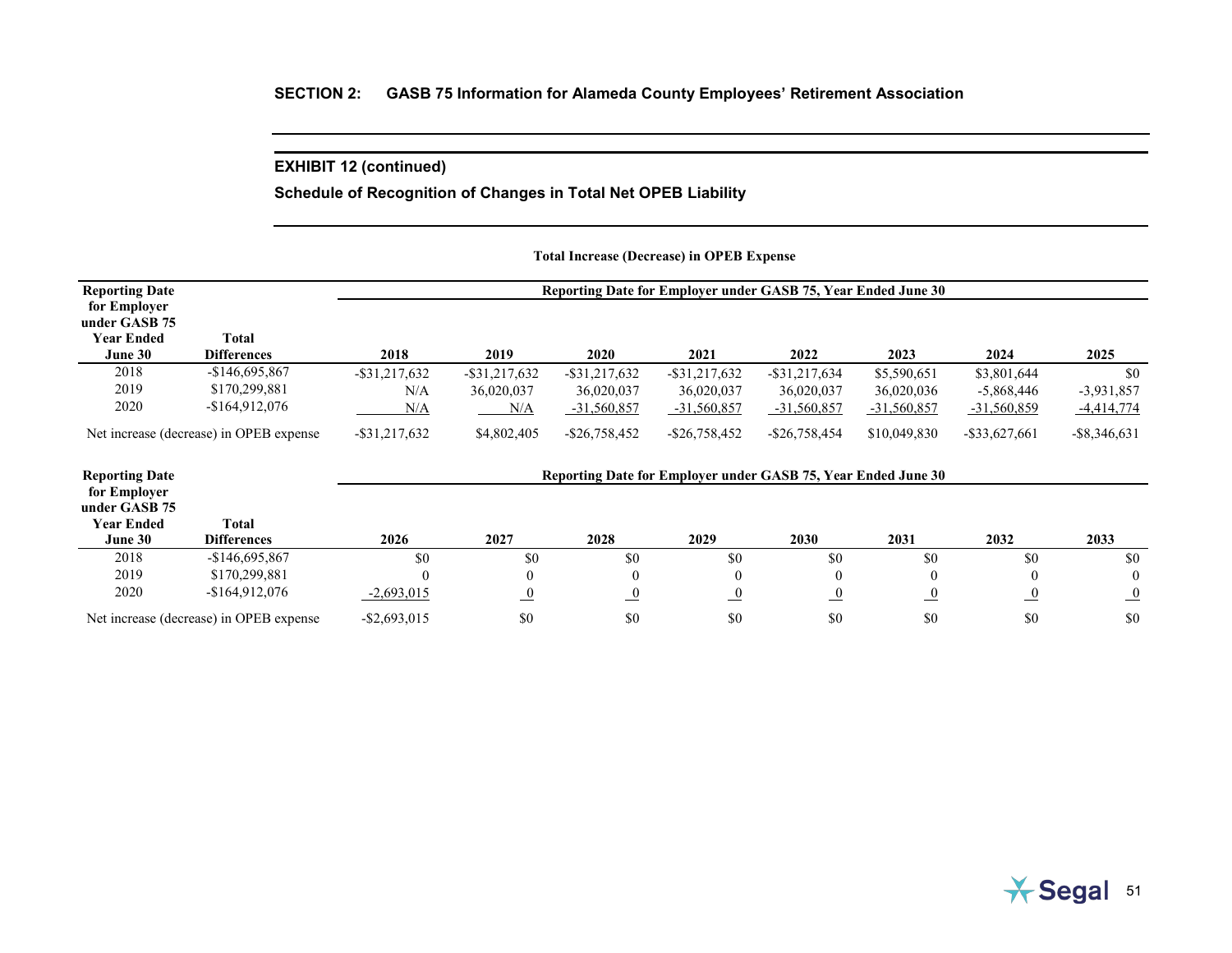# **Schedule of Recognition of Changes in Total Net OPEB Liability**

## **Total Increase (Decrease) in OPEB Expense**

| <b>Reporting Date</b>                              |                                         |                  |                  |                  | Reporting Date for Employer under GASB 75, Year Ended June 30 |                  |                |                  |                 |
|----------------------------------------------------|-----------------------------------------|------------------|------------------|------------------|---------------------------------------------------------------|------------------|----------------|------------------|-----------------|
| for Employer<br>under GASB 75<br><b>Year Ended</b> | <b>Total</b>                            |                  |                  |                  |                                                               |                  |                |                  |                 |
| June 30                                            | <b>Differences</b>                      | 2018             | 2019             | <b>2020</b>      | 2021                                                          | 2022             | 2023           | 2024             | 2025            |
| 2018                                               | $-$146,695,867$                         | $-$ \$31,217,632 | $-$ \$31,217,632 | $-$ \$31,217,632 | $-$ \$31,217,632                                              | $-$ \$31,217,634 | \$5,590,651    | \$3,801,644      | \$0             |
| 2019                                               | \$170,299,881                           | N/A              | 36,020,037       | 36,020,037       | 36,020,037                                                    | 36,020,037       | 36,020,036     | $-5,868,446$     | $-3,931,857$    |
| 2020                                               | $-$164,912,076$                         | N/A              | N/A              | $-31,560,857$    | $-31,560,857$                                                 | $-31,560,857$    | $-31,560,857$  | $-31,560,859$    | $-4,414,774$    |
|                                                    | Net increase (decrease) in OPEB expense | $-$ \$31,217,632 | \$4,802,405      | $-$ \$26,758,452 | $-$ \$26,758,452                                              | $-$ \$26,758,454 | \$10,049,830   | $-$ \$33,627,661 | $-$ \$8,346,631 |
| <b>Reporting Date</b>                              |                                         |                  |                  |                  | Reporting Date for Employer under GASB 75, Year Ended June 30 |                  |                |                  |                 |
| for Employer<br>under GASB 75                      |                                         |                  |                  |                  |                                                               |                  |                |                  |                 |
| <b>Year Ended</b><br>June 30                       | <b>Total</b><br><b>Differences</b>      | 2026             | 2027             | 2028             | 2029                                                          | 2030             | 2031           | 2032             | 2033            |
| 2018                                               | $-$146,695,867$                         | \$0              | \$0              | \$0              | \$0                                                           | \$0              | \$0            | \$0              | \$0             |
| 2019                                               | \$170,299,881                           | $\theta$         |                  |                  | $\overline{0}$                                                | $\theta$         | $\overline{0}$ |                  | $\Omega$        |
| 2020                                               | $-$164,912,076$                         | $-2,693,015$     | $\overline{0}$   | $\overline{0}$   | $\overline{0}$                                                | $\overline{0}$   | $\overline{0}$ | $\overline{0}$   | $\overline{0}$  |
|                                                    | Net increase (decrease) in OPEB expense | $-$ \$2,693,015  | \$0              | \$0              | \$0                                                           | \$0              | \$0            | \$0              | \$0             |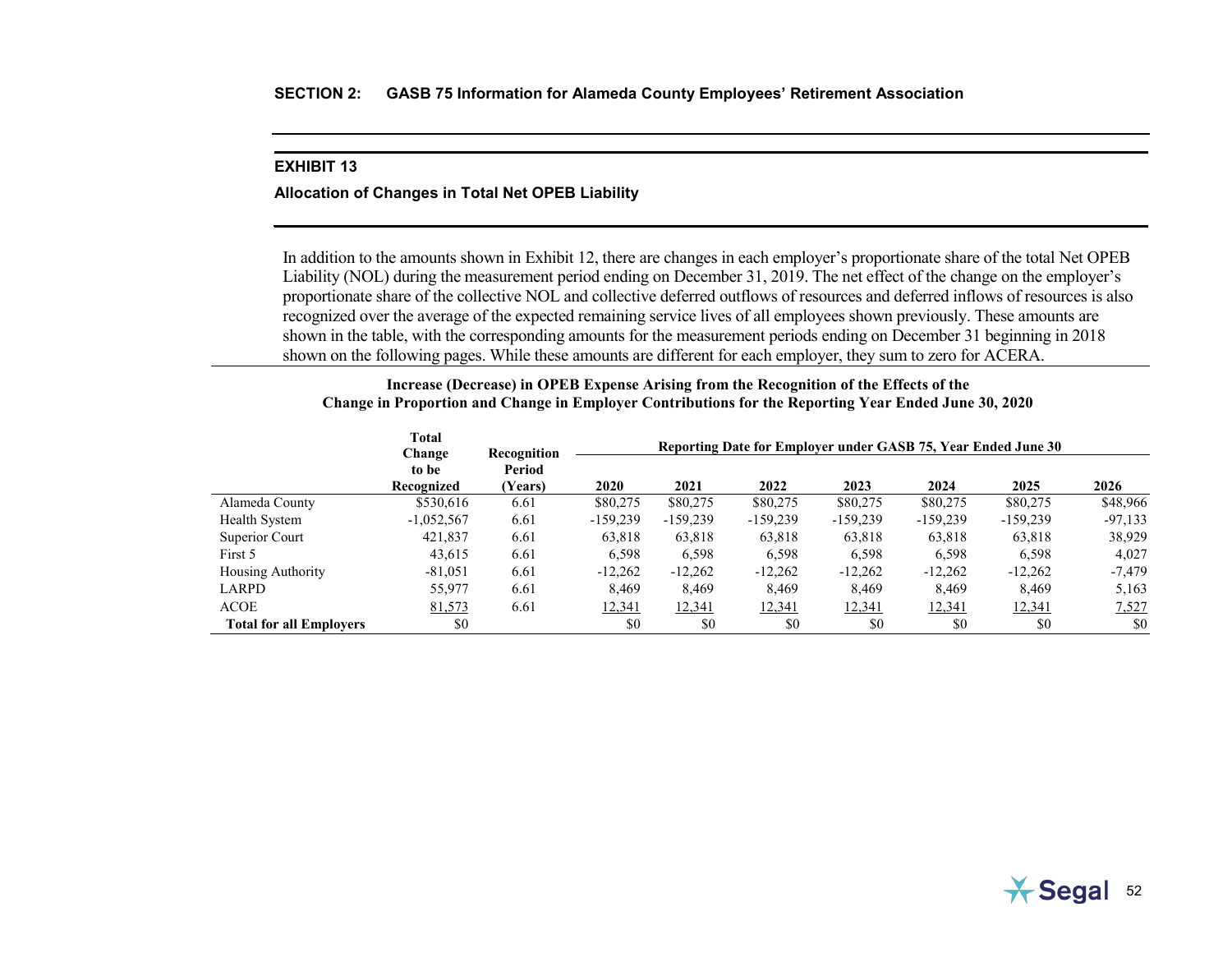#### **EXHIBIT 13**

### **Allocation of Changes in Total Net OPEB Liability**

In addition to the amounts shown in Exhibit 12, there are changes in each employer's proportionate share of the total Net OPEB Liability (NOL) during the measurement period ending on December 31, 2019. The net effect of the change on the employer's proportionate share of the collective NOL and collective deferred outflows of resources and deferred inflows of resources is also recognized over the average of the expected remaining service lives of all employees shown previously. These amounts are shown in the table, with the corresponding amounts for the measurement periods ending on December 31 beginning in 2018 shown on the following pages. While these amounts are different for each employer, they sum to zero for ACERA.

#### **Increase (Decrease) in OPEB Expense Arising from the Recognition of the Effects of the Change in Proportion and Change in Employer Contributions for the Reporting Year Ended June 30, 2020**

|                                | <b>Total</b>    |                       |            |            | Reporting Date for Employer under GASB 75, Year Ended June 30 |            |            |            |           |
|--------------------------------|-----------------|-----------------------|------------|------------|---------------------------------------------------------------|------------|------------|------------|-----------|
|                                | Change<br>to be | Recognition<br>Period |            |            |                                                               |            |            |            |           |
|                                | Recognized      | (Years)               | 2020       | 2021       | 2022                                                          | 2023       | 2024       | 2025       | 2026      |
| Alameda County                 | \$530,616       | 6.61                  | \$80,275   | \$80,275   | \$80,275                                                      | \$80,275   | \$80,275   | \$80,275   | \$48,966  |
| Health System                  | $-1,052,567$    | 6.61                  | $-159,239$ | $-159,239$ | $-159,239$                                                    | $-159,239$ | $-159.239$ | $-159.239$ | $-97,133$ |
| Superior Court                 | 421,837         | 6.61                  | 63.818     | 63,818     | 63,818                                                        | 63,818     | 63,818     | 63,818     | 38,929    |
| First 5                        | 43,615          | 6.61                  | 6.598      | 6,598      | 6,598                                                         | 6,598      | 6,598      | 6,598      | 4.027     |
| <b>Housing Authority</b>       | $-81,051$       | 6.61                  | $-12,262$  | $-12,262$  | $-12,262$                                                     | $-12,262$  | $-12,262$  | $-12,262$  | $-7,479$  |
| LARPD                          | 55,977          | 6.61                  | 8.469      | 8,469      | 8,469                                                         | 8.469      | 8,469      | 8,469      | 5,163     |
| <b>ACOE</b>                    | 81,573          | 6.61                  | 12,341     | 12,341     | 12,341                                                        | 12,341     | 12,341     | 12,341     | 7,527     |
| <b>Total for all Employers</b> | \$0             |                       | \$0        | \$0        | \$0                                                           | \$0        | \$0        | \$0        | \$0       |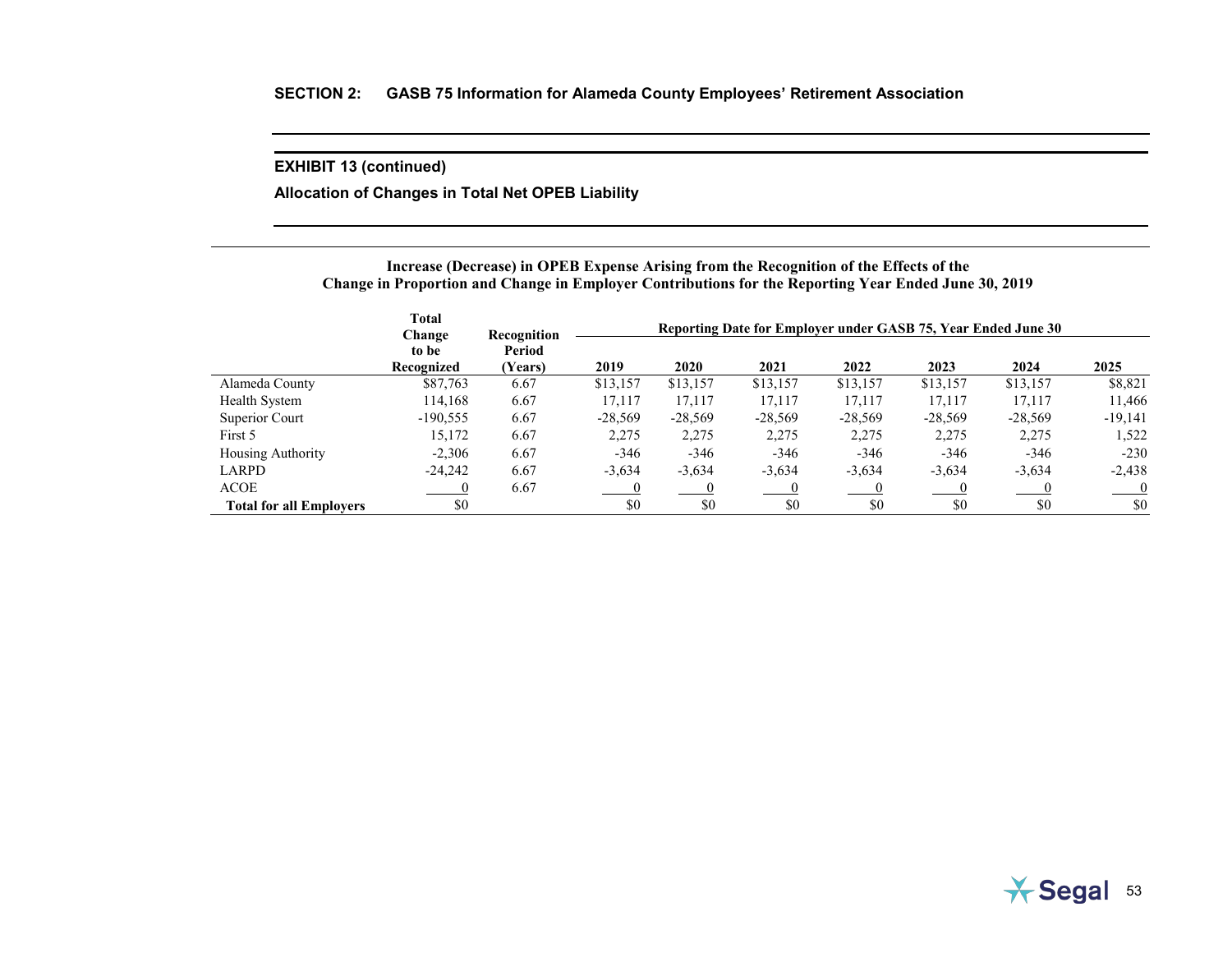**Allocation of Changes in Total Net OPEB Liability**

## **Increase (Decrease) in OPEB Expense Arising from the Recognition of the Effects of the Change in Proportion and Change in Employer Contributions for the Reporting Year Ended June 30, 2019**

|                                | <b>Total</b><br>Change | Recognition       |           |           |           |           | Reporting Date for Employer under GASB 75, Year Ended June 30 |           |           |
|--------------------------------|------------------------|-------------------|-----------|-----------|-----------|-----------|---------------------------------------------------------------|-----------|-----------|
|                                | to be<br>Recognized    | Period<br>(Years) | 2019      | 2020      | 2021      | 2022      | 2023                                                          | 2024      | 2025      |
| Alameda County                 | \$87,763               | 6.67              | \$13,157  | \$13,157  | \$13,157  | \$13,157  | \$13,157                                                      | \$13,157  | \$8,821   |
| Health System                  | 114,168                | 6.67              | 17.117    | 17,117    | 17,117    | 17,117    | 17.117                                                        | 17.117    | 11,466    |
| Superior Court                 | $-190,555$             | 6.67              | $-28,569$ | $-28,569$ | $-28,569$ | $-28,569$ | $-28,569$                                                     | $-28,569$ | $-19,141$ |
| First 5                        | 15.172                 | 6.67              | 2,275     | 2,275     | 2,275     | 2.275     | 2,275                                                         | 2,275     | 1,522     |
| <b>Housing Authority</b>       | $-2,306$               | 6.67              | $-346$    | $-346$    | $-346$    | $-346$    | $-346$                                                        | $-346$    | $-230$    |
| <b>LARPD</b>                   | $-24.242$              | 6.67              | $-3,634$  | $-3,634$  | $-3,634$  | $-3,634$  | $-3,634$                                                      | $-3,634$  | $-2,438$  |
| <b>ACOE</b>                    |                        | 6.67              |           |           |           |           |                                                               |           |           |
| <b>Total for all Employers</b> | \$0                    |                   | \$0       | \$0       | \$0       | \$0       | \$0                                                           | \$0       | \$0       |

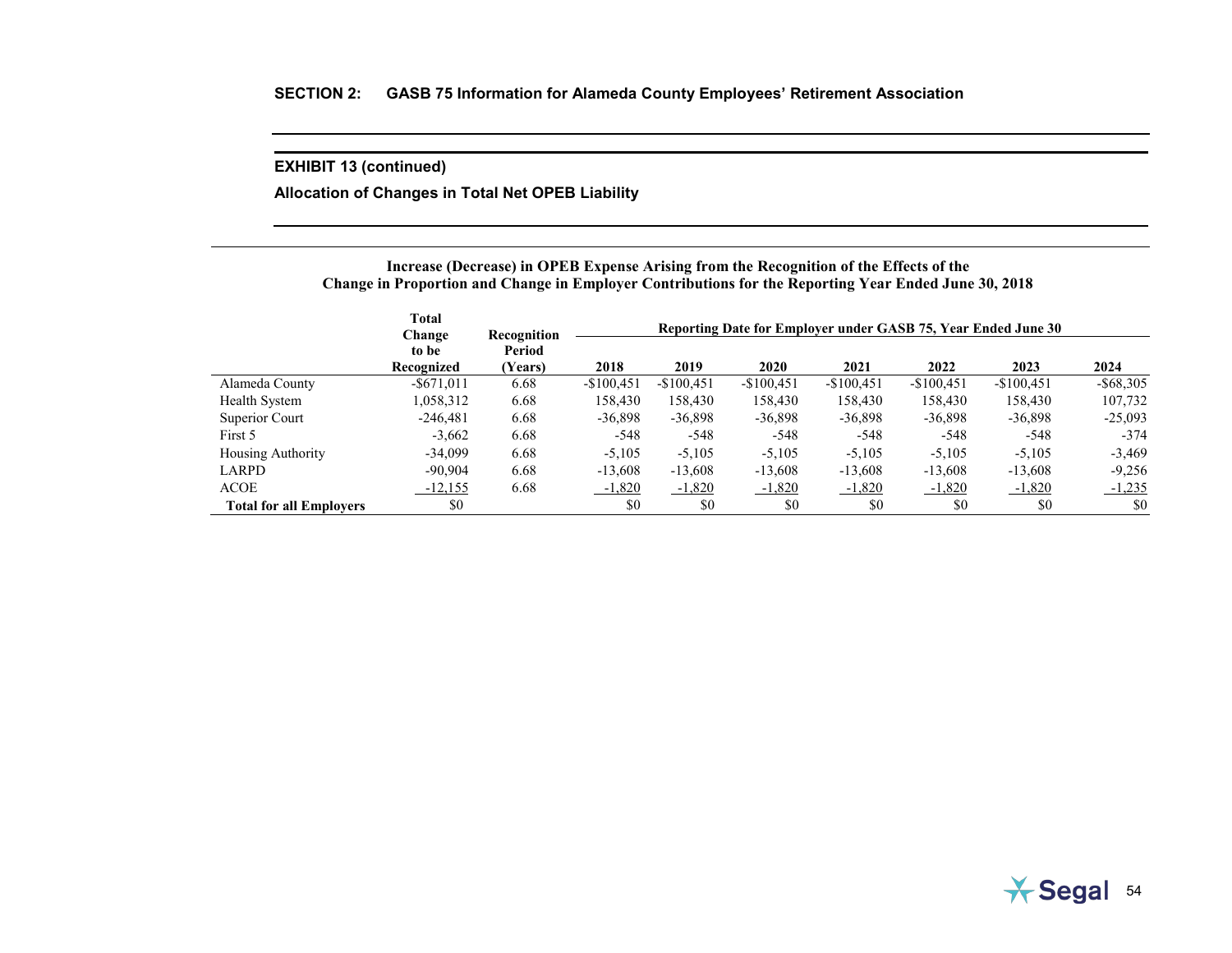**Allocation of Changes in Total Net OPEB Liability**

# **Increase (Decrease) in OPEB Expense Arising from the Recognition of the Effects of the Change in Proportion and Change in Employer Contributions for the Reporting Year Ended June 30, 2018**

|                                | <b>Total</b><br>Change | Recognition       | Reporting Date for Employer under GASB 75, Year Ended June 30 |             |             |             |             |             |              |
|--------------------------------|------------------------|-------------------|---------------------------------------------------------------|-------------|-------------|-------------|-------------|-------------|--------------|
|                                | to be<br>Recognized    | Period<br>(Years) | 2018                                                          | 2019        | 2020        | 2021        | 2022        | 2023        | 2024         |
| Alameda County                 | $-$ \$671,011          | 6.68              | $-$100.451$                                                   | $-$100,451$ | $-$100,451$ | $-$100,451$ | $-$100,451$ | $-$100,451$ | $-$ \$68,305 |
| Health System                  | 1,058,312              | 6.68              | 158,430                                                       | 158,430     | 158,430     | 158,430     | 158,430     | 158,430     | 107,732      |
| Superior Court                 | $-246.481$             | 6.68              | $-36,898$                                                     | $-36,898$   | $-36,898$   | $-36,898$   | $-36,898$   | $-36,898$   | $-25,093$    |
| First 5                        | $-3.662$               | 6.68              | $-548$                                                        | $-548$      | $-548$      | $-548$      | $-548$      | $-548$      | $-374$       |
| <b>Housing Authority</b>       | $-34.099$              | 6.68              | $-5.105$                                                      | $-5,105$    | $-5,105$    | $-5.105$    | $-5,105$    | $-5.105$    | $-3,469$     |
| LARPD                          | $-90.904$              | 6.68              | $-13,608$                                                     | $-13,608$   | $-13,608$   | $-13,608$   | $-13,608$   | $-13,608$   | $-9,256$     |
| <b>ACOE</b>                    | $-12,155$              | 6.68              | $-1,820$                                                      | $-1,820$    | $-1,820$    | $-1,820$    | $-1,820$    | $-1,820$    | $-1,235$     |
| <b>Total for all Employers</b> | \$0                    |                   | \$0                                                           | \$0         | \$0         | \$0         | \$0         | \$0         | \$0          |

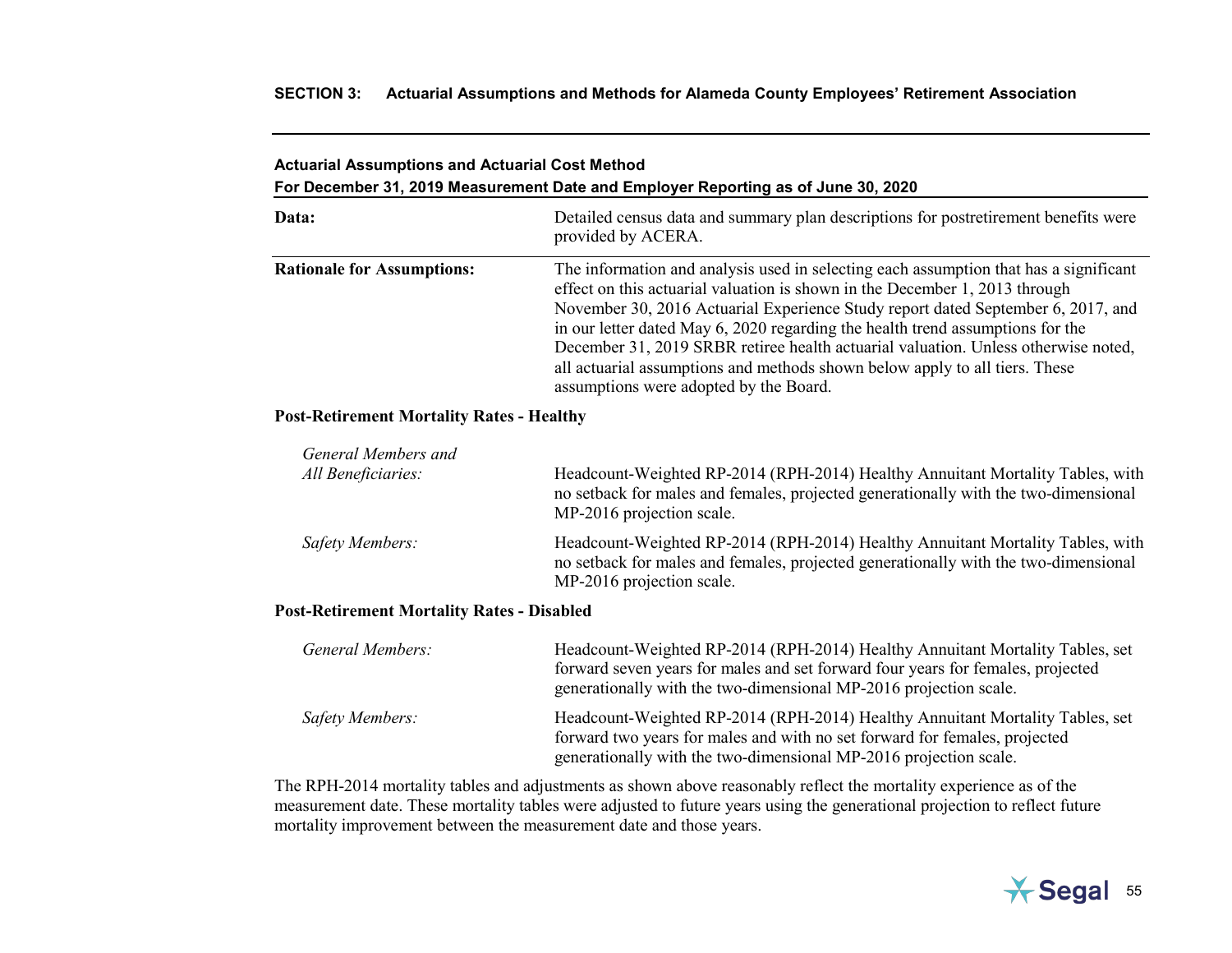# **SECTION 3: Actuarial Assumptions and Methods for Alameda County Employees' Retirement Association**

# **Actuarial Assumptions and Actuarial Cost Method For December 31, 2019 Measurement Date and Employer Reporting as of June 30, 2020**

| Data:                             | Detailed census data and summary plan descriptions for postretirement benefits were<br>provided by ACERA.                                                                                                                                                                                                                                                                                                                                                                                                                                                 |
|-----------------------------------|-----------------------------------------------------------------------------------------------------------------------------------------------------------------------------------------------------------------------------------------------------------------------------------------------------------------------------------------------------------------------------------------------------------------------------------------------------------------------------------------------------------------------------------------------------------|
| <b>Rationale for Assumptions:</b> | The information and analysis used in selecting each assumption that has a significant<br>effect on this actuarial valuation is shown in the December 1, 2013 through<br>November 30, 2016 Actuarial Experience Study report dated September 6, 2017, and<br>in our letter dated May 6, 2020 regarding the health trend assumptions for the<br>December 31, 2019 SRBR retiree health actuarial valuation. Unless otherwise noted,<br>all actuarial assumptions and methods shown below apply to all tiers. These<br>assumptions were adopted by the Board. |

# **Post-Retirement Mortality Rates - Healthy**

| General Members and<br>All Beneficiaries: | Headcount-Weighted RP-2014 (RPH-2014) Healthy Annuitant Mortality Tables, with<br>no setback for males and females, projected generationally with the two-dimensional<br>MP-2016 projection scale. |
|-------------------------------------------|----------------------------------------------------------------------------------------------------------------------------------------------------------------------------------------------------|
| Safety Members:                           | Headcount-Weighted RP-2014 (RPH-2014) Healthy Annuitant Mortality Tables, with<br>no setback for males and females, projected generationally with the two-dimensional<br>MP-2016 projection scale. |

# **Post-Retirement Mortality Rates - Disabled**

| General Members: | Headcount-Weighted RP-2014 (RPH-2014) Healthy Annuitant Mortality Tables, set<br>forward seven years for males and set forward four years for females, projected<br>generationally with the two-dimensional MP-2016 projection scale. |
|------------------|---------------------------------------------------------------------------------------------------------------------------------------------------------------------------------------------------------------------------------------|
| Safety Members:  | Headcount-Weighted RP-2014 (RPH-2014) Healthy Annuitant Mortality Tables, set<br>forward two years for males and with no set forward for females, projected<br>generationally with the two-dimensional MP-2016 projection scale.      |

The RPH-2014 mortality tables and adjustments as shown above reasonably reflect the mortality experience as of the measurement date. These mortality tables were adjusted to future years using the generational projection to reflect future mortality improvement between the measurement date and those years.

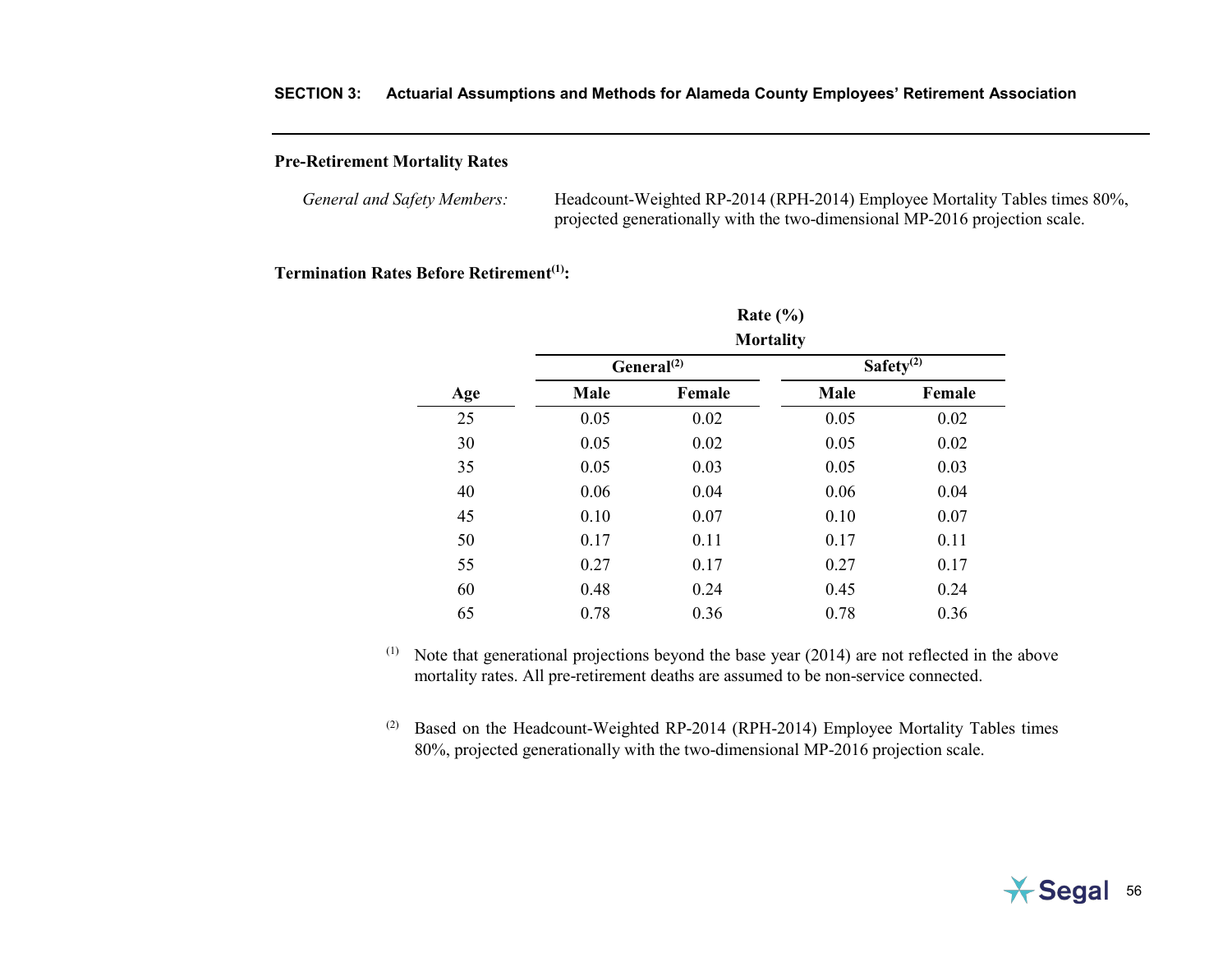# **SECTION 3: Actuarial Assumptions and Methods for Alameda County Employees' Retirement Association**

# **Pre-Retirement Mortality Rates**

| General and Safety Members: | Headcount-Weighted RP-2014 (RPH-2014) Employee Mortality Tables times 80%,  |
|-----------------------------|-----------------------------------------------------------------------------|
|                             | projected generationally with the two-dimensional MP-2016 projection scale. |

## **Termination Rates Before Retirement<sup>(1)</sup>:**

|     |      | Rate $(\% )$                         |      |              |
|-----|------|--------------------------------------|------|--------------|
|     |      | <b>Mortality</b><br>General $^{(2)}$ |      | Safety $(2)$ |
| Age | Male | Female                               | Male | Female       |
| 25  | 0.05 | 0.02                                 | 0.05 | 0.02         |
| 30  | 0.05 | 0.02                                 | 0.05 | 0.02         |
| 35  | 0.05 | 0.03                                 | 0.05 | 0.03         |
| 40  | 0.06 | 0.04                                 | 0.06 | 0.04         |
| 45  | 0.10 | 0.07                                 | 0.10 | 0.07         |
| 50  | 0.17 | 0.11                                 | 0.17 | 0.11         |
| 55  | 0.27 | 0.17                                 | 0.27 | 0.17         |
| 60  | 0.48 | 0.24                                 | 0.45 | 0.24         |
| 65  | 0.78 | 0.36                                 | 0.78 | 0.36         |

(1) Note that generational projections beyond the base year (2014) are not reflected in the above mortality rates. All pre-retirement deaths are assumed to be non-service connected.

 $(2)$  Based on the Headcount-Weighted RP-2014 (RPH-2014) Employee Mortality Tables times 80%, projected generationally with the two-dimensional MP-2016 projection scale.

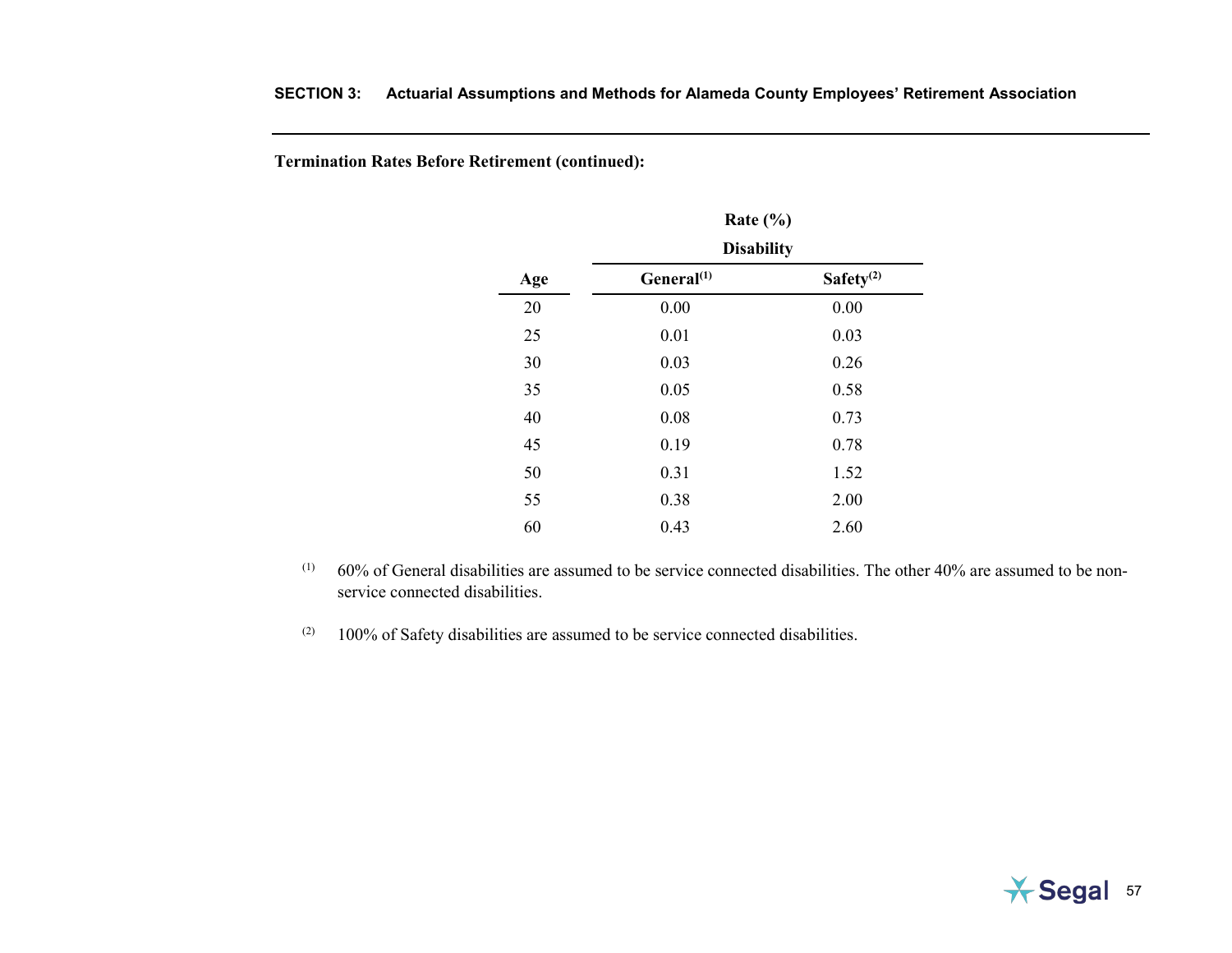**Termination Rates Before Retirement (continued):**

|     | Rate $(\% )$           |              |
|-----|------------------------|--------------|
|     | <b>Disability</b>      |              |
| Age | General <sup>(1)</sup> | Safety $(2)$ |
| 20  | 0.00                   | 0.00         |
| 25  | 0.01                   | 0.03         |
| 30  | 0.03                   | 0.26         |
| 35  | 0.05                   | 0.58         |
| 40  | 0.08                   | 0.73         |
| 45  | 0.19                   | 0.78         |
| 50  | 0.31                   | 1.52         |
| 55  | 0.38                   | 2.00         |
| 60  | 0.43                   | 2.60         |

- $(1)$  60% of General disabilities are assumed to be service connected disabilities. The other 40% are assumed to be nonservice connected disabilities.
- $(2)$  100% of Safety disabilities are assumed to be service connected disabilities.

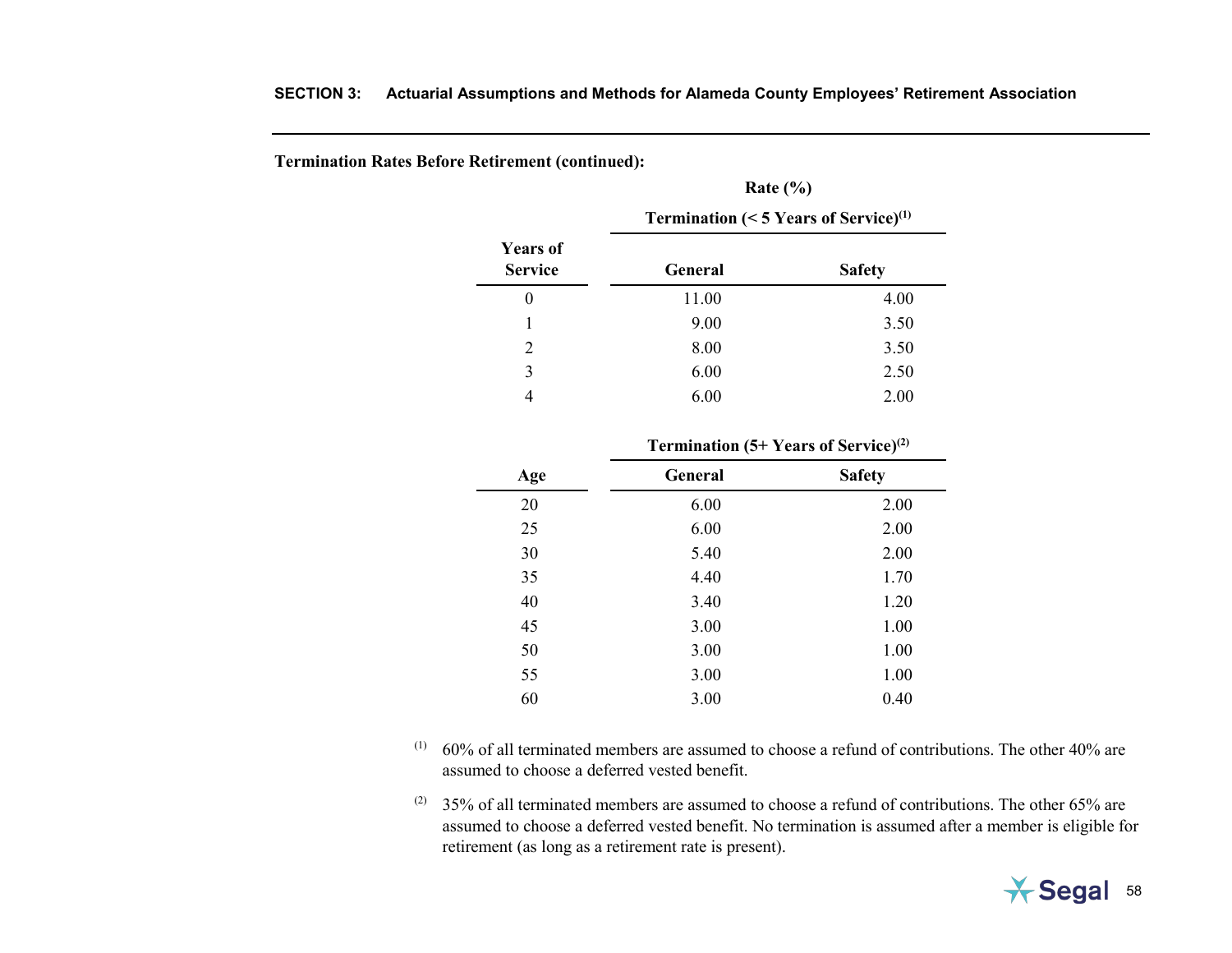**Termination Rates Before Retirement (continued):**

|                                   | <b>Termination (&lt; 5 Years of Service)</b> <sup>(1)</sup> |               |  |  |
|-----------------------------------|-------------------------------------------------------------|---------------|--|--|
| <b>Years of</b><br><b>Service</b> | General                                                     | <b>Safety</b> |  |  |
| $_{0}$                            | 11.00                                                       | 4.00          |  |  |
|                                   | 9.00                                                        | 3.50          |  |  |
| 2                                 | 8.00                                                        | 3.50          |  |  |
| 3                                 | 6.00                                                        | 2.50          |  |  |
|                                   | 6.00                                                        | 2.00          |  |  |

**Rate (%)**

|     | <b>Termination (5+ Years of Service)</b> <sup>(2)</sup> |               |  |  |  |
|-----|---------------------------------------------------------|---------------|--|--|--|
| Age | <b>General</b>                                          | <b>Safety</b> |  |  |  |
| 20  | 6.00                                                    | 2.00          |  |  |  |
| 25  | 6.00                                                    | 2.00          |  |  |  |
| 30  | 5.40                                                    | 2.00          |  |  |  |
| 35  | 4.40                                                    | 1.70          |  |  |  |
| 40  | 3.40                                                    | 1.20          |  |  |  |
| 45  | 3.00                                                    | 1.00          |  |  |  |
| 50  | 3.00                                                    | 1.00          |  |  |  |
| 55  | 3.00                                                    | 1.00          |  |  |  |
| 60  | 3.00                                                    | 0.40          |  |  |  |

- $(1)$  60% of all terminated members are assumed to choose a refund of contributions. The other 40% are assumed to choose a deferred vested benefit.
- (2) 35% of all terminated members are assumed to choose a refund of contributions. The other 65% are assumed to choose a deferred vested benefit. No termination is assumed after a member is eligible for retirement (as long as a retirement rate is present).

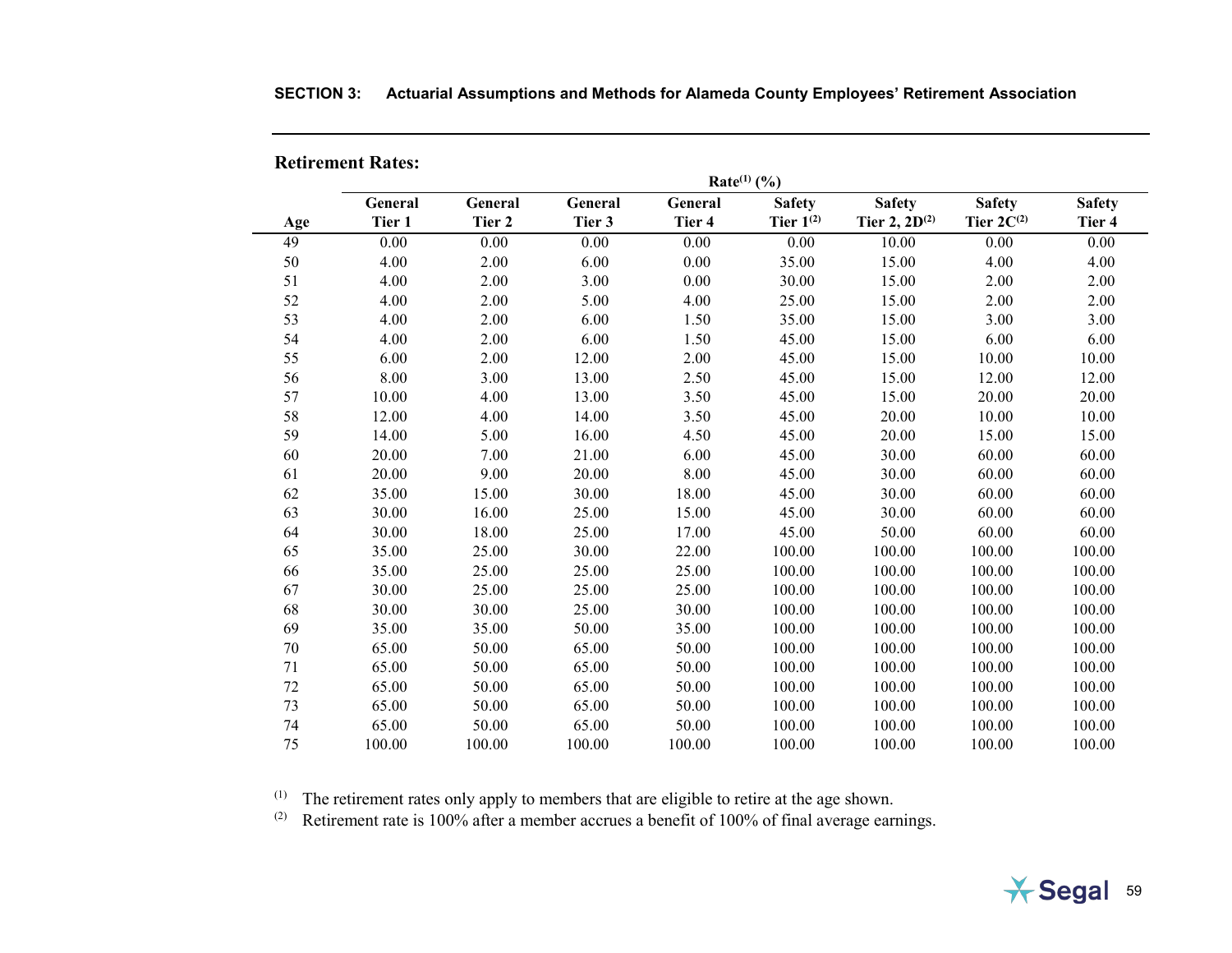|     | Rate $(1)$ (%) |         |         |         |                |                    |                 |               |
|-----|----------------|---------|---------|---------|----------------|--------------------|-----------------|---------------|
|     | General        | General | General | General | <b>Safety</b>  | <b>Safety</b>      | <b>Safety</b>   | <b>Safety</b> |
| Age | Tier 1         | Tier 2  | Tier 3  | Tier 4  | Tier $1^{(2)}$ | Tier 2, $2D^{(2)}$ | Tier $2C^{(2)}$ | Tier 4        |
| 49  | 0.00           | 0.00    | 0.00    | 0.00    | 0.00           | 10.00              | 0.00            | 0.00          |
| 50  | 4.00           | 2.00    | 6.00    | 0.00    | 35.00          | 15.00              | 4.00            | 4.00          |
| 51  | 4.00           | 2.00    | 3.00    | 0.00    | 30.00          | 15.00              | 2.00            | 2.00          |
| 52  | 4.00           | 2.00    | 5.00    | 4.00    | 25.00          | 15.00              | 2.00            | 2.00          |
| 53  | 4.00           | 2.00    | 6.00    | 1.50    | 35.00          | 15.00              | 3.00            | 3.00          |
| 54  | 4.00           | 2.00    | 6.00    | 1.50    | 45.00          | 15.00              | 6.00            | 6.00          |
| 55  | 6.00           | 2.00    | 12.00   | 2.00    | 45.00          | 15.00              | 10.00           | 10.00         |
| 56  | 8.00           | 3.00    | 13.00   | 2.50    | 45.00          | 15.00              | 12.00           | 12.00         |
| 57  | 10.00          | 4.00    | 13.00   | 3.50    | 45.00          | 15.00              | 20.00           | 20.00         |
| 58  | 12.00          | 4.00    | 14.00   | 3.50    | 45.00          | 20.00              | 10.00           | 10.00         |
| 59  | 14.00          | 5.00    | 16.00   | 4.50    | 45.00          | 20.00              | 15.00           | 15.00         |
| 60  | 20.00          | 7.00    | 21.00   | 6.00    | 45.00          | 30.00              | 60.00           | 60.00         |
| 61  | 20.00          | 9.00    | 20.00   | 8.00    | 45.00          | 30.00              | 60.00           | 60.00         |
| 62  | 35.00          | 15.00   | 30.00   | 18.00   | 45.00          | 30.00              | 60.00           | 60.00         |
| 63  | 30.00          | 16.00   | 25.00   | 15.00   | 45.00          | 30.00              | 60.00           | 60.00         |
| 64  | 30.00          | 18.00   | 25.00   | 17.00   | 45.00          | 50.00              | 60.00           | 60.00         |
| 65  | 35.00          | 25.00   | 30.00   | 22.00   | 100.00         | 100.00             | 100.00          | 100.00        |
| 66  | 35.00          | 25.00   | 25.00   | 25.00   | 100.00         | 100.00             | 100.00          | 100.00        |
| 67  | 30.00          | 25.00   | 25.00   | 25.00   | 100.00         | 100.00             | 100.00          | 100.00        |
| 68  | 30.00          | 30.00   | 25.00   | 30.00   | 100.00         | 100.00             | 100.00          | 100.00        |
| 69  | 35.00          | 35.00   | 50.00   | 35.00   | 100.00         | 100.00             | 100.00          | 100.00        |
| 70  | 65.00          | 50.00   | 65.00   | 50.00   | 100.00         | 100.00             | 100.00          | 100.00        |
| 71  | 65.00          | 50.00   | 65.00   | 50.00   | 100.00         | 100.00             | 100.00          | 100.00        |
| 72  | 65.00          | 50.00   | 65.00   | 50.00   | 100.00         | 100.00             | 100.00          | 100.00        |
| 73  | 65.00          | 50.00   | 65.00   | 50.00   | 100.00         | 100.00             | 100.00          | 100.00        |
| 74  | 65.00          | 50.00   | 65.00   | 50.00   | 100.00         | 100.00             | 100.00          | 100.00        |
| 75  | 100.00         | 100.00  | 100.00  | 100.00  | 100.00         | 100.00             | 100.00          | 100.00        |

# **SECTION 3: Actuarial Assumptions and Methods for Alameda County Employees' Retirement Association**

**Retirement Rates:** 

 $<sup>(1)</sup>$  The retirement rates only apply to members that are eligible to retire at the age shown.</sup>

<sup>(2)</sup> Retirement rate is 100% after a member accrues a benefit of 100% of final average earnings.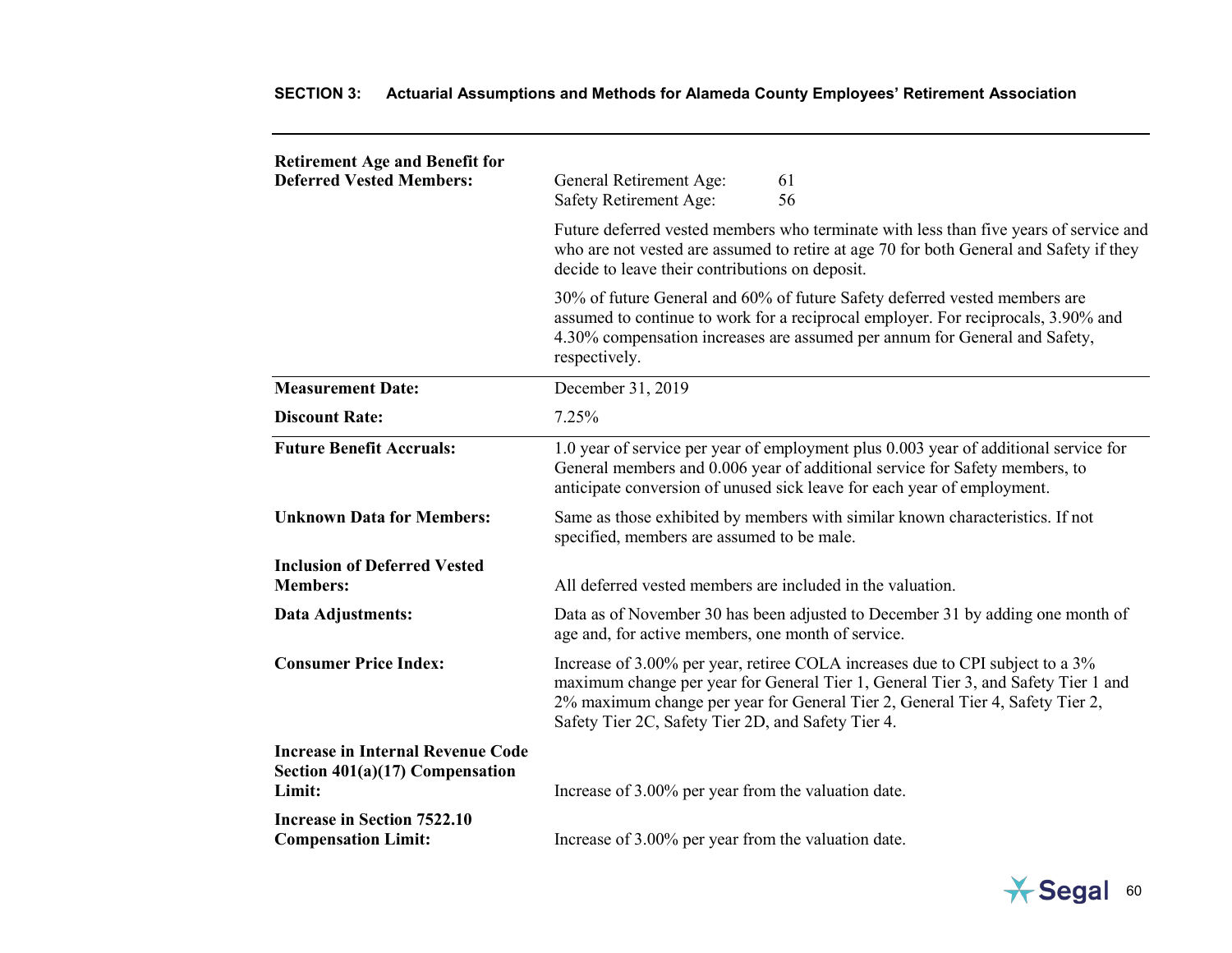| <b>Retirement Age and Benefit for</b><br><b>Deferred Vested Members:</b>                | General Retirement Age:<br>61<br>56<br>Safety Retirement Age:                                                                                                                                                                                                                                             |
|-----------------------------------------------------------------------------------------|-----------------------------------------------------------------------------------------------------------------------------------------------------------------------------------------------------------------------------------------------------------------------------------------------------------|
|                                                                                         | Future deferred vested members who terminate with less than five years of service and<br>who are not vested are assumed to retire at age 70 for both General and Safety if they<br>decide to leave their contributions on deposit.                                                                        |
|                                                                                         | 30% of future General and 60% of future Safety deferred vested members are<br>assumed to continue to work for a reciprocal employer. For reciprocals, 3.90% and<br>4.30% compensation increases are assumed per annum for General and Safety,<br>respectively.                                            |
| <b>Measurement Date:</b>                                                                | December 31, 2019                                                                                                                                                                                                                                                                                         |
| <b>Discount Rate:</b>                                                                   | 7.25%                                                                                                                                                                                                                                                                                                     |
| <b>Future Benefit Accruals:</b>                                                         | 1.0 year of service per year of employment plus 0.003 year of additional service for<br>General members and 0.006 year of additional service for Safety members, to<br>anticipate conversion of unused sick leave for each year of employment.                                                            |
| <b>Unknown Data for Members:</b>                                                        | Same as those exhibited by members with similar known characteristics. If not<br>specified, members are assumed to be male.                                                                                                                                                                               |
| <b>Inclusion of Deferred Vested</b><br><b>Members:</b>                                  | All deferred vested members are included in the valuation.                                                                                                                                                                                                                                                |
| Data Adjustments:                                                                       | Data as of November 30 has been adjusted to December 31 by adding one month of<br>age and, for active members, one month of service.                                                                                                                                                                      |
| <b>Consumer Price Index:</b>                                                            | Increase of 3.00% per year, retiree COLA increases due to CPI subject to a 3%<br>maximum change per year for General Tier 1, General Tier 3, and Safety Tier 1 and<br>2% maximum change per year for General Tier 2, General Tier 4, Safety Tier 2,<br>Safety Tier 2C, Safety Tier 2D, and Safety Tier 4. |
| <b>Increase in Internal Revenue Code</b><br>Section $401(a)(17)$ Compensation<br>Limit: | Increase of 3.00% per year from the valuation date.                                                                                                                                                                                                                                                       |
| <b>Increase in Section 7522.10</b><br><b>Compensation Limit:</b>                        | Increase of 3.00% per year from the valuation date.                                                                                                                                                                                                                                                       |

# **SECTION 3: Actuarial Assumptions and Methods for Alameda County Employees' Retirement Association**

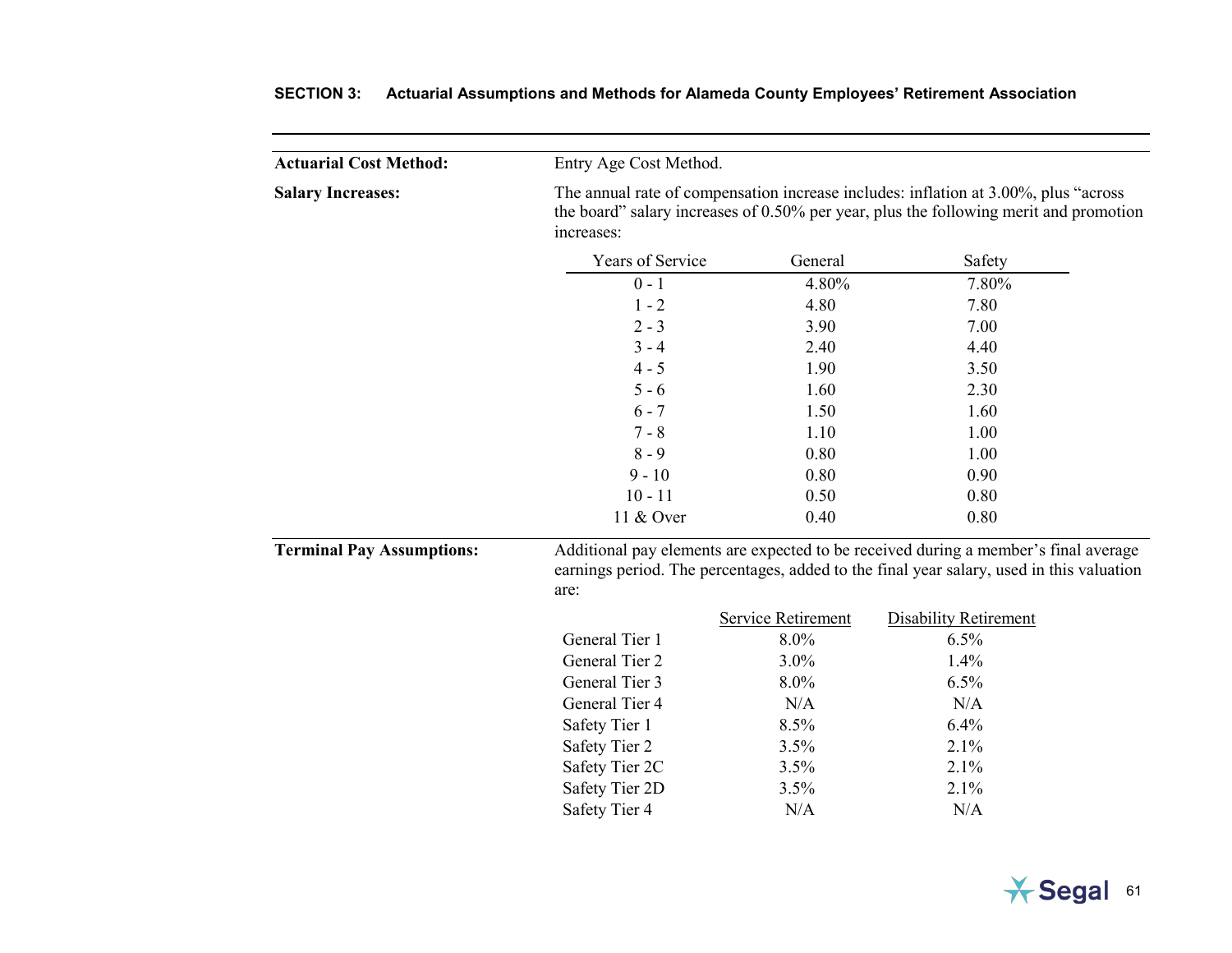| <b>Actuarial Cost Method:</b>    | Entry Age Cost Method.                                                                                                                                                                      |                    |                                                                                                                                                                                 |  |  |
|----------------------------------|---------------------------------------------------------------------------------------------------------------------------------------------------------------------------------------------|--------------------|---------------------------------------------------------------------------------------------------------------------------------------------------------------------------------|--|--|
| <b>Salary Increases:</b>         | The annual rate of compensation increase includes: inflation at 3.00%, plus "across"<br>the board" salary increases of 0.50% per year, plus the following merit and promotion<br>increases: |                    |                                                                                                                                                                                 |  |  |
|                                  | Years of Service                                                                                                                                                                            | General            | Safety                                                                                                                                                                          |  |  |
|                                  | $0 - 1$                                                                                                                                                                                     | 4.80%              | 7.80%                                                                                                                                                                           |  |  |
|                                  | $1 - 2$                                                                                                                                                                                     | 4.80               | 7.80                                                                                                                                                                            |  |  |
|                                  | $2 - 3$                                                                                                                                                                                     | 3.90               | 7.00                                                                                                                                                                            |  |  |
|                                  | $3 - 4$                                                                                                                                                                                     | 2.40               | 4.40                                                                                                                                                                            |  |  |
|                                  | $4 - 5$                                                                                                                                                                                     | 1.90               | 3.50                                                                                                                                                                            |  |  |
|                                  | $5 - 6$                                                                                                                                                                                     | 1.60               | 2.30                                                                                                                                                                            |  |  |
|                                  | $6 - 7$                                                                                                                                                                                     | 1.50               | 1.60                                                                                                                                                                            |  |  |
|                                  | $7 - 8$                                                                                                                                                                                     | 1.10               | 1.00                                                                                                                                                                            |  |  |
|                                  | $8 - 9$                                                                                                                                                                                     | 0.80               | 1.00                                                                                                                                                                            |  |  |
|                                  | $9 - 10$                                                                                                                                                                                    | 0.80               | 0.90                                                                                                                                                                            |  |  |
|                                  | $10 - 11$                                                                                                                                                                                   | 0.50               | 0.80                                                                                                                                                                            |  |  |
|                                  | 11 & Over                                                                                                                                                                                   | 0.40               | 0.80                                                                                                                                                                            |  |  |
| <b>Terminal Pay Assumptions:</b> | are:                                                                                                                                                                                        |                    | Additional pay elements are expected to be received during a member's final average<br>earnings period. The percentages, added to the final year salary, used in this valuation |  |  |
|                                  |                                                                                                                                                                                             | Service Retirement | <b>Disability Retirement</b>                                                                                                                                                    |  |  |
|                                  | General Tier 1                                                                                                                                                                              | 8.0%               | 6.5%                                                                                                                                                                            |  |  |
|                                  | General Tier 2                                                                                                                                                                              | 3.0%               | 1.4%                                                                                                                                                                            |  |  |
|                                  | General Tier 3                                                                                                                                                                              | 8.0%               | 6.5%                                                                                                                                                                            |  |  |
|                                  | General Tier 4                                                                                                                                                                              | N/A                | N/A                                                                                                                                                                             |  |  |
|                                  | Safety Tier 1                                                                                                                                                                               | 8.5%               | 6.4%                                                                                                                                                                            |  |  |
|                                  | Safety Tier 2                                                                                                                                                                               | 3.5%               | 2.1%                                                                                                                                                                            |  |  |
|                                  | Safety Tier 2C                                                                                                                                                                              | 3.5%               | 2.1%                                                                                                                                                                            |  |  |
|                                  | Safety Tier 2D                                                                                                                                                                              | 3.5%               | 2.1%                                                                                                                                                                            |  |  |
|                                  | Safety Tier 4                                                                                                                                                                               | N/A                | N/A                                                                                                                                                                             |  |  |

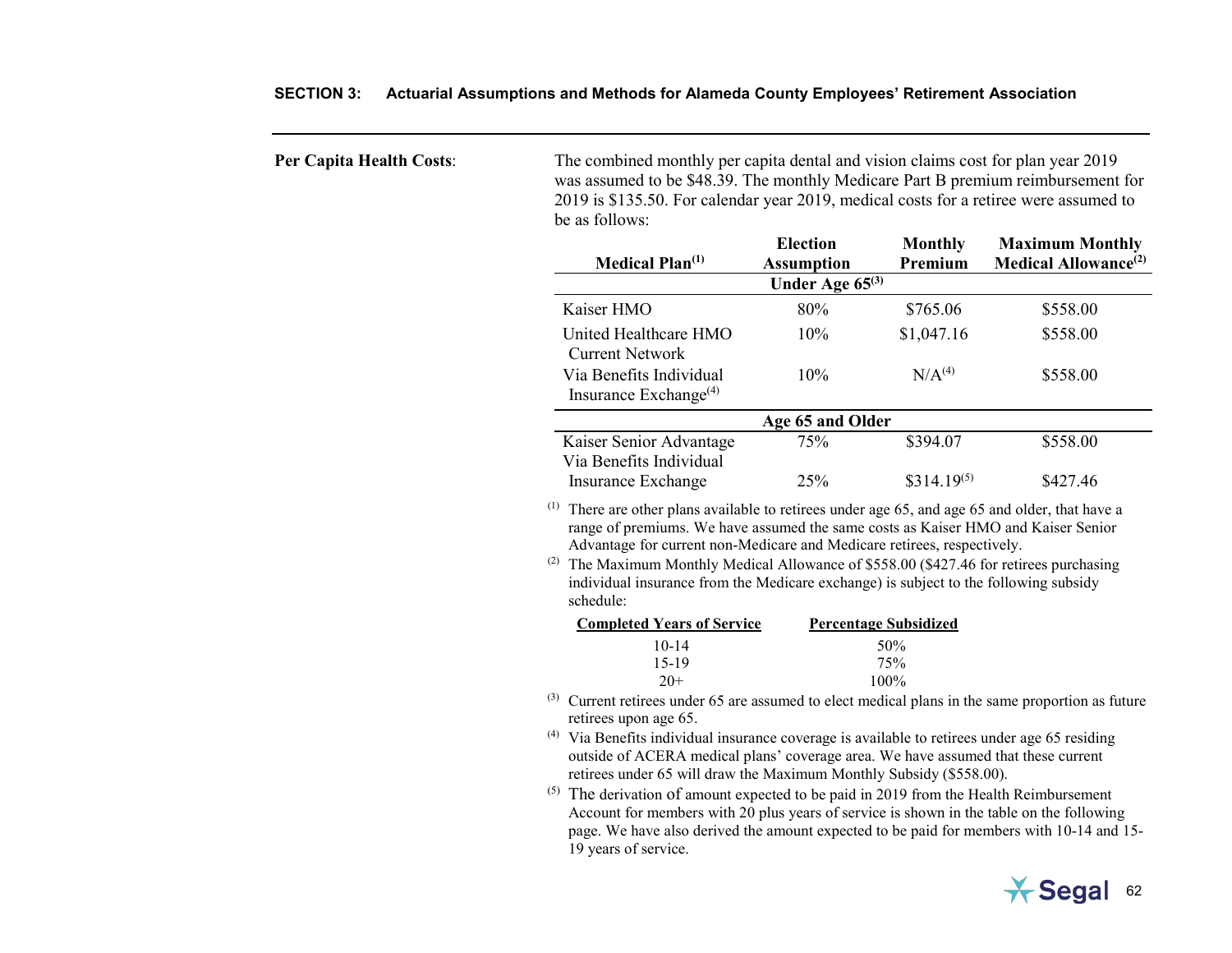| <b>Per Capita Health Costs:</b> | The combined monthly per capita dental and vision claims cost for plan year 2019<br>was assumed to be \$48.39. The monthly Medicare Part B premium reimbursement for<br>2019 is \$135.50. For calendar year 2019, medical costs for a retiree were assumed to<br>be as follows:                                                                                                                                                                                              |                                      |                              |                                                                   |  |  |
|---------------------------------|------------------------------------------------------------------------------------------------------------------------------------------------------------------------------------------------------------------------------------------------------------------------------------------------------------------------------------------------------------------------------------------------------------------------------------------------------------------------------|--------------------------------------|------------------------------|-------------------------------------------------------------------|--|--|
|                                 | <b>Medical Plan</b> <sup>(1)</sup>                                                                                                                                                                                                                                                                                                                                                                                                                                           | <b>Election</b><br><b>Assumption</b> | <b>Monthly</b><br>Premium    | <b>Maximum Monthly</b><br><b>Medical Allowance</b> <sup>(2)</sup> |  |  |
|                                 |                                                                                                                                                                                                                                                                                                                                                                                                                                                                              | Under Age $65^{(3)}$                 |                              |                                                                   |  |  |
|                                 | Kaiser HMO                                                                                                                                                                                                                                                                                                                                                                                                                                                                   | 80%                                  | \$765.06                     | \$558.00                                                          |  |  |
|                                 | United Healthcare HMO<br><b>Current Network</b>                                                                                                                                                                                                                                                                                                                                                                                                                              | 10%                                  | \$1,047.16                   | \$558.00                                                          |  |  |
|                                 | Via Benefits Individual<br>Insurance Exchange $(4)$                                                                                                                                                                                                                                                                                                                                                                                                                          | 10%                                  | N/A <sup>(4)</sup>           | \$558.00                                                          |  |  |
|                                 |                                                                                                                                                                                                                                                                                                                                                                                                                                                                              | Age 65 and Older                     |                              |                                                                   |  |  |
|                                 | Kaiser Senior Advantage<br>Via Benefits Individual                                                                                                                                                                                                                                                                                                                                                                                                                           | 75%                                  | \$394.07                     | \$558.00                                                          |  |  |
|                                 | Insurance Exchange                                                                                                                                                                                                                                                                                                                                                                                                                                                           | 25%                                  | $$314.19^{(5)}$              | \$427.46                                                          |  |  |
|                                 | $(1)$ There are other plans available to retirees under age 65, and age 65 and older, that have a<br>range of premiums. We have assumed the same costs as Kaiser HMO and Kaiser Senior<br>Advantage for current non-Medicare and Medicare retirees, respectively.<br><sup>(2)</sup> The Maximum Monthly Medical Allowance of \$558.00 (\$427.46 for retirees purchasing<br>individual insurance from the Medicare exchange) is subject to the following subsidy<br>schedule: |                                      |                              |                                                                   |  |  |
|                                 | <b>Completed Years of Service</b>                                                                                                                                                                                                                                                                                                                                                                                                                                            |                                      | <b>Percentage Subsidized</b> |                                                                   |  |  |
|                                 | $10 - 14$<br>$15-19$<br>$20+$                                                                                                                                                                                                                                                                                                                                                                                                                                                |                                      | 50%<br>75%<br>100%           |                                                                   |  |  |
|                                 | $^{(3)}$ Current retirees under 65 are assumed to elect medical plans in the same proportion as future<br>retirees upon age 65.                                                                                                                                                                                                                                                                                                                                              |                                      |                              |                                                                   |  |  |
|                                 | $^{(4)}$ Via Benefits individual insurance coverage is available to retirees under age 65 residing<br>outside of ACERA medical plans' coverage area. We have assumed that these current<br>retirees under 65 will draw the Maximum Monthly Subsidy (\$558.00).                                                                                                                                                                                                               |                                      |                              |                                                                   |  |  |
|                                 | (5)<br>The derivation of amount expected to be paid in 2019 from the Health Reimbursement<br>Account for members with 20 plus years of service is shown in the table on the following<br>page. We have also derived the amount expected to be paid for members with 10-14 and 15-<br>19 years of service.                                                                                                                                                                    |                                      |                              |                                                                   |  |  |

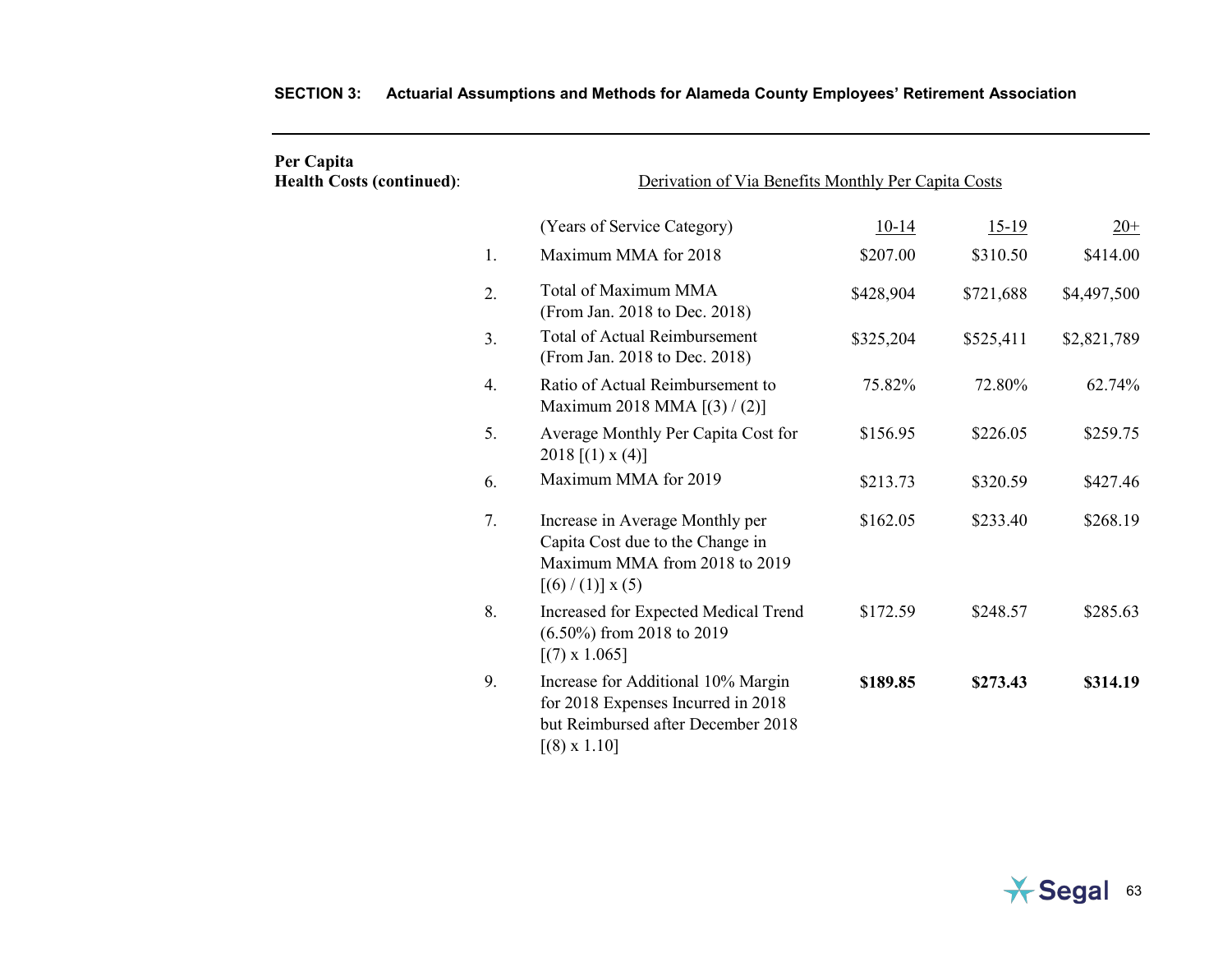| Per Capita<br><b>Health Costs (continued):</b> | Derivation of Via Benefits Monthly Per Capita Costs |                                                                                                                                       |           |           |             |
|------------------------------------------------|-----------------------------------------------------|---------------------------------------------------------------------------------------------------------------------------------------|-----------|-----------|-------------|
|                                                |                                                     | (Years of Service Category)                                                                                                           | $10-14$   | $15-19$   | $20+$       |
|                                                | 1.                                                  | Maximum MMA for 2018                                                                                                                  | \$207.00  | \$310.50  | \$414.00    |
|                                                | 2.                                                  | Total of Maximum MMA<br>(From Jan. 2018 to Dec. 2018)                                                                                 | \$428,904 | \$721,688 | \$4,497,500 |
|                                                | 3.                                                  | <b>Total of Actual Reimbursement</b><br>(From Jan. 2018 to Dec. 2018)                                                                 | \$325,204 | \$525,411 | \$2,821,789 |
|                                                | 4.                                                  | Ratio of Actual Reimbursement to<br>Maximum 2018 MMA [(3) / (2)]                                                                      | 75.82%    | 72.80%    | 62.74%      |
|                                                | 5.                                                  | Average Monthly Per Capita Cost for<br>2018 [(1) $x(4)$ ]                                                                             | \$156.95  | \$226.05  | \$259.75    |
|                                                | 6.                                                  | Maximum MMA for 2019                                                                                                                  | \$213.73  | \$320.59  | \$427.46    |
|                                                | 7.                                                  | Increase in Average Monthly per<br>Capita Cost due to the Change in<br>Maximum MMA from 2018 to 2019<br>$[(6)/(1)] \times (5)$        | \$162.05  | \$233.40  | \$268.19    |
|                                                | 8.                                                  | Increased for Expected Medical Trend<br>$(6.50\%)$ from 2018 to 2019<br>$[(7) \times 1.065]$                                          | \$172.59  | \$248.57  | \$285.63    |
|                                                | 9.                                                  | Increase for Additional 10% Margin<br>for 2018 Expenses Incurred in 2018<br>but Reimbursed after December 2018<br>$[(8) \times 1.10]$ | \$189.85  | \$273.43  | \$314.19    |

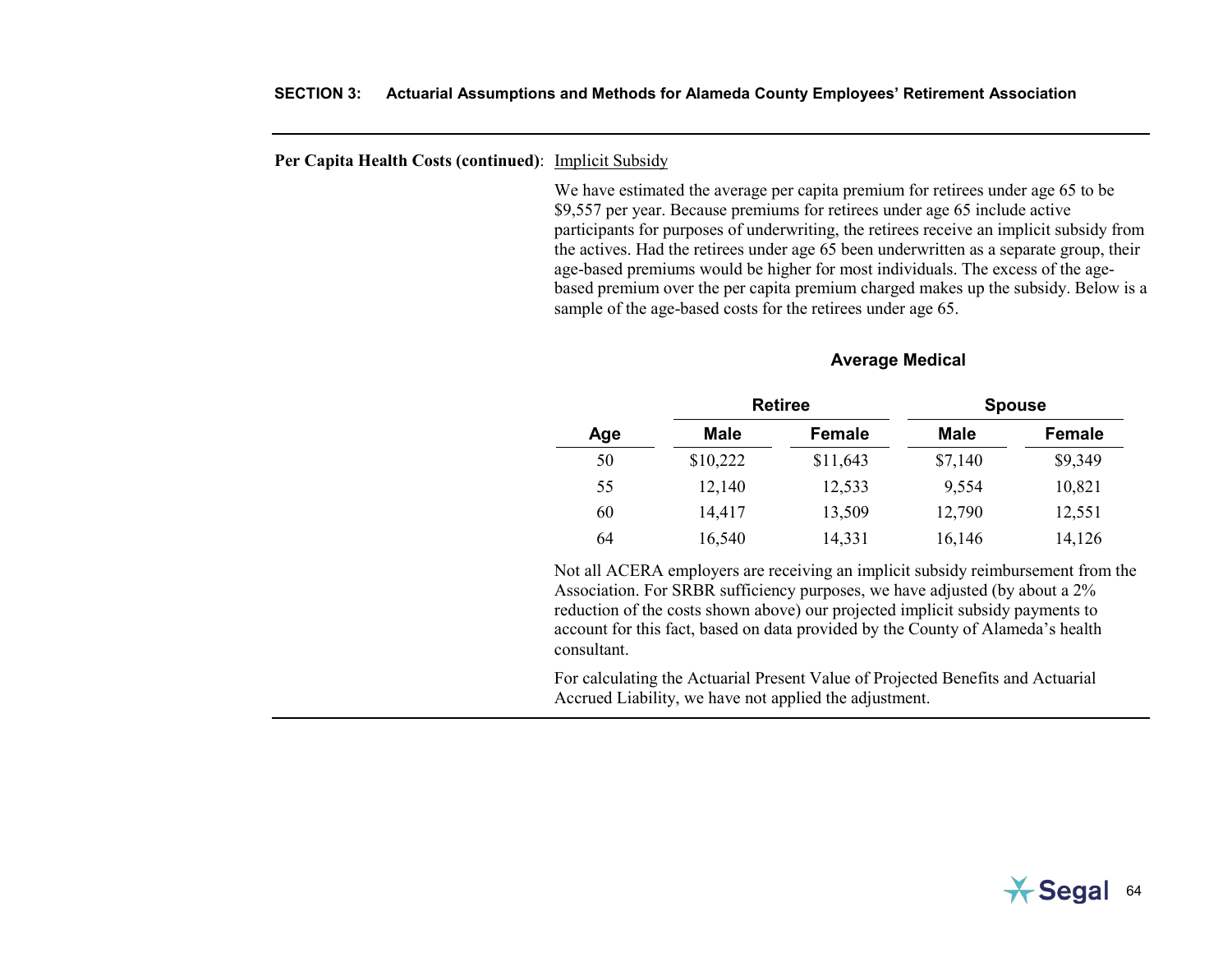### **Per Capita Health Costs (continued)**: Implicit Subsidy

We have estimated the average per capita premium for retirees under age 65 to be \$9,557 per year. Because premiums for retirees under age 65 include active participants for purposes of underwriting, the retirees receive an implicit subsidy from the actives. Had the retirees under age 65 been underwritten as a separate group, their age-based premiums would be higher for most individuals. The excess of the agebased premium over the per capita premium charged makes up the subsidy. Below is a sample of the age-based costs for the retirees under age 65.

## **Average Medical**

|     |             | <b>Retiree</b> |             | <b>Spouse</b> |
|-----|-------------|----------------|-------------|---------------|
| Age | <b>Male</b> | Female         | <b>Male</b> | Female        |
| 50  | \$10,222    | \$11,643       | \$7,140     | \$9,349       |
| 55  | 12,140      | 12,533         | 9,554       | 10,821        |
| 60  | 14,417      | 13,509         | 12,790      | 12,551        |
| 64  | 16,540      | 14,331         | 16,146      | 14,126        |

Not all ACERA employers are receiving an implicit subsidy reimbursement from the Association. For SRBR sufficiency purposes, we have adjusted (by about a 2% reduction of the costs shown above) our projected implicit subsidy payments to account for this fact, based on data provided by the County of Alameda's health consultant.

For calculating the Actuarial Present Value of Projected Benefits and Actuarial Accrued Liability, we have not applied the adjustment.

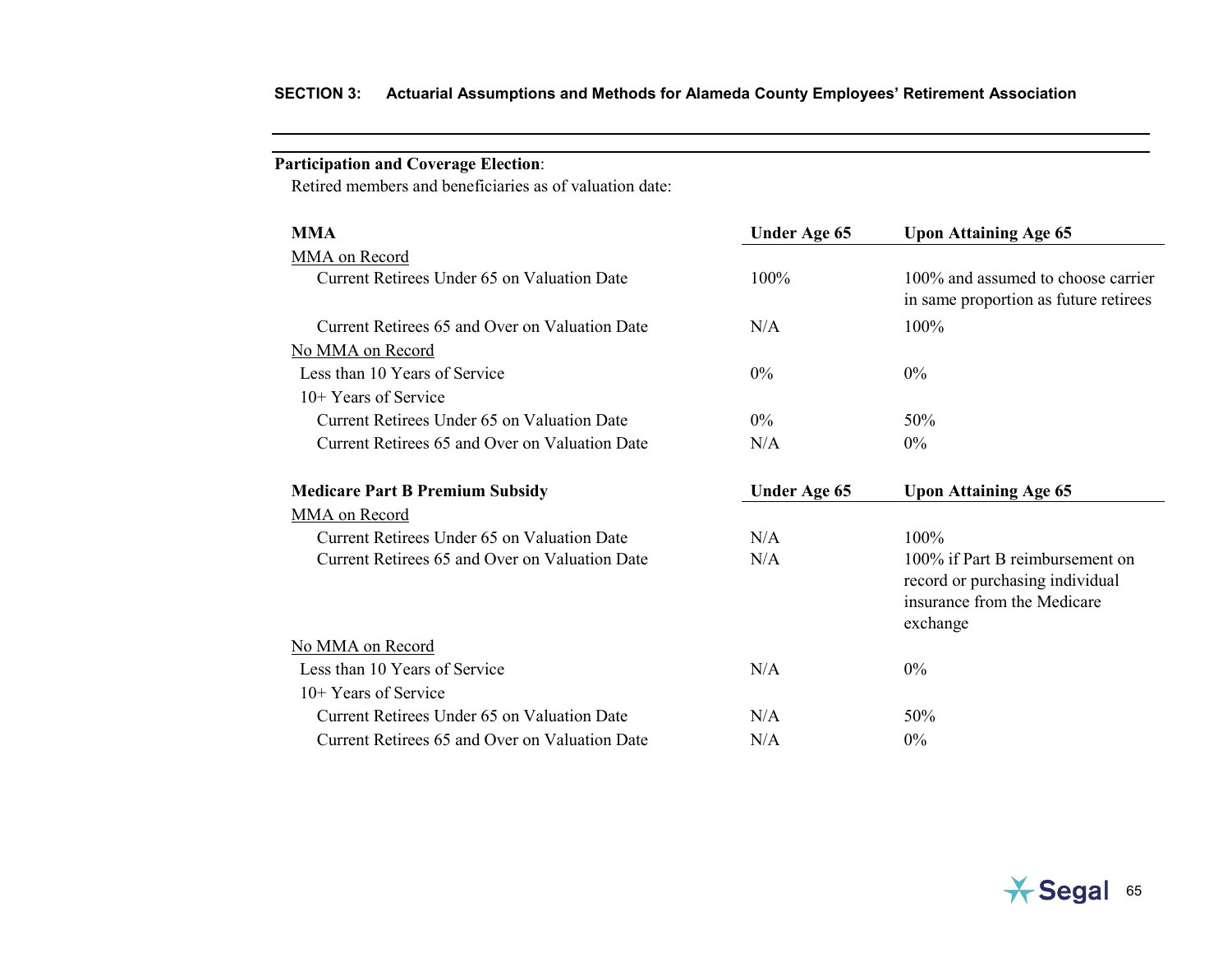# **Participation and Coverage Election**:

Retired members and beneficiaries as of valuation date:

| <b>MMA</b>                                     | <b>Under Age 65</b> | <b>Upon Attaining Age 65</b>                                                                                  |
|------------------------------------------------|---------------------|---------------------------------------------------------------------------------------------------------------|
| MMA on Record                                  |                     |                                                                                                               |
| Current Retirees Under 65 on Valuation Date    | 100%                | 100\% and assumed to choose carrier<br>in same proportion as future retirees                                  |
| Current Retirees 65 and Over on Valuation Date | N/A                 | 100%                                                                                                          |
| No MMA on Record                               |                     |                                                                                                               |
| Less than 10 Years of Service                  | $0\%$               | $0\%$                                                                                                         |
| $10+$ Years of Service                         |                     |                                                                                                               |
| Current Retirees Under 65 on Valuation Date    | $0\%$               | 50%                                                                                                           |
| Current Retirees 65 and Over on Valuation Date | N/A                 | 0%                                                                                                            |
| <b>Medicare Part B Premium Subsidy</b>         | Under Age 65        | <b>Upon Attaining Age 65</b>                                                                                  |
| MMA on Record                                  |                     |                                                                                                               |
| Current Retirees Under 65 on Valuation Date    | N/A                 | $100\%$                                                                                                       |
| Current Retirees 65 and Over on Valuation Date | N/A                 | 100% if Part B reimbursement on<br>record or purchasing individual<br>insurance from the Medicare<br>exchange |
| No MMA on Record                               |                     |                                                                                                               |
| Less than 10 Years of Service                  | N/A                 | $0\%$                                                                                                         |
| $10+$ Years of Service                         |                     |                                                                                                               |
| Current Retirees Under 65 on Valuation Date    | N/A                 | 50%                                                                                                           |
| Current Retirees 65 and Over on Valuation Date | N/A                 | $0\%$                                                                                                         |

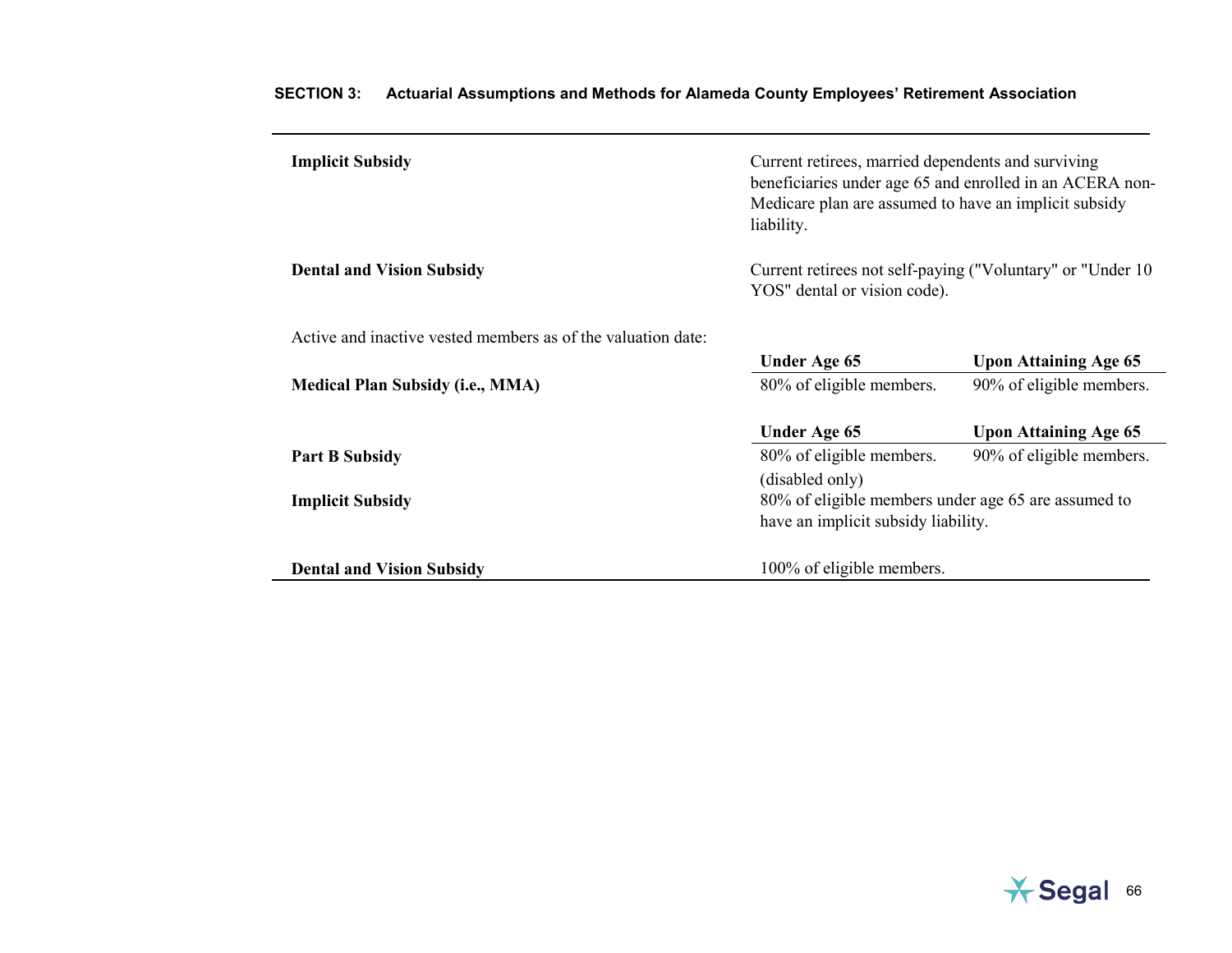| <b>Implicit Subsidy</b>                                      | Current retirees, married dependents and surviving<br>beneficiaries under age 65 and enrolled in an ACERA non-<br>Medicare plan are assumed to have an implicit subsidy<br>liability. |                              |  |
|--------------------------------------------------------------|---------------------------------------------------------------------------------------------------------------------------------------------------------------------------------------|------------------------------|--|
| <b>Dental and Vision Subsidy</b>                             | Current retirees not self-paying ("Voluntary" or "Under 10<br>YOS" dental or vision code).                                                                                            |                              |  |
| Active and inactive vested members as of the valuation date: |                                                                                                                                                                                       |                              |  |
|                                                              | Under Age 65                                                                                                                                                                          | <b>Upon Attaining Age 65</b> |  |
| <b>Medical Plan Subsidy (i.e., MMA)</b>                      | 80% of eligible members.                                                                                                                                                              | 90% of eligible members.     |  |
|                                                              | Under Age 65                                                                                                                                                                          | <b>Upon Attaining Age 65</b> |  |
| <b>Part B Subsidy</b>                                        | 80% of eligible members.                                                                                                                                                              | 90% of eligible members.     |  |
|                                                              | (disabled only)                                                                                                                                                                       |                              |  |
| <b>Implicit Subsidy</b>                                      | 80% of eligible members under age 65 are assumed to                                                                                                                                   |                              |  |
|                                                              | have an implicit subsidy liability.                                                                                                                                                   |                              |  |
| <b>Dental and Vision Subsidy</b>                             | 100% of eligible members.                                                                                                                                                             |                              |  |

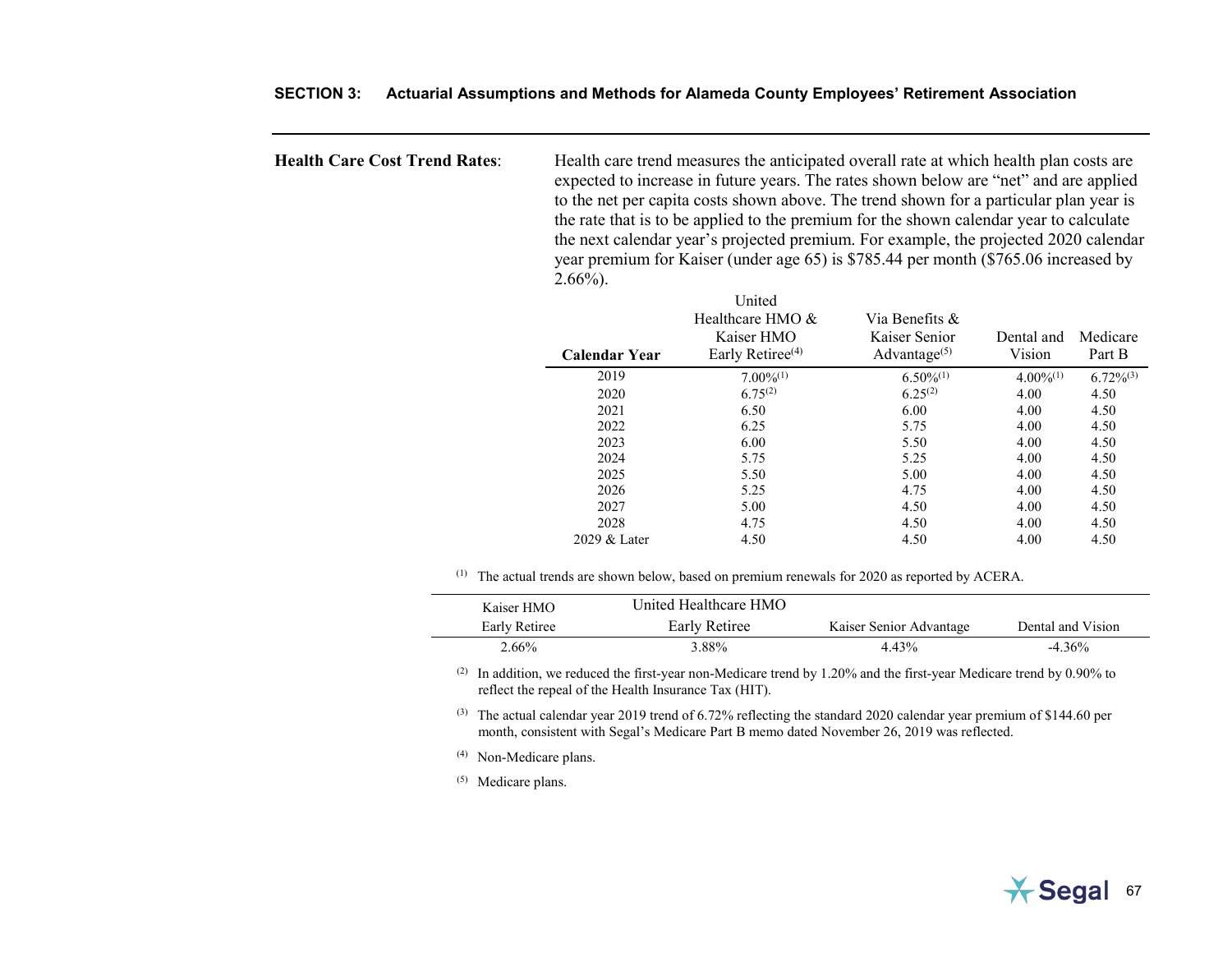|  | SECTION 3: Actuarial Assumptions and Methods for Alameda County Employees' Retirement Association |  |  |
|--|---------------------------------------------------------------------------------------------------|--|--|
|--|---------------------------------------------------------------------------------------------------|--|--|

**Health Care Cost Trend Rates**: Health care trend measures the anticipated overall rate at which health plan costs are expected to increase in future years. The rates shown below are "net" and are applied to the net per capita costs shown above. The trend shown for a particular plan year is the rate that is to be applied to the premium for the shown calendar year to calculate the next calendar year's projected premium. For example, the projected 2020 calendar year premium for Kaiser (under age 65) is \$785.44 per month (\$765.06 increased by  $2.66\%$ ).

| <b>Calendar Year</b> | United<br>Healthcare HMO $\&$<br>Kaiser HMO<br>Early Retiree <sup>(4)</sup> | Via Benefits &<br>Kaiser Senior<br>Advantage $(5)$ | Dental and<br>Vision | Medicare<br>Part B |
|----------------------|-----------------------------------------------------------------------------|----------------------------------------------------|----------------------|--------------------|
| 2019                 | $7.00\%^{(1)}$                                                              | $6.50\%^{(1)}$                                     | $4.00\%^{(1)}$       | $6.72\%^{(3)}$     |
| 2020                 | $6.75^{(2)}$                                                                | $6.25^{(2)}$                                       | 4.00                 | 4.50               |
| 2021                 | 6.50                                                                        | 6.00                                               | 4.00                 | 4.50               |
| 2022                 | 6.25                                                                        | 5.75                                               | 4.00                 | 4.50               |
| 2023                 | 6.00                                                                        | 5.50                                               | 4.00                 | 4.50               |
| 2024                 | 5.75                                                                        | 5.25                                               | 4.00                 | 4.50               |
| 2025                 | 5.50                                                                        | 5.00                                               | 4.00                 | 4.50               |
| 2026                 | 5.25                                                                        | 4.75                                               | 4.00                 | 4.50               |
| 2027                 | 5.00                                                                        | 4.50                                               | 4.00                 | 4.50               |
| 2028                 | 4.75                                                                        | 4.50                                               | 4.00                 | 4.50               |
| 2029 & Later         | 4.50                                                                        | 4.50                                               | 4.00                 | 4.50               |

(1) The actual trends are shown below, based on premium renewals for 2020 as reported by ACERA.

| Kaiser HMO    | United Healthcare HMO |                         |                   |
|---------------|-----------------------|-------------------------|-------------------|
| Early Retiree | Early Retiree         | Kaiser Senior Advantage | Dental and Vision |
| $2.66\%$      | 3.88%                 | 4.43%                   | $-4.36\%$         |

(2) In addition, we reduced the first-year non-Medicare trend by 1.20% and the first-year Medicare trend by 0.90% to reflect the repeal of the Health Insurance Tax (HIT).

(3) The actual calendar year 2019 trend of 6.72% reflecting the standard 2020 calendar year premium of \$144.60 per month, consistent with Segal's Medicare Part B memo dated November 26, 2019 was reflected.

(4) Non-Medicare plans.

(5) Medicare plans.

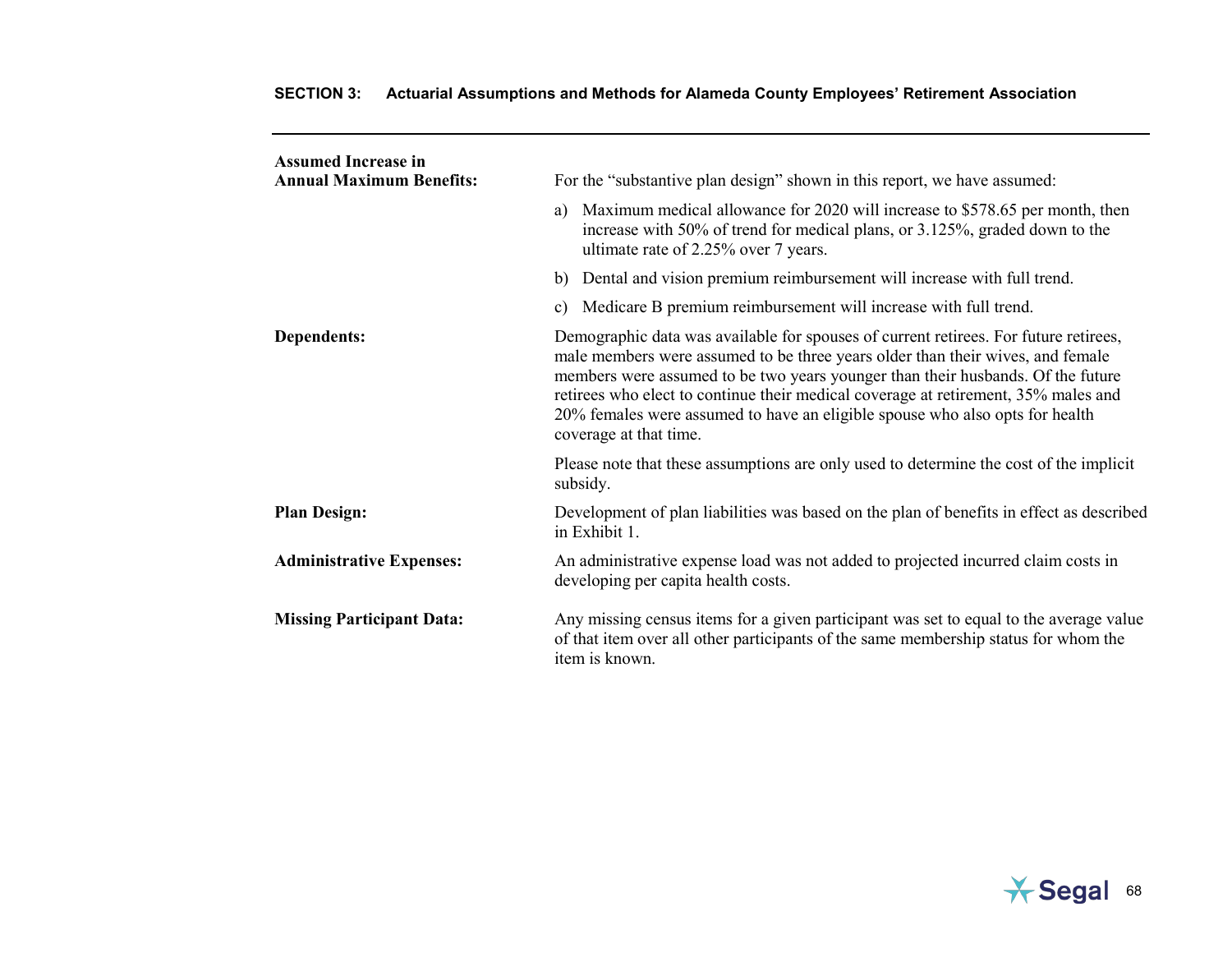| <b>Assumed Increase in</b><br><b>Annual Maximum Benefits:</b> | For the "substantive plan design" shown in this report, we have assumed:                                                                                                                                                                                                                                                                                                                                                                                  |
|---------------------------------------------------------------|-----------------------------------------------------------------------------------------------------------------------------------------------------------------------------------------------------------------------------------------------------------------------------------------------------------------------------------------------------------------------------------------------------------------------------------------------------------|
|                                                               | Maximum medical allowance for 2020 will increase to \$578.65 per month, then<br>a)<br>increase with 50% of trend for medical plans, or 3.125%, graded down to the<br>ultimate rate of 2.25% over 7 years.                                                                                                                                                                                                                                                 |
|                                                               | Dental and vision premium reimbursement will increase with full trend.<br>b)                                                                                                                                                                                                                                                                                                                                                                              |
|                                                               | Medicare B premium reimbursement will increase with full trend.<br>c)                                                                                                                                                                                                                                                                                                                                                                                     |
| Dependents:                                                   | Demographic data was available for spouses of current retirees. For future retirees,<br>male members were assumed to be three years older than their wives, and female<br>members were assumed to be two years younger than their husbands. Of the future<br>retirees who elect to continue their medical coverage at retirement, 35% males and<br>20% females were assumed to have an eligible spouse who also opts for health<br>coverage at that time. |
|                                                               | Please note that these assumptions are only used to determine the cost of the implicit<br>subsidy.                                                                                                                                                                                                                                                                                                                                                        |
| <b>Plan Design:</b>                                           | Development of plan liabilities was based on the plan of benefits in effect as described<br>in Exhibit 1.                                                                                                                                                                                                                                                                                                                                                 |
| <b>Administrative Expenses:</b>                               | An administrative expense load was not added to projected incurred claim costs in<br>developing per capita health costs.                                                                                                                                                                                                                                                                                                                                  |
| <b>Missing Participant Data:</b>                              | Any missing census items for a given participant was set to equal to the average value<br>of that item over all other participants of the same membership status for whom the<br>item is known.                                                                                                                                                                                                                                                           |

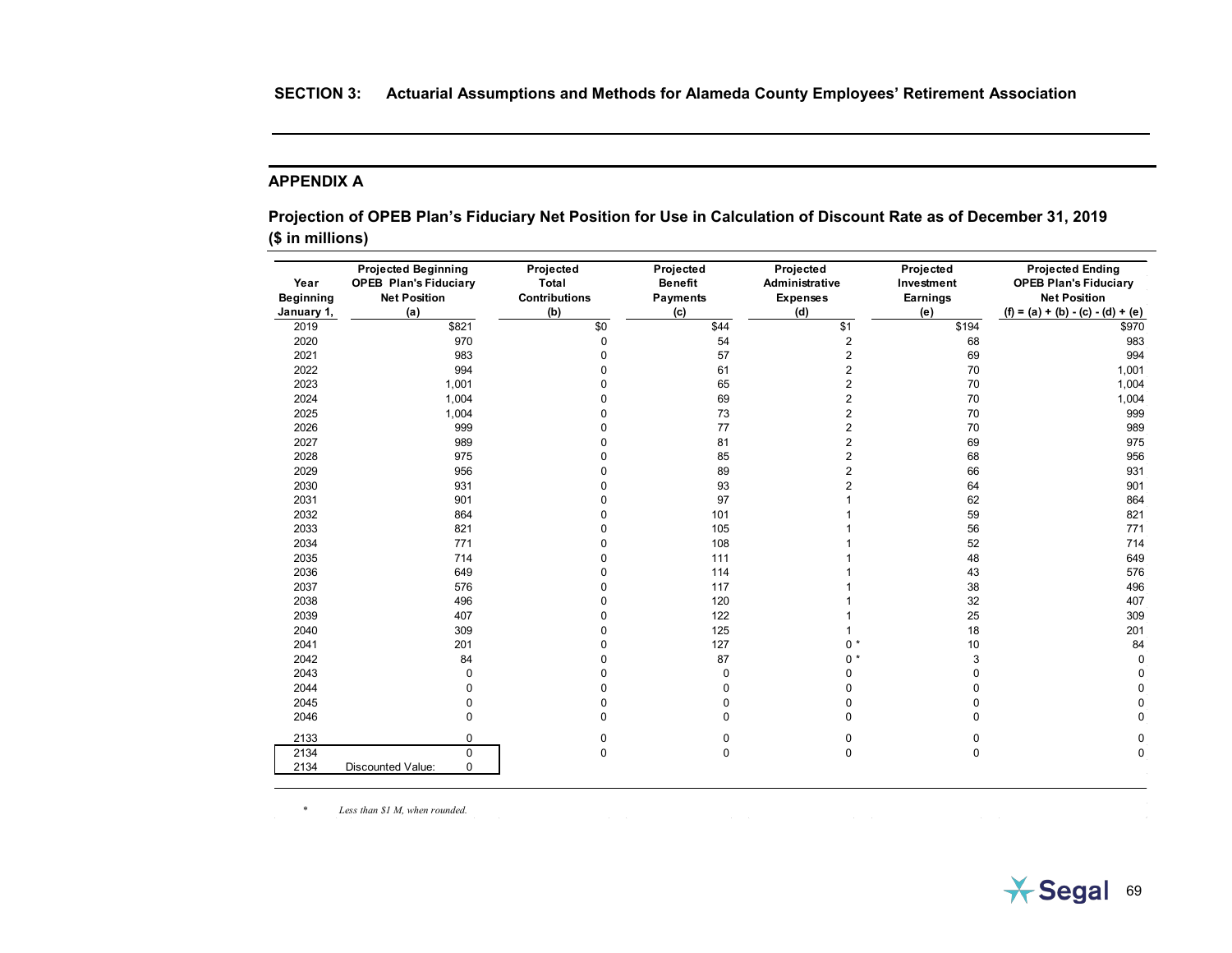## **APPENDIX A**

**Projection of OPEB Plan's Fiduciary Net Position for Use in Calculation of Discount Rate as of December 31, 2019 (\$ in millions)**

| Year<br><b>Beginning</b><br>January 1, | <b>Projected Beginning</b><br><b>OPEB Plan's Fiduciary</b><br><b>Net Position</b><br>(a) | Projected<br>Total<br><b>Contributions</b><br>(b) | Projected<br><b>Benefit</b><br><b>Payments</b><br>(c) | Projected<br>Administrative<br><b>Expenses</b><br>(d) | Projected<br>Investment<br>Earnings<br>(e) | <b>Projected Ending</b><br><b>OPEB Plan's Fiduciary</b><br><b>Net Position</b><br>$(f) = (a) + (b) - (c) - (d) + (e)$ |
|----------------------------------------|------------------------------------------------------------------------------------------|---------------------------------------------------|-------------------------------------------------------|-------------------------------------------------------|--------------------------------------------|-----------------------------------------------------------------------------------------------------------------------|
| 2019                                   | \$821                                                                                    | \$0                                               | \$44                                                  | \$1                                                   | \$194                                      | \$970                                                                                                                 |
| 2020                                   | 970                                                                                      | $\pmb{0}$                                         | 54                                                    | 2                                                     | 68                                         | 983                                                                                                                   |
| 2021                                   | 983                                                                                      | $\mathbf 0$                                       | 57                                                    | $\overline{\mathbf{c}}$                               | 69                                         | 994                                                                                                                   |
| 2022                                   | 994                                                                                      | $\mathbf 0$                                       | 61                                                    | $\overline{2}$                                        | 70                                         | 1,001                                                                                                                 |
| 2023                                   | 1,001                                                                                    | $\mathbf 0$                                       | 65                                                    | $\overline{2}$                                        | 70                                         | 1,004                                                                                                                 |
| 2024                                   | 1,004                                                                                    | $\mathbf 0$                                       | 69                                                    | $\overline{2}$                                        | 70                                         | 1,004                                                                                                                 |
| 2025                                   | 1,004                                                                                    | $\Omega$                                          | 73                                                    | $\overline{\mathbf{c}}$                               | 70                                         | 999                                                                                                                   |
| 2026                                   | 999                                                                                      | $\Omega$                                          | 77                                                    | $\overline{\mathbf{c}}$                               | 70                                         | 989                                                                                                                   |
| 2027                                   | 989                                                                                      | $\Omega$                                          | 81                                                    | 2                                                     | 69                                         | 975                                                                                                                   |
| 2028                                   | 975                                                                                      | $\Omega$                                          | 85                                                    | $\overline{2}$                                        | 68                                         | 956                                                                                                                   |
| 2029                                   | 956                                                                                      | 0                                                 | 89                                                    | $\overline{2}$                                        | 66                                         | 931                                                                                                                   |
| 2030                                   | 931                                                                                      | $\Omega$                                          | 93                                                    | $\overline{2}$                                        | 64                                         | 901                                                                                                                   |
| 2031                                   | 901                                                                                      | $\mathbf{0}$                                      | 97                                                    |                                                       | 62                                         | 864                                                                                                                   |
| 2032                                   | 864                                                                                      | $\Omega$                                          | 101                                                   |                                                       | 59                                         | 821                                                                                                                   |
| 2033                                   | 821                                                                                      | $\mathbf 0$                                       | 105                                                   |                                                       | 56                                         | 771                                                                                                                   |
| 2034                                   | 771                                                                                      | $\mathbf 0$                                       | 108                                                   |                                                       | 52                                         | 714                                                                                                                   |
| 2035                                   | 714                                                                                      | $\mathbf 0$                                       | 111                                                   |                                                       | 48                                         | 649                                                                                                                   |
| 2036                                   | 649                                                                                      | $\mathbf 0$                                       | 114                                                   |                                                       | 43                                         | 576                                                                                                                   |
| 2037                                   | 576                                                                                      | $\mathbf 0$                                       | 117                                                   |                                                       | 38                                         | 496                                                                                                                   |
| 2038                                   | 496                                                                                      | $\mathbf 0$                                       | 120                                                   |                                                       | 32                                         | 407                                                                                                                   |
| 2039                                   | 407                                                                                      | $\mathbf 0$                                       | 122                                                   |                                                       | 25                                         | 309                                                                                                                   |
| 2040                                   | 309                                                                                      | $\mathbf 0$                                       | 125                                                   |                                                       | 18                                         | 201                                                                                                                   |
| 2041                                   | 201                                                                                      | $\mathbf 0$                                       | 127                                                   | $0^*$                                                 | 10                                         | 84                                                                                                                    |
| 2042                                   | 84                                                                                       | $\mathbf 0$                                       | 87                                                    | $0 *$                                                 | 3                                          | $\mathbf 0$                                                                                                           |
| 2043                                   | $\mathbf 0$                                                                              | 0                                                 | 0                                                     | 0                                                     | 0                                          | 0                                                                                                                     |
| 2044                                   | $\Omega$                                                                                 | $\mathbf 0$                                       | 0                                                     | 0                                                     | $\mathbf 0$                                | $\mathbf 0$                                                                                                           |
| 2045                                   | $\Omega$                                                                                 | $\mathbf 0$                                       | 0                                                     | 0                                                     | $\mathbf 0$                                | $\mathbf 0$                                                                                                           |
| 2046                                   | $\Omega$                                                                                 | $\mathbf 0$                                       | $\Omega$                                              | O                                                     | $\Omega$                                   | $\mathbf 0$                                                                                                           |
| 2133                                   | $\mathbf 0$                                                                              | 0                                                 | 0                                                     | 0                                                     | 0                                          | 0                                                                                                                     |
| 2134                                   | $\Omega$                                                                                 | $\pmb{0}$                                         | $\mathbf 0$                                           | $\mathbf 0$                                           | $\pmb{0}$                                  | $\mathbf 0$                                                                                                           |
| 2134                                   | $\mathbf 0$<br>Discounted Value:                                                         |                                                   |                                                       |                                                       |                                            |                                                                                                                       |

*\* Less than \$1 M, when rounded.*